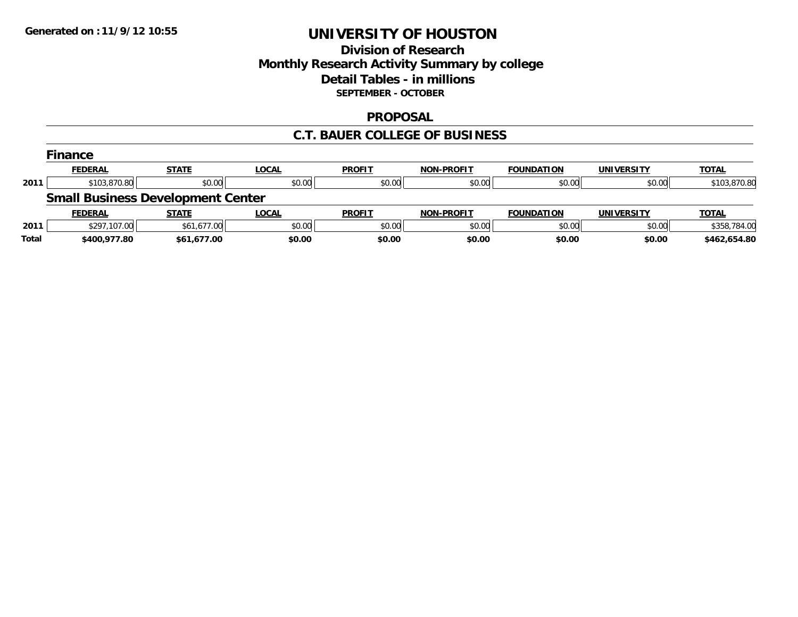## **Division of Research Monthly Research Activity Summary by college Detail Tables - in millions SEPTEMBER - OCTOBER**

### **PROPOSAL**

### **C.T. BAUER COLLEGE OF BUSINESS**

|       | <b>Finance</b> |                                          |              |               |                   |                   |                   |              |
|-------|----------------|------------------------------------------|--------------|---------------|-------------------|-------------------|-------------------|--------------|
|       | <b>FEDERAL</b> | <b>STATE</b>                             | LOCAL        | <b>PROFIT</b> | <b>NON-PROFIT</b> | <b>FOUNDATION</b> | <b>UNIVERSITY</b> | <b>TOTAL</b> |
| 2011  | \$103,870.80   | \$0.00                                   | \$0.00       | \$0.00        | \$0.00            | \$0.00            | \$0.00            | \$103,870.80 |
|       |                | <b>Small Business Development Center</b> |              |               |                   |                   |                   |              |
|       | <b>FEDERAL</b> | <b>STATE</b>                             | <b>LOCAL</b> | <b>PROFIT</b> | <b>NON-PROFIT</b> | <b>FOUNDATION</b> | <b>UNIVERSITY</b> | <b>TOTAL</b> |
| 2011  | \$297,107.00   | \$61,677.00                              | \$0.00       | \$0.00        | \$0.00            | \$0.00            | \$0.00            | \$358,784.00 |
| Total | \$400,977.80   | \$61,677.00                              | \$0.00       | \$0.00        | \$0.00            | \$0.00            | \$0.00            | \$462,654.80 |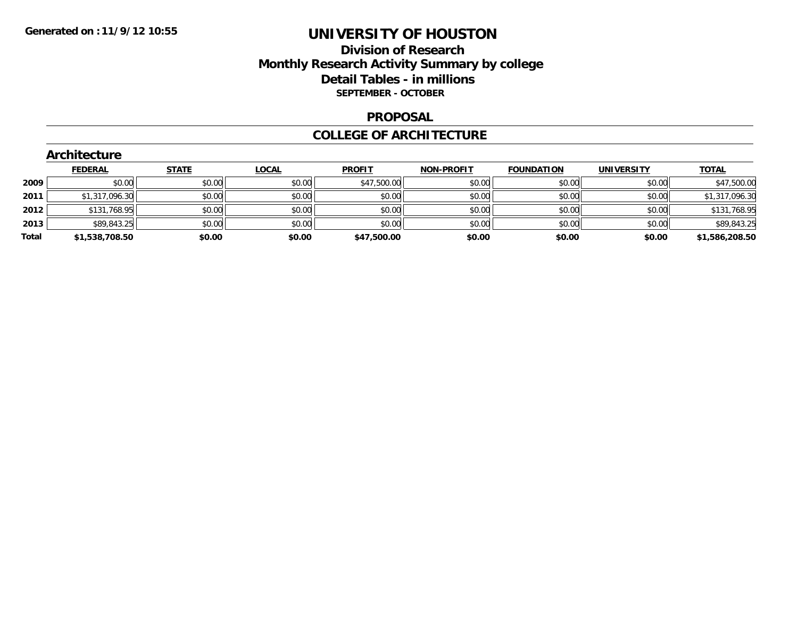## **Division of Research Monthly Research Activity Summary by college Detail Tables - in millions SEPTEMBER - OCTOBER**

### **PROPOSAL**

### **COLLEGE OF ARCHITECTURE**

|  |  | Architecture |  |
|--|--|--------------|--|
|  |  |              |  |

|       | <b>FEDERAL</b> | <b>STATE</b> | <b>LOCAL</b> | <b>PROFIT</b> | <b>NON-PROFIT</b> | <b>FOUNDATION</b> | <b>UNIVERSITY</b> | <b>TOTAL</b>   |
|-------|----------------|--------------|--------------|---------------|-------------------|-------------------|-------------------|----------------|
| 2009  | \$0.00         | \$0.00       | \$0.00       | \$47,500.00   | \$0.00            | \$0.00            | \$0.00            | \$47,500.00    |
| 2011  | \$1,317,096.30 | \$0.00       | \$0.00       | \$0.00        | \$0.00            | \$0.00            | \$0.00            | \$1,317,096.30 |
| 2012  | \$131,768.95   | \$0.00       | \$0.00       | \$0.00        | \$0.00            | \$0.00            | \$0.00            | \$131,768.95   |
| 2013  | \$89,843.25    | \$0.00       | \$0.00       | \$0.00        | \$0.00            | \$0.00            | \$0.00            | \$89,843.25    |
| Total | \$1,538,708.50 | \$0.00       | \$0.00       | \$47,500.00   | \$0.00            | \$0.00            | \$0.00            | \$1,586,208.50 |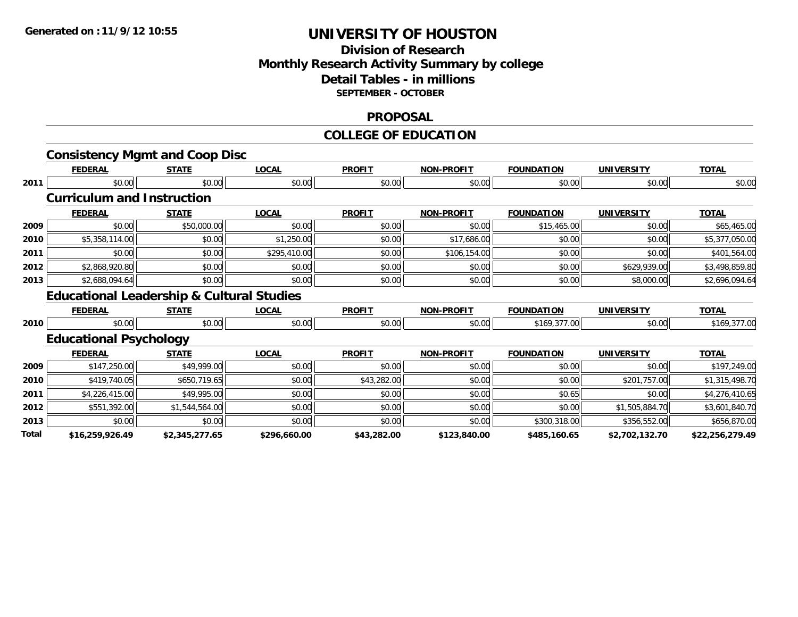## **Division of Research Monthly Research Activity Summary by college Detail Tables - in millions SEPTEMBER - OCTOBER**

### **PROPOSAL**

#### **COLLEGE OF EDUCATION**

|       | <b>Consistency Mgmt and Coop Disc</b>                |                |              |               |                   |                   |                   |                 |
|-------|------------------------------------------------------|----------------|--------------|---------------|-------------------|-------------------|-------------------|-----------------|
|       | <b>FEDERAL</b>                                       | <b>STATE</b>   | <b>LOCAL</b> | <b>PROFIT</b> | <b>NON-PROFIT</b> | <b>FOUNDATION</b> | <b>UNIVERSITY</b> | <b>TOTAL</b>    |
| 2011  | \$0.00                                               | \$0.00         | \$0.00       | \$0.00        | \$0.00            | \$0.00            | \$0.00            | \$0.00          |
|       | <b>Curriculum and Instruction</b>                    |                |              |               |                   |                   |                   |                 |
|       | <b>FEDERAL</b>                                       | <b>STATE</b>   | <b>LOCAL</b> | <b>PROFIT</b> | <b>NON-PROFIT</b> | <b>FOUNDATION</b> | <b>UNIVERSITY</b> | <b>TOTAL</b>    |
| 2009  | \$0.00                                               | \$50,000.00    | \$0.00       | \$0.00        | \$0.00            | \$15,465.00       | \$0.00            | \$65,465.00     |
| 2010  | \$5,358,114.00                                       | \$0.00         | \$1,250.00   | \$0.00        | \$17,686.00       | \$0.00            | \$0.00            | \$5,377,050.00  |
| 2011  | \$0.00                                               | \$0.00         | \$295,410.00 | \$0.00        | \$106,154.00      | \$0.00            | \$0.00            | \$401,564.00    |
| 2012  | \$2,868,920.80                                       | \$0.00         | \$0.00       | \$0.00        | \$0.00            | \$0.00            | \$629,939.00      | \$3,498,859.80  |
| 2013  | \$2,688,094.64                                       | \$0.00         | \$0.00       | \$0.00        | \$0.00            | \$0.00            | \$8,000.00        | \$2,696,094.64  |
|       | <b>Educational Leadership &amp; Cultural Studies</b> |                |              |               |                   |                   |                   |                 |
|       | <b>FEDERAL</b>                                       | <b>STATE</b>   | <b>LOCAL</b> | <b>PROFIT</b> | <b>NON-PROFIT</b> | <b>FOUNDATION</b> | <b>UNIVERSITY</b> | <b>TOTAL</b>    |
| 2010  | \$0.00                                               | \$0.00         | \$0.00       | \$0.00        | \$0.00            | \$169,377.00      | \$0.00            | \$169,377.00    |
|       | <b>Educational Psychology</b>                        |                |              |               |                   |                   |                   |                 |
|       | <b>FEDERAL</b>                                       | <b>STATE</b>   | <b>LOCAL</b> | <b>PROFIT</b> | <b>NON-PROFIT</b> | <b>FOUNDATION</b> | <b>UNIVERSITY</b> | <b>TOTAL</b>    |
| 2009  | \$147,250.00                                         | \$49,999.00    | \$0.00       | \$0.00        | \$0.00            | \$0.00            | \$0.00            | \$197,249.00    |
| 2010  | \$419,740.05                                         | \$650,719.65   | \$0.00       | \$43,282.00   | \$0.00            | \$0.00            | \$201,757.00      | \$1,315,498.70  |
| 2011  | \$4,226,415.00                                       | \$49,995.00    | \$0.00       | \$0.00        | \$0.00            | \$0.65            | \$0.00            | \$4,276,410.65  |
| 2012  | \$551,392.00                                         | \$1,544,564.00 | \$0.00       | \$0.00        | \$0.00            | \$0.00            | \$1,505,884.70    | \$3,601,840.70  |
| 2013  | \$0.00                                               | \$0.00         | \$0.00       | \$0.00        | \$0.00            | \$300,318.00      | \$356,552.00      | \$656,870.00    |
| Total | \$16,259,926.49                                      | \$2,345,277.65 | \$296,660.00 | \$43,282.00   | \$123,840.00      | \$485,160.65      | \$2,702,132.70    | \$22,256,279.49 |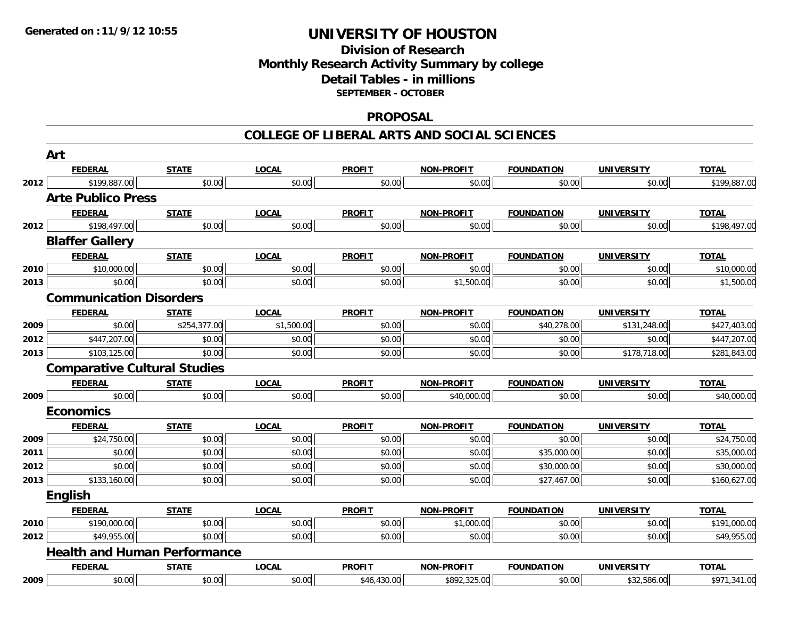## **Division of Research Monthly Research Activity Summary by college Detail Tables - in millions SEPTEMBER - OCTOBER**

### **PROPOSAL**

#### **COLLEGE OF LIBERAL ARTS AND SOCIAL SCIENCES**

|      | Art                                 |              |              |               |                   |                   |                   |              |
|------|-------------------------------------|--------------|--------------|---------------|-------------------|-------------------|-------------------|--------------|
|      | <b>FEDERAL</b>                      | <b>STATE</b> | <b>LOCAL</b> | <b>PROFIT</b> | <b>NON-PROFIT</b> | <b>FOUNDATION</b> | <b>UNIVERSITY</b> | <b>TOTAL</b> |
| 2012 | \$199,887.00                        | \$0.00       | \$0.00       | \$0.00        | \$0.00            | \$0.00            | \$0.00            | \$199,887.00 |
|      | <b>Arte Publico Press</b>           |              |              |               |                   |                   |                   |              |
|      | <b>FEDERAL</b>                      | <b>STATE</b> | <b>LOCAL</b> | <b>PROFIT</b> | NON-PROFIT        | <b>FOUNDATION</b> | <b>UNIVERSITY</b> | <b>TOTAL</b> |
| 2012 | \$198,497.00                        | \$0.00       | \$0.00       | \$0.00        | \$0.00            | \$0.00            | \$0.00            | \$198,497.00 |
|      | <b>Blaffer Gallery</b>              |              |              |               |                   |                   |                   |              |
|      | <b>FEDERAL</b>                      | <b>STATE</b> | <b>LOCAL</b> | <b>PROFIT</b> | <b>NON-PROFIT</b> | <b>FOUNDATION</b> | <b>UNIVERSITY</b> | <b>TOTAL</b> |
| 2010 | \$10,000.00                         | \$0.00       | \$0.00       | \$0.00        | \$0.00            | \$0.00            | \$0.00            | \$10,000.00  |
| 2013 | \$0.00                              | \$0.00       | \$0.00       | \$0.00        | \$1,500.00        | \$0.00            | \$0.00            | \$1,500.00   |
|      | <b>Communication Disorders</b>      |              |              |               |                   |                   |                   |              |
|      | <b>FEDERAL</b>                      | <b>STATE</b> | <b>LOCAL</b> | <b>PROFIT</b> | <b>NON-PROFIT</b> | <b>FOUNDATION</b> | <b>UNIVERSITY</b> | <b>TOTAL</b> |
| 2009 | \$0.00                              | \$254,377.00 | \$1,500.00   | \$0.00        | \$0.00            | \$40,278.00       | \$131,248.00      | \$427,403.00 |
| 2012 | \$447,207.00                        | \$0.00       | \$0.00       | \$0.00        | \$0.00            | \$0.00            | \$0.00            | \$447,207.00 |
| 2013 | \$103,125.00                        | \$0.00       | \$0.00       | \$0.00        | \$0.00            | \$0.00            | \$178,718.00      | \$281,843.00 |
|      | <b>Comparative Cultural Studies</b> |              |              |               |                   |                   |                   |              |
|      | <b>FEDERAL</b>                      | <b>STATE</b> | <b>LOCAL</b> | <b>PROFIT</b> | <b>NON-PROFIT</b> | <b>FOUNDATION</b> | <b>UNIVERSITY</b> | <b>TOTAL</b> |
| 2009 | \$0.00                              | \$0.00       | \$0.00       | \$0.00        | \$40,000.00       | \$0.00            | \$0.00            | \$40,000.00  |
|      | <b>Economics</b>                    |              |              |               |                   |                   |                   |              |
|      | <b>FEDERAL</b>                      | <b>STATE</b> | <b>LOCAL</b> | <b>PROFIT</b> | <b>NON-PROFIT</b> | <b>FOUNDATION</b> | <b>UNIVERSITY</b> | <b>TOTAL</b> |
| 2009 | \$24,750.00                         | \$0.00       | \$0.00       | \$0.00        | \$0.00            | \$0.00            | \$0.00            | \$24,750.00  |
| 2011 | \$0.00                              | \$0.00       | \$0.00       | \$0.00        | \$0.00            | \$35,000.00       | \$0.00            | \$35,000.00  |
| 2012 | \$0.00                              | \$0.00       | \$0.00       | \$0.00        | \$0.00            | \$30,000.00       | \$0.00            | \$30,000.00  |
| 2013 | \$133,160.00                        | \$0.00       | \$0.00       | \$0.00        | \$0.00            | \$27,467.00       | \$0.00            | \$160,627.00 |
|      | English                             |              |              |               |                   |                   |                   |              |
|      | <b>FEDERAL</b>                      | <b>STATE</b> | <b>LOCAL</b> | <b>PROFIT</b> | <b>NON-PROFIT</b> | <b>FOUNDATION</b> | <b>UNIVERSITY</b> | <b>TOTAL</b> |
| 2010 | \$190,000.00                        | \$0.00       | \$0.00       | \$0.00        | \$1,000.00        | \$0.00            | \$0.00            | \$191,000.00 |
| 2012 | \$49,955.00                         | \$0.00       | \$0.00       | \$0.00        | \$0.00            | \$0.00            | \$0.00            | \$49,955.00  |
|      | <b>Health and Human Performance</b> |              |              |               |                   |                   |                   |              |
|      | <b>FEDERAL</b>                      | <b>STATE</b> | <b>LOCAL</b> | <b>PROFIT</b> | <b>NON-PROFIT</b> | <b>FOUNDATION</b> | <b>UNIVERSITY</b> | <b>TOTAL</b> |
| 2009 | \$0.00                              | \$0.00       | \$0.00       | \$46,430.00   | \$892,325.00      | \$0.00            | \$32,586.00       | \$971,341.00 |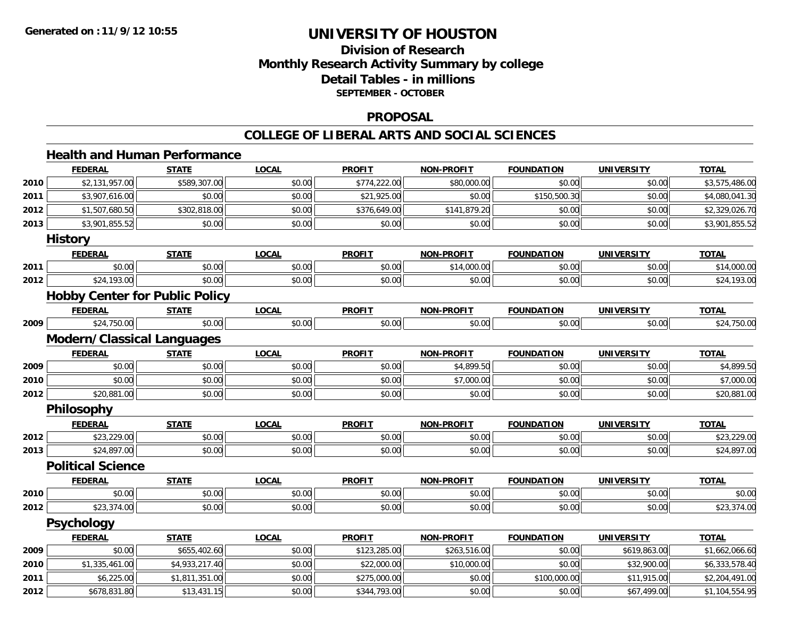# **Division of ResearchMonthly Research Activity Summary by college Detail Tables - in millions SEPTEMBER - OCTOBER**

### **PROPOSAL**

#### **COLLEGE OF LIBERAL ARTS AND SOCIAL SCIENCES**

# **Health and Human Performance**

|      | <b>FEDERAL</b>                    | <b>STATE</b>                          | <b>LOCAL</b> | <b>PROFIT</b> | <b>NON-PROFIT</b> | <b>FOUNDATION</b> | <b>UNIVERSITY</b> | <b>TOTAL</b>   |
|------|-----------------------------------|---------------------------------------|--------------|---------------|-------------------|-------------------|-------------------|----------------|
| 2010 | \$2,131,957.00                    | \$589,307.00                          | \$0.00       | \$774,222.00  | \$80,000.00       | \$0.00            | \$0.00            | \$3,575,486.00 |
| 2011 | \$3,907,616.00                    | \$0.00                                | \$0.00       | \$21,925.00   | \$0.00            | \$150,500.30      | \$0.00            | \$4,080,041.30 |
| 2012 | \$1,507,680.50                    | \$302,818.00                          | \$0.00       | \$376,649.00  | \$141,879.20      | \$0.00            | \$0.00            | \$2,329,026.70 |
| 2013 | \$3,901,855.52                    | \$0.00                                | \$0.00       | \$0.00        | \$0.00            | \$0.00            | \$0.00            | \$3,901,855.52 |
|      | <b>History</b>                    |                                       |              |               |                   |                   |                   |                |
|      | <b>FEDERAL</b>                    | <b>STATE</b>                          | <b>LOCAL</b> | <b>PROFIT</b> | <b>NON-PROFIT</b> | <b>FOUNDATION</b> | <b>UNIVERSITY</b> | <b>TOTAL</b>   |
| 2011 | \$0.00                            | \$0.00                                | \$0.00       | \$0.00        | \$14,000.00       | \$0.00            | \$0.00            | \$14,000.00    |
| 2012 | \$24,193.00                       | \$0.00                                | \$0.00       | \$0.00        | \$0.00            | \$0.00            | \$0.00            | \$24,193.00    |
|      |                                   | <b>Hobby Center for Public Policy</b> |              |               |                   |                   |                   |                |
|      | <b>FEDERAL</b>                    | <b>STATE</b>                          | <b>LOCAL</b> | <b>PROFIT</b> | <b>NON-PROFIT</b> | <b>FOUNDATION</b> | <b>UNIVERSITY</b> | <b>TOTAL</b>   |
| 2009 | \$24,750.00                       | \$0.00                                | \$0.00       | \$0.00        | \$0.00            | \$0.00            | \$0.00            | \$24,750.00    |
|      | <b>Modern/Classical Languages</b> |                                       |              |               |                   |                   |                   |                |
|      | <b>FEDERAL</b>                    | <b>STATE</b>                          | <b>LOCAL</b> | <b>PROFIT</b> | <b>NON-PROFIT</b> | <b>FOUNDATION</b> | <b>UNIVERSITY</b> | <b>TOTAL</b>   |
| 2009 | \$0.00                            | \$0.00                                | \$0.00       | \$0.00        | \$4,899.50        | \$0.00            | \$0.00            | \$4,899.50     |
| 2010 | \$0.00                            | \$0.00                                | \$0.00       | \$0.00        | \$7,000.00        | \$0.00            | \$0.00            | \$7,000.00     |
| 2012 | \$20,881.00                       | \$0.00                                | \$0.00       | \$0.00        | \$0.00            | \$0.00            | \$0.00            | \$20,881.00    |
|      | Philosophy                        |                                       |              |               |                   |                   |                   |                |
|      | <b>FEDERAL</b>                    | <b>STATE</b>                          | <b>LOCAL</b> | <b>PROFIT</b> | <b>NON-PROFIT</b> | <b>FOUNDATION</b> | <b>UNIVERSITY</b> | <b>TOTAL</b>   |
| 2012 | \$23,229.00                       | \$0.00                                | \$0.00       | \$0.00        | \$0.00            | \$0.00            | \$0.00            | \$23,229.00    |
| 2013 | \$24,897.00                       | \$0.00                                | \$0.00       | \$0.00        | \$0.00            | \$0.00            | \$0.00            | \$24,897.00    |
|      | <b>Political Science</b>          |                                       |              |               |                   |                   |                   |                |
|      | <b>FEDERAL</b>                    | <b>STATE</b>                          | <b>LOCAL</b> | <b>PROFIT</b> | <b>NON-PROFIT</b> | <b>FOUNDATION</b> | <b>UNIVERSITY</b> | <b>TOTAL</b>   |
| 2010 | \$0.00                            | \$0.00                                | \$0.00       | \$0.00        | \$0.00            | \$0.00            | \$0.00            | \$0.00         |
| 2012 | \$23,374.00                       | \$0.00                                | \$0.00       | \$0.00        | \$0.00            | \$0.00            | \$0.00            | \$23,374.00    |
|      | Psychology                        |                                       |              |               |                   |                   |                   |                |
|      | <b>FEDERAL</b>                    | <b>STATE</b>                          | <b>LOCAL</b> | <b>PROFIT</b> | <b>NON-PROFIT</b> | <b>FOUNDATION</b> | <b>UNIVERSITY</b> | <b>TOTAL</b>   |
| 2009 | \$0.00                            | \$655,402.60                          | \$0.00       | \$123,285.00  | \$263,516.00      | \$0.00            | \$619,863.00      | \$1,662,066.60 |
| 2010 | \$1,335,461.00                    | \$4,933,217.40                        | \$0.00       | \$22,000.00   | \$10,000.00       | \$0.00            | \$32,900.00       | \$6,333,578.40 |
| 2011 | \$6,225.00                        | \$1,811,351.00                        | \$0.00       | \$275,000.00  | \$0.00            | \$100,000.00      | \$11,915.00       | \$2,204,491.00 |
| 2012 | \$678,831.80                      | \$13,431.15                           | \$0.00       | \$344,793.00  | \$0.00            | \$0.00            | \$67,499.00       | \$1,104,554.95 |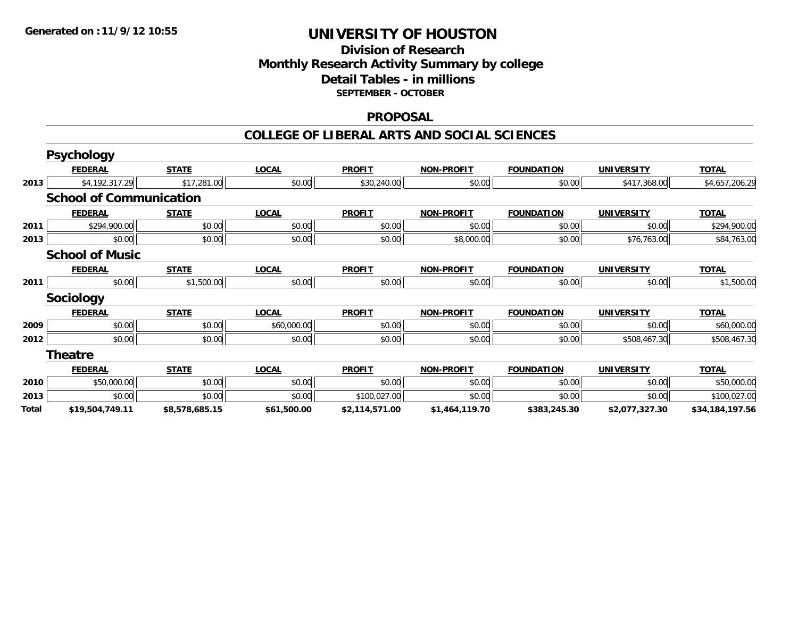## **Division of Research Monthly Research Activity Summary by college Detail Tables - in millions SEPTEMBER - OCTOBER**

### **PROPOSAL**

### **COLLEGE OF LIBERAL ARTS AND SOCIAL SCIENCES**

|       | <b>Psychology</b>              |                |              |                |                   |                   |                   |                 |
|-------|--------------------------------|----------------|--------------|----------------|-------------------|-------------------|-------------------|-----------------|
|       | <b>FEDERAL</b>                 | <b>STATE</b>   | <b>LOCAL</b> | <b>PROFIT</b>  | <b>NON-PROFIT</b> | <b>FOUNDATION</b> | <b>UNIVERSITY</b> | <b>TOTAL</b>    |
| 2013  | \$4,192,317.29                 | \$17,281.00    | \$0.00       | \$30,240.00    | \$0.00            | \$0.00            | \$417,368.00      | \$4,657,206.29  |
|       | <b>School of Communication</b> |                |              |                |                   |                   |                   |                 |
|       | <b>FEDERAL</b>                 | <b>STATE</b>   | <b>LOCAL</b> | <b>PROFIT</b>  | <b>NON-PROFIT</b> | <b>FOUNDATION</b> | <b>UNIVERSITY</b> | <b>TOTAL</b>    |
| 2011  | \$294,900.00                   | \$0.00         | \$0.00       | \$0.00         | \$0.00            | \$0.00            | \$0.00            | \$294,900.00    |
| 2013  | \$0.00                         | \$0.00         | \$0.00       | \$0.00         | \$8,000.00        | \$0.00            | \$76,763.00       | \$84,763.00     |
|       | <b>School of Music</b>         |                |              |                |                   |                   |                   |                 |
|       | <b>FEDERAL</b>                 | <b>STATE</b>   | <b>LOCAL</b> | <b>PROFIT</b>  | <b>NON-PROFIT</b> | <b>FOUNDATION</b> | <b>UNIVERSITY</b> | <b>TOTAL</b>    |
| 2011  | \$0.00                         | \$1,500.00     | \$0.00       | \$0.00         | \$0.00            | \$0.00            | \$0.00            | \$1,500.00      |
|       | <b>Sociology</b>               |                |              |                |                   |                   |                   |                 |
|       | <b>FEDERAL</b>                 | <b>STATE</b>   | <b>LOCAL</b> | <b>PROFIT</b>  | <b>NON-PROFIT</b> | <b>FOUNDATION</b> | <b>UNIVERSITY</b> | <b>TOTAL</b>    |
| 2009  | \$0.00                         | \$0.00         | \$60,000.00  | \$0.00         | \$0.00            | \$0.00            | \$0.00            | \$60,000.00     |
| 2012  | \$0.00                         | \$0.00         | \$0.00       | \$0.00         | \$0.00            | \$0.00            | \$508,467.30      | \$508,467.30    |
|       | <b>Theatre</b>                 |                |              |                |                   |                   |                   |                 |
|       | <b>FEDERAL</b>                 | <b>STATE</b>   | <b>LOCAL</b> | <b>PROFIT</b>  | <b>NON-PROFIT</b> | <b>FOUNDATION</b> | <b>UNIVERSITY</b> | <b>TOTAL</b>    |
| 2010  | \$50,000.00                    | \$0.00         | \$0.00       | \$0.00         | \$0.00            | \$0.00            | \$0.00            | \$50,000.00     |
| 2013  | \$0.00                         | \$0.00         | \$0.00       | \$100,027.00   | \$0.00            | \$0.00            | \$0.00            | \$100,027.00    |
| Total | \$19,504,749.11                | \$8,578,685.15 | \$61,500.00  | \$2,114,571.00 | \$1,464,119.70    | \$383,245.30      | \$2,077,327.30    | \$34,184,197.56 |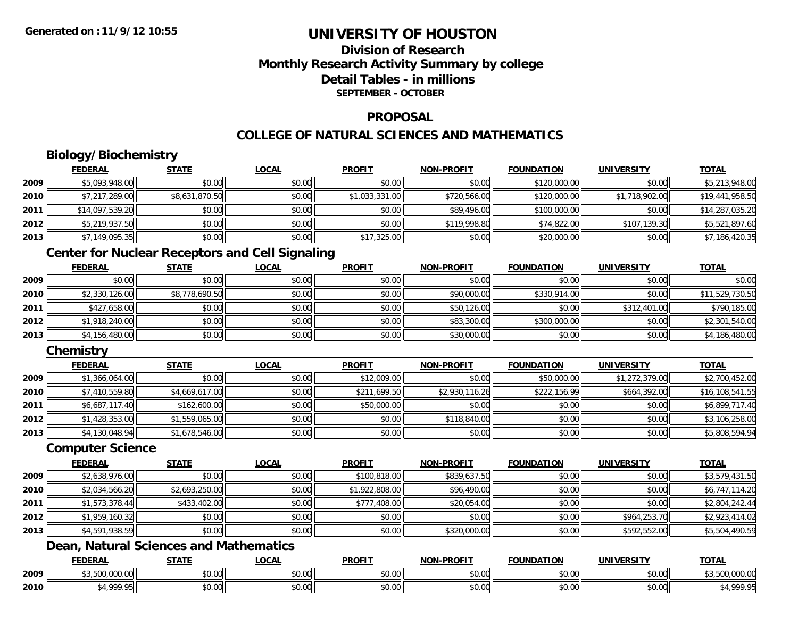## **Division of ResearchMonthly Research Activity Summary by college Detail Tables - in millionsSEPTEMBER - OCTOBER**

### **PROPOSAL**

# **COLLEGE OF NATURAL SCIENCES AND MATHEMATICS**

# **Biology/Biochemistry**

|      | <b>FEDERAL</b>  | <b>STATE</b>   | <u>LOCAL</u> | <b>PROFIT</b>  | <b>NON-PROFIT</b> | <b>FOUNDATION</b> | <b>UNIVERSITY</b> | <b>TOTAL</b>    |
|------|-----------------|----------------|--------------|----------------|-------------------|-------------------|-------------------|-----------------|
| 2009 | \$5,093,948.00  | \$0.00         | \$0.00       | \$0.00         | \$0.00            | \$120,000.00      | \$0.00            | \$5,213,948.00  |
| 2010 | \$7,217,289.00  | \$8,631,870.50 | \$0.00       | \$1,033,331.00 | \$720,566.00      | \$120,000.00      | \$1,718,902.00    | \$19,441,958.50 |
| 2011 | \$14,097,539.20 | \$0.00         | \$0.00       | \$0.00         | \$89,496.00       | \$100,000.00      | \$0.00            | \$14,287,035.20 |
| 2012 | \$5,219,937.50  | \$0.00         | \$0.00       | \$0.00         | \$119,998.80      | \$74,822.00       | \$107,139.30      | \$5,521,897.60  |
| 2013 | \$7,149,095.35  | \$0.00         | \$0.00       | \$17,325.00    | \$0.00            | \$20,000.00       | \$0.00            | \$7,186,420.35  |

## **Center for Nuclear Receptors and Cell Signaling**

|      | <b>FEDERAL</b> | STATE          | <b>LOCAL</b> | <b>PROFIT</b> | <b>NON-PROFIT</b> | <b>FOUNDATION</b> | <b>UNIVERSITY</b> | <b>TOTAL</b>    |
|------|----------------|----------------|--------------|---------------|-------------------|-------------------|-------------------|-----------------|
| 2009 | \$0.00         | \$0.00         | \$0.00       | \$0.00        | \$0.00            | \$0.00            | \$0.00            | \$0.00          |
| 2010 | \$2,330,126.00 | \$8,778,690.50 | \$0.00       | \$0.00        | \$90,000.00       | \$330,914.00      | \$0.00            | \$11,529,730.50 |
| 2011 | \$427,658.00   | \$0.00         | \$0.00       | \$0.00        | \$50,126.00       | \$0.00            | \$312,401.00      | \$790,185.00    |
| 2012 | \$1,918,240.00 | \$0.00         | \$0.00       | \$0.00        | \$83,300.00       | \$300,000.00      | \$0.00            | \$2,301,540.00  |
| 2013 | \$4,156,480.00 | \$0.00         | \$0.00       | \$0.00        | \$30,000.00       | \$0.00            | \$0.00            | \$4,186,480.00  |

## **Chemistry**

|      | <b>FEDERAL</b> | <b>STATE</b>   | <b>LOCAL</b> | <b>PROFIT</b> | <b>NON-PROFIT</b> | <b>FOUNDATION</b> | <b>UNIVERSITY</b> | <b>TOTAL</b>    |
|------|----------------|----------------|--------------|---------------|-------------------|-------------------|-------------------|-----------------|
| 2009 | \$1,366,064.00 | \$0.00         | \$0.00       | \$12,009.00   | \$0.00            | \$50,000.00       | \$1,272,379.00    | \$2,700,452.00  |
| 2010 | \$7,410,559.80 | \$4,669,617.00 | \$0.00       | \$211,699.50  | \$2,930,116.26    | \$222,156.99      | \$664,392.00      | \$16,108,541.55 |
| 2011 | \$6,687,117.40 | \$162,600.00   | \$0.00       | \$50,000.00   | \$0.00            | \$0.00            | \$0.00            | \$6,899,717.40  |
| 2012 | \$1,428,353.00 | \$1,559,065.00 | \$0.00       | \$0.00        | \$118,840.00      | \$0.00            | \$0.00            | \$3,106,258.00  |
| 2013 | \$4,130,048.94 | \$1,678,546.00 | \$0.00       | \$0.00        | \$0.00            | \$0.00            | \$0.00            | \$5,808,594.94  |

### **Computer Science**

|      | <b>FEDERAL</b> | <b>STATE</b>   | <b>LOCAL</b> | <b>PROFIT</b>  | <b>NON-PROFIT</b> | <b>FOUNDATION</b> | <b>UNIVERSITY</b> | <b>TOTAL</b>   |
|------|----------------|----------------|--------------|----------------|-------------------|-------------------|-------------------|----------------|
| 2009 | \$2,638,976.00 | \$0.00         | \$0.00       | \$100,818.00   | \$839,637.50      | \$0.00            | \$0.00            | \$3,579,431.50 |
| 2010 | \$2,034,566.20 | \$2,693,250.00 | \$0.00       | \$1,922,808.00 | \$96,490.00       | \$0.00            | \$0.00            | \$6,747,114.20 |
| 2011 | \$1,573,378.44 | \$433,402.00   | \$0.00       | \$777,408.00   | \$20,054.00       | \$0.00            | \$0.00            | \$2,804,242.44 |
| 2012 | \$1,959,160.32 | \$0.00         | \$0.00       | \$0.00         | \$0.00            | \$0.00            | \$964,253.70      | \$2,923,414.02 |
| 2013 | \$4,591,938.59 | \$0.00         | \$0.00       | \$0.00         | \$320,000.00      | \$0.00            | \$592,552.00      | \$5,504,490.59 |

# **Dean, Natural Sciences and Mathematics**

|      | <b>FEDERAL</b>                                                              | <b>CTATI</b><br>- 31 A . | 0 <sub>0</sub><br>.UCAL   | <b>PROFIT</b> | $-DD$ $\cap$<br><b>NIONI</b>               | FOUNDATION | UNIVERSITY                | <b>TOTAL</b>                                   |
|------|-----------------------------------------------------------------------------|--------------------------|---------------------------|---------------|--------------------------------------------|------------|---------------------------|------------------------------------------------|
| 2009 | $\sim$ $\sim$ $\sim$<br>$\mathcal{L} \cap \mathcal{L}$<br><b>JUU.UUU</b> UU | \$0.00                   | $\sim$<br>$\sim$<br>vv.vv | 0000<br>DU.UG | $\theta$ $\theta$ $\theta$<br>DU.UU        | \$0.00     | 0.00<br><b>DU.UG</b>      | 00000<br><u>JUU,UUU,UU</u>                     |
| 2010 | 0000                                                                        | \$0.00                   | $\sim$<br>PU.UU           | 0000<br>DU.UG | $\theta$ $\theta$ $\theta$<br><b>DU.UU</b> | \$0.00     | $\sim$ 00<br><b>JU.UU</b> | $\mathcal{C}$ $\Lambda$ 000 $\mathcal{C}$<br>. |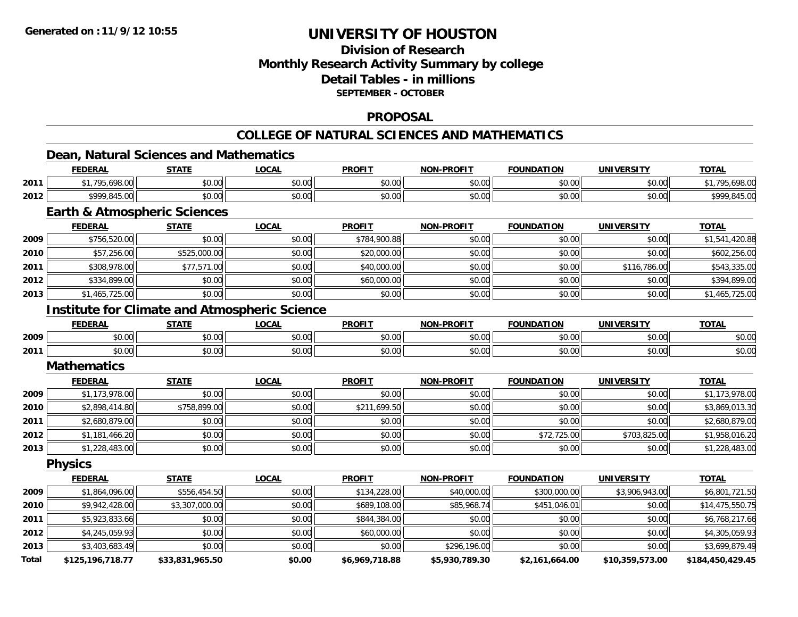**Total**

# **UNIVERSITY OF HOUSTON**

## **Division of ResearchMonthly Research Activity Summary by college Detail Tables - in millions SEPTEMBER - OCTOBER**

### **PROPOSAL**

# **COLLEGE OF NATURAL SCIENCES AND MATHEMATICS**

### **Dean, Natural Sciences and Mathematics**

|      | <b>FEDERAL</b>                                       | <b>STATE</b>   | <b>LOCAL</b> | <b>PROFIT</b> | <b>NON-PROFIT</b> | <b>FOUNDATION</b> | <b>UNIVERSITY</b> | <b>TOTAL</b>    |
|------|------------------------------------------------------|----------------|--------------|---------------|-------------------|-------------------|-------------------|-----------------|
| 2011 | \$1,795,698.00                                       | \$0.00         | \$0.00       | \$0.00        | \$0.00            | \$0.00            | \$0.00            | \$1,795,698.00  |
| 2012 | \$999,845.00                                         | \$0.00         | \$0.00       | \$0.00        | \$0.00            | \$0.00            | \$0.00            | \$999,845.00    |
|      | <b>Earth &amp; Atmospheric Sciences</b>              |                |              |               |                   |                   |                   |                 |
|      | <b>FEDERAL</b>                                       | <b>STATE</b>   | <b>LOCAL</b> | <b>PROFIT</b> | <b>NON-PROFIT</b> | <b>FOUNDATION</b> | <b>UNIVERSITY</b> | <b>TOTAL</b>    |
| 2009 | \$756,520.00                                         | \$0.00         | \$0.00       | \$784,900.88  | \$0.00            | \$0.00            | \$0.00            | \$1,541,420.88  |
| 2010 | \$57,256.00                                          | \$525,000.00   | \$0.00       | \$20,000.00   | \$0.00            | \$0.00            | \$0.00            | \$602,256.00    |
| 2011 | \$308,978.00                                         | \$77,571.00    | \$0.00       | \$40,000.00   | \$0.00            | \$0.00            | \$116,786.00      | \$543,335.00    |
| 2012 | \$334,899.00                                         | \$0.00         | \$0.00       | \$60,000.00   | \$0.00            | \$0.00            | \$0.00            | \$394,899.00    |
| 2013 | \$1,465,725.00                                       | \$0.00         | \$0.00       | \$0.00        | \$0.00            | \$0.00            | \$0.00            | \$1,465,725.00  |
|      | <b>Institute for Climate and Atmospheric Science</b> |                |              |               |                   |                   |                   |                 |
|      | <b>FEDERAL</b>                                       | <b>STATE</b>   | <b>LOCAL</b> | <b>PROFIT</b> | <b>NON-PROFIT</b> | <b>FOUNDATION</b> | <b>UNIVERSITY</b> | <b>TOTAL</b>    |
| 2009 | \$0.00                                               | \$0.00         | \$0.00       | \$0.00        | \$0.00            | \$0.00            | \$0.00            | \$0.00          |
| 2011 | \$0.00                                               | \$0.00         | \$0.00       | \$0.00        | \$0.00            | \$0.00            | \$0.00            | \$0.00          |
|      | <b>Mathematics</b>                                   |                |              |               |                   |                   |                   |                 |
|      | <b>FEDERAL</b>                                       | <b>STATE</b>   | <b>LOCAL</b> | <b>PROFIT</b> | <b>NON-PROFIT</b> | <b>FOUNDATION</b> | <b>UNIVERSITY</b> | <b>TOTAL</b>    |
| 2009 | \$1,173,978.00                                       | \$0.00         | \$0.00       | \$0.00        | \$0.00            | \$0.00            | \$0.00            | \$1,173,978.00  |
| 2010 | \$2,898,414.80                                       | \$758,899.00   | \$0.00       | \$211,699.50  | \$0.00            | \$0.00            | \$0.00            | \$3,869,013.30  |
| 2011 | \$2,680,879.00                                       | \$0.00         | \$0.00       | \$0.00        | \$0.00            | \$0.00            | \$0.00            | \$2,680,879.00  |
| 2012 | \$1,181,466.20                                       | \$0.00         | \$0.00       | \$0.00        | \$0.00            | \$72,725.00       | \$703,825.00      | \$1,958,016.20  |
| 2013 | \$1,228,483.00                                       | \$0.00         | \$0.00       | \$0.00        | \$0.00            | \$0.00            | \$0.00            | \$1,228,483.00  |
|      | <b>Physics</b>                                       |                |              |               |                   |                   |                   |                 |
|      | <b>FEDERAL</b>                                       | <b>STATE</b>   | <b>LOCAL</b> | <b>PROFIT</b> | <b>NON-PROFIT</b> | <b>FOUNDATION</b> | <b>UNIVERSITY</b> | <b>TOTAL</b>    |
| 2009 | \$1,864,096.00                                       | \$556,454.50   | \$0.00       | \$134,228.00  | \$40,000.00       | \$300,000.00      | \$3,906,943.00    | \$6,801,721.50  |
| 2010 | \$9,942,428.00                                       | \$3,307,000.00 | \$0.00       | \$689,108.00  | \$85,968.74       | \$451,046.01      | \$0.00            | \$14,475,550.75 |
| 2011 | \$5,923,833.66                                       | \$0.00         | \$0.00       | \$844,384.00  | \$0.00            | \$0.00            | \$0.00            | \$6,768,217.66  |
| 2012 | \$4,245,059.93                                       | \$0.00         | \$0.00       | \$60,000.00   | \$0.00            | \$0.00            | \$0.00            | \$4,305,059.93  |
| 2013 | \$3,403,683.49                                       | \$0.00         | \$0.00       | \$0.00        | \$296,196.00      | \$0.00            | \$0.00            | \$3,699,879.49  |

**\$125,196,718.77 \$33,831,965.50 \$0.00 \$6,969,718.88 \$5,930,789.30 \$2,161,664.00 \$10,359,573.00 \$184,450,429.45**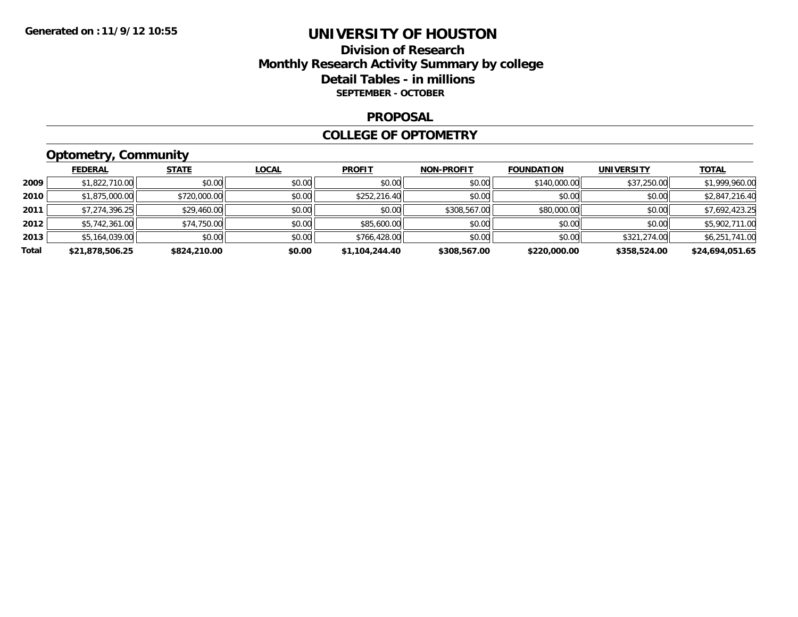## **Division of Research Monthly Research Activity Summary by college Detail Tables - in millions SEPTEMBER - OCTOBER**

### **PROPOSAL**

### **COLLEGE OF OPTOMETRY**

# **Optometry, Community**

|       | <b>FEDERAL</b>  | <b>STATE</b> | <b>LOCAL</b> | <b>PROFIT</b>  | <b>NON-PROFIT</b> | <b>FOUNDATION</b> | <b>UNIVERSITY</b> | <u>TOTAL</u>    |
|-------|-----------------|--------------|--------------|----------------|-------------------|-------------------|-------------------|-----------------|
| 2009  | \$1,822,710.00  | \$0.00       | \$0.00       | \$0.00         | \$0.00            | \$140,000.00      | \$37,250.00       | \$1,999,960.00  |
| 2010  | \$1,875,000.00  | \$720,000.00 | \$0.00       | \$252,216.40   | \$0.00            | \$0.00            | \$0.00            | \$2,847,216.40  |
| 2011  | \$7,274,396.25  | \$29,460.00  | \$0.00       | \$0.00         | \$308,567.00      | \$80,000.00       | \$0.00            | \$7,692,423.25  |
| 2012  | \$5,742,361.00  | \$74,750.00  | \$0.00       | \$85,600.00    | \$0.00            | \$0.00            | \$0.00            | \$5,902,711.00  |
| 2013  | \$5,164,039.00  | \$0.00       | \$0.00       | \$766,428.00   | \$0.00            | \$0.00            | \$321,274.00      | \$6,251,741.00  |
| Total | \$21,878,506.25 | \$824,210.00 | \$0.00       | \$1,104,244.40 | \$308,567.00      | \$220,000.00      | \$358,524.00      | \$24,694,051.65 |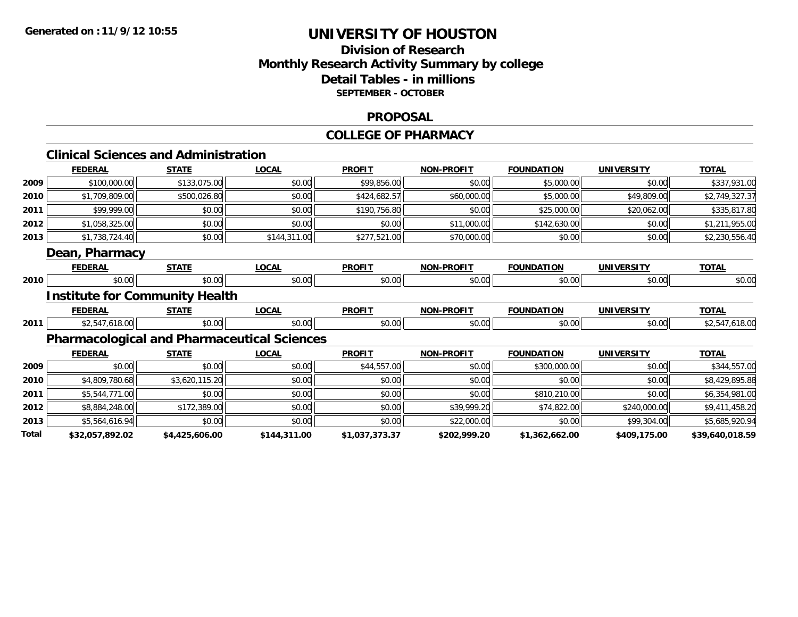## **Division of Research Monthly Research Activity Summary by college Detail Tables - in millions SEPTEMBER - OCTOBER**

### **PROPOSAL**

#### **COLLEGE OF PHARMACY**

## **Clinical Sciences and Administration**

|       | <b>FEDERAL</b>  | <b>STATE</b>                                       | <b>LOCAL</b> | <b>PROFIT</b>  | <b>NON-PROFIT</b> | <b>FOUNDATION</b> | <b>UNIVERSITY</b> | <b>TOTAL</b>    |
|-------|-----------------|----------------------------------------------------|--------------|----------------|-------------------|-------------------|-------------------|-----------------|
| 2009  | \$100,000.00    | \$133,075.00                                       | \$0.00       | \$99,856.00    | \$0.00            | \$5,000.00        | \$0.00            | \$337,931.00    |
| 2010  | \$1,709,809.00  | \$500,026.80                                       | \$0.00       | \$424,682.57   | \$60,000.00       | \$5,000.00        | \$49,809.00       | \$2,749,327.37  |
| 2011  | \$99,999.00     | \$0.00                                             | \$0.00       | \$190,756.80   | \$0.00            | \$25,000.00       | \$20,062.00       | \$335,817.80    |
| 2012  | \$1,058,325.00  | \$0.00                                             | \$0.00       | \$0.00         | \$11,000.00       | \$142,630.00      | \$0.00            | \$1,211,955.00  |
| 2013  | \$1,738,724.40  | \$0.00                                             | \$144,311.00 | \$277,521.00   | \$70,000.00       | \$0.00            | \$0.00            | \$2,230,556.40  |
|       | Dean, Pharmacy  |                                                    |              |                |                   |                   |                   |                 |
|       | <b>FEDERAL</b>  | <b>STATE</b>                                       | <b>LOCAL</b> | <b>PROFIT</b>  | <b>NON-PROFIT</b> | <b>FOUNDATION</b> | <b>UNIVERSITY</b> | <b>TOTAL</b>    |
| 2010  | \$0.00          | \$0.00                                             | \$0.00       | \$0.00         | \$0.00            | \$0.00            | \$0.00            | \$0.00          |
|       |                 | <b>Institute for Community Health</b>              |              |                |                   |                   |                   |                 |
|       | <b>FEDERAL</b>  | <b>STATE</b>                                       | <b>LOCAL</b> | <b>PROFIT</b>  | <b>NON-PROFIT</b> | <b>FOUNDATION</b> | <b>UNIVERSITY</b> | <b>TOTAL</b>    |
| 2011  | \$2,547,618.00  | \$0.00                                             | \$0.00       | \$0.00         | \$0.00            | \$0.00            | \$0.00            | \$2,547,618.00  |
|       |                 | <b>Pharmacological and Pharmaceutical Sciences</b> |              |                |                   |                   |                   |                 |
|       | <b>FEDERAL</b>  | <b>STATE</b>                                       | <b>LOCAL</b> | <b>PROFIT</b>  | <b>NON-PROFIT</b> | <b>FOUNDATION</b> | <b>UNIVERSITY</b> | <b>TOTAL</b>    |
| 2009  | \$0.00          | \$0.00                                             | \$0.00       | \$44,557.00    | \$0.00            | \$300,000.00      | \$0.00            | \$344,557.00    |
| 2010  | \$4,809,780.68  | \$3,620,115.20                                     | \$0.00       | \$0.00         | \$0.00            | \$0.00            | \$0.00            | \$8,429,895.88  |
| 2011  | \$5,544,771.00  | \$0.00                                             | \$0.00       | \$0.00         | \$0.00            | \$810,210.00      | \$0.00            | \$6,354,981.00  |
| 2012  | \$8,884,248.00  | \$172,389.00                                       | \$0.00       | \$0.00         | \$39,999.20       | \$74,822.00       | \$240,000.00      | \$9,411,458.20  |
| 2013  | \$5,564,616.94  | \$0.00                                             | \$0.00       | \$0.00         | \$22,000.00       | \$0.00            | \$99,304.00       | \$5,685,920.94  |
| Total | \$32,057,892.02 | \$4,425,606.00                                     | \$144,311.00 | \$1,037,373.37 | \$202,999.20      | \$1,362,662.00    | \$409,175.00      | \$39,640,018.59 |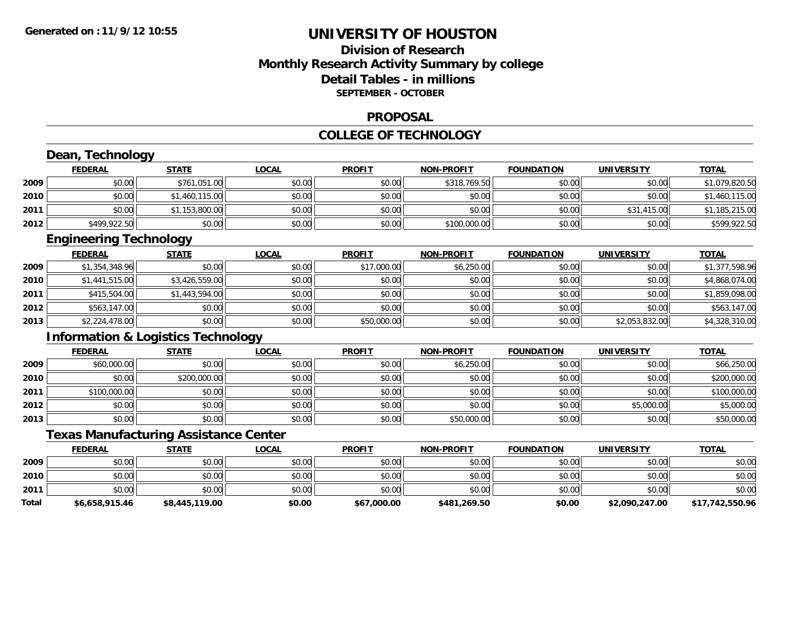## **Division of ResearchMonthly Research Activity Summary by college Detail Tables - in millions SEPTEMBER - OCTOBER**

### **PROPOSAL**

#### **COLLEGE OF TECHNOLOGY**

|       | Dean, Technology                              |                |              |               |                   |                   |                   |                 |
|-------|-----------------------------------------------|----------------|--------------|---------------|-------------------|-------------------|-------------------|-----------------|
|       | <b>FEDERAL</b>                                | <b>STATE</b>   | <b>LOCAL</b> | <b>PROFIT</b> | <b>NON-PROFIT</b> | <b>FOUNDATION</b> | <b>UNIVERSITY</b> | <b>TOTAL</b>    |
| 2009  | \$0.00                                        | \$761,051.00   | \$0.00       | \$0.00        | \$318,769.50      | \$0.00            | \$0.00            | \$1,079,820.50  |
| 2010  | \$0.00                                        | \$1,460,115.00 | \$0.00       | \$0.00        | \$0.00            | \$0.00            | \$0.00            | \$1,460,115.00  |
| 2011  | \$0.00                                        | \$1,153,800.00 | \$0.00       | \$0.00        | \$0.00            | \$0.00            | \$31,415.00       | \$1,185,215.00  |
| 2012  | \$499,922.50                                  | \$0.00         | \$0.00       | \$0.00        | \$100,000.00      | \$0.00            | \$0.00            | \$599,922.50    |
|       | <b>Engineering Technology</b>                 |                |              |               |                   |                   |                   |                 |
|       | <b>FEDERAL</b>                                | <b>STATE</b>   | <b>LOCAL</b> | <b>PROFIT</b> | <b>NON-PROFIT</b> | <b>FOUNDATION</b> | <b>UNIVERSITY</b> | <b>TOTAL</b>    |
| 2009  | \$1,354,348.96                                | \$0.00         | \$0.00       | \$17,000.00   | \$6,250.00        | \$0.00            | \$0.00            | \$1,377,598.96  |
| 2010  | \$1,441,515.00                                | \$3,426,559.00 | \$0.00       | \$0.00        | \$0.00            | \$0.00            | \$0.00            | \$4,868,074.00  |
| 2011  | \$415,504.00                                  | \$1,443,594.00 | \$0.00       | \$0.00        | \$0.00            | \$0.00            | \$0.00            | \$1,859,098.00  |
| 2012  | \$563,147.00                                  | \$0.00         | \$0.00       | \$0.00        | \$0.00            | \$0.00            | \$0.00            | \$563,147.00    |
| 2013  | \$2,224,478.00                                | \$0.00         | \$0.00       | \$50,000.00   | \$0.00            | \$0.00            | \$2,053,832.00    | \$4,328,310.00  |
|       | <b>Information &amp; Logistics Technology</b> |                |              |               |                   |                   |                   |                 |
|       | <b>FEDERAL</b>                                | <b>STATE</b>   | <b>LOCAL</b> | <b>PROFIT</b> | <b>NON-PROFIT</b> | <b>FOUNDATION</b> | <b>UNIVERSITY</b> | <b>TOTAL</b>    |
| 2009  | \$60,000.00                                   | \$0.00         | \$0.00       | \$0.00        | \$6,250.00        | \$0.00            | \$0.00            | \$66,250.00     |
| 2010  | \$0.00                                        | \$200,000.00   | \$0.00       | \$0.00        | \$0.00            | \$0.00            | \$0.00            | \$200,000.00    |
| 2011  | \$100,000.00                                  | \$0.00         | \$0.00       | \$0.00        | \$0.00            | \$0.00            | \$0.00            | \$100,000.00    |
| 2012  | \$0.00                                        | \$0.00         | \$0.00       | \$0.00        | \$0.00            | \$0.00            | \$5,000.00        | \$5,000.00      |
| 2013  | \$0.00                                        | \$0.00         | \$0.00       | \$0.00        | \$50,000.00       | \$0.00            | \$0.00            | \$50,000.00     |
|       | <b>Texas Manufacturing Assistance Center</b>  |                |              |               |                   |                   |                   |                 |
|       | <b>FEDERAL</b>                                | <b>STATE</b>   | <b>LOCAL</b> | <b>PROFIT</b> | <b>NON-PROFIT</b> | <b>FOUNDATION</b> | <b>UNIVERSITY</b> | <b>TOTAL</b>    |
| 2009  | \$0.00                                        | \$0.00         | \$0.00       | \$0.00        | \$0.00            | \$0.00            | \$0.00            | \$0.00          |
| 2010  | \$0.00                                        | \$0.00         | \$0.00       | \$0.00        | \$0.00            | \$0.00            | \$0.00            | \$0.00          |
| 2011  | \$0.00                                        | \$0.00         | \$0.00       | \$0.00        | \$0.00            | \$0.00            | \$0.00            | \$0.00          |
| Total | \$6,658,915.46                                | \$8,445,119.00 | \$0.00       | \$67,000.00   | \$481,269.50      | \$0.00            | \$2,090,247.00    | \$17,742,550.96 |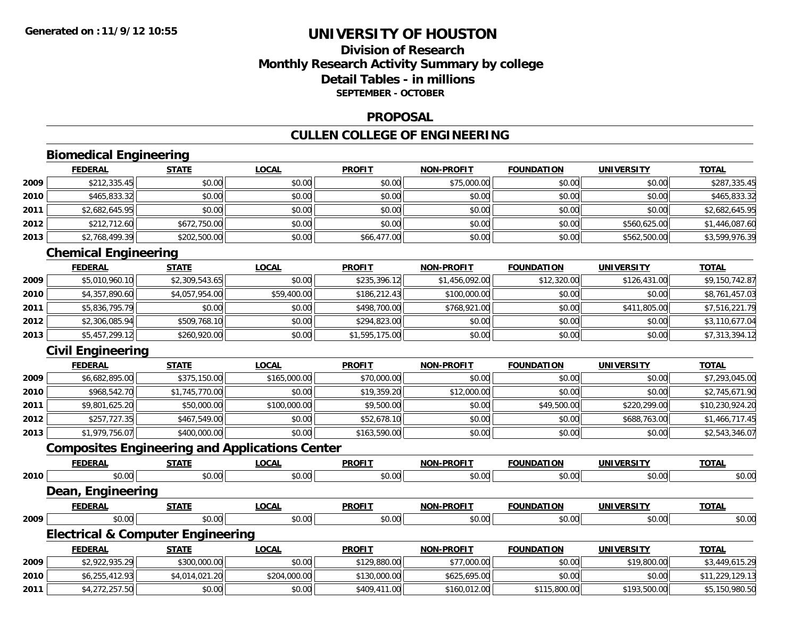## **Division of ResearchMonthly Research Activity Summary by college Detail Tables - in millionsSEPTEMBER - OCTOBER**

### **PROPOSAL**

## **CULLEN COLLEGE OF ENGINEERING**

# **Biomedical Engineering**

|      | <b>FEDERAL</b> | <b>STATE</b> | <u>LOCAL</u> | <b>PROFIT</b> | <b>NON-PROFIT</b> | <b>FOUNDATION</b> | <b>UNIVERSITY</b> | <b>TOTAL</b>   |
|------|----------------|--------------|--------------|---------------|-------------------|-------------------|-------------------|----------------|
| 2009 | \$212,335.45   | \$0.00       | \$0.00       | \$0.00        | \$75,000.00       | \$0.00            | \$0.00            | \$287,335.45   |
| 2010 | \$465,833.32   | \$0.00       | \$0.00       | \$0.00        | \$0.00            | \$0.00            | \$0.00            | \$465,833.32   |
| 2011 | \$2,682,645.95 | \$0.00       | \$0.00       | \$0.00        | \$0.00            | \$0.00            | \$0.00            | \$2,682,645.95 |
| 2012 | \$212,712.60   | \$672,750.00 | \$0.00       | \$0.00        | \$0.00            | \$0.00            | \$560,625.00      | \$1,446,087.60 |
| 2013 | \$2,768,499.39 | \$202,500.00 | \$0.00       | \$66,477.00   | \$0.00            | \$0.00            | \$562,500.00      | \$3,599,976.39 |

## **Chemical Engineering**

|      | <b>FEDERAL</b> | <b>STATE</b>   | <b>LOCAL</b> | <b>PROFIT</b>  | <b>NON-PROFIT</b> | <b>FOUNDATION</b> | <b>UNIVERSITY</b> | <b>TOTAL</b>   |
|------|----------------|----------------|--------------|----------------|-------------------|-------------------|-------------------|----------------|
| 2009 | \$5,010,960.10 | \$2,309,543.65 | \$0.00       | \$235,396.12   | \$1,456,092.00    | \$12,320.00       | \$126,431.00      | \$9,150,742.87 |
| 2010 | \$4,357,890.60 | \$4,057,954.00 | \$59,400.00  | \$186,212.43   | \$100,000.00      | \$0.00            | \$0.00            | \$8,761,457.03 |
| 2011 | \$5,836,795.79 | \$0.00         | \$0.00       | \$498,700.00   | \$768,921.00      | \$0.00            | \$411,805.00      | \$7,516,221.79 |
| 2012 | \$2,306,085.94 | \$509,768.10   | \$0.00       | \$294,823.00   | \$0.00            | \$0.00            | \$0.00            | \$3,110,677.04 |
| 2013 | \$5,457,299.12 | \$260,920.00   | \$0.00       | \$1,595,175.00 | \$0.00            | \$0.00            | \$0.00            | \$7,313,394.12 |

## **Civil Engineering**

|      | <b>FEDERAL</b> | <u>STATE</u>   | <u>LOCAL</u> | <b>PROFIT</b> | <b>NON-PROFIT</b> | <b>FOUNDATION</b> | <b>UNIVERSITY</b> | <b>TOTAL</b>    |
|------|----------------|----------------|--------------|---------------|-------------------|-------------------|-------------------|-----------------|
| 2009 | \$6,682,895.00 | \$375,150.00   | \$165,000.00 | \$70,000.00   | \$0.00            | \$0.00            | \$0.00            | \$7,293,045.00  |
| 2010 | \$968,542.70   | \$1,745,770.00 | \$0.00       | \$19,359.20   | \$12,000.00       | \$0.00            | \$0.00            | \$2,745,671.90  |
| 2011 | \$9,801,625.20 | \$50,000.00    | \$100,000.00 | \$9,500.00    | \$0.00            | \$49,500.00       | \$220,299.00      | \$10,230,924.20 |
| 2012 | \$257,727.35   | \$467,549.00   | \$0.00       | \$52,678.10   | \$0.00            | \$0.00            | \$688,763.00      | \$1,466,717.45  |
| 2013 | \$1,979,756.07 | \$400,000.00   | \$0.00       | \$163,590.00  | \$0.00            | \$0.00            | \$0.00            | \$2,543,346.07  |

## **Composites Engineering and Applications Center**

|      | <b>FEDERAL</b>                               | <b>STATE</b>   | <b>LOCAL</b> | <b>PROFIT</b> | <b>NON-PROFIT</b> | <b>FOUNDATION</b> | <b>UNIVERSITY</b> | <b>TOTAL</b>    |
|------|----------------------------------------------|----------------|--------------|---------------|-------------------|-------------------|-------------------|-----------------|
| 2010 | \$0.00                                       | \$0.00         | \$0.00       | \$0.00        | \$0.00            | \$0.00            | \$0.00            | \$0.00          |
|      | Dean, Engineering                            |                |              |               |                   |                   |                   |                 |
|      | <b>FEDERAL</b>                               | <b>STATE</b>   | <b>LOCAL</b> | <b>PROFIT</b> | <b>NON-PROFIT</b> | <b>FOUNDATION</b> | <b>UNIVERSITY</b> | <b>TOTAL</b>    |
| 2009 | \$0.00                                       | \$0.00         | \$0.00       | \$0.00        | \$0.00            | \$0.00            | \$0.00            | \$0.00          |
|      | <b>Electrical &amp; Computer Engineering</b> |                |              |               |                   |                   |                   |                 |
|      | <b>FEDERAL</b>                               | <b>STATE</b>   | <b>LOCAL</b> | <b>PROFIT</b> | <b>NON-PROFIT</b> | <b>FOUNDATION</b> | <b>UNIVERSITY</b> | <b>TOTAL</b>    |
| 2009 | \$2,922,935.29                               | \$300,000.00   | \$0.00       | \$129,880.00  | \$77,000.00       | \$0.00            | \$19,800.00       | \$3,449,615.29  |
| 2010 | \$6,255,412.93                               | \$4,014,021.20 | \$204,000.00 | \$130,000.00  | \$625,695.00      | \$0.00            | \$0.00            | \$11,229,129.13 |
| 2011 | \$4,272,257.50                               | \$0.00         | \$0.00       | \$409,411.00  | \$160,012.00      | \$115,800.00      | \$193,500.00      | \$5,150,980.50  |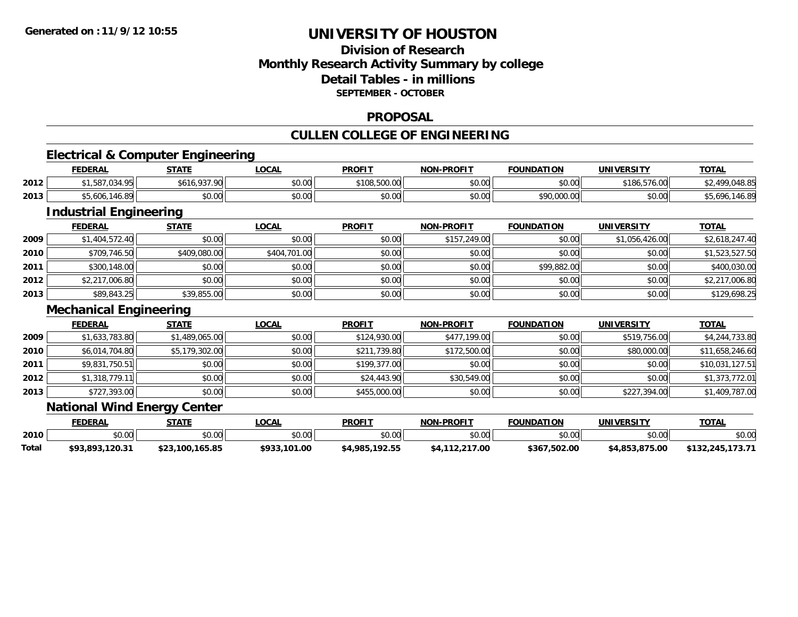## **Division of ResearchMonthly Research Activity Summary by college Detail Tables - in millionsSEPTEMBER - OCTOBER**

### **PROPOSAL**

## **CULLEN COLLEGE OF ENGINEERING**

## **Electrical & Computer Engineering**

|      | <b>FEDERAL</b>       | <b>STATF</b>                                | <b>_OCAL</b>   | <b>PROFIT</b>          | <b>NON-PROFIT</b> | <b>FOUNDATION</b>           | <b>UNIVERSITY</b> | <b>TOTAL</b>  |
|------|----------------------|---------------------------------------------|----------------|------------------------|-------------------|-----------------------------|-------------------|---------------|
| 2012 | ואמ וכס דפ<br>۰٬۰٬۰۰ | റാ റവ<br>\$616                              | \$0.00         | \$108,500.00           | 0000<br>PO.OO     | \$0.00                      | \$186,576.00      | 140.L         |
| 2013 | .146.89<br>$*5.606.$ | $\mathfrak{c}\cap\mathfrak{c}\cap$<br>JU.UU | nn na<br>DU.UG | $\sim$ $\sim$<br>JU.UU | \$0.00            | <b>COO OOO OO</b><br>70.000 | \$0.00            | ⊸∪, ს<br>140. |

## **Industrial Engineering**

|      | <b>FEDERAL</b> | <u>STATE</u> | <u>LOCAL</u> | <b>PROFIT</b> | <b>NON-PROFIT</b> | <b>FOUNDATION</b> | <b>UNIVERSITY</b> | <b>TOTAL</b>   |
|------|----------------|--------------|--------------|---------------|-------------------|-------------------|-------------------|----------------|
| 2009 | \$1,404,572.40 | \$0.00       | \$0.00       | \$0.00        | \$157,249.00      | \$0.00            | \$1,056,426.00    | \$2,618,247.40 |
| 2010 | \$709,746.50   | \$409,080.00 | \$404,701.00 | \$0.00        | \$0.00            | \$0.00            | \$0.00            | \$1,523,527.50 |
| 2011 | \$300,148.00   | \$0.00       | \$0.00       | \$0.00        | \$0.00            | \$99,882.00       | \$0.00            | \$400,030.00   |
| 2012 | \$2,217,006.80 | \$0.00       | \$0.00       | \$0.00        | \$0.00            | \$0.00            | \$0.00            | \$2,217,006.80 |
| 2013 | \$89,843.25    | \$39,855.00  | \$0.00       | \$0.00        | \$0.00            | \$0.00            | \$0.00            | \$129,698.25   |

### **Mechanical Engineering**

|      | <b>FEDERAL</b> | <b>STATE</b>   | <u>LOCAL</u> | <b>PROFIT</b> | <b>NON-PROFIT</b> | <b>FOUNDATION</b> | <b>UNIVERSITY</b> | <b>TOTAL</b>    |
|------|----------------|----------------|--------------|---------------|-------------------|-------------------|-------------------|-----------------|
| 2009 | \$1,633,783.80 | \$1,489,065.00 | \$0.00       | \$124,930.00  | \$477,199.00      | \$0.00            | \$519,756.00      | \$4,244,733.80  |
| 2010 | \$6,014,704.80 | \$5,179,302.00 | \$0.00       | \$211,739.80  | \$172,500.00      | \$0.00            | \$80,000.00       | \$11,658,246.60 |
| 2011 | \$9,831,750.51 | \$0.00         | \$0.00       | \$199,377.00  | \$0.00            | \$0.00            | \$0.00            | \$10,031,127.51 |
| 2012 | \$1,318,779.11 | \$0.00         | \$0.00       | \$24,443.90   | \$30,549.00       | \$0.00            | \$0.00            | \$1,373,772.01  |
| 2013 | \$727,393.00   | \$0.00         | \$0.00       | \$455,000.00  | \$0.00            | \$0.00            | \$227,394.00      | \$1,409,787.00  |

### **National Wind Energy Center**

|       | FEDERAL            | <b>СТАТЕ</b>    | _OCAL                  | <b>PROFIT</b>  | <b>NON-PROFIT</b>  | <b>FOUNDATION</b> | UNIVERSITY     | <b>TOTAL</b>     |
|-------|--------------------|-----------------|------------------------|----------------|--------------------|-------------------|----------------|------------------|
| 2010  | $\sim$ 00<br>DU.UU | \$0.00          | $\sim$ $\sim$<br>JU.UU | \$0.00         | \$0.00             | ልስ ሰሰ<br>DU.UU    | ልስ ሰሰ<br>JU.UU | \$0.00           |
| Total | \$93.893.120.31    | \$23,100,165.85 | \$933,101.00           | \$4,985,192.55 | 12.217.00<br>\$4.1 | \$367,502.00      | \$4,853,875.00 | \$132,245,173.71 |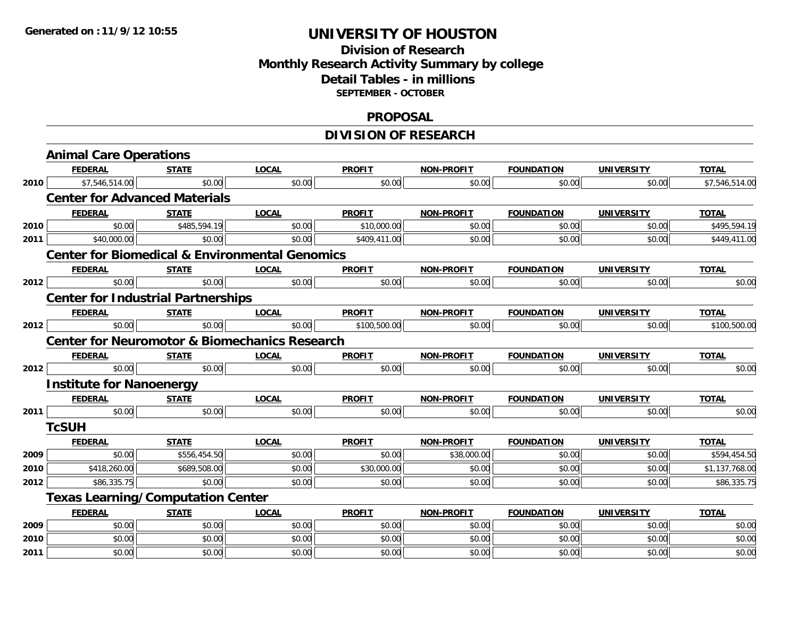## **Division of ResearchMonthly Research Activity Summary by college Detail Tables - in millions SEPTEMBER - OCTOBER**

### **PROPOSAL**

# **DIVISION OF RESEARCH**

|      | <b>Animal Care Operations</b>             |              |                                                           |               |                   |                   |                   |                |
|------|-------------------------------------------|--------------|-----------------------------------------------------------|---------------|-------------------|-------------------|-------------------|----------------|
|      | <b>FEDERAL</b>                            | <b>STATE</b> | <b>LOCAL</b>                                              | <b>PROFIT</b> | <b>NON-PROFIT</b> | <b>FOUNDATION</b> | <b>UNIVERSITY</b> | <b>TOTAL</b>   |
| 2010 | \$7,546,514.00                            | \$0.00       | \$0.00                                                    | \$0.00        | \$0.00            | \$0.00            | \$0.00            | \$7,546,514.00 |
|      | <b>Center for Advanced Materials</b>      |              |                                                           |               |                   |                   |                   |                |
|      | <b>FEDERAL</b>                            | <b>STATE</b> | <b>LOCAL</b>                                              | <b>PROFIT</b> | <b>NON-PROFIT</b> | <b>FOUNDATION</b> | <b>UNIVERSITY</b> | <b>TOTAL</b>   |
| 2010 | \$0.00                                    | \$485,594.19 | \$0.00                                                    | \$10,000.00   | \$0.00            | \$0.00            | \$0.00            | \$495,594.19   |
| 2011 | \$40,000.00                               | \$0.00       | \$0.00                                                    | \$409,411.00  | \$0.00            | \$0.00            | \$0.00            | \$449,411.00   |
|      |                                           |              | <b>Center for Biomedical &amp; Environmental Genomics</b> |               |                   |                   |                   |                |
|      | <b>FEDERAL</b>                            | <b>STATE</b> | <b>LOCAL</b>                                              | <b>PROFIT</b> | NON-PROFIT        | <b>FOUNDATION</b> | <b>UNIVERSITY</b> | <b>TOTAL</b>   |
| 2012 | \$0.00                                    | \$0.00       | \$0.00                                                    | \$0.00        | \$0.00            | \$0.00            | \$0.00            | \$0.00         |
|      | <b>Center for Industrial Partnerships</b> |              |                                                           |               |                   |                   |                   |                |
|      | <b>FEDERAL</b>                            | <b>STATE</b> | <b>LOCAL</b>                                              | <b>PROFIT</b> | NON-PROFIT        | <b>FOUNDATION</b> | <b>UNIVERSITY</b> | <b>TOTAL</b>   |
| 2012 | \$0.00                                    | \$0.00       | \$0.00                                                    | \$100,500.00  | \$0.00            | \$0.00            | \$0.00            | \$100,500.00   |
|      |                                           |              | <b>Center for Neuromotor &amp; Biomechanics Research</b>  |               |                   |                   |                   |                |
|      | <b>FEDERAL</b>                            | <b>STATE</b> | <b>LOCAL</b>                                              | <b>PROFIT</b> | <b>NON-PROFIT</b> | <b>FOUNDATION</b> | <b>UNIVERSITY</b> | <b>TOTAL</b>   |
| 2012 | \$0.00                                    | \$0.00       | \$0.00                                                    | \$0.00        | \$0.00            | \$0.00            | \$0.00            | \$0.00         |
|      | <b>Institute for Nanoenergy</b>           |              |                                                           |               |                   |                   |                   |                |
|      | <b>FEDERAL</b>                            | <b>STATE</b> | <b>LOCAL</b>                                              | <b>PROFIT</b> | NON-PROFIT        | <b>FOUNDATION</b> | <b>UNIVERSITY</b> | <b>TOTAL</b>   |
| 2011 | \$0.00                                    | \$0.00       | \$0.00                                                    | \$0.00        | \$0.00            | \$0.00            | \$0.00            | \$0.00         |
|      | <b>TcSUH</b>                              |              |                                                           |               |                   |                   |                   |                |
|      | <b>FEDERAL</b>                            | <b>STATE</b> | <b>LOCAL</b>                                              | <b>PROFIT</b> | <b>NON-PROFIT</b> | <b>FOUNDATION</b> | <b>UNIVERSITY</b> | <b>TOTAL</b>   |
| 2009 | \$0.00                                    | \$556,454.50 | \$0.00                                                    | \$0.00        | \$38,000.00       | \$0.00            | \$0.00            | \$594,454.50   |
| 2010 | \$418,260.00                              | \$689,508.00 | \$0.00                                                    | \$30,000.00   | \$0.00            | \$0.00            | \$0.00            | \$1,137,768.00 |
| 2012 | \$86,335.75                               | \$0.00       | \$0.00                                                    | \$0.00        | \$0.00            | \$0.00            | \$0.00            | \$86,335.75    |
|      | <b>Texas Learning/Computation Center</b>  |              |                                                           |               |                   |                   |                   |                |
|      | <b>FEDERAL</b>                            | <b>STATE</b> | <b>LOCAL</b>                                              | <b>PROFIT</b> | <b>NON-PROFIT</b> | <b>FOUNDATION</b> | <b>UNIVERSITY</b> | <b>TOTAL</b>   |
| 2009 | \$0.00                                    | \$0.00       | \$0.00                                                    | \$0.00        | \$0.00            | \$0.00            | \$0.00            | \$0.00         |
| 2010 | \$0.00                                    | \$0.00       | \$0.00                                                    | \$0.00        | \$0.00            | \$0.00            | \$0.00            | \$0.00         |
| 2011 | \$0.00                                    | \$0.00       | \$0.00                                                    | \$0.00        | \$0.00            | \$0.00            | \$0.00            | \$0.00         |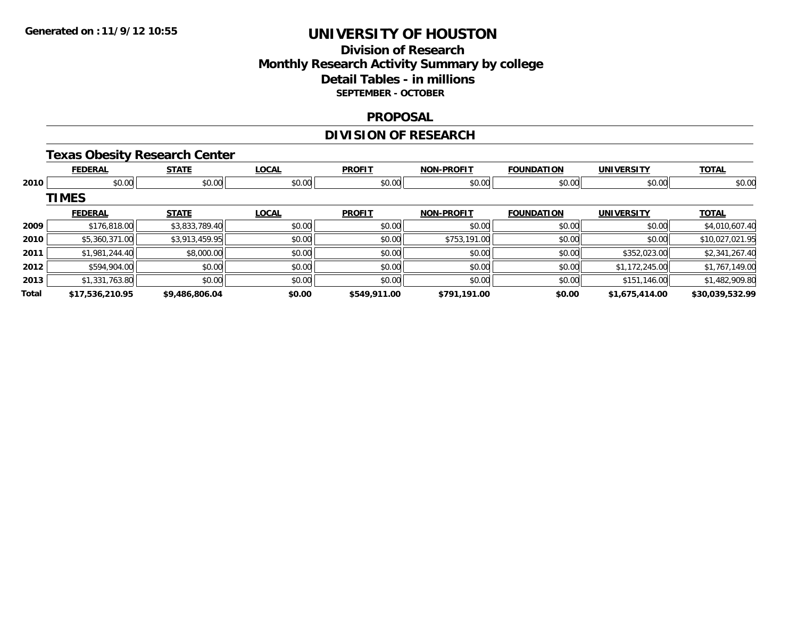## **Division of Research Monthly Research Activity Summary by college Detail Tables - in millions SEPTEMBER - OCTOBER**

### **PROPOSAL**

# **DIVISION OF RESEARCH**

## **Texas Obesity Research Center**

|       | <b>FEDERAL</b>  | <b>STATE</b>   | <b>LOCAL</b> | <b>PROFIT</b> | <b>NON-PROFIT</b> | <b>FOUNDATION</b> | <b>UNIVERSITY</b> | <b>TOTAL</b>    |
|-------|-----------------|----------------|--------------|---------------|-------------------|-------------------|-------------------|-----------------|
| 2010  | \$0.00          | \$0.00         | \$0.00       | \$0.00        | \$0.00            | \$0.00            | \$0.00            | \$0.00          |
|       | <b>TIMES</b>    |                |              |               |                   |                   |                   |                 |
|       | <b>FEDERAL</b>  | <b>STATE</b>   | <b>LOCAL</b> | <b>PROFIT</b> | <b>NON-PROFIT</b> | <b>FOUNDATION</b> | <b>UNIVERSITY</b> | <b>TOTAL</b>    |
| 2009  | \$176,818.00    | \$3,833,789.40 | \$0.00       | \$0.00        | \$0.00            | \$0.00            | \$0.00            | \$4,010,607.40  |
| 2010  | \$5,360,371.00  | \$3,913,459.95 | \$0.00       | \$0.00        | \$753,191.00      | \$0.00            | \$0.00            | \$10,027,021.95 |
| 2011  | \$1,981,244.40  | \$8,000.00     | \$0.00       | \$0.00        | \$0.00            | \$0.00            | \$352,023.00      | \$2,341,267.40  |
| 2012  | \$594,904.00    | \$0.00         | \$0.00       | \$0.00        | \$0.00            | \$0.00            | \$1,172,245.00    | \$1,767,149.00  |
| 2013  | \$1,331,763.80  | \$0.00         | \$0.00       | \$0.00        | \$0.00            | \$0.00            | \$151,146.00      | \$1,482,909.80  |
| Total | \$17,536,210.95 | \$9,486,806.04 | \$0.00       | \$549,911.00  | \$791.191.00      | \$0.00            | \$1,675,414.00    | \$30,039,532.99 |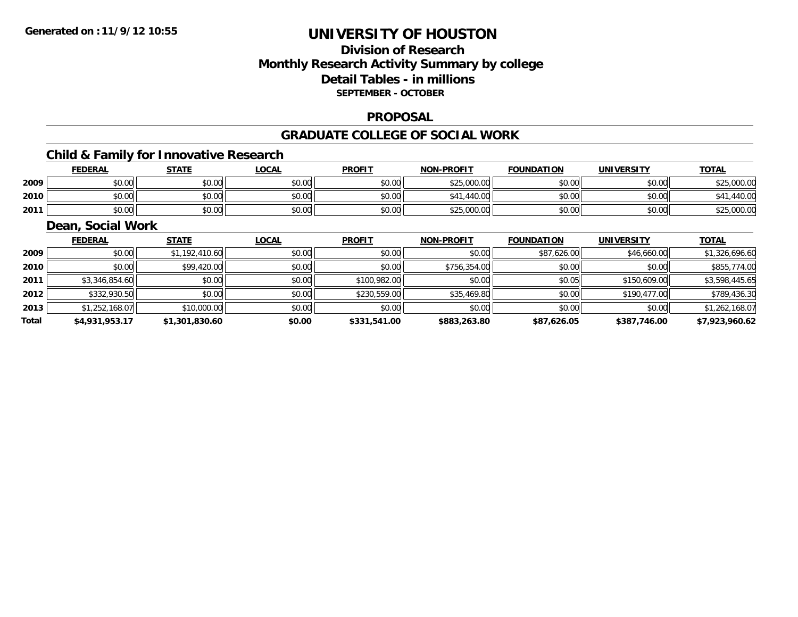## **Division of ResearchMonthly Research Activity Summary by college Detail Tables - in millions SEPTEMBER - OCTOBER**

### **PROPOSAL**

### **GRADUATE COLLEGE OF SOCIAL WORK**

## **Child & Family for Innovative Research**

|      | <b>FEDERAL</b> | <b>STATE</b> | LOCAI  | <b>PROFIT</b> | <b>NON-PROFIT</b>    | <b>FOUNDATION</b> | UNIVERSITY | <b>TOTAL</b> |
|------|----------------|--------------|--------|---------------|----------------------|-------------------|------------|--------------|
| 2009 | \$0.00         | \$0.00       | \$0.00 | \$0.00        | \$25,000.00          | \$0.00            | \$0.00     | \$25,000.00  |
| 2010 | \$0.00         | \$0.00       | \$0.00 | \$0.00        | <b>CA1</b><br>440.00 | \$0.00            | \$0.00     | 440.00       |
| 2011 | \$0.00         | \$0.00       | \$0.00 | \$0.00        | \$25,000.00          | \$0.00            | \$0.00     | \$25,000.00  |

### **Dean, Social Work**

|       | <b>FEDERAL</b> | <b>STATE</b>   | <b>LOCAL</b> | <b>PROFIT</b> | <b>NON-PROFIT</b> | <b>FOUNDATION</b> | <b>UNIVERSITY</b> | <b>TOTAL</b>   |
|-------|----------------|----------------|--------------|---------------|-------------------|-------------------|-------------------|----------------|
| 2009  | \$0.00         | \$1,192,410.60 | \$0.00       | \$0.00        | \$0.00            | \$87,626.00       | \$46,660.00       | \$1,326,696.60 |
| 2010  | \$0.00         | \$99,420.00    | \$0.00       | \$0.00        | \$756,354.00      | \$0.00            | \$0.00            | \$855,774.00   |
| 2011  | \$3,346,854.60 | \$0.00         | \$0.00       | \$100,982.00  | \$0.00            | \$0.05            | \$150,609.00      | \$3,598,445.65 |
| 2012  | \$332,930.50   | \$0.00         | \$0.00       | \$230,559.00  | \$35,469.80       | \$0.00            | \$190,477.00      | \$789,436.30   |
| 2013  | \$1,252,168.07 | \$10,000.00    | \$0.00       | \$0.00        | \$0.00            | \$0.00            | \$0.00            | \$1,262,168.07 |
| Total | \$4,931,953.17 | \$1,301,830.60 | \$0.00       | \$331,541.00  | \$883,263.80      | \$87,626.05       | \$387,746.00      | \$7,923,960.62 |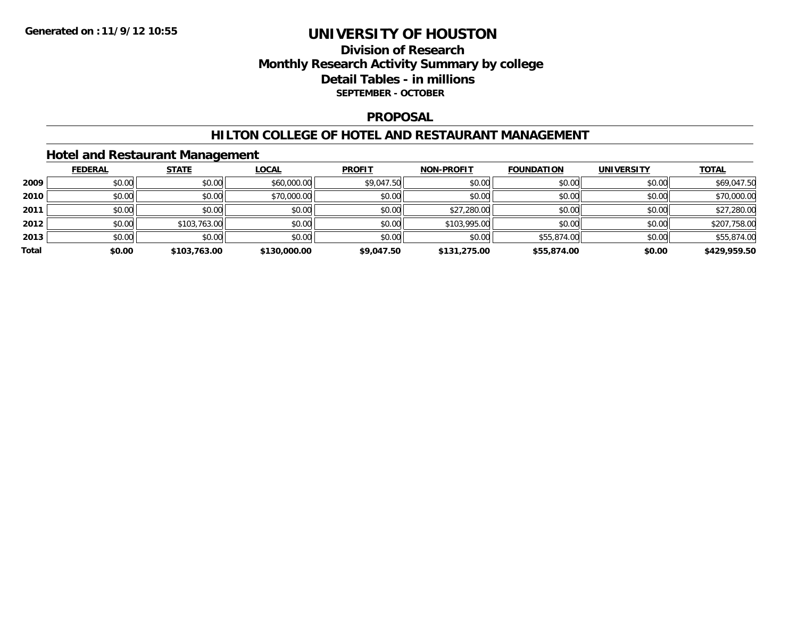## **Division of Research Monthly Research Activity Summary by college Detail Tables - in millions SEPTEMBER - OCTOBER**

### **PROPOSAL**

### **HILTON COLLEGE OF HOTEL AND RESTAURANT MANAGEMENT**

### **Hotel and Restaurant Management**

|       | <b>FEDERAL</b> | <b>STATE</b> | <u>LOCAL</u> | <b>PROFIT</b> | <b>NON-PROFIT</b> | <b>FOUNDATION</b> | <b>UNIVERSITY</b> | <b>TOTAL</b> |
|-------|----------------|--------------|--------------|---------------|-------------------|-------------------|-------------------|--------------|
| 2009  | \$0.00         | \$0.00       | \$60,000.00  | \$9,047.50    | \$0.00            | \$0.00            | \$0.00            | \$69,047.50  |
| 2010  | \$0.00         | \$0.00       | \$70,000.00  | \$0.00        | \$0.00            | \$0.00            | \$0.00            | \$70,000.00  |
| 2011  | \$0.00         | \$0.00       | \$0.00       | \$0.00        | \$27,280.00       | \$0.00            | \$0.00            | \$27,280.00  |
| 2012  | \$0.00         | \$103,763.00 | \$0.00       | \$0.00        | \$103,995.00      | \$0.00            | \$0.00            | \$207,758.00 |
| 2013  | \$0.00         | \$0.00       | \$0.00       | \$0.00        | \$0.00            | \$55,874.00       | \$0.00            | \$55,874.00  |
| Total | \$0.00         | \$103,763.00 | \$130,000.00 | \$9,047.50    | \$131,275.00      | \$55,874.00       | \$0.00            | \$429,959.50 |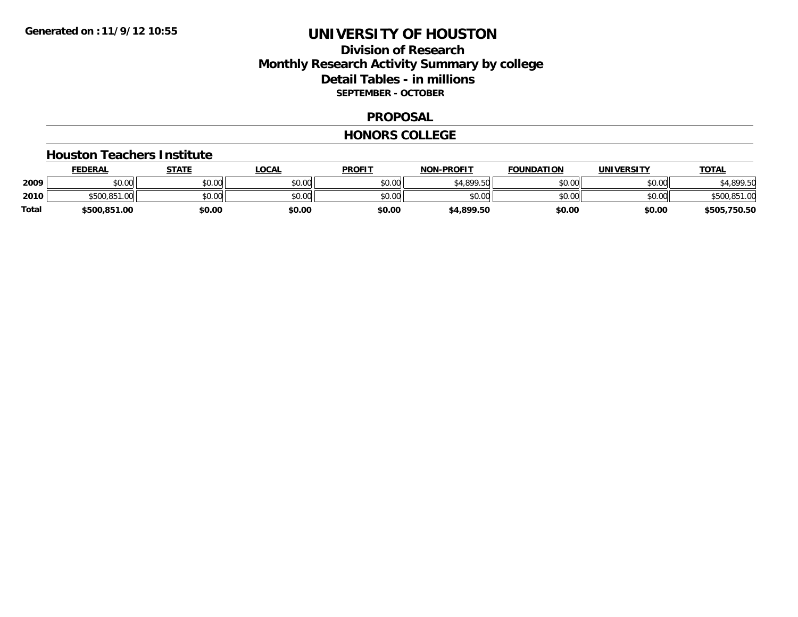## **Division of Research Monthly Research Activity Summary by college Detail Tables - in millions SEPTEMBER - OCTOBER**

### **PROPOSAL**

#### **HONORS COLLEGE**

#### **Houston Teachers Institute**

|       | <b>FEDERAL</b> | STATE  | LOCAL  | <b>PROFIT</b> | <b>NON-PROFIT</b> | <b>FOUNDATION</b> | <b>UNIVERSITY</b> | <u>TOTAL</u> |
|-------|----------------|--------|--------|---------------|-------------------|-------------------|-------------------|--------------|
| 2009  | ሶስ ሰስ<br>PU.UU | \$0.00 | \$0.00 | \$0.00        | \$4.899.50        | \$0.00            | \$0.00            | \$4,899.50   |
| 2010  | \$500,851,00   | \$0.00 | \$0.00 | \$0.00        | \$0.00            | \$0.00            | \$0.00            | \$500,851.00 |
| Total | \$500,851.00   | \$0.00 | \$0.00 | \$0.00        | \$4,899.50        | \$0.00            | \$0.00            | \$505,750.50 |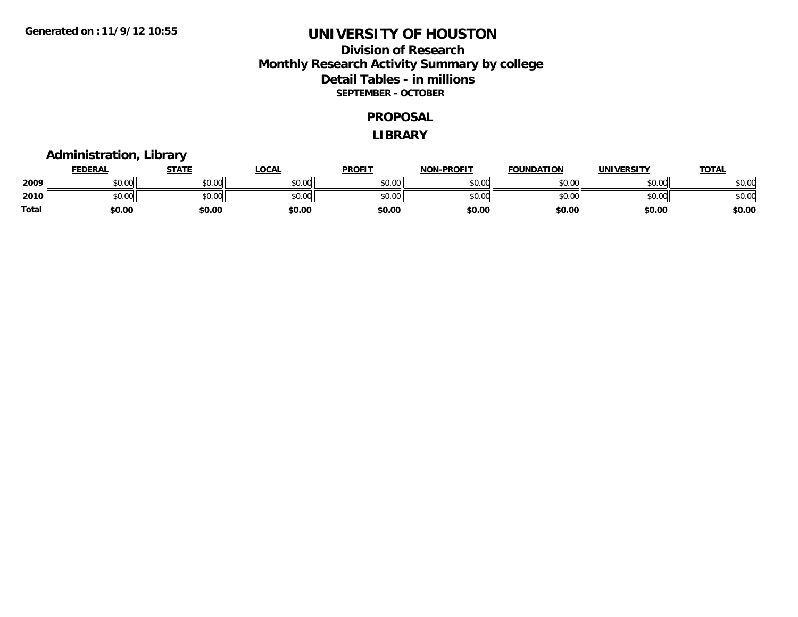## **Division of Research Monthly Research Activity Summary by college Detail Tables - in millions SEPTEMBER - OCTOBER**

#### **PROPOSAL**

#### **LIBRARY**

# **Administration, Library**

|              | <b>FEDERAL</b> | STATE  | _OCAL          | <b>PROFIT</b> | <b>NON-PROFIT</b> | <b>FOUNDATION</b> | <b>UNIVERSITY</b> | <b>TOTAL</b> |
|--------------|----------------|--------|----------------|---------------|-------------------|-------------------|-------------------|--------------|
| 2009         | 0000<br>DU.UG  | \$0.00 | ≮N UU<br>PO.OO | \$0.00        | \$0.00            | \$0.00            | \$0.00            | \$0.00       |
| 2010         | 0000<br>DU.UU  | \$0.00 | \$0.00         | \$0.00        | \$0.00            | \$0.00            | \$0.00            | \$0.00       |
| <b>Total</b> | \$0.00         | \$0.00 | \$0.00         | \$0.00        | \$0.00            | \$0.00            | \$0.00            | \$0.00       |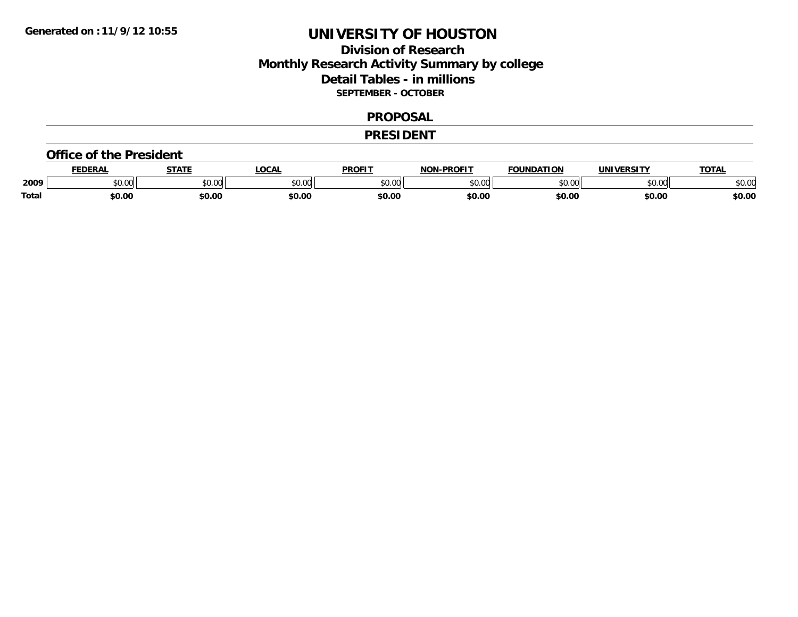## **Division of Research Monthly Research Activity Summary by college Detail Tables - in millions SEPTEMBER - OCTOBER**

#### **PROPOSAL**

#### **PRESIDENT**

#### **Office of the President**

|       | <b>DERAL</b> | <b>STATE</b>                                         | <b>LOCAL</b>  | <b>PROFIT</b>       | <b>J-PROFIT</b><br><b>NON</b> | <b>FOUNDATION</b> | UNIVERSITY | <b>TOTAL</b> |
|-------|--------------|------------------------------------------------------|---------------|---------------------|-------------------------------|-------------------|------------|--------------|
| 2009  | \$0.00       | $\uparrow$ $\uparrow$ $\uparrow$ $\uparrow$<br>JU.UU | 0000<br>PU.UU | 0000<br>. UU<br>, J | $n \cap \Omega$<br>ט.טע       | 0.00              | \$0.00     | \$0.00       |
| Total | \$0.00       | \$0.00                                               | \$0.00        | \$0.00              | \$0.00                        | \$0.00            | \$0.00     | \$0.00       |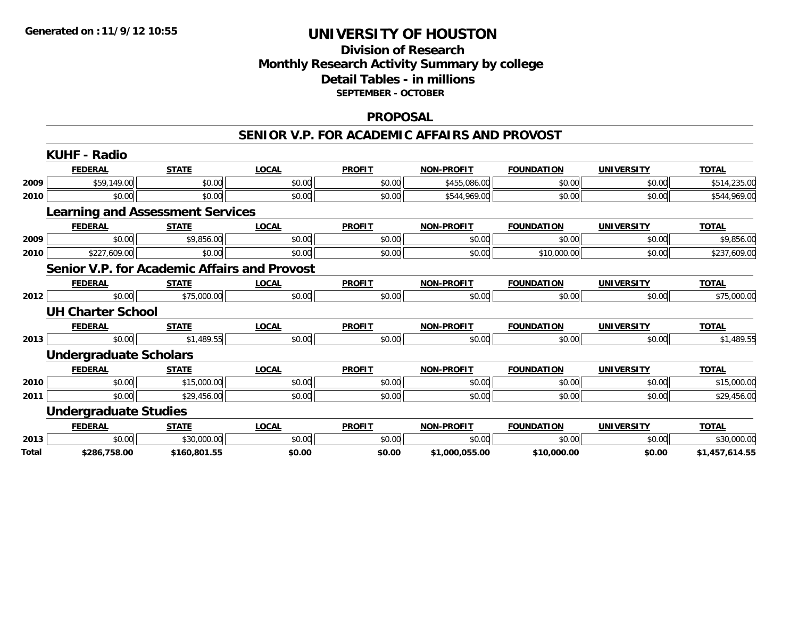## **Division of Research Monthly Research Activity Summary by college Detail Tables - in millions SEPTEMBER - OCTOBER**

### **PROPOSAL**

#### **SENIOR V.P. FOR ACADEMIC AFFAIRS AND PROVOST**

|       | <b>KUHF - Radio</b>                          |              |              |               |                   |                   |                   |                |
|-------|----------------------------------------------|--------------|--------------|---------------|-------------------|-------------------|-------------------|----------------|
|       | <b>FEDERAL</b>                               | <b>STATE</b> | <b>LOCAL</b> | <b>PROFIT</b> | <b>NON-PROFIT</b> | <b>FOUNDATION</b> | <b>UNIVERSITY</b> | <b>TOTAL</b>   |
| 2009  | \$59,149.00                                  | \$0.00       | \$0.00       | \$0.00        | \$455,086.00      | \$0.00            | \$0.00            | \$514,235.00   |
| 2010  | \$0.00                                       | \$0.00       | \$0.00       | \$0.00        | \$544,969.00      | \$0.00            | \$0.00            | \$544,969.00   |
|       | <b>Learning and Assessment Services</b>      |              |              |               |                   |                   |                   |                |
|       | <b>FEDERAL</b>                               | <b>STATE</b> | <b>LOCAL</b> | <b>PROFIT</b> | <b>NON-PROFIT</b> | <b>FOUNDATION</b> | <b>UNIVERSITY</b> | <b>TOTAL</b>   |
| 2009  | \$0.00                                       | \$9,856.00   | \$0.00       | \$0.00        | \$0.00            | \$0.00            | \$0.00            | \$9,856.00     |
| 2010  | \$227,609.00                                 | \$0.00       | \$0.00       | \$0.00        | \$0.00            | \$10,000.00       | \$0.00            | \$237,609.00   |
|       | Senior V.P. for Academic Affairs and Provost |              |              |               |                   |                   |                   |                |
|       | <b>FEDERAL</b>                               | <b>STATE</b> | <b>LOCAL</b> | <b>PROFIT</b> | <b>NON-PROFIT</b> | <b>FOUNDATION</b> | UNIVERSITY        | <b>TOTAL</b>   |
| 2012  | \$0.00                                       | \$75,000.00  | \$0.00       | \$0.00        | \$0.00            | \$0.00            | \$0.00            | \$75,000.00    |
|       | <b>UH Charter School</b>                     |              |              |               |                   |                   |                   |                |
|       | <b>FEDERAL</b>                               | <b>STATE</b> | <b>LOCAL</b> | <b>PROFIT</b> | <b>NON-PROFIT</b> | <b>FOUNDATION</b> | <b>UNIVERSITY</b> | <b>TOTAL</b>   |
| 2013  | \$0.00                                       | \$1,489.55   | \$0.00       | \$0.00        | \$0.00            | \$0.00            | \$0.00            | \$1,489.55     |
|       | <b>Undergraduate Scholars</b>                |              |              |               |                   |                   |                   |                |
|       | <b>FEDERAL</b>                               | <b>STATE</b> | <b>LOCAL</b> | <b>PROFIT</b> | <b>NON-PROFIT</b> | <b>FOUNDATION</b> | <b>UNIVERSITY</b> | <b>TOTAL</b>   |
| 2010  | \$0.00                                       | \$15,000.00  | \$0.00       | \$0.00        | \$0.00            | \$0.00            | \$0.00            | \$15,000.00    |
| 2011  | \$0.00                                       | \$29,456.00  | \$0.00       | \$0.00        | \$0.00            | \$0.00            | \$0.00            | \$29,456.00    |
|       | <b>Undergraduate Studies</b>                 |              |              |               |                   |                   |                   |                |
|       | <b>FEDERAL</b>                               | <b>STATE</b> | <b>LOCAL</b> | <b>PROFIT</b> | <b>NON-PROFIT</b> | <b>FOUNDATION</b> | <b>UNIVERSITY</b> | <b>TOTAL</b>   |
| 2013  | \$0.00                                       | \$30,000.00  | \$0.00       | \$0.00        | \$0.00            | \$0.00            | \$0.00            | \$30,000.00    |
| Total | \$286,758.00                                 | \$160,801.55 | \$0.00       | \$0.00        | \$1,000,055.00    | \$10,000.00       | \$0.00            | \$1,457,614.55 |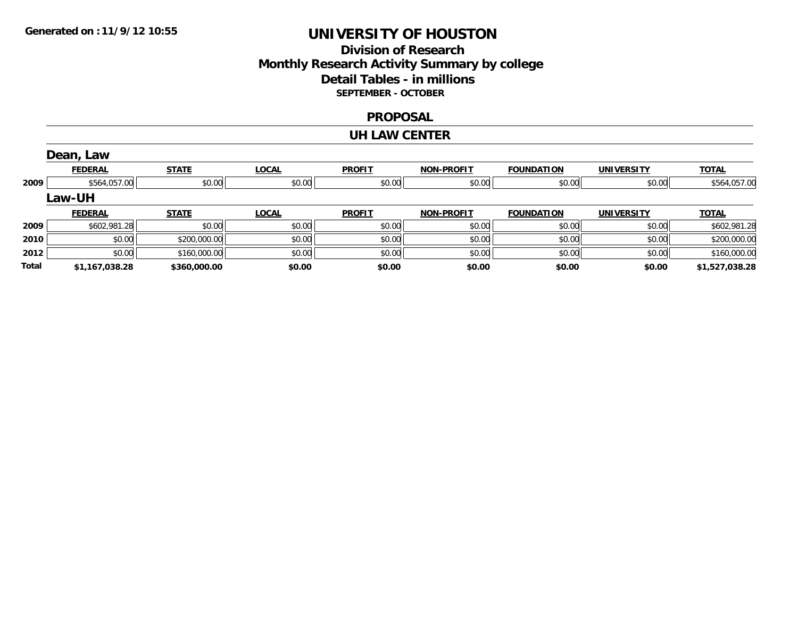## **Division of Research Monthly Research Activity Summary by college Detail Tables - in millions SEPTEMBER - OCTOBER**

### **PROPOSAL**

#### **UH LAW CENTER**

|       | Dean, Law      |              |              |               |                   |                   |                   |                |
|-------|----------------|--------------|--------------|---------------|-------------------|-------------------|-------------------|----------------|
|       | <b>FEDERAL</b> | <b>STATE</b> | <b>LOCAL</b> | <b>PROFIT</b> | <b>NON-PROFIT</b> | <b>FOUNDATION</b> | <b>UNIVERSITY</b> | <b>TOTAL</b>   |
| 2009  | \$564,057.00   | \$0.00       | \$0.00       | \$0.00        | \$0.00            | \$0.00            | \$0.00            | \$564,057.00   |
|       | Law-UH         |              |              |               |                   |                   |                   |                |
|       | <b>FEDERAL</b> | <b>STATE</b> | <b>LOCAL</b> | <b>PROFIT</b> | <b>NON-PROFIT</b> | <b>FOUNDATION</b> | <b>UNIVERSITY</b> | <u>TOTAL</u>   |
| 2009  | \$602,981.28   | \$0.00       | \$0.00       | \$0.00        | \$0.00            | \$0.00            | \$0.00            | \$602,981.28   |
| 2010  | \$0.00         | \$200,000.00 | \$0.00       | \$0.00        | \$0.00            | \$0.00            | \$0.00            | \$200,000.00   |
| 2012  | \$0.00         | \$160,000.00 | \$0.00       | \$0.00        | \$0.00            | \$0.00            | \$0.00            | \$160,000.00   |
| Total | \$1,167,038.28 | \$360,000.00 | \$0.00       | \$0.00        | \$0.00            | \$0.00            | \$0.00            | \$1,527,038.28 |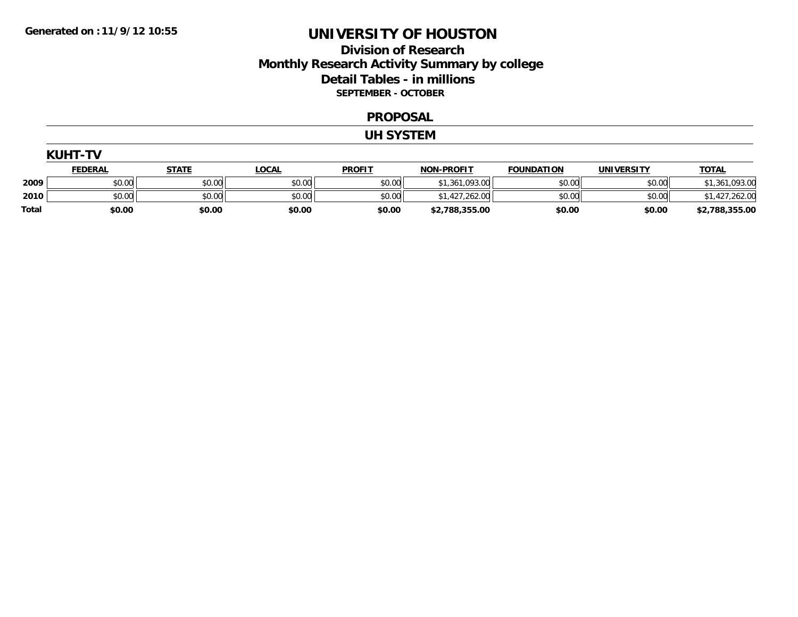## **Division of Research Monthly Research Activity Summary by college Detail Tables - in millions SEPTEMBER - OCTOBER**

#### **PROPOSAL**

#### **UH SYSTEM**

|              | <b>KUHT-TV</b> |              |              |               |                   |                   |                   |                |  |
|--------------|----------------|--------------|--------------|---------------|-------------------|-------------------|-------------------|----------------|--|
|              | <b>FEDERAL</b> | <b>STATE</b> | <b>LOCAL</b> | <b>PROFIT</b> | <b>NON-PROFIT</b> | <b>FOUNDATION</b> | <b>UNIVERSITY</b> | <b>TOTAL</b>   |  |
| 2009         | \$0.00         | \$0.00       | \$0.00       | \$0.00        | \$1,361,093.00    | \$0.00            | \$0.00            | \$1,361,093.00 |  |
| 2010         | \$0.00         | \$0.00       | \$0.00       | \$0.00        | \$1,427,262.00    | \$0.00            | \$0.00            | \$1,427,262.00 |  |
| <b>Total</b> | \$0.00         | \$0.00       | \$0.00       | \$0.00        | \$2,788,355.00    | \$0.00            | \$0.00            | \$2,788,355.00 |  |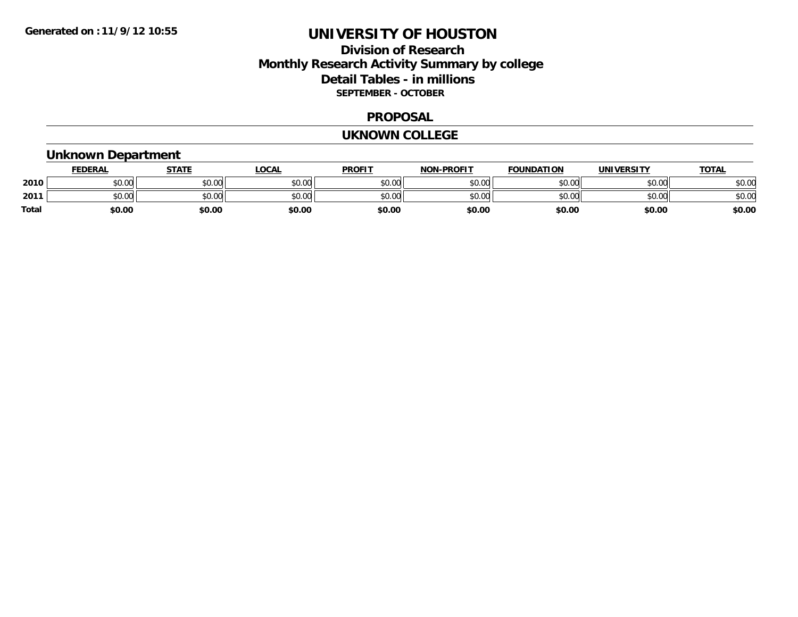## **Division of Research Monthly Research Activity Summary by college Detail Tables - in millions SEPTEMBER - OCTOBER**

### **PROPOSAL**

#### **UKNOWN COLLEGE**

# **Unknown Department**

|       | <b>FEDERAL</b> | <b>STATE</b> | <b>LOCAL</b> | <b>PROFIT</b> | <b>NON-PROFIT</b> | <b>FOUNDATION</b> | <b>UNIVERSITY</b> | <u>TOTAL</u> |
|-------|----------------|--------------|--------------|---------------|-------------------|-------------------|-------------------|--------------|
| 2010  | \$0.00         | \$0.00       | \$0.00       | \$0.00        | \$0.00            | \$0.00            | \$0.00            | \$0.00       |
| 2011  | \$0.00         | \$0.00       | \$0.00       | \$0.00        | \$0.00            | \$0.00            | \$0.00            | \$0.00       |
| Total | \$0.00         | \$0.00       | \$0.00       | \$0.00        | \$0.00            | \$0.00            | \$0.00            | \$0.00       |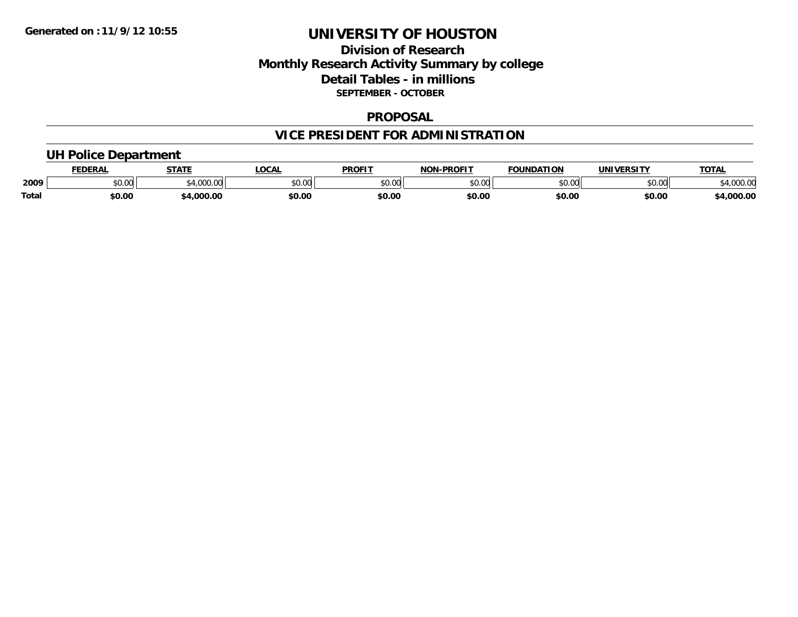## **Division of Research Monthly Research Activity Summary by college Detail Tables - in millions SEPTEMBER - OCTOBER**

### **PROPOSAL**

# **VICE PRESIDENT FOR ADMINISTRATION**

### **UH Police Department**

|       | <b>FEDERAL</b> | <b>STATE</b>              | <b>LOCAL</b> | <b>PROFIT</b> | -PROFIT<br>NON | <b>FOUNDATION</b> | UNIVERSITY | <b>TOTAL</b>      |
|-------|----------------|---------------------------|--------------|---------------|----------------|-------------------|------------|-------------------|
| 2009  | \$0.00         | $R_A$ 000 $\sim$<br>.UUU. | \$0.00       | 0000<br>JU.UU | 40.00<br>,u.uu | \$0.00            | \$0.00     | 00000<br>4,000.00 |
| Total | \$0.00         | ,000.00                   | \$0.00       | \$0.00        | \$0.00         | \$0.00            | \$0.00     | 4,000.00          |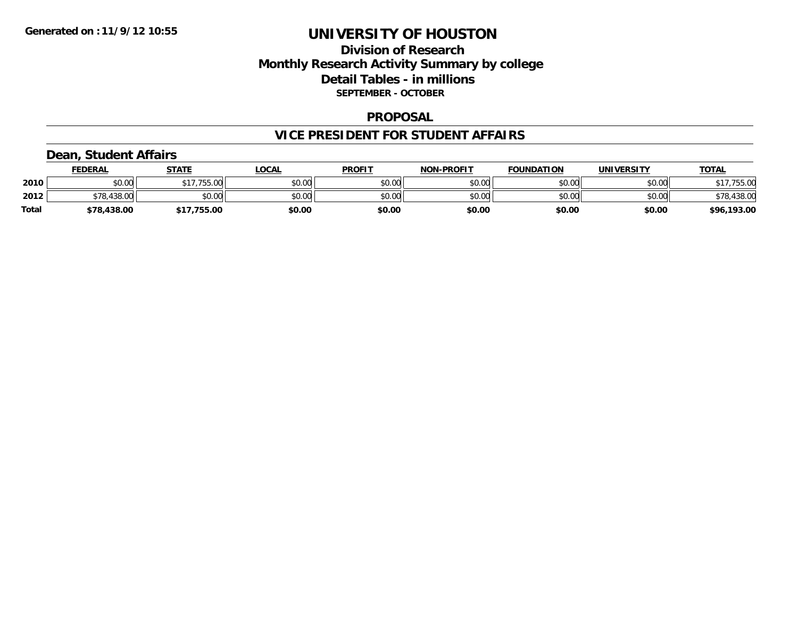## **Division of Research Monthly Research Activity Summary by college Detail Tables - in millions SEPTEMBER - OCTOBER**

### **PROPOSAL**

### **VICE PRESIDENT FOR STUDENT AFFAIRS**

### **Dean, Student Affairs**

|              | <b>FEDERAL</b> | <b>STATE</b> | <b>OCAL</b> | <b>PROFIT</b> | <b>NON-PROFIT</b> | <b>FOUNDATION</b> | UNIVERSITY | <b>TOTAL</b> |
|--------------|----------------|--------------|-------------|---------------|-------------------|-------------------|------------|--------------|
| 2010         | 0000<br>JU.UU  | \$17,755.00  | \$0.00      | \$0.00        | \$0.00            | \$0.00            | \$0.00     | ,755.00      |
| 2012         | $\cap$<br>70   | \$0.00       | \$0.00      | \$0.00        | \$0.00            | \$0.00            | \$0.00     | \$78,438.00  |
| <b>Total</b> | \$78,438.00    | .755.00      | \$0.00      | \$0.00        | \$0.00            | \$0.00            | \$0.00     | \$96,193.00  |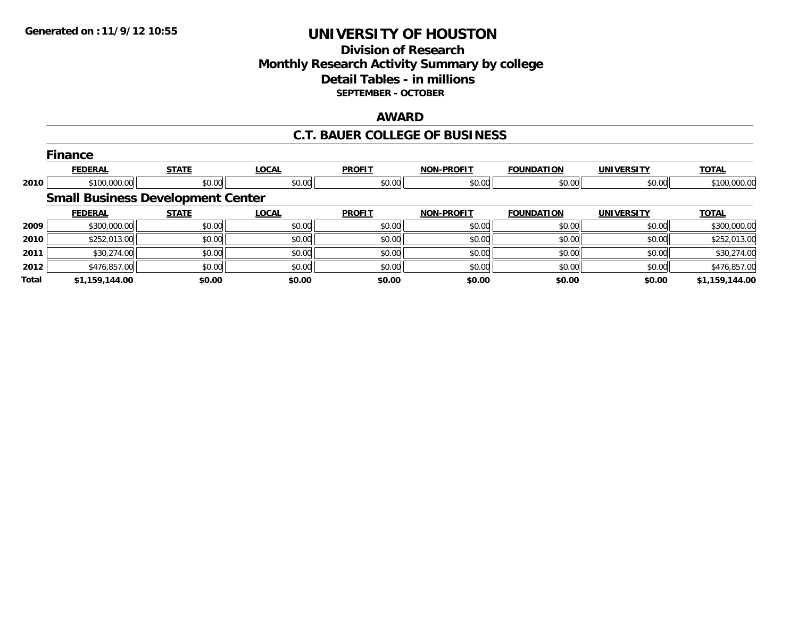## **Division of Research Monthly Research Activity Summary by college Detail Tables - in millions SEPTEMBER - OCTOBER**

#### **AWARD**

### **C.T. BAUER COLLEGE OF BUSINESS**

|              | <b>Finance</b>                           |              |              |               |                   |                   |                   |                |
|--------------|------------------------------------------|--------------|--------------|---------------|-------------------|-------------------|-------------------|----------------|
|              | <b>FEDERAL</b>                           | <b>STATE</b> | <b>LOCAL</b> | <b>PROFIT</b> | <b>NON-PROFIT</b> | <b>FOUNDATION</b> | <b>UNIVERSITY</b> | <b>TOTAL</b>   |
| 2010         | \$100,000.00                             | \$0.00       | \$0.00       | \$0.00        | \$0.00            | \$0.00            | \$0.00            | \$100,000.00   |
|              | <b>Small Business Development Center</b> |              |              |               |                   |                   |                   |                |
|              | <b>FEDERAL</b>                           | <b>STATE</b> | <b>LOCAL</b> | <b>PROFIT</b> | <b>NON-PROFIT</b> | <b>FOUNDATION</b> | <b>UNIVERSITY</b> | <b>TOTAL</b>   |
| 2009         | \$300,000.00                             | \$0.00       | \$0.00       | \$0.00        | \$0.00            | \$0.00            | \$0.00            | \$300,000.00   |
| 2010         | \$252,013.00                             | \$0.00       | \$0.00       | \$0.00        | \$0.00            | \$0.00            | \$0.00            | \$252,013.00   |
| 2011         | \$30,274.00                              | \$0.00       | \$0.00       | \$0.00        | \$0.00            | \$0.00            | \$0.00            | \$30,274.00    |
| 2012         | \$476,857.00                             | \$0.00       | \$0.00       | \$0.00        | \$0.00            | \$0.00            | \$0.00            | \$476,857.00   |
| <b>Total</b> | \$1,159,144.00                           | \$0.00       | \$0.00       | \$0.00        | \$0.00            | \$0.00            | \$0.00            | \$1,159,144.00 |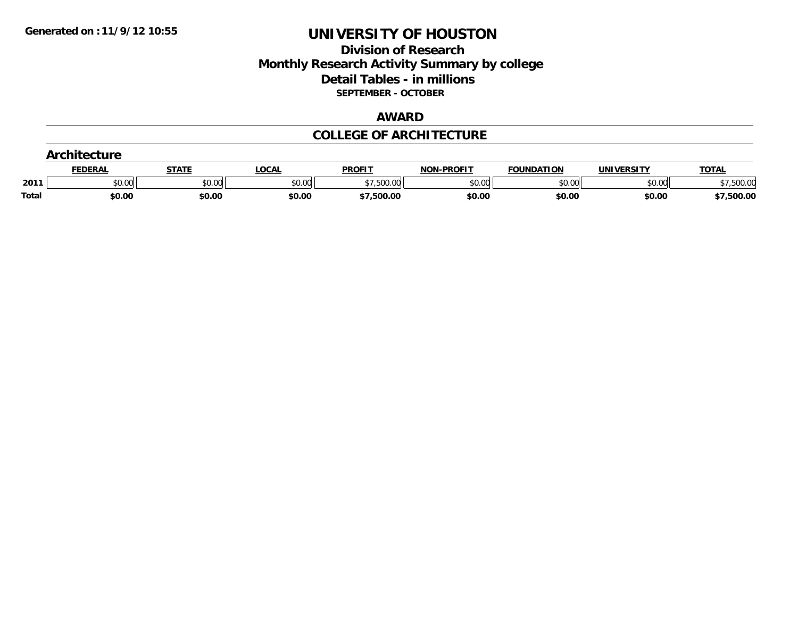## **Division of Research Monthly Research Activity Summary by college Detail Tables - in millions SEPTEMBER - OCTOBER**

#### **AWARD**

### **COLLEGE OF ARCHITECTURE**

| .     |                |              |              |               |                   |                   |                   |              |
|-------|----------------|--------------|--------------|---------------|-------------------|-------------------|-------------------|--------------|
|       | <b>FEDERAL</b> | <b>STATE</b> | <b>LOCAL</b> | <b>PROFIT</b> | <b>NON-PROFIT</b> | <b>FOUNDATION</b> | <b>UNIVERSITY</b> | <b>TOTAL</b> |
| 201'  | \$0.00         | \$0.00       | \$0.00       | .500.00       | \$0.00            | \$0.00            | \$0.00            | 500.00       |
| Total | \$0.00         | \$0.00       | \$0.00       | \$7,500.00    | \$0.00            | \$0.00            | \$0.00            | \$7,500.00   |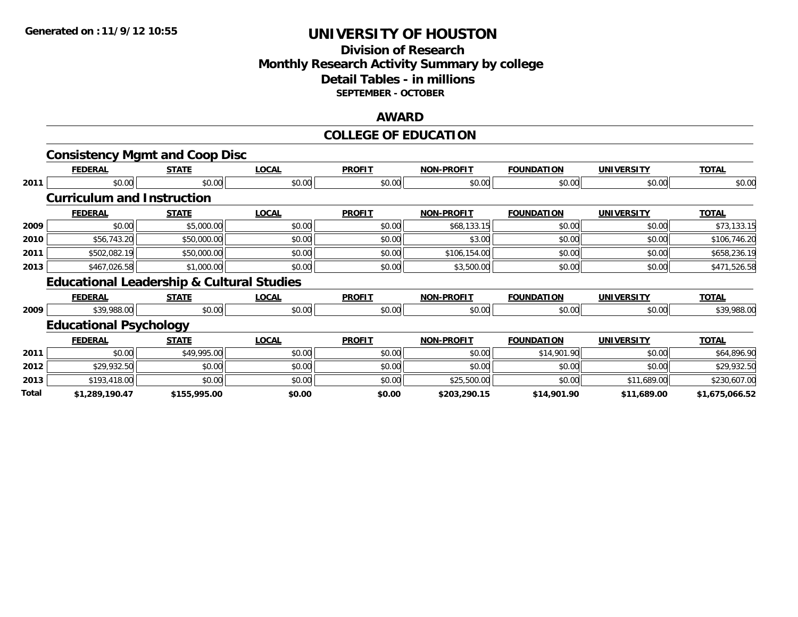## **Division of Research Monthly Research Activity Summary by college Detail Tables - in millions SEPTEMBER - OCTOBER**

#### **AWARD**

### **COLLEGE OF EDUCATION**

|       | <b>Consistency Mgmt and Coop Disc</b>                |              |              |               |                   |                   |                   |                |
|-------|------------------------------------------------------|--------------|--------------|---------------|-------------------|-------------------|-------------------|----------------|
|       | <b>FEDERAL</b>                                       | <b>STATE</b> | <b>LOCAL</b> | <b>PROFIT</b> | <b>NON-PROFIT</b> | <b>FOUNDATION</b> | <b>UNIVERSITY</b> | <b>TOTAL</b>   |
| 2011  | \$0.00                                               | \$0.00       | \$0.00       | \$0.00        | \$0.00            | \$0.00            | \$0.00            | \$0.00         |
|       | <b>Curriculum and Instruction</b>                    |              |              |               |                   |                   |                   |                |
|       | <b>FEDERAL</b>                                       | <b>STATE</b> | <b>LOCAL</b> | <b>PROFIT</b> | <b>NON-PROFIT</b> | <b>FOUNDATION</b> | <b>UNIVERSITY</b> | <b>TOTAL</b>   |
| 2009  | \$0.00                                               | \$5,000.00   | \$0.00       | \$0.00        | \$68,133.15       | \$0.00            | \$0.00            | \$73,133.15    |
| 2010  | \$56,743.20                                          | \$50,000.00  | \$0.00       | \$0.00        | \$3.00            | \$0.00            | \$0.00            | \$106,746.20   |
| 2011  | \$502,082.19                                         | \$50,000.00  | \$0.00       | \$0.00        | \$106,154.00      | \$0.00            | \$0.00            | \$658,236.19   |
| 2013  | \$467,026.58                                         | \$1,000.00   | \$0.00       | \$0.00        | \$3,500.00        | \$0.00            | \$0.00            | \$471,526.58   |
|       | <b>Educational Leadership &amp; Cultural Studies</b> |              |              |               |                   |                   |                   |                |
|       | <b>FEDERAL</b>                                       | <b>STATE</b> | <b>LOCAL</b> | <b>PROFIT</b> | <b>NON-PROFIT</b> | <b>FOUNDATION</b> | <b>UNIVERSITY</b> | <b>TOTAL</b>   |
| 2009  | \$39,988.00                                          | \$0.00       | \$0.00       | \$0.00        | \$0.00            | \$0.00            | \$0.00            | \$39,988.00    |
|       | <b>Educational Psychology</b>                        |              |              |               |                   |                   |                   |                |
|       | <b>FEDERAL</b>                                       | <b>STATE</b> | <b>LOCAL</b> | <b>PROFIT</b> | <b>NON-PROFIT</b> | <b>FOUNDATION</b> | <b>UNIVERSITY</b> | <b>TOTAL</b>   |
| 2011  | \$0.00                                               | \$49,995.00  | \$0.00       | \$0.00        | \$0.00            | \$14,901.90       | \$0.00            | \$64,896.90    |
| 2012  | \$29,932.50                                          | \$0.00       | \$0.00       | \$0.00        | \$0.00            | \$0.00            | \$0.00            | \$29,932.50    |
| 2013  | \$193,418.00                                         | \$0.00       | \$0.00       | \$0.00        | \$25,500.00       | \$0.00            | \$11,689.00       | \$230,607.00   |
| Total | \$1,289,190.47                                       | \$155,995.00 | \$0.00       | \$0.00        | \$203,290.15      | \$14,901.90       | \$11,689.00       | \$1,675,066.52 |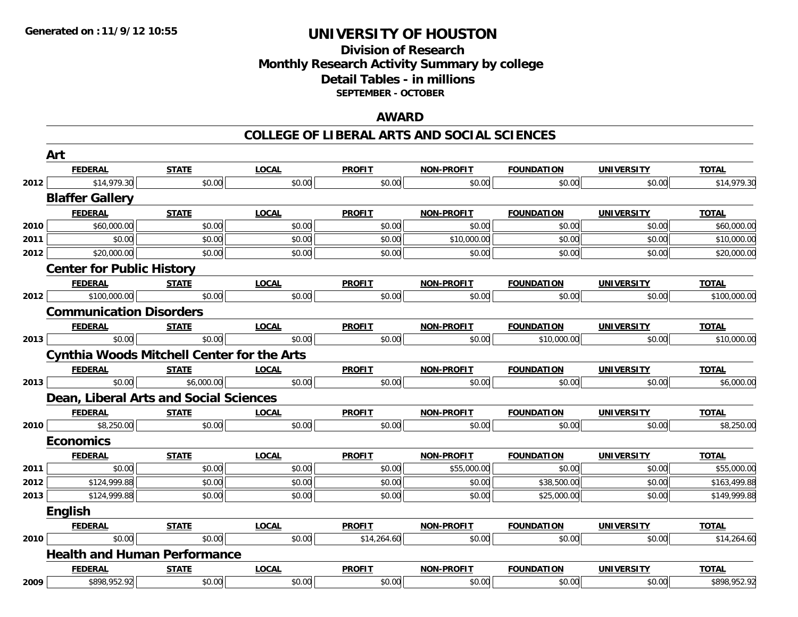## **Division of Research Monthly Research Activity Summary by college Detail Tables - in millions SEPTEMBER - OCTOBER**

### **AWARD**

#### **COLLEGE OF LIBERAL ARTS AND SOCIAL SCIENCES**

|      | Art                                               |              |                                                                                                                                                                                                                                                                                                                                                                                                                                                                                                                                                                                                                                                                                                                                                                                                                                                                                                                                                                                                                                                                                                                                                                                                                                                                                                                                                                                                                                                                                                                                                                                                                                      |               |                   |                   |                   |              |
|------|---------------------------------------------------|--------------|--------------------------------------------------------------------------------------------------------------------------------------------------------------------------------------------------------------------------------------------------------------------------------------------------------------------------------------------------------------------------------------------------------------------------------------------------------------------------------------------------------------------------------------------------------------------------------------------------------------------------------------------------------------------------------------------------------------------------------------------------------------------------------------------------------------------------------------------------------------------------------------------------------------------------------------------------------------------------------------------------------------------------------------------------------------------------------------------------------------------------------------------------------------------------------------------------------------------------------------------------------------------------------------------------------------------------------------------------------------------------------------------------------------------------------------------------------------------------------------------------------------------------------------------------------------------------------------------------------------------------------------|---------------|-------------------|-------------------|-------------------|--------------|
|      | <b>FEDERAL</b>                                    | <b>STATE</b> | <b>LOCAL</b>                                                                                                                                                                                                                                                                                                                                                                                                                                                                                                                                                                                                                                                                                                                                                                                                                                                                                                                                                                                                                                                                                                                                                                                                                                                                                                                                                                                                                                                                                                                                                                                                                         | <b>PROFIT</b> | <b>NON-PROFIT</b> | <b>FOUNDATION</b> | <b>UNIVERSITY</b> | <b>TOTAL</b> |
| 2012 | \$14,979.30                                       | \$0.00       | \$0.00<br>\$0.00<br>\$0.00<br>\$0.00<br>\$0.00<br><b>PROFIT</b><br><b>LOCAL</b><br><b>NON-PROFIT</b><br><b>FOUNDATION</b><br><b>UNIVERSITY</b><br><b>TOTAL</b><br>\$0.00<br>\$0.00<br>\$0.00<br>\$0.00<br>\$0.00<br>\$0.00<br>\$0.00<br>\$10,000.00<br>\$0.00<br>\$0.00<br>\$0.00<br>\$0.00<br>\$0.00<br>\$0.00<br>\$0.00<br><b>LOCAL</b><br><b>PROFIT</b><br><b>UNIVERSITY</b><br><b>TOTAL</b><br><b>NON-PROFIT</b><br><b>FOUNDATION</b><br>\$0.00<br>\$0.00<br>\$0.00<br>\$0.00<br>\$0.00<br><b>LOCAL</b><br><b>PROFIT</b><br><b>NON-PROFIT</b><br><b>FOUNDATION</b><br><b>UNIVERSITY</b><br><b>TOTAL</b><br>\$0.00<br>\$0.00<br>\$0.00<br>\$10,000.00<br>\$0.00<br><b>PROFIT</b><br><b>NON-PROFIT</b><br><b>TOTAL</b><br><b>FOUNDATION</b><br><b>UNIVERSITY</b><br><b>LOCAL</b><br>\$0.00<br>\$0.00<br>\$0.00<br>\$0.00<br>\$0.00<br><b>PROFIT</b><br><b>TOTAL</b><br><b>LOCAL</b><br><b>NON-PROFIT</b><br><b>FOUNDATION</b><br><b>UNIVERSITY</b><br>\$0.00<br>\$0.00<br>\$0.00<br>\$0.00<br>\$0.00<br><b>LOCAL</b><br><b>PROFIT</b><br><b>NON-PROFIT</b><br><b>FOUNDATION</b><br><b>UNIVERSITY</b><br><b>TOTAL</b><br>\$0.00<br>\$0.00<br>\$55,000.00<br>\$0.00<br>\$0.00<br>\$0.00<br>\$0.00<br>\$0.00<br>\$38,500.00<br>\$0.00<br>\$0.00<br>\$0.00<br>\$0.00<br>\$25,000.00<br>\$0.00<br><b>PROFIT</b><br><b>LOCAL</b><br><b>NON-PROFIT</b><br><b>FOUNDATION</b><br><b>UNIVERSITY</b><br><b>TOTAL</b><br>\$0.00<br>\$14,264.60<br>\$0.00<br>\$0.00<br>\$0.00<br><b>TOTAL</b><br><b>LOCAL</b><br><b>PROFIT</b><br><b>NON-PROFIT</b><br><b>FOUNDATION</b><br><b>UNIVERSITY</b><br>\$0.00<br>\$0.00<br>\$0.00<br>\$0.00<br>\$0.00 | \$14,979.30   |                   |                   |                   |              |
|      | <b>Blaffer Gallery</b>                            |              |                                                                                                                                                                                                                                                                                                                                                                                                                                                                                                                                                                                                                                                                                                                                                                                                                                                                                                                                                                                                                                                                                                                                                                                                                                                                                                                                                                                                                                                                                                                                                                                                                                      |               |                   |                   |                   |              |
|      | <b>FEDERAL</b>                                    | <b>STATE</b> |                                                                                                                                                                                                                                                                                                                                                                                                                                                                                                                                                                                                                                                                                                                                                                                                                                                                                                                                                                                                                                                                                                                                                                                                                                                                                                                                                                                                                                                                                                                                                                                                                                      |               |                   |                   |                   |              |
| 2010 | \$60,000.00                                       | \$0.00       |                                                                                                                                                                                                                                                                                                                                                                                                                                                                                                                                                                                                                                                                                                                                                                                                                                                                                                                                                                                                                                                                                                                                                                                                                                                                                                                                                                                                                                                                                                                                                                                                                                      |               |                   |                   |                   | \$60,000.00  |
| 2011 | \$0.00                                            | \$0.00       |                                                                                                                                                                                                                                                                                                                                                                                                                                                                                                                                                                                                                                                                                                                                                                                                                                                                                                                                                                                                                                                                                                                                                                                                                                                                                                                                                                                                                                                                                                                                                                                                                                      |               |                   |                   |                   | \$10,000.00  |
| 2012 | \$20,000.00                                       | \$0.00       |                                                                                                                                                                                                                                                                                                                                                                                                                                                                                                                                                                                                                                                                                                                                                                                                                                                                                                                                                                                                                                                                                                                                                                                                                                                                                                                                                                                                                                                                                                                                                                                                                                      |               |                   |                   |                   | \$20,000.00  |
|      | <b>Center for Public History</b>                  |              |                                                                                                                                                                                                                                                                                                                                                                                                                                                                                                                                                                                                                                                                                                                                                                                                                                                                                                                                                                                                                                                                                                                                                                                                                                                                                                                                                                                                                                                                                                                                                                                                                                      |               |                   |                   |                   |              |
|      | <b>FEDERAL</b>                                    | <b>STATE</b> |                                                                                                                                                                                                                                                                                                                                                                                                                                                                                                                                                                                                                                                                                                                                                                                                                                                                                                                                                                                                                                                                                                                                                                                                                                                                                                                                                                                                                                                                                                                                                                                                                                      |               |                   |                   |                   |              |
| 2012 | \$100,000.00                                      | \$0.00       |                                                                                                                                                                                                                                                                                                                                                                                                                                                                                                                                                                                                                                                                                                                                                                                                                                                                                                                                                                                                                                                                                                                                                                                                                                                                                                                                                                                                                                                                                                                                                                                                                                      |               |                   |                   |                   | \$100,000.00 |
|      | <b>Communication Disorders</b>                    |              |                                                                                                                                                                                                                                                                                                                                                                                                                                                                                                                                                                                                                                                                                                                                                                                                                                                                                                                                                                                                                                                                                                                                                                                                                                                                                                                                                                                                                                                                                                                                                                                                                                      |               |                   |                   |                   |              |
|      | <b>FEDERAL</b>                                    | <b>STATE</b> |                                                                                                                                                                                                                                                                                                                                                                                                                                                                                                                                                                                                                                                                                                                                                                                                                                                                                                                                                                                                                                                                                                                                                                                                                                                                                                                                                                                                                                                                                                                                                                                                                                      |               |                   |                   |                   |              |
| 2013 | \$0.00                                            | \$0.00       |                                                                                                                                                                                                                                                                                                                                                                                                                                                                                                                                                                                                                                                                                                                                                                                                                                                                                                                                                                                                                                                                                                                                                                                                                                                                                                                                                                                                                                                                                                                                                                                                                                      |               |                   |                   |                   | \$10,000.00  |
|      | <b>Cynthia Woods Mitchell Center for the Arts</b> |              |                                                                                                                                                                                                                                                                                                                                                                                                                                                                                                                                                                                                                                                                                                                                                                                                                                                                                                                                                                                                                                                                                                                                                                                                                                                                                                                                                                                                                                                                                                                                                                                                                                      |               |                   |                   |                   |              |
|      | <b>FEDERAL</b>                                    | <b>STATE</b> |                                                                                                                                                                                                                                                                                                                                                                                                                                                                                                                                                                                                                                                                                                                                                                                                                                                                                                                                                                                                                                                                                                                                                                                                                                                                                                                                                                                                                                                                                                                                                                                                                                      |               |                   |                   |                   |              |
| 2013 | \$0.00                                            | \$6,000.00   |                                                                                                                                                                                                                                                                                                                                                                                                                                                                                                                                                                                                                                                                                                                                                                                                                                                                                                                                                                                                                                                                                                                                                                                                                                                                                                                                                                                                                                                                                                                                                                                                                                      |               |                   |                   |                   | \$6,000.00   |
|      | Dean, Liberal Arts and Social Sciences            |              |                                                                                                                                                                                                                                                                                                                                                                                                                                                                                                                                                                                                                                                                                                                                                                                                                                                                                                                                                                                                                                                                                                                                                                                                                                                                                                                                                                                                                                                                                                                                                                                                                                      |               |                   |                   |                   |              |
|      | <b>FEDERAL</b>                                    | <b>STATE</b> |                                                                                                                                                                                                                                                                                                                                                                                                                                                                                                                                                                                                                                                                                                                                                                                                                                                                                                                                                                                                                                                                                                                                                                                                                                                                                                                                                                                                                                                                                                                                                                                                                                      |               |                   |                   |                   |              |
| 2010 | \$8,250.00                                        | \$0.00       |                                                                                                                                                                                                                                                                                                                                                                                                                                                                                                                                                                                                                                                                                                                                                                                                                                                                                                                                                                                                                                                                                                                                                                                                                                                                                                                                                                                                                                                                                                                                                                                                                                      |               |                   |                   |                   | \$8,250.00   |
|      | <b>Economics</b>                                  |              |                                                                                                                                                                                                                                                                                                                                                                                                                                                                                                                                                                                                                                                                                                                                                                                                                                                                                                                                                                                                                                                                                                                                                                                                                                                                                                                                                                                                                                                                                                                                                                                                                                      |               |                   |                   |                   |              |
|      | <b>FEDERAL</b>                                    | <b>STATE</b> |                                                                                                                                                                                                                                                                                                                                                                                                                                                                                                                                                                                                                                                                                                                                                                                                                                                                                                                                                                                                                                                                                                                                                                                                                                                                                                                                                                                                                                                                                                                                                                                                                                      |               |                   |                   |                   |              |
| 2011 | \$0.00                                            | \$0.00       |                                                                                                                                                                                                                                                                                                                                                                                                                                                                                                                                                                                                                                                                                                                                                                                                                                                                                                                                                                                                                                                                                                                                                                                                                                                                                                                                                                                                                                                                                                                                                                                                                                      |               |                   |                   |                   | \$55,000.00  |
| 2012 | \$124,999.88                                      | \$0.00       |                                                                                                                                                                                                                                                                                                                                                                                                                                                                                                                                                                                                                                                                                                                                                                                                                                                                                                                                                                                                                                                                                                                                                                                                                                                                                                                                                                                                                                                                                                                                                                                                                                      |               |                   |                   |                   | \$163,499.88 |
| 2013 | \$124,999.88                                      | \$0.00       |                                                                                                                                                                                                                                                                                                                                                                                                                                                                                                                                                                                                                                                                                                                                                                                                                                                                                                                                                                                                                                                                                                                                                                                                                                                                                                                                                                                                                                                                                                                                                                                                                                      |               |                   |                   |                   | \$149,999.88 |
|      | English                                           |              |                                                                                                                                                                                                                                                                                                                                                                                                                                                                                                                                                                                                                                                                                                                                                                                                                                                                                                                                                                                                                                                                                                                                                                                                                                                                                                                                                                                                                                                                                                                                                                                                                                      |               |                   |                   |                   |              |
|      | <b>FEDERAL</b>                                    | <b>STATE</b> |                                                                                                                                                                                                                                                                                                                                                                                                                                                                                                                                                                                                                                                                                                                                                                                                                                                                                                                                                                                                                                                                                                                                                                                                                                                                                                                                                                                                                                                                                                                                                                                                                                      |               |                   |                   |                   |              |
| 2010 | \$0.00                                            | \$0.00       |                                                                                                                                                                                                                                                                                                                                                                                                                                                                                                                                                                                                                                                                                                                                                                                                                                                                                                                                                                                                                                                                                                                                                                                                                                                                                                                                                                                                                                                                                                                                                                                                                                      |               |                   |                   |                   | \$14,264.60  |
|      | <b>Health and Human Performance</b>               |              |                                                                                                                                                                                                                                                                                                                                                                                                                                                                                                                                                                                                                                                                                                                                                                                                                                                                                                                                                                                                                                                                                                                                                                                                                                                                                                                                                                                                                                                                                                                                                                                                                                      |               |                   |                   |                   |              |
|      | <b>FEDERAL</b>                                    | <b>STATE</b> |                                                                                                                                                                                                                                                                                                                                                                                                                                                                                                                                                                                                                                                                                                                                                                                                                                                                                                                                                                                                                                                                                                                                                                                                                                                                                                                                                                                                                                                                                                                                                                                                                                      |               |                   |                   |                   |              |
| 2009 | \$898,952.92                                      | \$0.00       |                                                                                                                                                                                                                                                                                                                                                                                                                                                                                                                                                                                                                                                                                                                                                                                                                                                                                                                                                                                                                                                                                                                                                                                                                                                                                                                                                                                                                                                                                                                                                                                                                                      |               |                   |                   |                   | \$898,952.92 |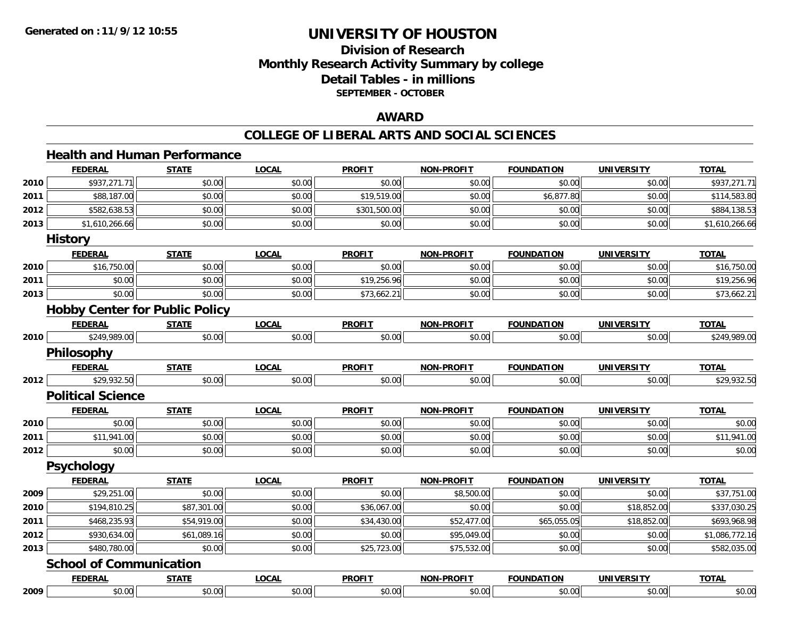## **Division of Research Monthly Research Activity Summary by college Detail Tables - in millions SEPTEMBER - OCTOBER**

### **AWARD**

#### **COLLEGE OF LIBERAL ARTS AND SOCIAL SCIENCES**

# **Health and Human Performance**

|      | <b>FEDERAL</b>                        | <b>STATE</b> | <b>LOCAL</b> | <b>PROFIT</b> | <b>NON-PROFIT</b> | <b>FOUNDATION</b> | <b>UNIVERSITY</b> | <b>TOTAL</b>   |
|------|---------------------------------------|--------------|--------------|---------------|-------------------|-------------------|-------------------|----------------|
| 2010 | \$937,271.71                          | \$0.00       | \$0.00       | \$0.00        | \$0.00            | \$0.00            | \$0.00            | \$937,271.71   |
| 2011 | \$88,187.00                           | \$0.00       | \$0.00       | \$19,519.00   | \$0.00            | \$6,877.80        | \$0.00            | \$114,583.80   |
| 2012 | \$582,638.53                          | \$0.00       | \$0.00       | \$301,500.00  | \$0.00            | \$0.00            | \$0.00            | \$884,138.53   |
| 2013 | \$1,610,266.66                        | \$0.00       | \$0.00       | \$0.00        | \$0.00            | \$0.00            | \$0.00            | \$1,610,266.66 |
|      | <b>History</b>                        |              |              |               |                   |                   |                   |                |
|      | <b>FEDERAL</b>                        | <b>STATE</b> | <b>LOCAL</b> | <b>PROFIT</b> | <b>NON-PROFIT</b> | <b>FOUNDATION</b> | <b>UNIVERSITY</b> | <b>TOTAL</b>   |
| 2010 | \$16,750.00                           | \$0.00       | \$0.00       | \$0.00        | \$0.00            | \$0.00            | \$0.00            | \$16,750.00    |
| 2011 | \$0.00                                | \$0.00       | \$0.00       | \$19,256.96   | \$0.00            | \$0.00            | \$0.00            | \$19,256.96    |
| 2013 | \$0.00                                | \$0.00       | \$0.00       | \$73,662.21   | \$0.00            | \$0.00            | \$0.00            | \$73,662.21    |
|      | <b>Hobby Center for Public Policy</b> |              |              |               |                   |                   |                   |                |
|      | <b>FEDERAL</b>                        | <b>STATE</b> | <b>LOCAL</b> | <b>PROFIT</b> | <b>NON-PROFIT</b> | <b>FOUNDATION</b> | <b>UNIVERSITY</b> | <b>TOTAL</b>   |
| 2010 | \$249,989.00                          | \$0.00       | \$0.00       | \$0.00        | \$0.00            | \$0.00            | \$0.00            | \$249,989.00   |
|      | Philosophy                            |              |              |               |                   |                   |                   |                |
|      | <b>FEDERAL</b>                        | <b>STATE</b> | <b>LOCAL</b> | <b>PROFIT</b> | <b>NON-PROFIT</b> | <b>FOUNDATION</b> | <b>UNIVERSITY</b> | <b>TOTAL</b>   |
| 2012 | \$29,932.50                           | \$0.00       | \$0.00       | \$0.00        | \$0.00            | \$0.00            | \$0.00            | \$29,932.50    |
|      | <b>Political Science</b>              |              |              |               |                   |                   |                   |                |
|      | <b>FEDERAL</b>                        | <b>STATE</b> | <b>LOCAL</b> | <b>PROFIT</b> | <b>NON-PROFIT</b> | <b>FOUNDATION</b> | <b>UNIVERSITY</b> | <b>TOTAL</b>   |
| 2010 | \$0.00                                | \$0.00       | \$0.00       | \$0.00        | \$0.00            | \$0.00            | \$0.00            | \$0.00         |
| 2011 | \$11,941.00                           | \$0.00       | \$0.00       | \$0.00        | \$0.00            | \$0.00            | \$0.00            | \$11,941.00    |
| 2012 | \$0.00                                | \$0.00       | \$0.00       | \$0.00        | \$0.00            | \$0.00            | \$0.00            | \$0.00         |
|      | <b>Psychology</b>                     |              |              |               |                   |                   |                   |                |
|      | <b>FEDERAL</b>                        | <b>STATE</b> | <b>LOCAL</b> | <b>PROFIT</b> | <b>NON-PROFIT</b> | <b>FOUNDATION</b> | <b>UNIVERSITY</b> | <b>TOTAL</b>   |
| 2009 | \$29,251.00                           | \$0.00       | \$0.00       | \$0.00        | \$8,500.00        | \$0.00            | \$0.00            | \$37,751.00    |
| 2010 | \$194,810.25                          | \$87,301.00  | \$0.00       | \$36,067.00   | \$0.00            | \$0.00            | \$18,852.00       | \$337,030.25   |
| 2011 | \$468,235.93                          | \$54,919.00  | \$0.00       | \$34,430.00   | \$52,477.00       | \$65,055.05       | \$18,852.00       | \$693,968.98   |
| 2012 | \$930,634.00                          | \$61,089.16  | \$0.00       | \$0.00        | \$95,049.00       | \$0.00            | \$0.00            | \$1,086,772.16 |
| 2013 | \$480,780.00                          | \$0.00       | \$0.00       | \$25,723.00   | \$75,532.00       | \$0.00            | \$0.00            | \$582,035.00   |
|      | <b>School of Communication</b>        |              |              |               |                   |                   |                   |                |
|      | <b>FEDERAL</b>                        | <b>STATE</b> | <b>LOCAL</b> | <b>PROFIT</b> | <b>NON-PROFIT</b> | <b>FOUNDATION</b> | <b>UNIVERSITY</b> | <b>TOTAL</b>   |
| 2009 | \$0.00                                | \$0.00       | \$0.00       | \$0.00        | \$0.00            | \$0.00            | \$0.00            | \$0.00         |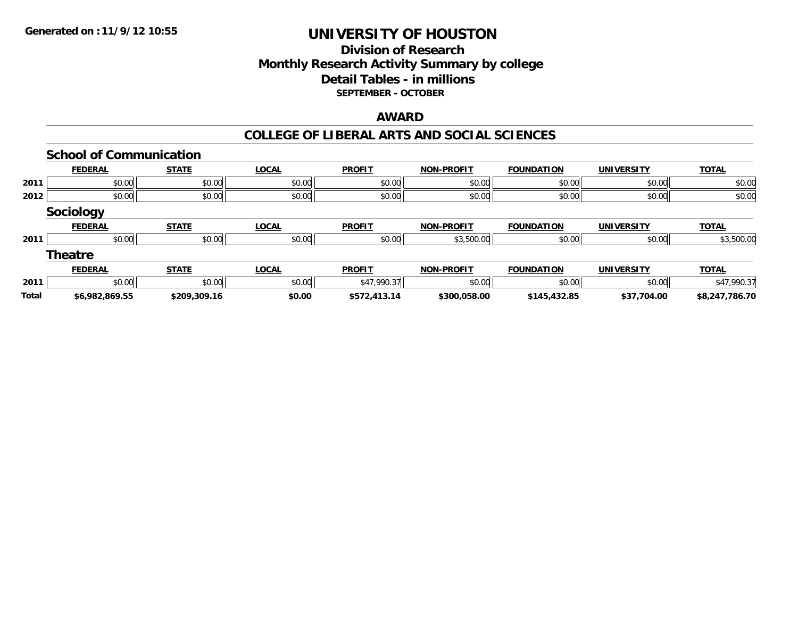## **Division of ResearchMonthly Research Activity Summary by college Detail Tables - in millions SEPTEMBER - OCTOBER**

## **AWARD**

### **COLLEGE OF LIBERAL ARTS AND SOCIAL SCIENCES**

|              | <b>School of Communication</b> |              |              |               |                   |                   |                   |                |
|--------------|--------------------------------|--------------|--------------|---------------|-------------------|-------------------|-------------------|----------------|
|              | <b>FEDERAL</b>                 | <b>STATE</b> | <b>LOCAL</b> | <b>PROFIT</b> | <b>NON-PROFIT</b> | <b>FOUNDATION</b> | UNIVERSITY        | <b>TOTAL</b>   |
| 2011         | \$0.00                         | \$0.00       | \$0.00       | \$0.00        | \$0.00            | \$0.00            | \$0.00            | \$0.00         |
| 2012         | \$0.00                         | \$0.00       | \$0.00       | \$0.00        | \$0.00            | \$0.00            | \$0.00            | \$0.00         |
|              | <b>Sociology</b>               |              |              |               |                   |                   |                   |                |
|              | <b>FEDERAL</b>                 | <b>STATE</b> | <b>LOCAL</b> | <b>PROFIT</b> | <b>NON-PROFIT</b> | <b>FOUNDATION</b> | <b>UNIVERSITY</b> | <b>TOTAL</b>   |
| 2011         | \$0.00                         | \$0.00       | \$0.00       | \$0.00        | \$3,500.00        | \$0.00            | \$0.00            | \$3,500.00     |
|              | <b>Theatre</b>                 |              |              |               |                   |                   |                   |                |
|              | <b>FEDERAL</b>                 | <b>STATE</b> | <b>LOCAL</b> | <b>PROFIT</b> | <b>NON-PROFIT</b> | <b>FOUNDATION</b> | UNIVERSITY        | <b>TOTAL</b>   |
| 2011         | \$0.00                         | \$0.00       | \$0.00       | \$47,990.37   | \$0.00            | \$0.00            | \$0.00            | \$47,990.37    |
| <b>Total</b> | \$6,982,869.55                 | \$209,309.16 | \$0.00       | \$572,413.14  | \$300,058.00      | \$145,432.85      | \$37,704.00       | \$8,247,786.70 |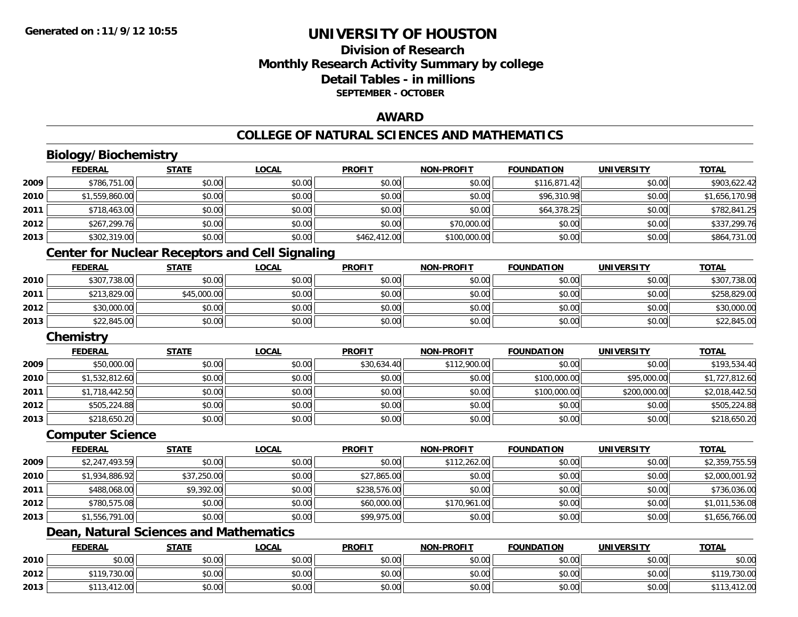# **Division of ResearchMonthly Research Activity Summary by college Detail Tables - in millions SEPTEMBER - OCTOBER**

## **AWARD**

### **COLLEGE OF NATURAL SCIENCES AND MATHEMATICS**

# **Biology/Biochemistry**

|      | <b>FEDERAL</b>                                         | <b>STATE</b> | <b>LOCAL</b> | <b>PROFIT</b> | <b>NON-PROFIT</b> | <b>FOUNDATION</b> | <b>UNIVERSITY</b> | <b>TOTAL</b>   |  |  |
|------|--------------------------------------------------------|--------------|--------------|---------------|-------------------|-------------------|-------------------|----------------|--|--|
| 2009 | \$786,751.00                                           | \$0.00       | \$0.00       | \$0.00        | \$0.00            | \$116,871.42      | \$0.00            | \$903,622.42   |  |  |
| 2010 | \$1,559,860.00                                         | \$0.00       | \$0.00       | \$0.00        | \$0.00            | \$96,310.98       | \$0.00            | \$1,656,170.98 |  |  |
| 2011 | \$718,463.00                                           | \$0.00       | \$0.00       | \$0.00        | \$0.00            | \$64,378.25       | \$0.00            | \$782,841.25   |  |  |
| 2012 | \$267,299.76                                           | \$0.00       | \$0.00       | \$0.00        | \$70,000.00       | \$0.00            | \$0.00            | \$337,299.76   |  |  |
| 2013 | \$302,319.00                                           | \$0.00       | \$0.00       | \$462,412.00  | \$100,000.00      | \$0.00            | \$0.00            | \$864,731.00   |  |  |
|      | <b>Center for Nuclear Receptors and Cell Signaling</b> |              |              |               |                   |                   |                   |                |  |  |
|      | <b>FEDERAL</b>                                         | <b>STATE</b> | <b>LOCAL</b> | <b>PROFIT</b> | <b>NON-PROFIT</b> | <b>FOUNDATION</b> | <b>UNIVERSITY</b> | <b>TOTAL</b>   |  |  |
| 2010 | \$307,738.00                                           | \$0.00       | \$0.00       | \$0.00        | \$0.00            | \$0.00            | \$0.00            | \$307,738.00   |  |  |
| 2011 | \$213,829.00                                           | \$45,000.00  | \$0.00       | \$0.00        | \$0.00            | \$0.00            | \$0.00            | \$258,829.00   |  |  |
| 2012 | \$30,000.00                                            | \$0.00       | \$0.00       | \$0.00        | \$0.00            | \$0.00            | \$0.00            | \$30,000.00    |  |  |
| 2013 | \$22,845.00                                            | \$0.00       | \$0.00       | \$0.00        | \$0.00            | \$0.00            | \$0.00            | \$22,845.00    |  |  |
|      | Chemistry                                              |              |              |               |                   |                   |                   |                |  |  |
|      | <b>FEDERAL</b>                                         | <b>STATE</b> | <b>LOCAL</b> | <b>PROFIT</b> | <b>NON-PROFIT</b> | <b>FOUNDATION</b> | <b>UNIVERSITY</b> | <b>TOTAL</b>   |  |  |
| 2009 | \$50,000.00                                            | \$0.00       | \$0.00       | \$30,634.40   | \$112,900.00      | \$0.00            | \$0.00            | \$193,534.40   |  |  |
| 2010 | \$1,532,812.60                                         | \$0.00       | \$0.00       | \$0.00        | \$0.00            | \$100,000.00      | \$95,000.00       | \$1,727,812.60 |  |  |
| 2011 | \$1,718,442.50                                         | \$0.00       | \$0.00       | \$0.00        | \$0.00            | \$100,000.00      | \$200,000.00      | \$2,018,442.50 |  |  |
| 2012 | \$505,224.88                                           | \$0.00       | \$0.00       | \$0.00        | \$0.00            | \$0.00            | \$0.00            | \$505,224.88   |  |  |
| 2013 | \$218,650.20                                           | \$0.00       | \$0.00       | \$0.00        | \$0.00            | \$0.00            | \$0.00            | \$218,650.20   |  |  |
|      | <b>Computer Science</b>                                |              |              |               |                   |                   |                   |                |  |  |

|      | <b>FEDERAL</b> | STATE       | <u>LOCAL</u> | <b>PROFIT</b> | <b>NON-PROFIT</b> | <b>FOUNDATION</b> | <b>UNIVERSITY</b> | <b>TOTAL</b>   |
|------|----------------|-------------|--------------|---------------|-------------------|-------------------|-------------------|----------------|
| 2009 | \$2,247,493.59 | \$0.00      | \$0.00       | \$0.00        | \$112,262.00      | \$0.00            | \$0.00            | \$2,359,755.59 |
| 2010 | \$1,934,886.92 | \$37,250.00 | \$0.00       | \$27,865.00   | \$0.00            | \$0.00            | \$0.00            | \$2,000,001.92 |
| 2011 | \$488,068.00   | \$9,392.00  | \$0.00       | \$238,576.00  | \$0.00            | \$0.00            | \$0.00            | \$736,036.00   |
| 2012 | \$780,575.08   | \$0.00      | \$0.00       | \$60,000.00   | \$170,961.00      | \$0.00            | \$0.00            | \$1,011,536.08 |
| 2013 | \$1,556,791.00 | \$0.00      | \$0.00       | \$99,975.00   | \$0.00            | \$0.00            | \$0.00            | \$1,656,766.00 |

# **Dean, Natural Sciences and Mathematics**

|      | <b>FEDERAL</b>       | <b>STATE</b> | <u>LOCAL</u> | <b>PROFIT</b> | <b>NON-PROFIT</b> | <b>FOUNDATION</b> | <b>UNIVERSITY</b> | <b>TOTAL</b>      |
|------|----------------------|--------------|--------------|---------------|-------------------|-------------------|-------------------|-------------------|
| 2010 | ደስ ሰሰ<br>JU.UU       | \$0.00       | \$0.00       | \$0.00        | \$0.00            | \$0.00            | \$0.00            | \$0.00            |
| 2012 | \$119,730.00         | \$0.00       | \$0.00       | \$0.00        | \$0.00            | \$0.00            | \$0.00            | ,730.00<br>\$119. |
| 2013 | 13,412.00<br>ሐ 4 4 9 | \$0.00       | \$0.00       | \$0.00        | \$0.00            | \$0.00            | \$0.00            | 412.00<br>\$113   |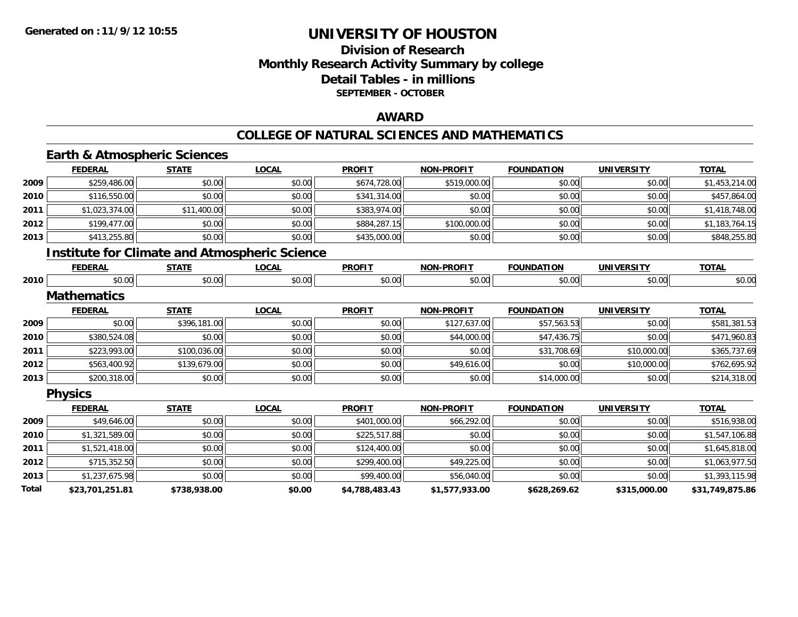## **Division of Research Monthly Research Activity Summary by college Detail Tables - in millions SEPTEMBER - OCTOBER**

### **AWARD**

### **COLLEGE OF NATURAL SCIENCES AND MATHEMATICS**

# **Earth & Atmospheric Sciences**

|       | <b>FEDERAL</b>     | <b>STATE</b> | <b>LOCAL</b>                                         | <b>PROFIT</b>  | <b>NON-PROFIT</b> | <b>FOUNDATION</b> | <b>UNIVERSITY</b> | <b>TOTAL</b>    |
|-------|--------------------|--------------|------------------------------------------------------|----------------|-------------------|-------------------|-------------------|-----------------|
| 2009  | \$259,486.00       | \$0.00       | \$0.00                                               | \$674,728.00   | \$519,000.00      | \$0.00            | \$0.00            | \$1,453,214.00  |
| 2010  | \$116,550.00       | \$0.00       | \$0.00                                               | \$341,314.00   | \$0.00            | \$0.00            | \$0.00            | \$457,864.00    |
| 2011  | \$1,023,374.00     | \$11,400.00  | \$0.00                                               | \$383,974.00   | \$0.00            | \$0.00            | \$0.00            | \$1,418,748.00  |
| 2012  | \$199,477.00       | \$0.00       | \$0.00                                               | \$884,287.15   | \$100,000.00      | \$0.00            | \$0.00            | \$1,183,764.15  |
| 2013  | \$413,255.80       | \$0.00       | \$0.00                                               | \$435,000.00   | \$0.00            | \$0.00            | \$0.00            | \$848,255.80    |
|       |                    |              | <b>Institute for Climate and Atmospheric Science</b> |                |                   |                   |                   |                 |
|       | <b>FEDERAL</b>     | <b>STATE</b> | <b>LOCAL</b>                                         | <b>PROFIT</b>  | <b>NON-PROFIT</b> | <b>FOUNDATION</b> | <b>UNIVERSITY</b> | <b>TOTAL</b>    |
| 2010  | \$0.00             | \$0.00       | \$0.00                                               | \$0.00         | \$0.00            | \$0.00            | \$0.00            | \$0.00          |
|       | <b>Mathematics</b> |              |                                                      |                |                   |                   |                   |                 |
|       | <b>FEDERAL</b>     | <b>STATE</b> | <b>LOCAL</b>                                         | <b>PROFIT</b>  | <b>NON-PROFIT</b> | <b>FOUNDATION</b> | <b>UNIVERSITY</b> | <b>TOTAL</b>    |
| 2009  | \$0.00             | \$396,181.00 | \$0.00                                               | \$0.00         | \$127,637.00      | \$57,563.53       | \$0.00            | \$581,381.53    |
| 2010  | \$380,524.08       | \$0.00       | \$0.00                                               | \$0.00         | \$44,000.00       | \$47,436.75       | \$0.00            | \$471,960.83    |
| 2011  | \$223,993.00       | \$100,036.00 | \$0.00                                               | \$0.00         | \$0.00            | \$31,708.69       | \$10,000.00       | \$365,737.69    |
| 2012  | \$563,400.92       | \$139,679.00 | \$0.00                                               | \$0.00         | \$49,616.00       | \$0.00            | \$10,000.00       | \$762,695.92    |
| 2013  | \$200,318.00       | \$0.00       | \$0.00                                               | \$0.00         | \$0.00            | \$14,000.00       | \$0.00            | \$214,318.00    |
|       | <b>Physics</b>     |              |                                                      |                |                   |                   |                   |                 |
|       | <b>FEDERAL</b>     | <b>STATE</b> | <b>LOCAL</b>                                         | <b>PROFIT</b>  | <b>NON-PROFIT</b> | <b>FOUNDATION</b> | <b>UNIVERSITY</b> | <b>TOTAL</b>    |
| 2009  | \$49,646.00        | \$0.00       | \$0.00                                               | \$401,000.00   | \$66,292.00       | \$0.00            | \$0.00            | \$516,938.00    |
| 2010  | \$1,321,589.00     | \$0.00       | \$0.00                                               | \$225,517.88   | \$0.00            | \$0.00            | \$0.00            | \$1,547,106.88  |
| 2011  | \$1,521,418.00     | \$0.00       | \$0.00                                               | \$124,400.00   | \$0.00            | \$0.00            | \$0.00            | \$1,645,818.00  |
| 2012  | \$715,352.50       | \$0.00       | \$0.00                                               | \$299,400.00   | \$49,225.00       | \$0.00            | \$0.00            | \$1,063,977.50  |
| 2013  | \$1,237,675.98     | \$0.00       | \$0.00                                               | \$99,400.00    | \$56,040.00       | \$0.00            | \$0.00            | \$1,393,115.98  |
| Total | \$23,701,251.81    | \$738,938.00 | \$0.00                                               | \$4,788,483.43 | \$1,577,933.00    | \$628,269.62      | \$315,000.00      | \$31,749,875.86 |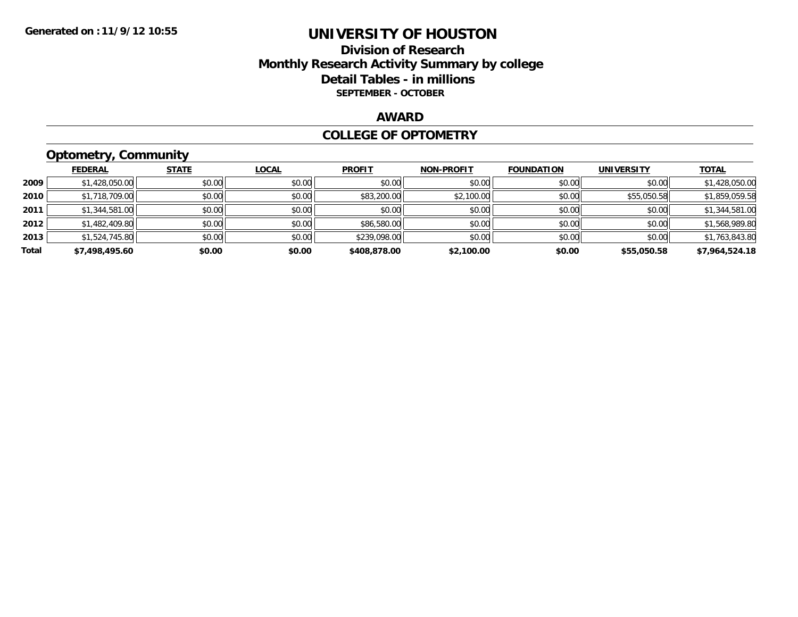## **Division of Research Monthly Research Activity Summary by college Detail Tables - in millions SEPTEMBER - OCTOBER**

## **AWARD**

### **COLLEGE OF OPTOMETRY**

# **Optometry, Community**

|       | ___            |              |              |               |                   |                   |                   |                |
|-------|----------------|--------------|--------------|---------------|-------------------|-------------------|-------------------|----------------|
|       | <b>FEDERAL</b> | <b>STATE</b> | <b>LOCAL</b> | <b>PROFIT</b> | <b>NON-PROFIT</b> | <b>FOUNDATION</b> | <b>UNIVERSITY</b> | <b>TOTAL</b>   |
| 2009  | \$1,428,050.00 | \$0.00       | \$0.00       | \$0.00        | \$0.00            | \$0.00            | \$0.00            | \$1,428,050.00 |
| 2010  | \$1,718,709.00 | \$0.00       | \$0.00       | \$83,200.00   | \$2,100.00        | \$0.00            | \$55,050.58       | \$1,859,059.58 |
| 2011  | \$1,344,581.00 | \$0.00       | \$0.00       | \$0.00        | \$0.00            | \$0.00            | \$0.00            | \$1,344,581.00 |
| 2012  | \$1,482,409.80 | \$0.00       | \$0.00       | \$86,580.00   | \$0.00            | \$0.00            | \$0.00            | \$1,568,989.80 |
| 2013  | \$1,524,745.80 | \$0.00       | \$0.00       | \$239,098.00  | \$0.00            | \$0.00            | \$0.00            | \$1,763,843.80 |
| Total | \$7,498,495.60 | \$0.00       | \$0.00       | \$408,878.00  | \$2,100.00        | \$0.00            | \$55,050.58       | \$7,964,524.18 |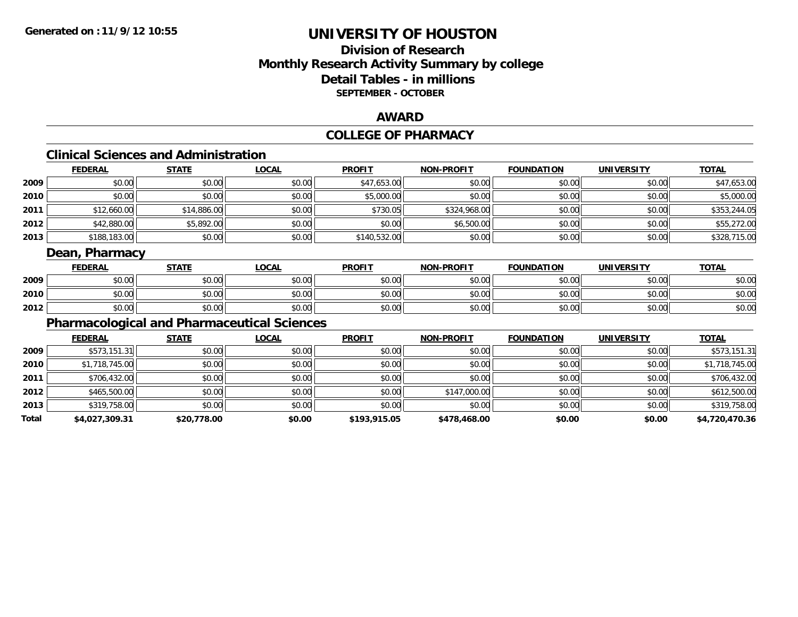## **Division of ResearchMonthly Research Activity Summary by college Detail Tables - in millions SEPTEMBER - OCTOBER**

### **AWARD**

# **COLLEGE OF PHARMACY**

# **Clinical Sciences and Administration**

|      | <b>FEDERAL</b> | <b>STATE</b> | <b>LOCAL</b> | <b>PROFIT</b> | <b>NON-PROFIT</b> | FOUNDATION | <b>UNIVERSITY</b> | <b>TOTAL</b> |
|------|----------------|--------------|--------------|---------------|-------------------|------------|-------------------|--------------|
| 2009 | \$0.00         | \$0.00       | \$0.00       | \$47,653.00   | \$0.00            | \$0.00     | \$0.00            | \$47,653.00  |
| 2010 | \$0.00         | \$0.00       | \$0.00       | \$5,000.00    | \$0.00            | \$0.00     | \$0.00            | \$5,000.00   |
| 2011 | \$12,660.00    | \$14,886.00  | \$0.00       | \$730.05      | \$324,968.00      | \$0.00     | \$0.00            | \$353,244.05 |
| 2012 | \$42,880.00    | \$5,892.00   | \$0.00       | \$0.00        | \$6,500.00        | \$0.00     | \$0.00            | \$55,272.00  |
| 2013 | \$188,183.00   | \$0.00       | \$0.00       | \$140,532.00  | \$0.00            | \$0.00     | \$0.00            | \$328,715.00 |

## **Dean, Pharmacy**

|      | <b>FEDERAL</b> | <b>STATE</b> | <u>_OCAL</u> | <b>PROFIT</b> | <b>NON-PROFIT</b> | <b>FOUNDATION</b> | <b>UNIVERSITY</b> | <b>TOTAL</b> |
|------|----------------|--------------|--------------|---------------|-------------------|-------------------|-------------------|--------------|
| 2009 | \$0.00         | \$0.00       | \$0.00       | \$0.00        | \$0.00            | \$0.00            | \$0.00            | \$0.00       |
| 2010 | \$0.00         | \$0.00       | \$0.00       | \$0.00        | \$0.00            | \$0.00            | \$0.00            | \$0.00       |
| 2012 | \$0.00         | \$0.00       | \$0.00       | \$0.00        | \$0.00            | \$0.00            | \$0.00            | \$0.00       |

# **Pharmacological and Pharmaceutical Sciences**

|       | <b>FEDERAL</b> | <b>STATE</b> | <b>LOCAL</b> | <b>PROFIT</b> | <b>NON-PROFIT</b> | <b>FOUNDATION</b> | <b>UNIVERSITY</b> | <b>TOTAL</b>   |
|-------|----------------|--------------|--------------|---------------|-------------------|-------------------|-------------------|----------------|
| 2009  | \$573,151.31   | \$0.00       | \$0.00       | \$0.00        | \$0.00            | \$0.00            | \$0.00            | \$573,151.31   |
| 2010  | \$1,718,745.00 | \$0.00       | \$0.00       | \$0.00        | \$0.00            | \$0.00            | \$0.00            | \$1,718,745.00 |
| 2011  | \$706,432.00   | \$0.00       | \$0.00       | \$0.00        | \$0.00            | \$0.00            | \$0.00            | \$706,432.00   |
| 2012  | \$465,500.00   | \$0.00       | \$0.00       | \$0.00        | \$147,000.00      | \$0.00            | \$0.00            | \$612,500.00   |
| 2013  | \$319,758.00   | \$0.00       | \$0.00       | \$0.00        | \$0.00            | \$0.00            | \$0.00            | \$319,758.00   |
| Total | \$4,027,309.31 | \$20,778.00  | \$0.00       | \$193,915.05  | \$478,468.00      | \$0.00            | \$0.00            | \$4,720,470.36 |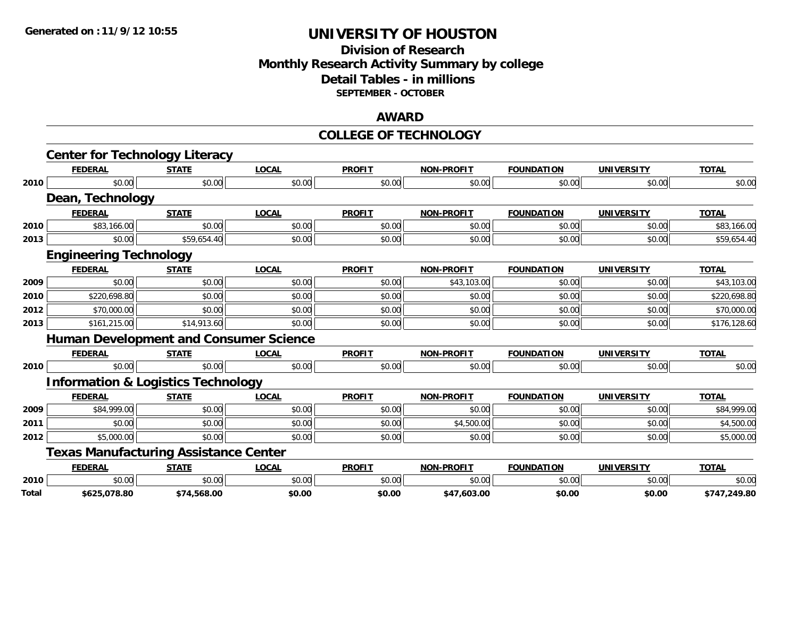#### **Division of Research Monthly Research Activity Summary by college Detail Tables - in millions SEPTEMBER - OCTOBER**

#### **AWARD**

#### **COLLEGE OF TECHNOLOGY**

|       | <b>Center for Technology Literacy</b>         |              |              |               |                   |                   |                   |              |
|-------|-----------------------------------------------|--------------|--------------|---------------|-------------------|-------------------|-------------------|--------------|
|       | <b>FEDERAL</b>                                | <b>STATE</b> | <b>LOCAL</b> | <b>PROFIT</b> | <b>NON-PROFIT</b> | <b>FOUNDATION</b> | <b>UNIVERSITY</b> | <b>TOTAL</b> |
| 2010  | \$0.00                                        | \$0.00       | \$0.00       | \$0.00        | \$0.00            | \$0.00            | \$0.00            | \$0.00       |
|       | Dean, Technology                              |              |              |               |                   |                   |                   |              |
|       | <b>FEDERAL</b>                                | <b>STATE</b> | <b>LOCAL</b> | <b>PROFIT</b> | <b>NON-PROFIT</b> | <b>FOUNDATION</b> | <b>UNIVERSITY</b> | <b>TOTAL</b> |
| 2010  | \$83,166.00                                   | \$0.00       | \$0.00       | \$0.00        | \$0.00            | \$0.00            | \$0.00            | \$83,166.00  |
| 2013  | \$0.00                                        | \$59,654.40  | \$0.00       | \$0.00        | \$0.00            | \$0.00            | \$0.00            | \$59,654.40  |
|       | <b>Engineering Technology</b>                 |              |              |               |                   |                   |                   |              |
|       | <b>FEDERAL</b>                                | <b>STATE</b> | <b>LOCAL</b> | <b>PROFIT</b> | <b>NON-PROFIT</b> | <b>FOUNDATION</b> | <b>UNIVERSITY</b> | <b>TOTAL</b> |
| 2009  | \$0.00                                        | \$0.00       | \$0.00       | \$0.00        | \$43,103.00       | \$0.00            | \$0.00            | \$43,103.00  |
| 2010  | \$220,698.80                                  | \$0.00       | \$0.00       | \$0.00        | \$0.00            | \$0.00            | \$0.00            | \$220,698.80 |
| 2012  | \$70,000.00                                   | \$0.00       | \$0.00       | \$0.00        | \$0.00            | \$0.00            | \$0.00            | \$70,000.00  |
| 2013  | \$161,215.00                                  | \$14,913.60  | \$0.00       | \$0.00        | \$0.00            | \$0.00            | \$0.00            | \$176,128.60 |
|       | <b>Human Development and Consumer Science</b> |              |              |               |                   |                   |                   |              |
|       | <b>FEDERAL</b>                                | <b>STATE</b> | <b>LOCAL</b> | <b>PROFIT</b> | <b>NON-PROFIT</b> | <b>FOUNDATION</b> | <b>UNIVERSITY</b> | <b>TOTAL</b> |
| 2010  | \$0.00                                        | \$0.00       | \$0.00       | \$0.00        | \$0.00            | \$0.00            | \$0.00            | \$0.00       |
|       | <b>Information &amp; Logistics Technology</b> |              |              |               |                   |                   |                   |              |
|       | <b>FEDERAL</b>                                | <b>STATE</b> | <b>LOCAL</b> | <b>PROFIT</b> | <b>NON-PROFIT</b> | <b>FOUNDATION</b> | <b>UNIVERSITY</b> | <b>TOTAL</b> |
| 2009  | \$84,999.00                                   | \$0.00       | \$0.00       | \$0.00        | \$0.00            | \$0.00            | \$0.00            | \$84,999.00  |
| 2011  | \$0.00                                        | \$0.00       | \$0.00       | \$0.00        | \$4,500.00        | \$0.00            | \$0.00            | \$4,500.00   |
| 2012  | \$5,000.00                                    | \$0.00       | \$0.00       | \$0.00        | \$0.00            | \$0.00            | \$0.00            | \$5,000.00   |
|       | <b>Texas Manufacturing Assistance Center</b>  |              |              |               |                   |                   |                   |              |
|       | <b>FEDERAL</b>                                | <b>STATE</b> | <b>LOCAL</b> | <b>PROFIT</b> | <b>NON-PROFIT</b> | <b>FOUNDATION</b> | <b>UNIVERSITY</b> | <b>TOTAL</b> |
| 2010  | \$0.00                                        | \$0.00       | \$0.00       | \$0.00        | \$0.00            | \$0.00            | \$0.00            | \$0.00       |
| Total | \$625,078.80                                  | \$74,568.00  | \$0.00       | \$0.00        | \$47,603.00       | \$0.00            | \$0.00            | \$747,249.80 |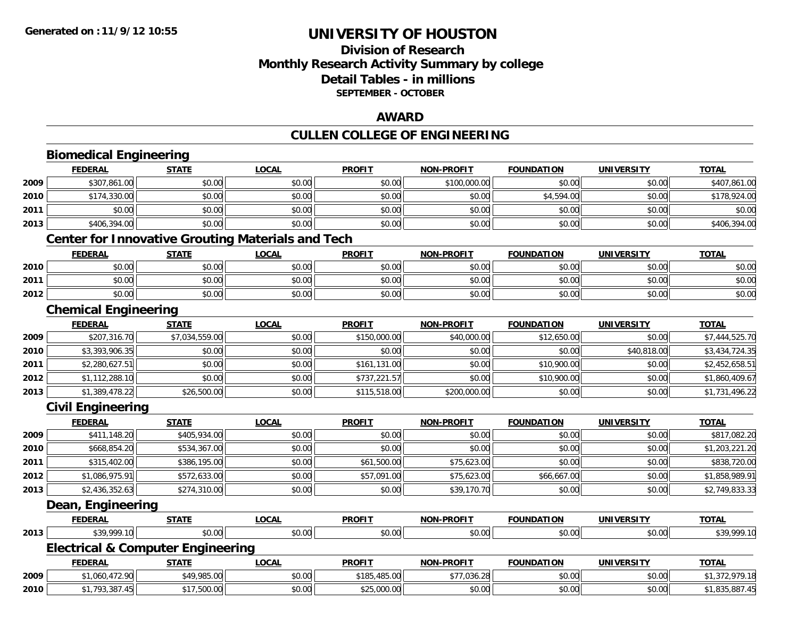### **Division of ResearchMonthly Research Activity Summary by college Detail Tables - in millions SEPTEMBER - OCTOBER**

#### **AWARD**

## **CULLEN COLLEGE OF ENGINEERING**

|      | <b>Biomedical Engineering</b>                            |                |              |               |                   |                   |                   |                |  |  |
|------|----------------------------------------------------------|----------------|--------------|---------------|-------------------|-------------------|-------------------|----------------|--|--|
|      | <b>FEDERAL</b>                                           | <b>STATE</b>   | <b>LOCAL</b> | <b>PROFIT</b> | <b>NON-PROFIT</b> | <b>FOUNDATION</b> | <b>UNIVERSITY</b> | <b>TOTAL</b>   |  |  |
| 2009 | \$307,861.00                                             | \$0.00         | \$0.00       | \$0.00        | \$100,000.00      | \$0.00            | \$0.00            | \$407,861.00   |  |  |
| 2010 | \$174,330.00                                             | \$0.00         | \$0.00       | \$0.00        | \$0.00            | \$4,594.00        | \$0.00            | \$178,924.00   |  |  |
| 2011 | \$0.00                                                   | \$0.00         | \$0.00       | \$0.00        | \$0.00            | \$0.00            | \$0.00            | \$0.00         |  |  |
| 2013 | \$406,394.00                                             | \$0.00         | \$0.00       | \$0.00        | \$0.00            | \$0.00            | \$0.00            | \$406,394.00   |  |  |
|      | <b>Center for Innovative Grouting Materials and Tech</b> |                |              |               |                   |                   |                   |                |  |  |
|      | <b>FEDERAL</b>                                           | <b>STATE</b>   | <b>LOCAL</b> | <b>PROFIT</b> | <b>NON-PROFIT</b> | <b>FOUNDATION</b> | <b>UNIVERSITY</b> | <b>TOTAL</b>   |  |  |
| 2010 | \$0.00                                                   | \$0.00         | \$0.00       | \$0.00        | \$0.00            | \$0.00            | \$0.00            | \$0.00         |  |  |
| 2011 | \$0.00                                                   | \$0.00         | \$0.00       | \$0.00        | \$0.00            | \$0.00            | \$0.00            | \$0.00         |  |  |
| 2012 | \$0.00                                                   | \$0.00         | \$0.00       | \$0.00        | \$0.00            | \$0.00            | \$0.00            | \$0.00         |  |  |
|      | <b>Chemical Engineering</b>                              |                |              |               |                   |                   |                   |                |  |  |
|      | <b>FEDERAL</b>                                           | <b>STATE</b>   | <b>LOCAL</b> | <b>PROFIT</b> | <b>NON-PROFIT</b> | <b>FOUNDATION</b> | <b>UNIVERSITY</b> | <b>TOTAL</b>   |  |  |
| 2009 | \$207,316.70                                             | \$7,034,559.00 | \$0.00       | \$150,000.00  | \$40,000.00       | \$12,650.00       | \$0.00            | \$7,444,525.70 |  |  |
| 2010 | \$3,393,906.35                                           | \$0.00         | \$0.00       | \$0.00        | \$0.00            | \$0.00            | \$40,818.00       | \$3,434,724.35 |  |  |
| 2011 | \$2,280,627.51                                           | \$0.00         | \$0.00       | \$161,131.00  | \$0.00            | \$10,900.00       | \$0.00            | \$2,452,658.51 |  |  |
| 2012 | \$1,112,288.10                                           | \$0.00         | \$0.00       | \$737,221.57  | \$0.00            | \$10,900.00       | \$0.00            | \$1,860,409.67 |  |  |
| 2013 | \$1,389,478.22                                           | \$26,500.00    | \$0.00       | \$115,518.00  | \$200,000.00      | \$0.00            | \$0.00            | \$1,731,496.22 |  |  |
|      | <b>Civil Engineering</b>                                 |                |              |               |                   |                   |                   |                |  |  |
|      | <b>FEDERAL</b>                                           | <b>STATE</b>   | <b>LOCAL</b> | <b>PROFIT</b> | <b>NON-PROFIT</b> | <b>FOUNDATION</b> | <b>UNIVERSITY</b> | <b>TOTAL</b>   |  |  |
| 2009 | \$411,148.20                                             | \$405,934.00   | \$0.00       | \$0.00        | \$0.00            | \$0.00            | \$0.00            | \$817,082.20   |  |  |
| 2010 | \$668,854.20                                             | \$534,367.00   | \$0.00       | \$0.00        | \$0.00            | \$0.00            | \$0.00            | \$1,203,221.20 |  |  |
| 2011 | \$315,402.00                                             | \$386,195.00   | \$0.00       | \$61,500.00   | \$75,623.00       | \$0.00            | \$0.00            | \$838,720.00   |  |  |
| 2012 | \$1,086,975.91                                           | \$572,633.00   | \$0.00       | \$57,091.00   | \$75,623.00       | \$66,667.00       | \$0.00            | \$1,858,989.91 |  |  |
| 2013 | \$2,436,352.63                                           | \$274,310.00   | \$0.00       | \$0.00        | \$39,170.70       | \$0.00            | \$0.00            | \$2,749,833.33 |  |  |
|      | Dean, Engineering                                        |                |              |               |                   |                   |                   |                |  |  |
|      | <b>FEDERAL</b>                                           | <b>STATE</b>   | <b>LOCAL</b> | <b>PROFIT</b> | <b>NON-PROFIT</b> | <b>FOUNDATION</b> | <b>UNIVERSITY</b> | <b>TOTAL</b>   |  |  |
| 2013 | \$39,999.10                                              | \$0.00         | \$0.00       | \$0.00        | \$0.00            | \$0.00            | \$0.00            | \$39,999.10    |  |  |
|      | <b>Electrical &amp; Computer Engineering</b>             |                |              |               |                   |                   |                   |                |  |  |
|      | <b>FEDERAL</b>                                           | <b>STATE</b>   | <b>LOCAL</b> | <b>PROFIT</b> | <b>NON-PROFIT</b> | <b>FOUNDATION</b> | <b>UNIVERSITY</b> | <b>TOTAL</b>   |  |  |
| 2009 | \$1,060,472.90                                           | \$49,985.00    | \$0.00       | \$185,485.00  | \$77,036.28       | \$0.00            | \$0.00            | \$1,372,979.18 |  |  |
| 2010 | \$1,793,387.45                                           | \$17,500.00    | \$0.00       | \$25,000.00   | \$0.00            | \$0.00            | \$0.00            | \$1,835,887.45 |  |  |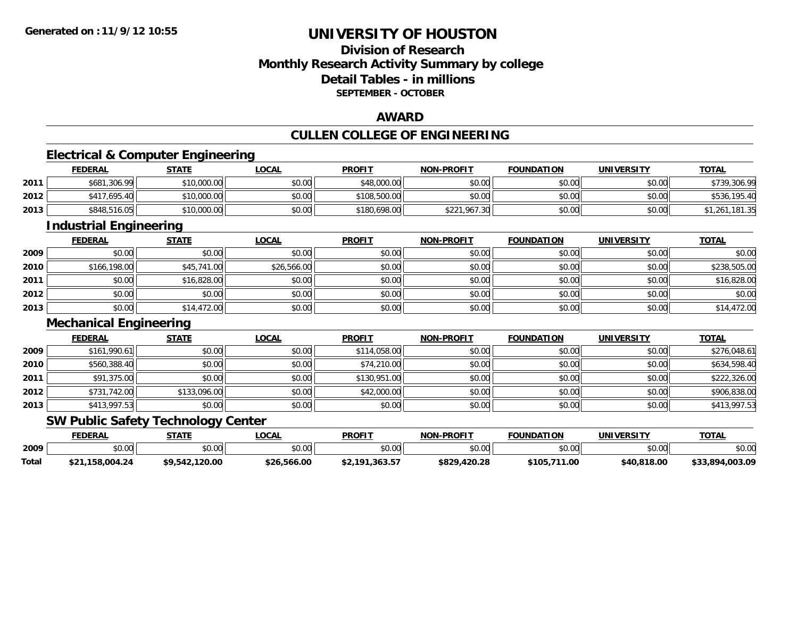### **Division of ResearchMonthly Research Activity Summary by college Detail Tables - in millionsSEPTEMBER - OCTOBER**

#### **AWARD**

### **CULLEN COLLEGE OF ENGINEERING**

<u> 1989 - Johann Stoff, deutscher Stoff, der Stoff, der Stoff, der Stoff, der Stoff, der Stoff, der Stoff, der S</u>

### **Electrical & Computer Engineering**

|      | <b>FEDERAL</b> | <b>STATE</b> | <u>LOCAL</u> | <b>PROFIT</b> | <b>NON-PROFIT</b> | <b>FOUNDATION</b> | <b>UNIVERSITY</b> | <b>TOTAL</b>   |
|------|----------------|--------------|--------------|---------------|-------------------|-------------------|-------------------|----------------|
| 2011 | \$681,306.99   | \$10,000.00  | \$0.00       | \$48,000.00   | \$0.00            | \$0.00            | \$0.00            | \$739,306.99   |
| 2012 | \$417,695.40   | \$10,000.00  | \$0.00       | \$108,500,00  | \$0.00            | \$0.00            | \$0.00            | \$536,195.40   |
| 2013 | \$848,516.05   | \$10,000.00  | \$0.00       | \$180,698.00  | \$221,967.30      | \$0.00            | \$0.00            | \$1,261,181.35 |

<u> 1989 - Johann Stoff, deutscher Stoffen und der Stoffen und der Stoffen und der Stoffen und der Stoffen und der</u>

### **Industrial Engineering**

|      | <b>FEDERAL</b> | <b>STATE</b> | <b>LOCAL</b> | <b>PROFIT</b> | <b>NON-PROFIT</b> | <b>FOUNDATION</b> | <b>UNIVERSITY</b> | <b>TOTAL</b> |
|------|----------------|--------------|--------------|---------------|-------------------|-------------------|-------------------|--------------|
| 2009 | \$0.00         | \$0.00       | \$0.00       | \$0.00        | \$0.00            | \$0.00            | \$0.00            | \$0.00       |
| 2010 | \$166,198.00   | \$45,741.00  | \$26,566.00  | \$0.00        | \$0.00            | \$0.00            | \$0.00            | \$238,505.00 |
| 2011 | \$0.00         | \$16,828.00  | \$0.00       | \$0.00        | \$0.00            | \$0.00            | \$0.00            | \$16,828.00  |
| 2012 | \$0.00         | \$0.00       | \$0.00       | \$0.00        | \$0.00            | \$0.00            | \$0.00            | \$0.00       |
| 2013 | \$0.00         | \$14,472.00  | \$0.00       | \$0.00        | \$0.00            | \$0.00            | \$0.00            | \$14,472.00  |

#### **Mechanical Engineering**

|      | <b>FEDERAL</b> | <b>STATE</b> | <u>LOCAL</u> | <b>PROFIT</b> | <b>NON-PROFIT</b> | <b>FOUNDATION</b> | <b>UNIVERSITY</b> | <b>TOTAL</b> |
|------|----------------|--------------|--------------|---------------|-------------------|-------------------|-------------------|--------------|
| 2009 | \$161,990.61   | \$0.00       | \$0.00       | \$114,058,00  | \$0.00            | \$0.00            | \$0.00            | \$276,048.61 |
| 2010 | \$560,388.40   | \$0.00       | \$0.00       | \$74,210.00   | \$0.00            | \$0.00            | \$0.00            | \$634,598.40 |
| 2011 | \$91,375.00    | \$0.00       | \$0.00       | \$130,951.00  | \$0.00            | \$0.00            | \$0.00            | \$222,326.00 |
| 2012 | \$731,742.00   | \$133,096.00 | \$0.00       | \$42,000.00   | \$0.00            | \$0.00            | \$0.00            | \$906,838.00 |
| 2013 | \$413,997.53   | \$0.00       | \$0.00       | \$0.00        | \$0.00            | \$0.00            | \$0.00            | \$413,997.53 |

#### **SW Public Safety Technology Center**

|       | <b>FEDERAL</b>    | STATE          | _OCAL       | <b>PROFIT</b>      | <b>NON-PROFIT</b> | <b>FOUNDATION</b> | UNIVERSITY  | <b>TOTAL</b>    |
|-------|-------------------|----------------|-------------|--------------------|-------------------|-------------------|-------------|-----------------|
| 2009  | $\sim$<br>pv.uu   | \$0.00         | \$0.00      | \$0.00             | 0000<br>JU.UU     | \$0.00            | \$0.00      | \$0.00          |
| Total | 158.004.24<br>،21 | \$9.542.120.00 | \$26,566.00 | ,363.57<br>\$2.191 | \$829,420.28      | \$105<br>1.00     | \$40,818,00 | \$33,894,003.09 |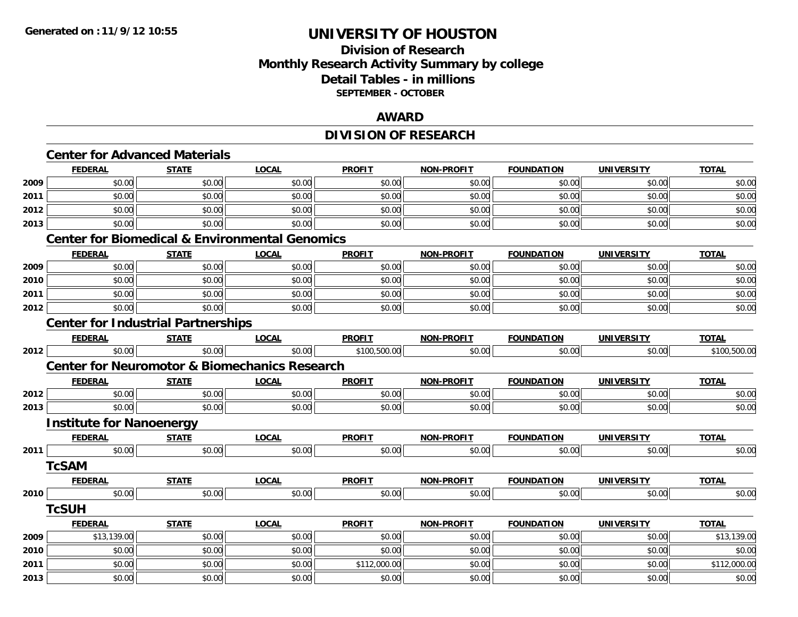### **Division of ResearchMonthly Research Activity Summary by college Detail Tables - in millions SEPTEMBER - OCTOBER**

#### **AWARD**

### **DIVISION OF RESEARCH**

|      | <b>Center for Advanced Materials</b>      |              |                                                           |               |                   |                   |                   |              |
|------|-------------------------------------------|--------------|-----------------------------------------------------------|---------------|-------------------|-------------------|-------------------|--------------|
|      | <b>FEDERAL</b>                            | <b>STATE</b> | <b>LOCAL</b>                                              | <b>PROFIT</b> | <b>NON-PROFIT</b> | <b>FOUNDATION</b> | <b>UNIVERSITY</b> | <b>TOTAL</b> |
| 2009 | \$0.00                                    | \$0.00       | \$0.00                                                    | \$0.00        | \$0.00            | \$0.00            | \$0.00            | \$0.00       |
| 2011 | \$0.00                                    | \$0.00       | \$0.00                                                    | \$0.00        | \$0.00            | \$0.00            | \$0.00            | \$0.00       |
| 2012 | \$0.00                                    | \$0.00       | \$0.00                                                    | \$0.00        | \$0.00            | \$0.00            | \$0.00            | \$0.00       |
| 2013 | \$0.00                                    | \$0.00       | \$0.00                                                    | \$0.00        | \$0.00            | \$0.00            | \$0.00            | \$0.00       |
|      |                                           |              | <b>Center for Biomedical &amp; Environmental Genomics</b> |               |                   |                   |                   |              |
|      | <b>FEDERAL</b>                            | <b>STATE</b> | <b>LOCAL</b>                                              | <b>PROFIT</b> | NON-PROFIT        | <b>FOUNDATION</b> | <b>UNIVERSITY</b> | <b>TOTAL</b> |
| 2009 | \$0.00                                    | \$0.00       | \$0.00                                                    | \$0.00        | \$0.00            | \$0.00            | \$0.00            | \$0.00       |
| 2010 | \$0.00                                    | \$0.00       | \$0.00                                                    | \$0.00        | \$0.00            | \$0.00            | \$0.00            | \$0.00       |
| 2011 | \$0.00                                    | \$0.00       | \$0.00                                                    | \$0.00        | \$0.00            | \$0.00            | \$0.00            | \$0.00       |
| 2012 | \$0.00                                    | \$0.00       | \$0.00                                                    | \$0.00        | \$0.00            | \$0.00            | \$0.00            | \$0.00       |
|      | <b>Center for Industrial Partnerships</b> |              |                                                           |               |                   |                   |                   |              |
|      | <b>FEDERAL</b>                            | <b>STATE</b> | <b>LOCAL</b>                                              | <b>PROFIT</b> | <b>NON-PROFIT</b> | <b>FOUNDATION</b> | <b>UNIVERSITY</b> | <b>TOTAL</b> |
| 2012 | \$0.00                                    | \$0.00       | \$0.00                                                    | \$100,500.00  | \$0.00            | \$0.00            | \$0.00            | \$100,500.00 |
|      |                                           |              | <b>Center for Neuromotor &amp; Biomechanics Research</b>  |               |                   |                   |                   |              |
|      | <b>FEDERAL</b>                            | <b>STATE</b> | <b>LOCAL</b>                                              | <b>PROFIT</b> | <b>NON-PROFIT</b> | <b>FOUNDATION</b> | <b>UNIVERSITY</b> | <b>TOTAL</b> |
| 2012 | \$0.00                                    | \$0.00       | \$0.00                                                    | \$0.00        | \$0.00            | \$0.00            | \$0.00            | \$0.00       |
| 2013 | \$0.00                                    | \$0.00       | \$0.00                                                    | \$0.00        | \$0.00            | \$0.00            | \$0.00            | \$0.00       |
|      | <b>Institute for Nanoenergy</b>           |              |                                                           |               |                   |                   |                   |              |
|      | <b>FEDERAL</b>                            | <b>STATE</b> | <b>LOCAL</b>                                              | <b>PROFIT</b> | <b>NON-PROFIT</b> | <b>FOUNDATION</b> | <b>UNIVERSITY</b> | <b>TOTAL</b> |
| 2011 | \$0.00                                    | \$0.00       | \$0.00                                                    | \$0.00        | \$0.00            | \$0.00            | \$0.00            | \$0.00       |
|      | <b>TcSAM</b>                              |              |                                                           |               |                   |                   |                   |              |
|      | <b>FEDERAL</b>                            | <b>STATE</b> | <b>LOCAL</b>                                              | <b>PROFIT</b> | <b>NON-PROFIT</b> | <b>FOUNDATION</b> | UNIVERSITY        | <b>TOTAL</b> |
| 2010 | \$0.00                                    | \$0.00       | \$0.00                                                    | \$0.00        | \$0.00            | \$0.00            | \$0.00            | \$0.00       |
|      | <b>TcSUH</b>                              |              |                                                           |               |                   |                   |                   |              |
|      | <b>FEDERAL</b>                            | <b>STATE</b> | <b>LOCAL</b>                                              | <b>PROFIT</b> | <b>NON-PROFIT</b> | <b>FOUNDATION</b> | <b>UNIVERSITY</b> | <b>TOTAL</b> |
| 2009 | \$13,139.00                               | \$0.00       | \$0.00                                                    | \$0.00        | \$0.00            | \$0.00            | \$0.00            | \$13,139.00  |
| 2010 | \$0.00                                    | \$0.00       | \$0.00                                                    | \$0.00        | \$0.00            | \$0.00            | \$0.00            | \$0.00       |
| 2011 | \$0.00                                    | \$0.00       | \$0.00                                                    | \$112,000.00  | \$0.00            | \$0.00            | \$0.00            | \$112,000.00 |
| 2013 | \$0.00                                    | \$0.00       | \$0.00                                                    | \$0.00        | \$0.00            | \$0.00            | \$0.00            | \$0.00       |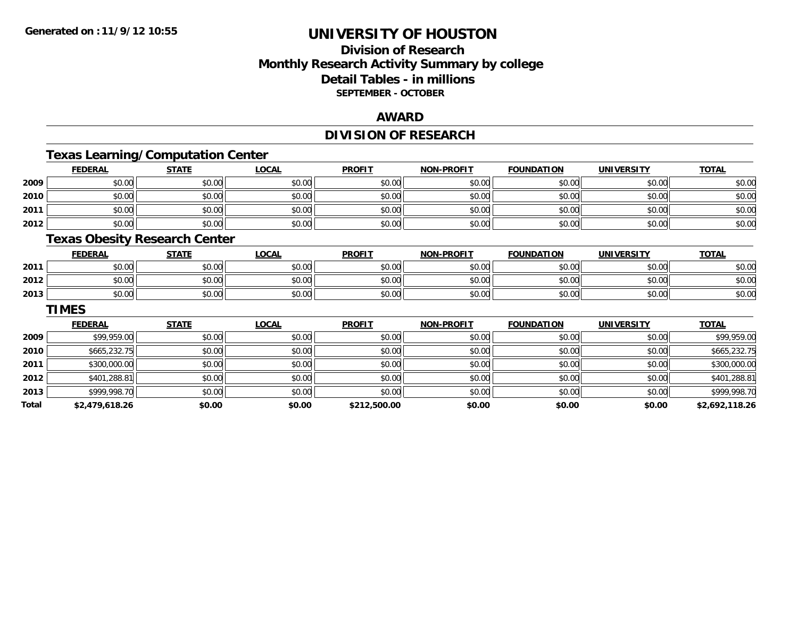### **Division of ResearchMonthly Research Activity Summary by college Detail Tables - in millions SEPTEMBER - OCTOBER**

#### **AWARD**

### **DIVISION OF RESEARCH**

### **Texas Learning/Computation Center**

|      | <b>FEDERAL</b>      | <b>STATE</b> | <b>LOCAL</b> | <b>PROFIT</b> | <b>NON-PROFIT</b> | <b>FOUNDATION</b> | <b>UNIVERSITY</b> | <b>TOTAL</b> |
|------|---------------------|--------------|--------------|---------------|-------------------|-------------------|-------------------|--------------|
| 2009 | \$0.00              | \$0.00       | \$0.00       | \$0.00        | \$0.00            | \$0.00            | \$0.00            | \$0.00       |
| 2010 | \$0.00              | \$0.00       | \$0.00       | \$0.00        | \$0.00            | \$0.00            | \$0.00            | \$0.00       |
| 2011 | \$0.00              | \$0.00       | \$0.00       | \$0.00        | \$0.00            | \$0.00            | \$0.00            | \$0.00       |
| 2012 | \$0.00              | \$0.00       | \$0.00       | \$0.00        | \$0.00            | \$0.00            | \$0.00            | \$0.00       |
|      | $-$<br>$ -$<br>____ | _____        |              |               |                   |                   |                   |              |

#### **Texas Obesity Research Center**

|      | FEDERAL | <b>STATE</b>   | <b>_OCAL</b> | <b>PROFIT</b> | <b>I-PROFIT</b><br><b>NON</b> | <b>FOUNDATION</b> | UNIVERSITY | <b>TOTAL</b> |
|------|---------|----------------|--------------|---------------|-------------------------------|-------------------|------------|--------------|
| 2011 | \$0.00  | 40.00<br>JU.UU | \$0.00       | \$0.00        | \$0.00                        | \$0.00            | \$0.00     | \$0.00       |
| 2012 | \$0.00  | 0.00<br>JU.UU  | \$0.00       | \$0.00        | \$0.00                        | \$0.00            | \$0.00     | \$0.00       |
| 2013 | \$0.00  | \$0.00         | \$0.00       | \$0.00        | \$0.00                        | \$0.00            | \$0.00     | \$0.00       |

#### **TIMES**

|       | <b>FEDERAL</b> | <b>STATE</b> | <b>LOCAL</b> | <b>PROFIT</b> | <b>NON-PROFIT</b> | <b>FOUNDATION</b> | <b>UNIVERSITY</b> | <b>TOTAL</b>   |
|-------|----------------|--------------|--------------|---------------|-------------------|-------------------|-------------------|----------------|
| 2009  | \$99,959.00    | \$0.00       | \$0.00       | \$0.00        | \$0.00            | \$0.00            | \$0.00            | \$99,959.00    |
| 2010  | \$665,232.75   | \$0.00       | \$0.00       | \$0.00        | \$0.00            | \$0.00            | \$0.00            | \$665,232.75   |
| 2011  | \$300,000.00   | \$0.00       | \$0.00       | \$0.00        | \$0.00            | \$0.00            | \$0.00            | \$300,000.00   |
| 2012  | \$401,288.81   | \$0.00       | \$0.00       | \$0.00        | \$0.00            | \$0.00            | \$0.00            | \$401,288.81   |
| 2013  | \$999,998.70   | \$0.00       | \$0.00       | \$0.00        | \$0.00            | \$0.00            | \$0.00            | \$999,998.70   |
| Total | \$2,479,618.26 | \$0.00       | \$0.00       | \$212,500.00  | \$0.00            | \$0.00            | \$0.00            | \$2,692,118.26 |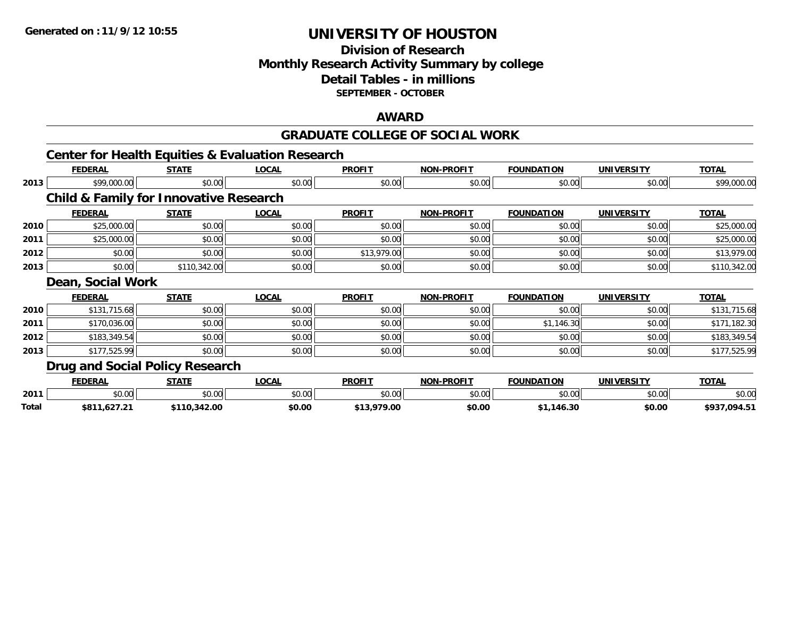### **Division of ResearchMonthly Research Activity Summary by college Detail Tables - in millions SEPTEMBER - OCTOBER**

#### **AWARD**

#### **GRADUATE COLLEGE OF SOCIAL WORK**

|      | <b>Center for Health Equities &amp; Evaluation Research</b><br><b>FEDERAL</b> | <b>STATE</b> | <b>LOCAL</b> | <b>PROFIT</b> | <b>NON-PROFIT</b> | <b>FOUNDATION</b> | <b>UNIVERSITY</b> | <b>TOTAL</b> |
|------|-------------------------------------------------------------------------------|--------------|--------------|---------------|-------------------|-------------------|-------------------|--------------|
|      |                                                                               |              |              |               |                   |                   |                   |              |
| 2013 | \$99,000.00                                                                   | \$0.00       | \$0.00       | \$0.00        | \$0.00            | \$0.00            | \$0.00            | \$99,000.00  |
|      | <b>Child &amp; Family for Innovative Research</b>                             |              |              |               |                   |                   |                   |              |
|      | <b>FEDERAL</b>                                                                | <b>STATE</b> | <b>LOCAL</b> | <b>PROFIT</b> | <b>NON-PROFIT</b> | <b>FOUNDATION</b> | <b>UNIVERSITY</b> | <u>TOTAL</u> |
| 2010 | \$25,000.00                                                                   | \$0.00       | \$0.00       | \$0.00        | \$0.00            | \$0.00            | \$0.00            | \$25,000.00  |
| 2011 | \$25,000.00                                                                   | \$0.00       | \$0.00       | \$0.00        | \$0.00            | \$0.00            | \$0.00            | \$25,000.00  |
| 2012 | \$0.00                                                                        | \$0.00       | \$0.00       | \$13,979.00   | \$0.00            | \$0.00            | \$0.00            | \$13,979.00  |
| 2013 | \$0.00                                                                        | \$110,342.00 | \$0.00       | \$0.00        | \$0.00            | \$0.00            | \$0.00            | \$110,342.00 |
|      | Dean, Social Work                                                             |              |              |               |                   |                   |                   |              |
|      | <b>FEDERAL</b>                                                                | <b>STATE</b> | <b>LOCAL</b> | <b>PROFIT</b> | <b>NON-PROFIT</b> | <b>FOUNDATION</b> | <b>UNIVERSITY</b> | <b>TOTAL</b> |
| 2010 | \$131,715.68                                                                  | \$0.00       | \$0.00       | \$0.00        | \$0.00            | \$0.00            | \$0.00            | \$131,715.68 |
| 2011 | \$170,036.00                                                                  | \$0.00       | \$0.00       | \$0.00        | \$0.00            | \$1,146.30        | \$0.00            | \$171,182.30 |
| 2012 | \$183,349.54                                                                  | \$0.00       | \$0.00       | \$0.00        | \$0.00            | \$0.00            | \$0.00            | \$183,349.54 |
| 2013 | \$177,525.99                                                                  | \$0.00       | \$0.00       | \$0.00        | \$0.00            | \$0.00            | \$0.00            | \$177,525.99 |
|      | <b>Drug and Social Policy Research</b>                                        |              |              |               |                   |                   |                   |              |
|      | <b>FEDERAL</b>                                                                | <b>STATE</b> | <b>LOCAL</b> | <b>PROFIT</b> | <b>NON-PROFIT</b> | <b>FOUNDATION</b> | <b>UNIVERSITY</b> | <b>TOTAL</b> |
|      | \$0.00                                                                        | \$0.00       | \$0.00       | \$0.00        | \$0.00            | \$0.00            | \$0.00            | \$0.00       |
| 2011 |                                                                               |              |              |               |                   |                   |                   |              |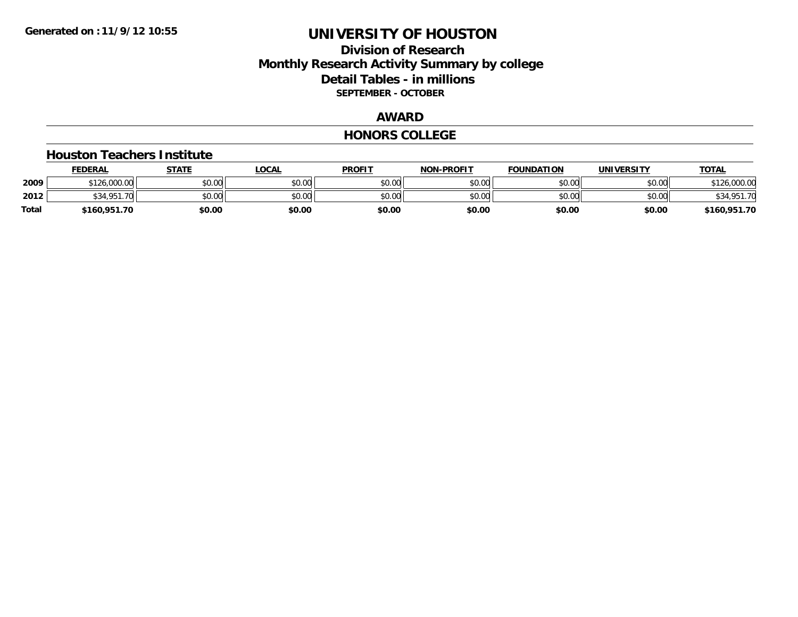#### **Division of Research Monthly Research Activity Summary by college Detail Tables - in millions SEPTEMBER - OCTOBER**

#### **AWARD**

#### **HONORS COLLEGE**

#### **Houston Teachers Institute**

|       | <b>FEDERAL</b>         | STATE  | _OCAL  | <b>PROFIT</b> | <b>NON-PROFIT</b> | <b>FOUNDATION</b> | UNIVERSITY | <u> ΤΟΤΑL</u>       |
|-------|------------------------|--------|--------|---------------|-------------------|-------------------|------------|---------------------|
| 2009  | \$126,000.00           | \$0.00 | \$0.00 | \$0.00        | \$0.00            | \$0.00            | \$0.00     | .000.00             |
| 2012  | <b>¢24 O51</b><br>70 L | \$0.00 | \$0.00 | \$0.00        | \$0.00            | \$0.00            | \$0.00     | \$34,951<br>∱1.7∩د, |
| Total | \$160,951.70           | \$0.00 | \$0.00 | \$0.00        | \$0.00            | \$0.00            | \$0.00     | \$160,951.70        |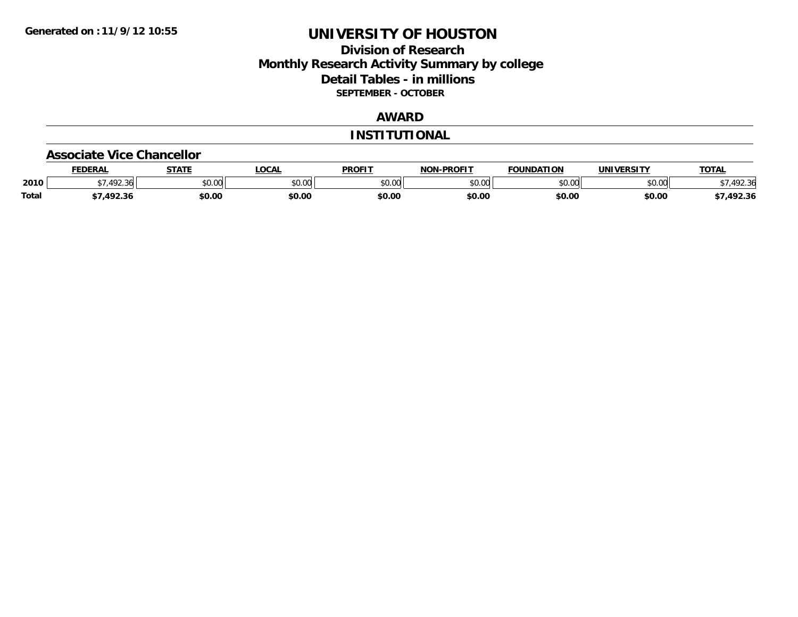#### **Division of Research Monthly Research Activity Summary by college Detail Tables - in millions SEPTEMBER - OCTOBER**

#### **AWARD**

#### **INSTITUTIONAL**

#### **Associate Vice Chancellor**

|              | <b>FEDERAL</b>             | <b>STATE</b> | <b>OCAL</b> | <b>PROFIT</b>   | <b>-PROFIT</b><br>NON | <b>FOUNDATION</b> | UNIVERSITY | <b>TOTAL</b> |
|--------------|----------------------------|--------------|-------------|-----------------|-----------------------|-------------------|------------|--------------|
| 2010         | $\sqrt{2}$<br>361<br>22.90 | \$0.00       | JU.UU       | \$0.00<br>JU.UU | ልስ ሀህ<br>וטטוע        | \$0.00            | \$0.00     | - -          |
| <b>Total</b> | 10 22                      | \$0.00       | \$0.00      | \$0.00          | \$0.00                | \$0.00            | \$0.00     | 7,492.36     |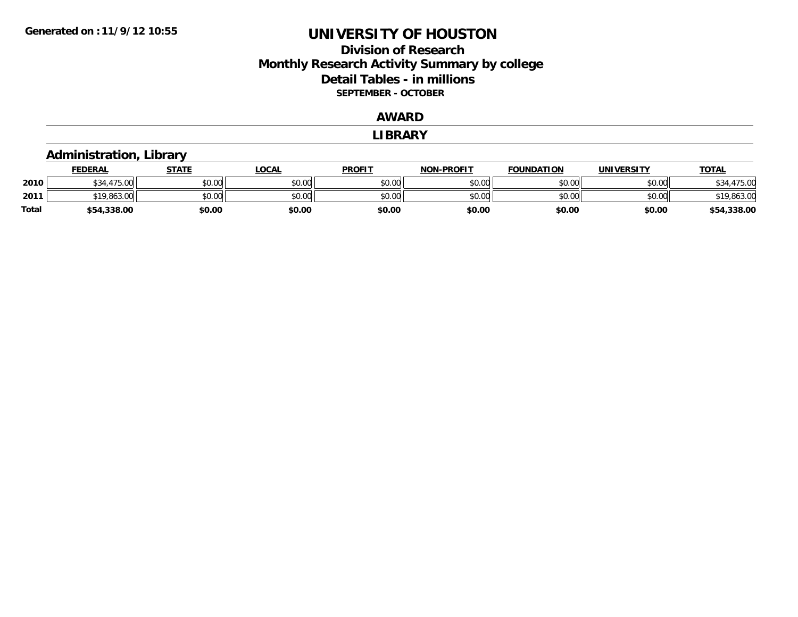### **Division of ResearchMonthly Research Activity Summary by college Detail Tables - in millions SEPTEMBER - OCTOBER**

#### **AWARD**

#### **LIBRARY**

#### **Administration, Library FEDERAL STATE LOCAL PROFIT NON-PROFIT FOUNDATION UNIVERSITY TOTALTOTAL 2010** $\textsf{0} \parallel \textsf{0} \parallel \textsf{0} \parallel \textsf{0} \parallel \textsf{0} \parallel \textsf{0} \parallel \textsf{0} \parallel \textsf{0} \parallel \textsf{0} \parallel \textsf{0} \parallel \textsf{0} \parallel \textsf{0} \parallel \textsf{0} \parallel \textsf{0} \parallel \textsf{0} \parallel \textsf{0} \parallel \textsf{0} \parallel \textsf{0} \parallel \textsf{0} \parallel \textsf{0} \parallel \textsf{0} \parallel \textsf{0} \parallel \textsf{0} \parallel \textsf{0} \parallel \textsf{0} \parallel \textsf{0} \parallel \textsf{0} \parallel \textsf{$ **2011** \$19,863.00 \$0.00 \$0.00 \$0.00 \$0.00 \$0.00 \$0.00 \$19,863.00 **Total\$54,338.00 \$0.00 \$0.00 \$0.00 \$0.00 \$0.00 \$0.00 \$54,338.00**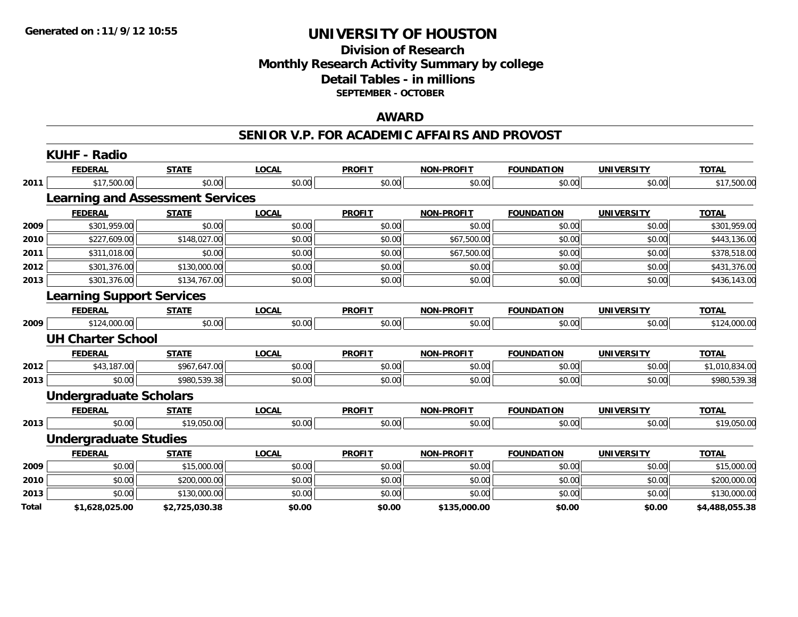#### **Division of Research Monthly Research Activity Summary by college Detail Tables - in millions SEPTEMBER - OCTOBER**

#### **AWARD**

#### **SENIOR V.P. FOR ACADEMIC AFFAIRS AND PROVOST**

|       | KUHF - Radio                            |                |              |               |                   |                   |                   |                |
|-------|-----------------------------------------|----------------|--------------|---------------|-------------------|-------------------|-------------------|----------------|
|       | <b>FEDERAL</b>                          | <b>STATE</b>   | <b>LOCAL</b> | <b>PROFIT</b> | <b>NON-PROFIT</b> | <b>FOUNDATION</b> | <b>UNIVERSITY</b> | <b>TOTAL</b>   |
| 2011  | \$17,500.00                             | \$0.00         | \$0.00       | \$0.00        | \$0.00            | \$0.00            | \$0.00            | \$17,500.00    |
|       | <b>Learning and Assessment Services</b> |                |              |               |                   |                   |                   |                |
|       | <b>FEDERAL</b>                          | <b>STATE</b>   | <b>LOCAL</b> | <b>PROFIT</b> | <b>NON-PROFIT</b> | <b>FOUNDATION</b> | <b>UNIVERSITY</b> | <b>TOTAL</b>   |
| 2009  | \$301,959.00                            | \$0.00         | \$0.00       | \$0.00        | \$0.00            | \$0.00            | \$0.00            | \$301,959.00   |
| 2010  | \$227,609.00                            | \$148,027.00   | \$0.00       | \$0.00        | \$67,500.00       | \$0.00            | \$0.00            | \$443,136.00   |
| 2011  | \$311,018.00                            | \$0.00         | \$0.00       | \$0.00        | \$67,500.00       | \$0.00            | \$0.00            | \$378,518.00   |
| 2012  | \$301,376.00                            | \$130,000.00   | \$0.00       | \$0.00        | \$0.00            | \$0.00            | \$0.00            | \$431,376.00   |
| 2013  | \$301,376.00                            | \$134,767.00   | \$0.00       | \$0.00        | \$0.00            | \$0.00            | \$0.00            | \$436,143.00   |
|       | <b>Learning Support Services</b>        |                |              |               |                   |                   |                   |                |
|       | <b>FEDERAL</b>                          | <b>STATE</b>   | <b>LOCAL</b> | <b>PROFIT</b> | <b>NON-PROFIT</b> | <b>FOUNDATION</b> | <b>UNIVERSITY</b> | <b>TOTAL</b>   |
| 2009  | \$124,000.00                            | \$0.00         | \$0.00       | \$0.00        | \$0.00            | \$0.00            | \$0.00            | \$124,000.00   |
|       | <b>UH Charter School</b>                |                |              |               |                   |                   |                   |                |
|       | <b>FEDERAL</b>                          | <b>STATE</b>   | <b>LOCAL</b> | <b>PROFIT</b> | <b>NON-PROFIT</b> | <b>FOUNDATION</b> | <b>UNIVERSITY</b> | <b>TOTAL</b>   |
| 2012  | \$43,187.00                             | \$967,647.00   | \$0.00       | \$0.00        | \$0.00            | \$0.00            | \$0.00            | \$1,010,834.00 |
| 2013  | \$0.00                                  | \$980,539.38   | \$0.00       | \$0.00        | \$0.00            | \$0.00            | \$0.00            | \$980,539.38   |
|       | <b>Undergraduate Scholars</b>           |                |              |               |                   |                   |                   |                |
|       | <b>FEDERAL</b>                          | <b>STATE</b>   | <b>LOCAL</b> | <b>PROFIT</b> | <b>NON-PROFIT</b> | <b>FOUNDATION</b> | <b>UNIVERSITY</b> | <b>TOTAL</b>   |
| 2013  | \$0.00                                  | \$19,050.00    | \$0.00       | \$0.00        | \$0.00            | \$0.00            | \$0.00            | \$19,050.00    |
|       | <b>Undergraduate Studies</b>            |                |              |               |                   |                   |                   |                |
|       | <b>FEDERAL</b>                          | <b>STATE</b>   | <b>LOCAL</b> | <b>PROFIT</b> | <b>NON-PROFIT</b> | <b>FOUNDATION</b> | <b>UNIVERSITY</b> | <b>TOTAL</b>   |
| 2009  | \$0.00                                  | \$15,000.00    | \$0.00       | \$0.00        | \$0.00            | \$0.00            | \$0.00            | \$15,000.00    |
| 2010  | \$0.00                                  | \$200,000.00   | \$0.00       | \$0.00        | \$0.00            | \$0.00            | \$0.00            | \$200,000.00   |
| 2013  | \$0.00                                  | \$130,000.00   | \$0.00       | \$0.00        | \$0.00            | \$0.00            | \$0.00            | \$130,000.00   |
| Total | \$1,628,025.00                          | \$2,725,030.38 | \$0.00       | \$0.00        | \$135,000.00      | \$0.00            | \$0.00            | \$4,488,055.38 |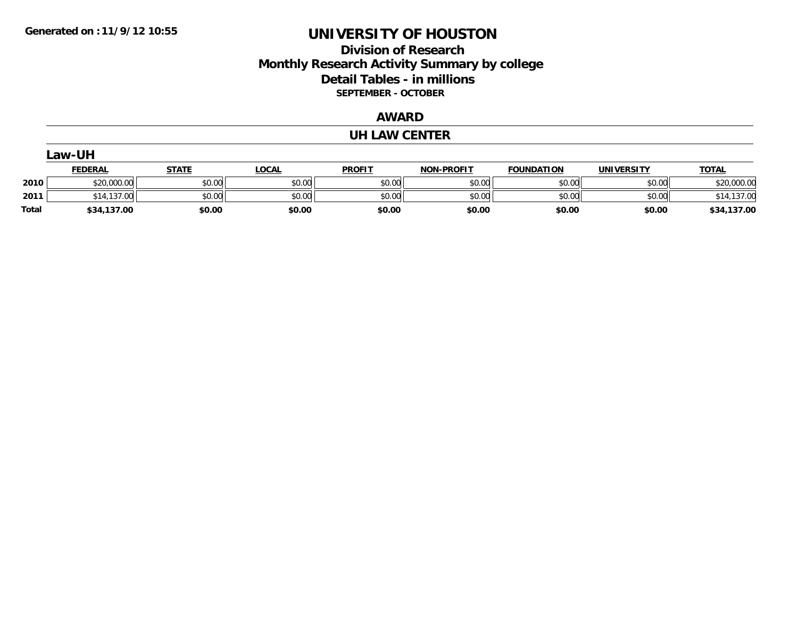### **Division of Research Monthly Research Activity Summary by college Detail Tables - in millions SEPTEMBER - OCTOBER**

#### **AWARD**

#### **UH LAW CENTER**

|              | Law-UH         |              |              |               |                   |                   |                   |              |  |  |  |
|--------------|----------------|--------------|--------------|---------------|-------------------|-------------------|-------------------|--------------|--|--|--|
|              | <b>FEDERAL</b> | <b>STATE</b> | <u>LOCAL</u> | <b>PROFIT</b> | <b>NON-PROFIT</b> | <b>FOUNDATION</b> | <b>UNIVERSITY</b> | <b>TOTAL</b> |  |  |  |
| 2010         | \$20,000.00    | \$0.00       | \$0.00       | \$0.00        | \$0.00            | \$0.00            | \$0.00            | \$20,000.00  |  |  |  |
| 2011         | 14,137.00      | \$0.00       | \$0.00       | \$0.00        | \$0.00            | \$0.00            | \$0.00            | \$14,137.00  |  |  |  |
| <b>Total</b> | \$34,137.00    | \$0.00       | \$0.00       | \$0.00        | \$0.00            | \$0.00            | \$0.00            | \$34,137.00  |  |  |  |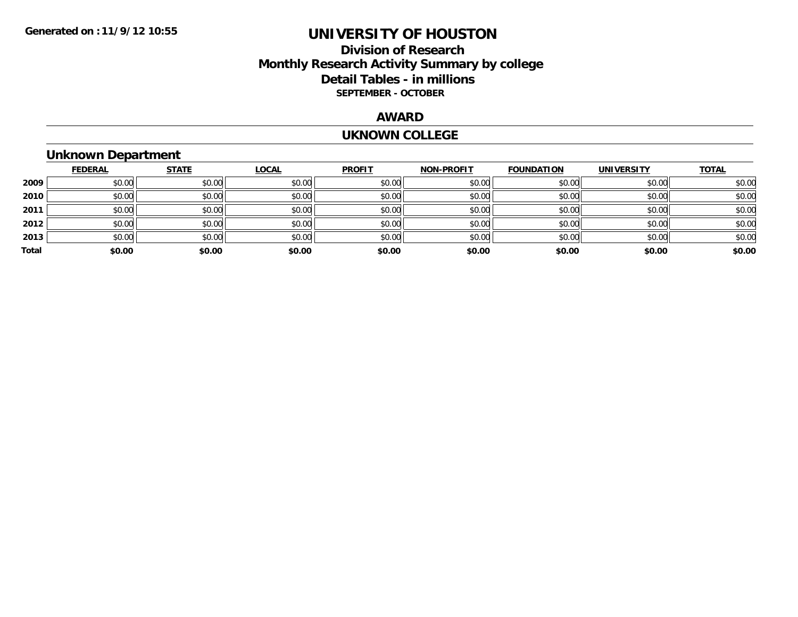#### **Division of Research Monthly Research Activity Summary by college Detail Tables - in millions SEPTEMBER - OCTOBER**

#### **AWARD**

#### **UKNOWN COLLEGE**

### **Unknown Department**

|       | <b>FEDERAL</b> | <b>STATE</b> | <b>LOCAL</b> | <b>PROFIT</b> | <b>NON-PROFIT</b> | <b>FOUNDATION</b> | <b>UNIVERSITY</b> | <b>TOTAL</b> |
|-------|----------------|--------------|--------------|---------------|-------------------|-------------------|-------------------|--------------|
| 2009  | \$0.00         | \$0.00       | \$0.00       | \$0.00        | \$0.00            | \$0.00            | \$0.00            | \$0.00       |
| 2010  | \$0.00         | \$0.00       | \$0.00       | \$0.00        | \$0.00            | \$0.00            | \$0.00            | \$0.00       |
| 2011  | \$0.00         | \$0.00       | \$0.00       | \$0.00        | \$0.00            | \$0.00            | \$0.00            | \$0.00       |
| 2012  | \$0.00         | \$0.00       | \$0.00       | \$0.00        | \$0.00            | \$0.00            | \$0.00            | \$0.00       |
| 2013  | \$0.00         | \$0.00       | \$0.00       | \$0.00        | \$0.00            | \$0.00            | \$0.00            | \$0.00       |
| Total | \$0.00         | \$0.00       | \$0.00       | \$0.00        | \$0.00            | \$0.00            | \$0.00            | \$0.00       |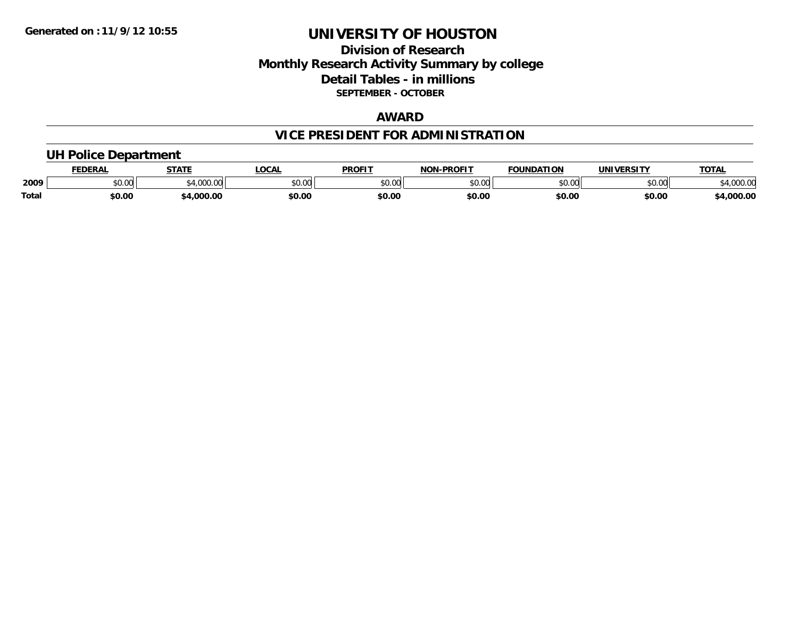#### **Division of Research Monthly Research Activity Summary by college Detail Tables - in millions SEPTEMBER - OCTOBER**

#### **AWARD**

## **VICE PRESIDENT FOR ADMINISTRATION**

#### **UH Police Department**

|       | <b>EDERAL</b> | <b>STATE</b>      | <b>LOCAL</b> | <b>PROFIT</b> | -PROFIT<br>וחרות | <b>FOUNDATION</b> | UNIVERSITY | <b>TOTAL</b>       |
|-------|---------------|-------------------|--------------|---------------|------------------|-------------------|------------|--------------------|
| 2009  | \$0.00        | 1.000<br>-4,000.c | \$0.00       | 0000<br>vv.vv | 0000<br>DU.UU    | \$0.00            | \$0.00     | 00000<br>14,000.00 |
| Total | \$0.00        | ,000.00           | \$0.00       | \$0.00        | \$0.00           | \$0.00            | \$0.00     | 4,000.00           |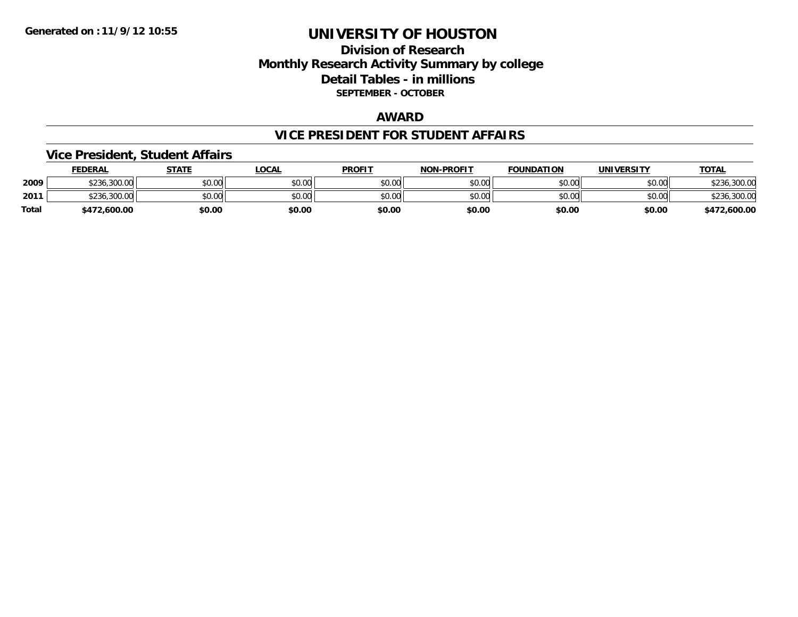#### **Division of Research Monthly Research Activity Summary by college Detail Tables - in millions SEPTEMBER - OCTOBER**

#### **AWARD**

#### **VICE PRESIDENT FOR STUDENT AFFAIRS**

#### **Vice President, Student Affairs**

|       | <b>FEDERAL</b>    | STATE  | LOCAL  | <b>PROFIT</b> | <b>NON-PROFIT</b> | <b>FOUNDATION</b> | UNIVERSITY | <u> ΤΟΤΑL</u> |
|-------|-------------------|--------|--------|---------------|-------------------|-------------------|------------|---------------|
| 2009  | \$236,300.00      | \$0.00 | \$0.00 | \$0.00        | \$0.00            | \$0.00            | \$0.00     | 300.00.       |
| 2011  | \$236.<br>.300.00 | \$0.00 | \$0.00 | \$0.00        | \$0.00            | \$0.00            | \$0.00     | \$236,300.00  |
| Total | \$472,600.00      | \$0.00 | \$0.00 | \$0.00        | \$0.00            | \$0.00            | \$0.00     | \$472,600.00  |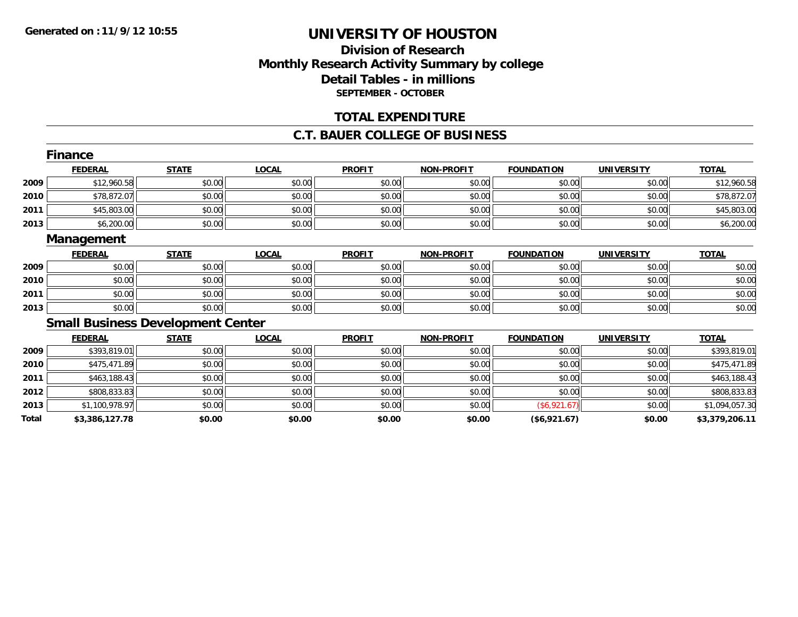### **Division of ResearchMonthly Research Activity Summary by college Detail Tables - in millions SEPTEMBER - OCTOBER**

#### **TOTAL EXPENDITURE**

#### **C.T. BAUER COLLEGE OF BUSINESS**

|       | <b>Finance</b>                           |              |              |               |                   |                   |                   |                |
|-------|------------------------------------------|--------------|--------------|---------------|-------------------|-------------------|-------------------|----------------|
|       | <b>FEDERAL</b>                           | <b>STATE</b> | <b>LOCAL</b> | <b>PROFIT</b> | <b>NON-PROFIT</b> | <b>FOUNDATION</b> | <b>UNIVERSITY</b> | <b>TOTAL</b>   |
| 2009  | \$12,960.58                              | \$0.00       | \$0.00       | \$0.00        | \$0.00            | \$0.00            | \$0.00            | \$12,960.58    |
| 2010  | \$78,872.07                              | \$0.00       | \$0.00       | \$0.00        | \$0.00            | \$0.00            | \$0.00            | \$78,872.07    |
| 2011  | \$45,803.00                              | \$0.00       | \$0.00       | \$0.00        | \$0.00            | \$0.00            | \$0.00            | \$45,803.00    |
| 2013  | \$6,200.00                               | \$0.00       | \$0.00       | \$0.00        | \$0.00            | \$0.00            | \$0.00            | \$6,200.00     |
|       | Management                               |              |              |               |                   |                   |                   |                |
|       | <b>FEDERAL</b>                           | <b>STATE</b> | <b>LOCAL</b> | <b>PROFIT</b> | <b>NON-PROFIT</b> | <b>FOUNDATION</b> | <b>UNIVERSITY</b> | <b>TOTAL</b>   |
| 2009  | \$0.00                                   | \$0.00       | \$0.00       | \$0.00        | \$0.00            | \$0.00            | \$0.00            | \$0.00         |
| 2010  | \$0.00                                   | \$0.00       | \$0.00       | \$0.00        | \$0.00            | \$0.00            | \$0.00            | \$0.00         |
| 2011  | \$0.00                                   | \$0.00       | \$0.00       | \$0.00        | \$0.00            | \$0.00            | \$0.00            | \$0.00         |
| 2013  | \$0.00                                   | \$0.00       | \$0.00       | \$0.00        | \$0.00            | \$0.00            | \$0.00            | \$0.00         |
|       | <b>Small Business Development Center</b> |              |              |               |                   |                   |                   |                |
|       | <b>FEDERAL</b>                           | <b>STATE</b> | <b>LOCAL</b> | <b>PROFIT</b> | <b>NON-PROFIT</b> | <b>FOUNDATION</b> | <b>UNIVERSITY</b> | <b>TOTAL</b>   |
| 2009  | \$393,819.01                             | \$0.00       | \$0.00       | \$0.00        | \$0.00            | \$0.00            | \$0.00            | \$393,819.01   |
| 2010  | \$475,471.89                             | \$0.00       | \$0.00       | \$0.00        | \$0.00            | \$0.00            | \$0.00            | \$475,471.89   |
| 2011  | \$463,188.43                             | \$0.00       | \$0.00       | \$0.00        | \$0.00            | \$0.00            | \$0.00            | \$463,188.43   |
| 2012  | \$808,833.83                             | \$0.00       | \$0.00       | \$0.00        | \$0.00            | \$0.00            | \$0.00            | \$808,833.83   |
| 2013  | \$1,100,978.97                           | \$0.00       | \$0.00       | \$0.00        | \$0.00            | (\$6,921.67)      | \$0.00            | \$1,094,057.30 |
| Total | \$3,386,127.78                           | \$0.00       | \$0.00       | \$0.00        | \$0.00            | (\$6,921.67)      | \$0.00            | \$3,379,206.11 |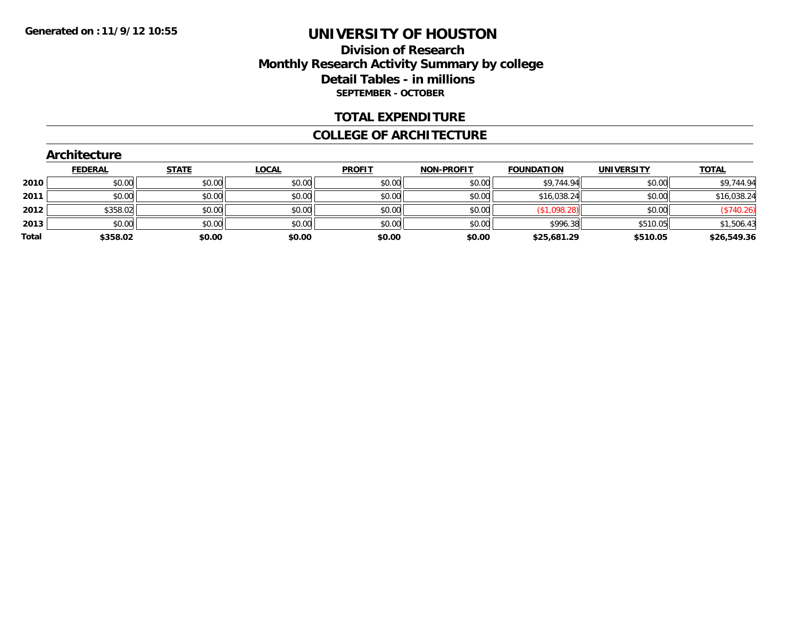### **Division of Research Monthly Research Activity Summary by college Detail Tables - in millions SEPTEMBER - OCTOBER**

#### **TOTAL EXPENDITURE**

#### **COLLEGE OF ARCHITECTURE**

|       | <b>Architecture</b> |              |              |               |                   |                   |                   |              |
|-------|---------------------|--------------|--------------|---------------|-------------------|-------------------|-------------------|--------------|
|       | <b>FEDERAL</b>      | <b>STATE</b> | <u>LOCAL</u> | <b>PROFIT</b> | <b>NON-PROFIT</b> | <b>FOUNDATION</b> | <b>UNIVERSITY</b> | <b>TOTAL</b> |
| 2010  | \$0.00              | \$0.00       | \$0.00       | \$0.00        | \$0.00            | \$9,744.94        | \$0.00            | \$9,744.94   |
| 2011  | \$0.00              | \$0.00       | \$0.00       | \$0.00        | \$0.00            | \$16,038.24       | \$0.00            | \$16,038.24  |
| 2012  | \$358.02            | \$0.00       | \$0.00       | \$0.00        | \$0.00            | (\$1,098.28)      | \$0.00            | (\$740.26)   |
| 2013  | \$0.00              | \$0.00       | \$0.00       | \$0.00        | \$0.00            | \$996.38          | \$510.05          | \$1,506.43   |
| Total | \$358.02            | \$0.00       | \$0.00       | \$0.00        | \$0.00            | \$25,681.29       | \$510.05          | \$26,549.36  |

## **Architecture**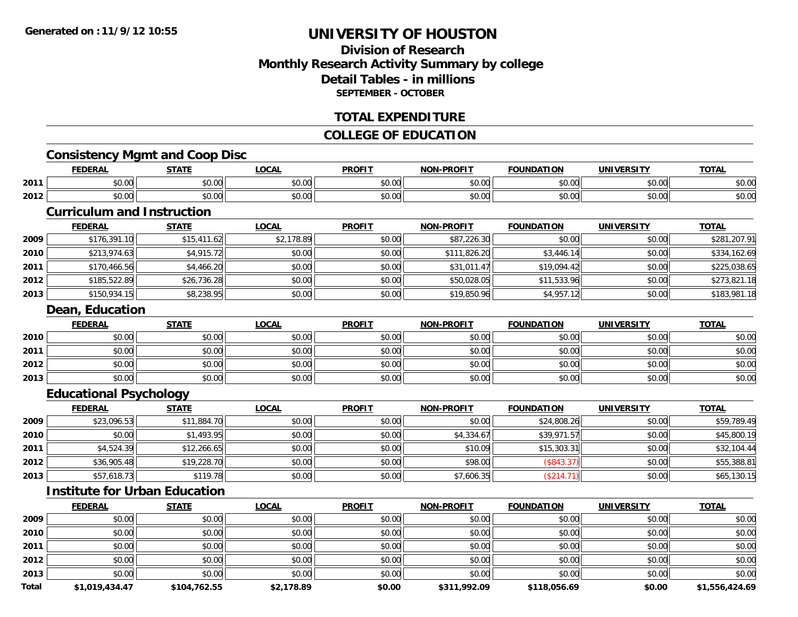### **Division of ResearchMonthly Research Activity Summary by college Detail Tables - in millionsSEPTEMBER - OCTOBER**

#### **TOTAL EXPENDITURE**

#### **COLLEGE OF EDUCATION**

### **Consistency Mgmt and Coop Disc**

|      | <b>FEDERAL</b>         | <b>STATE</b><br>. | LOCAL                | <b>PROFIT</b> | -PROFIT<br><b>NIONI</b> | <b>FOUNDATION</b>  | <b>UNIVERSITY</b> | <b>TOTAL</b>           |
|------|------------------------|-------------------|----------------------|---------------|-------------------------|--------------------|-------------------|------------------------|
| 2011 | $\sim$ $\sim$<br>vu.uu | 0.00<br>JU.UU     | 0.00<br><b>JU.UU</b> | 0000<br>งบ.บบ | 0000<br>pu.uu           | ስ ለሰ<br>JU.UU      | 0000<br>PO.OO     | $\sim$ $\sim$<br>ง∪.∪บ |
| 2012 | $\sim$<br>ተ ለ<br>vu.uu | 0.00<br>JU.UU     | 0.00<br><b>JU.UU</b> | \$0.00        | 0000<br>DU.UU           | $\sim$ 00<br>JU.UU | 0000<br>PO.OO     | $\sim$ $\sim$<br>ง∪.∪บ |

#### **Curriculum and Instruction**

|      | <b>FEDERAL</b> | <u>STATE</u> | <u>LOCAL</u> | <b>PROFIT</b> | <b>NON-PROFIT</b> | <b>FOUNDATION</b> | <b>UNIVERSITY</b> | <b>TOTAL</b> |
|------|----------------|--------------|--------------|---------------|-------------------|-------------------|-------------------|--------------|
| 2009 | \$176,391.10   | \$15,411.62  | \$2,178.89   | \$0.00        | \$87,226.30       | \$0.00            | \$0.00            | \$281,207.91 |
| 2010 | \$213,974.63   | \$4,915.72   | \$0.00       | \$0.00        | \$111,826.20      | \$3,446.14        | \$0.00            | \$334,162.69 |
| 2011 | \$170,466.56   | \$4,466.20   | \$0.00       | \$0.00        | \$31,011.47       | \$19,094.42       | \$0.00            | \$225,038.65 |
| 2012 | \$185,522.89   | \$26,736.28  | \$0.00       | \$0.00        | \$50,028.05       | \$11,533.96       | \$0.00            | \$273,821.18 |
| 2013 | \$150,934.15   | \$8,238.95   | \$0.00       | \$0.00        | \$19,850.96       | \$4,957.12        | \$0.00            | \$183,981.18 |

#### **Dean, Education**

|      | <u>FEDERAL</u> | <b>STATE</b> | <u>LOCAL</u> | <b>PROFIT</b> | <b>NON-PROFIT</b> | <b>FOUNDATION</b> | <b>UNIVERSITY</b> | <b>TOTAL</b> |
|------|----------------|--------------|--------------|---------------|-------------------|-------------------|-------------------|--------------|
| 2010 | \$0.00         | \$0.00       | \$0.00       | \$0.00        | \$0.00            | \$0.00            | \$0.00            | \$0.00       |
| 2011 | \$0.00         | \$0.00       | \$0.00       | \$0.00        | \$0.00            | \$0.00            | \$0.00            | \$0.00       |
| 2012 | \$0.00         | \$0.00       | \$0.00       | \$0.00        | \$0.00            | \$0.00            | \$0.00            | \$0.00       |
| 2013 | \$0.00         | \$0.00       | \$0.00       | \$0.00        | \$0.00            | \$0.00            | \$0.00            | \$0.00       |

### **Educational Psychology**

|      | <b>FEDERAL</b> | <u>STATE</u> | <u>LOCAL</u> | <b>PROFIT</b> | <b>NON-PROFIT</b> | <b>FOUNDATION</b> | <b>UNIVERSITY</b> | <b>TOTAL</b> |
|------|----------------|--------------|--------------|---------------|-------------------|-------------------|-------------------|--------------|
| 2009 | \$23,096.53    | \$11,884.70  | \$0.00       | \$0.00        | \$0.00            | \$24,808.26       | \$0.00            | \$59,789.49  |
| 2010 | \$0.00         | \$1,493.95   | \$0.00       | \$0.00        | \$4,334.67        | \$39,971.57       | \$0.00            | \$45,800.19  |
| 2011 | \$4,524.39     | \$12,266.65  | \$0.00       | \$0.00        | \$10.09           | \$15,303.31       | \$0.00            | \$32,104.44  |
| 2012 | \$36,905.48    | \$19,228.70  | \$0.00       | \$0.00        | \$98.00           | (\$843.37)        | \$0.00            | \$55,388.81  |
| 2013 | \$57,618.73    | \$119.78     | \$0.00       | \$0.00        | \$7,606.35        | (\$214.71)        | \$0.00            | \$65,130.15  |

### **Institute for Urban Education**

|              | <b>FEDERAL</b> | <b>STATE</b> | <b>LOCAL</b> | <b>PROFIT</b> | <b>NON-PROFIT</b> | <b>FOUNDATION</b> | <b>UNIVERSITY</b> | <b>TOTAL</b>   |
|--------------|----------------|--------------|--------------|---------------|-------------------|-------------------|-------------------|----------------|
| 2009         | \$0.00         | \$0.00       | \$0.00       | \$0.00        | \$0.00            | \$0.00            | \$0.00            | \$0.00         |
| 2010         | \$0.00         | \$0.00       | \$0.00       | \$0.00        | \$0.00            | \$0.00            | \$0.00            | \$0.00         |
| 2011         | \$0.00         | \$0.00       | \$0.00       | \$0.00        | \$0.00            | \$0.00            | \$0.00            | \$0.00         |
| 2012         | \$0.00         | \$0.00       | \$0.00       | \$0.00        | \$0.00            | \$0.00            | \$0.00            | \$0.00         |
| 2013         | \$0.00         | \$0.00       | \$0.00       | \$0.00        | \$0.00            | \$0.00            | \$0.00            | \$0.00         |
| <b>Total</b> | \$1,019,434.47 | \$104,762.55 | \$2,178.89   | \$0.00        | \$311,992.09      | \$118,056.69      | \$0.00            | \$1,556,424.69 |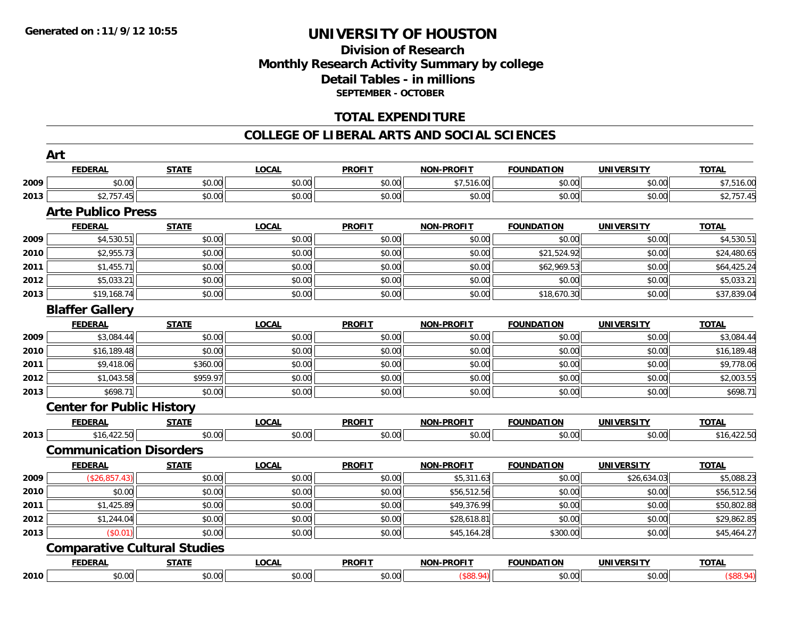### **Division of Research Monthly Research Activity Summary by college Detail Tables - in millions SEPTEMBER - OCTOBER**

#### **TOTAL EXPENDITURE**

#### **COLLEGE OF LIBERAL ARTS AND SOCIAL SCIENCES**

|      | <b>FEDERAL</b>                      | <b>STATE</b> | <b>LOCAL</b> | <b>PROFIT</b> | <b>NON-PROFIT</b> | <b>FOUNDATION</b> | <b>UNIVERSITY</b> | <b>TOTAL</b> |
|------|-------------------------------------|--------------|--------------|---------------|-------------------|-------------------|-------------------|--------------|
| 2009 | \$0.00                              | \$0.00       | \$0.00       | \$0.00        | \$7,516.00        | \$0.00            | \$0.00            | \$7,516.00   |
| 2013 | \$2,757.45                          | \$0.00       | \$0.00       | \$0.00        | \$0.00            | \$0.00            | \$0.00            | \$2,757.45   |
|      | <b>Arte Publico Press</b>           |              |              |               |                   |                   |                   |              |
|      | <b>FEDERAL</b>                      | <b>STATE</b> | <b>LOCAL</b> | <b>PROFIT</b> | <b>NON-PROFIT</b> | <b>FOUNDATION</b> | <b>UNIVERSITY</b> | <b>TOTAL</b> |
| 2009 | \$4,530.51                          | \$0.00       | \$0.00       | \$0.00        | \$0.00            | \$0.00            | \$0.00            | \$4,530.51   |
| 2010 | \$2,955.73                          | \$0.00       | \$0.00       | \$0.00        | \$0.00            | \$21,524.92       | \$0.00            | \$24,480.65  |
| 2011 | \$1,455.71                          | \$0.00       | \$0.00       | \$0.00        | \$0.00            | \$62,969.53       | \$0.00            | \$64,425.24  |
| 2012 | \$5,033.21                          | \$0.00       | \$0.00       | \$0.00        | \$0.00            | \$0.00            | \$0.00            | \$5,033.21   |
| 2013 | \$19,168.74                         | \$0.00       | \$0.00       | \$0.00        | \$0.00            | \$18,670.30       | \$0.00            | \$37,839.04  |
|      | <b>Blaffer Gallery</b>              |              |              |               |                   |                   |                   |              |
|      | <b>FEDERAL</b>                      | <b>STATE</b> | <b>LOCAL</b> | <b>PROFIT</b> | <b>NON-PROFIT</b> | <b>FOUNDATION</b> | <b>UNIVERSITY</b> | <b>TOTAL</b> |
| 2009 | \$3,084.44                          | \$0.00       | \$0.00       | \$0.00        | \$0.00            | \$0.00            | \$0.00            | \$3,084.44   |
| 2010 | \$16,189.48                         | \$0.00       | \$0.00       | \$0.00        | \$0.00            | \$0.00            | \$0.00            | \$16,189.48  |
| 2011 | \$9,418.06                          | \$360.00     | \$0.00       | \$0.00        | \$0.00            | \$0.00            | \$0.00            | \$9,778.06   |
| 2012 | \$1,043.58                          | \$959.97     | \$0.00       | \$0.00        | \$0.00            | \$0.00            | \$0.00            | \$2,003.55   |
| 2013 | \$698.71                            | \$0.00       | \$0.00       | \$0.00        | \$0.00            | \$0.00            | \$0.00            | \$698.71     |
|      | <b>Center for Public History</b>    |              |              |               |                   |                   |                   |              |
|      | <b>FEDERAL</b>                      | <b>STATE</b> | <b>LOCAL</b> | <b>PROFIT</b> | <b>NON-PROFIT</b> | <b>FOUNDATION</b> | <b>UNIVERSITY</b> | <b>TOTAL</b> |
| 2013 | \$16,422.50                         | \$0.00       | \$0.00       | \$0.00        | \$0.00            | \$0.00            | \$0.00            | \$16,422.50  |
|      | <b>Communication Disorders</b>      |              |              |               |                   |                   |                   |              |
|      | <b>FEDERAL</b>                      | <b>STATE</b> | <b>LOCAL</b> | <b>PROFIT</b> | <b>NON-PROFIT</b> | <b>FOUNDATION</b> | <b>UNIVERSITY</b> | <b>TOTAL</b> |
| 2009 | (\$26,857.43)                       | \$0.00       | \$0.00       | \$0.00        | \$5,311.63        | \$0.00            | \$26,634.03       | \$5,088.23   |
| 2010 | \$0.00                              | \$0.00       | \$0.00       | \$0.00        | \$56,512.56       | \$0.00            | \$0.00            | \$56,512.56  |
| 2011 | \$1,425.89                          | \$0.00       | \$0.00       | \$0.00        | \$49,376.99       | \$0.00            | \$0.00            | \$50,802.88  |
| 2012 | \$1,244.04                          | \$0.00       | \$0.00       | \$0.00        | \$28,618.81       | \$0.00            | \$0.00            | \$29,862.85  |
| 2013 | (\$0.01)                            | \$0.00       | \$0.00       | \$0.00        | \$45,164.28       | \$300.00          | \$0.00            | \$45,464.27  |
|      | <b>Comparative Cultural Studies</b> |              |              |               |                   |                   |                   |              |
|      | <b>FEDERAL</b>                      | <b>STATE</b> | <b>LOCAL</b> | <b>PROFIT</b> | <b>NON-PROFIT</b> | <b>FOUNDATION</b> | <b>UNIVERSITY</b> | <b>TOTAL</b> |
| 2010 | \$0.00                              | \$0.00       | \$0.00       | \$0.00        | (\$88.94)         | \$0.00            | \$0.00            | (\$88.94)    |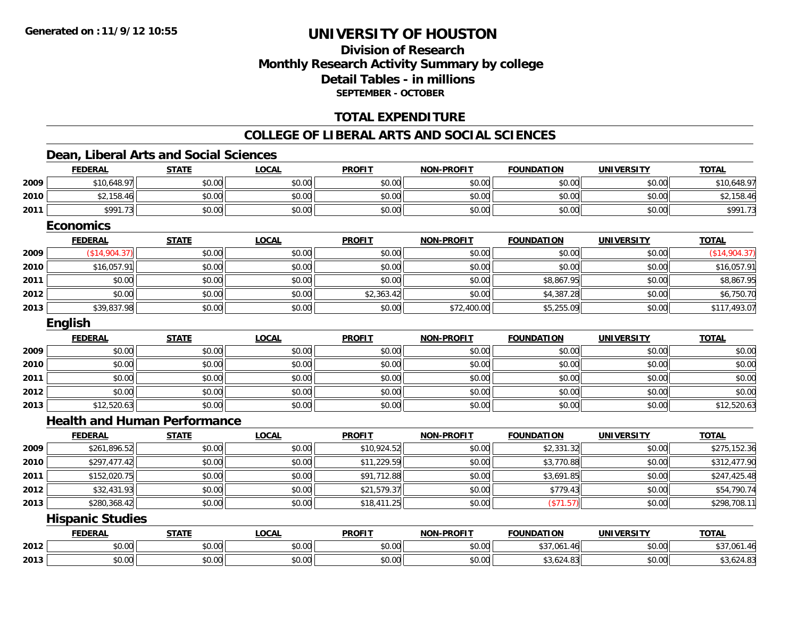### **Division of ResearchMonthly Research Activity Summary by college Detail Tables - in millions SEPTEMBER - OCTOBER**

### **TOTAL EXPENDITURE**

#### **COLLEGE OF LIBERAL ARTS AND SOCIAL SCIENCES**

#### **Dean, Liberal Arts and Social Sciences**

|      | <b>FEDERAL</b>                      | <b>STATE</b> | <b>LOCAL</b> | <b>PROFIT</b> | <b>NON-PROFIT</b> | <b>FOUNDATION</b> | <b>UNIVERSITY</b> | <b>TOTAL</b>  |
|------|-------------------------------------|--------------|--------------|---------------|-------------------|-------------------|-------------------|---------------|
| 2009 | \$10,648.97                         | \$0.00       | \$0.00       | \$0.00        | \$0.00            | \$0.00            | \$0.00            | \$10,648.97   |
| 2010 | \$2,158.46                          | \$0.00       | \$0.00       | \$0.00        | \$0.00            | \$0.00            | \$0.00            | \$2,158.46    |
| 2011 | \$991.73                            | \$0.00       | \$0.00       | \$0.00        | \$0.00            | \$0.00            | \$0.00            | \$991.73      |
|      | <b>Economics</b>                    |              |              |               |                   |                   |                   |               |
|      | <b>FEDERAL</b>                      | <b>STATE</b> | <b>LOCAL</b> | <b>PROFIT</b> | <b>NON-PROFIT</b> | <b>FOUNDATION</b> | <b>UNIVERSITY</b> | <b>TOTAL</b>  |
| 2009 | (\$14,904.37)                       | \$0.00       | \$0.00       | \$0.00        | \$0.00            | \$0.00            | \$0.00            | (\$14,904.37) |
| 2010 | \$16,057.91                         | \$0.00       | \$0.00       | \$0.00        | \$0.00            | \$0.00            | \$0.00            | \$16,057.91   |
| 2011 | \$0.00                              | \$0.00       | \$0.00       | \$0.00        | \$0.00            | \$8,867.95        | \$0.00            | \$8,867.95    |
| 2012 | \$0.00                              | \$0.00       | \$0.00       | \$2,363.42    | \$0.00            | \$4,387.28        | \$0.00            | \$6,750.70    |
| 2013 | \$39,837.98                         | \$0.00       | \$0.00       | \$0.00        | \$72,400.00       | \$5,255.09        | \$0.00            | \$117,493.07  |
|      | <b>English</b>                      |              |              |               |                   |                   |                   |               |
|      | <b>FEDERAL</b>                      | <b>STATE</b> | <b>LOCAL</b> | <b>PROFIT</b> | <b>NON-PROFIT</b> | <b>FOUNDATION</b> | <b>UNIVERSITY</b> | <b>TOTAL</b>  |
| 2009 | \$0.00                              | \$0.00       | \$0.00       | \$0.00        | \$0.00            | \$0.00            | \$0.00            | \$0.00        |
| 2010 | \$0.00                              | \$0.00       | \$0.00       | \$0.00        | \$0.00            | \$0.00            | \$0.00            | \$0.00        |
| 2011 | \$0.00                              | \$0.00       | \$0.00       | \$0.00        | \$0.00            | \$0.00            | \$0.00            | \$0.00        |
| 2012 | \$0.00                              | \$0.00       | \$0.00       | \$0.00        | \$0.00            | \$0.00            | \$0.00            | \$0.00        |
| 2013 | \$12,520.63                         | \$0.00       | \$0.00       | \$0.00        | \$0.00            | \$0.00            | \$0.00            | \$12,520.63   |
|      | <b>Health and Human Performance</b> |              |              |               |                   |                   |                   |               |
|      | <b>FEDERAL</b>                      | <b>STATE</b> | <b>LOCAL</b> | <b>PROFIT</b> | <b>NON-PROFIT</b> | <b>FOUNDATION</b> | <b>UNIVERSITY</b> | <b>TOTAL</b>  |
| 2009 | \$261,896.52                        | \$0.00       | \$0.00       | \$10,924.52   | \$0.00            | \$2,331.32        | \$0.00            | \$275,152.36  |
| 2010 | \$297,477.42                        | \$0.00       | \$0.00       | \$11,229.59   | \$0.00            | \$3,770.88        | \$0.00            | \$312,477.90  |
| 2011 | \$152,020.75                        | \$0.00       | \$0.00       | \$91,712.88   | \$0.00            | \$3,691.85        | \$0.00            | \$247,425.48  |
| 2012 | \$32,431.93                         | \$0.00       | \$0.00       | \$21,579.37   | \$0.00            | \$779.43          | \$0.00            | \$54,790.74   |
| 2013 | \$280,368.42                        | \$0.00       | \$0.00       | \$18,411.25   | \$0.00            | (\$71.57)         | \$0.00            | \$298,708.11  |
|      | <b>Hispanic Studies</b>             |              |              |               |                   |                   |                   |               |
|      | <b>FEDERAL</b>                      | <b>STATE</b> | <b>LOCAL</b> | <b>PROFIT</b> | <b>NON-PROFIT</b> | <b>FOUNDATION</b> | <b>UNIVERSITY</b> | <b>TOTAL</b>  |
| 2012 | \$0.00                              | \$0.00       | \$0.00       | \$0.00        | \$0.00            | \$37,061.46       | \$0.00            | \$37,061.46   |
| 2013 | \$0.00                              | \$0.00       | \$0.00       | \$0.00        | \$0.00            | \$3,624.83        | \$0.00            | \$3,624.83    |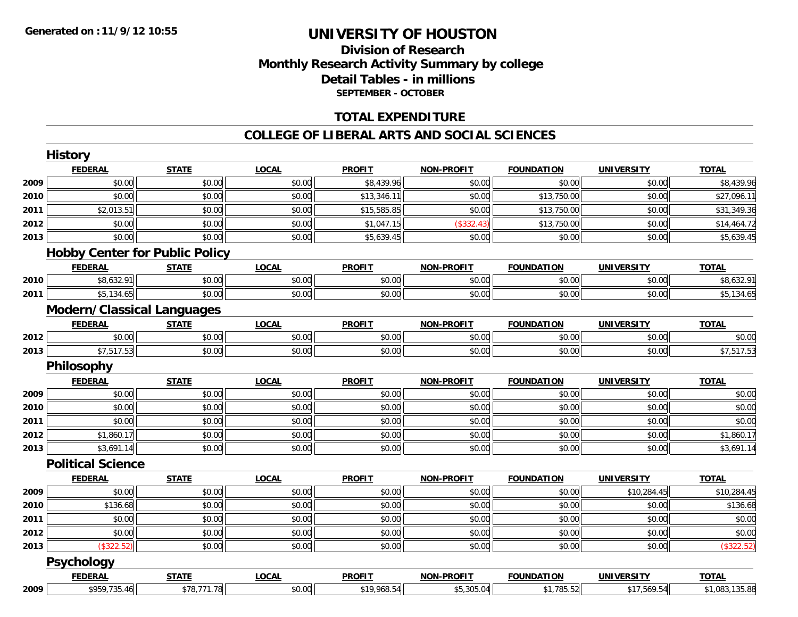### **Division of Research Monthly Research Activity Summary by college Detail Tables - in millions SEPTEMBER - OCTOBER**

#### **TOTAL EXPENDITURE**

#### **COLLEGE OF LIBERAL ARTS AND SOCIAL SCIENCES**

|      | <b>History</b>                        |              |              |               |                   |                   |                   |                |
|------|---------------------------------------|--------------|--------------|---------------|-------------------|-------------------|-------------------|----------------|
|      | <b>FEDERAL</b>                        | <b>STATE</b> | <b>LOCAL</b> | <b>PROFIT</b> | <b>NON-PROFIT</b> | <b>FOUNDATION</b> | <b>UNIVERSITY</b> | <b>TOTAL</b>   |
| 2009 | \$0.00                                | \$0.00       | \$0.00       | \$8,439.96    | \$0.00            | \$0.00            | \$0.00            | \$8,439.96     |
| 2010 | \$0.00                                | \$0.00       | \$0.00       | \$13,346.11   | \$0.00            | \$13,750.00       | \$0.00            | \$27,096.11    |
| 2011 | \$2,013.51                            | \$0.00       | \$0.00       | \$15,585.85   | \$0.00            | \$13,750.00       | \$0.00            | \$31,349.36    |
| 2012 | \$0.00                                | \$0.00       | \$0.00       | \$1,047.15    | (\$332.43)        | \$13,750.00       | \$0.00            | \$14,464.72    |
| 2013 | \$0.00                                | \$0.00       | \$0.00       | \$5,639.45    | \$0.00            | \$0.00            | \$0.00            | \$5,639.45     |
|      | <b>Hobby Center for Public Policy</b> |              |              |               |                   |                   |                   |                |
|      | <b>FEDERAL</b>                        | <b>STATE</b> | <b>LOCAL</b> | <b>PROFIT</b> | <b>NON-PROFIT</b> | <b>FOUNDATION</b> | <b>UNIVERSITY</b> | <b>TOTAL</b>   |
| 2010 | \$8,632.91                            | \$0.00       | \$0.00       | \$0.00        | \$0.00            | \$0.00            | \$0.00            | \$8,632.91     |
| 2011 | \$5,134.65                            | \$0.00       | \$0.00       | \$0.00        | \$0.00            | \$0.00            | \$0.00            | \$5,134.65     |
|      | <b>Modern/Classical Languages</b>     |              |              |               |                   |                   |                   |                |
|      | <b>FEDERAL</b>                        | <b>STATE</b> | <b>LOCAL</b> | <b>PROFIT</b> | <b>NON-PROFIT</b> | <b>FOUNDATION</b> | <b>UNIVERSITY</b> | <b>TOTAL</b>   |
| 2012 | \$0.00                                | \$0.00       | \$0.00       | \$0.00        | \$0.00            | \$0.00            | \$0.00            | \$0.00         |
| 2013 | \$7,517.53                            | \$0.00       | \$0.00       | \$0.00        | \$0.00            | \$0.00            | \$0.00            | \$7,517.53     |
|      | Philosophy                            |              |              |               |                   |                   |                   |                |
|      | <b>FEDERAL</b>                        | <b>STATE</b> | <b>LOCAL</b> | <b>PROFIT</b> | <b>NON-PROFIT</b> | <b>FOUNDATION</b> | <b>UNIVERSITY</b> | <b>TOTAL</b>   |
| 2009 | \$0.00                                | \$0.00       | \$0.00       | \$0.00        | \$0.00            | \$0.00            | \$0.00            | \$0.00         |
| 2010 | \$0.00                                | \$0.00       | \$0.00       | \$0.00        | \$0.00            | \$0.00            | \$0.00            | \$0.00         |
| 2011 | \$0.00                                | \$0.00       | \$0.00       | \$0.00        | \$0.00            | \$0.00            | \$0.00            | \$0.00         |
| 2012 | \$1,860.17                            | \$0.00       | \$0.00       | \$0.00        | \$0.00            | \$0.00            | \$0.00            | \$1,860.17     |
| 2013 | \$3,691.14                            | \$0.00       | \$0.00       | \$0.00        | \$0.00            | \$0.00            | \$0.00            | \$3,691.14     |
|      | <b>Political Science</b>              |              |              |               |                   |                   |                   |                |
|      | <b>FEDERAL</b>                        | <b>STATE</b> | <b>LOCAL</b> | <b>PROFIT</b> | NON-PROFIT        | <b>FOUNDATION</b> | <b>UNIVERSITY</b> | <b>TOTAL</b>   |
| 2009 | \$0.00                                | \$0.00       | \$0.00       | \$0.00        | \$0.00            | \$0.00            | \$10,284.45       | \$10,284.45    |
| 2010 | \$136.68                              | \$0.00       | \$0.00       | \$0.00        | \$0.00            | \$0.00            | \$0.00            | \$136.68       |
| 2011 | \$0.00                                | \$0.00       | \$0.00       | \$0.00        | \$0.00            | \$0.00            | \$0.00            | \$0.00         |
| 2012 | \$0.00                                | \$0.00       | \$0.00       | \$0.00        | \$0.00            | \$0.00            | \$0.00            | \$0.00         |
| 2013 | (\$322.52)                            | \$0.00       | \$0.00       | \$0.00        | \$0.00            | \$0.00            | \$0.00            | (\$322.52)     |
|      | Psychology                            |              |              |               |                   |                   |                   |                |
|      | <b>FEDERAL</b>                        | <b>STATE</b> | <b>LOCAL</b> | <b>PROFIT</b> | <b>NON-PROFIT</b> | <b>FOUNDATION</b> | <b>UNIVERSITY</b> | <b>TOTAL</b>   |
| 2009 | \$959,735.46                          | \$78,771.78  | \$0.00       | \$19,968.54   | \$5,305.04        | \$1,785.52        | \$17,569.54       | \$1,083,135.88 |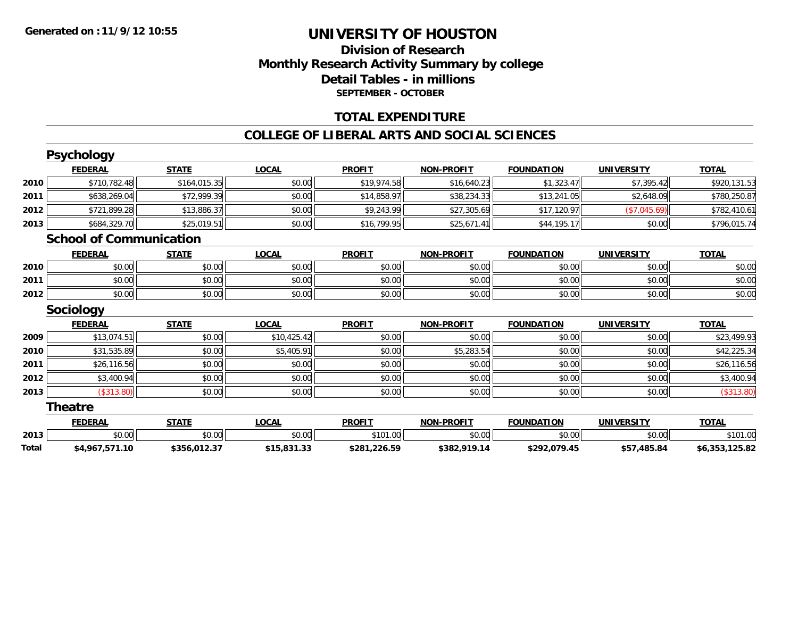### **Division of ResearchMonthly Research Activity Summary by college Detail Tables - in millions SEPTEMBER - OCTOBER**

#### **TOTAL EXPENDITURE**

#### **COLLEGE OF LIBERAL ARTS AND SOCIAL SCIENCES**

|       | <b>Psychology</b>              |              |              |               |                   |                   |                   |                |
|-------|--------------------------------|--------------|--------------|---------------|-------------------|-------------------|-------------------|----------------|
|       | <b>FEDERAL</b>                 | <b>STATE</b> | <b>LOCAL</b> | <b>PROFIT</b> | <b>NON-PROFIT</b> | <b>FOUNDATION</b> | <b>UNIVERSITY</b> | <b>TOTAL</b>   |
| 2010  | \$710,782.48                   | \$164,015.35 | \$0.00       | \$19,974.58   | \$16,640.23       | \$1,323.47        | \$7,395.42        | \$920,131.53   |
| 2011  | \$638,269.04                   | \$72,999.39  | \$0.00       | \$14,858.97   | \$38,234.33       | \$13,241.05       | \$2,648.09        | \$780,250.87   |
| 2012  | \$721,899.28                   | \$13,886.37  | \$0.00       | \$9,243.99    | \$27,305.69       | \$17,120.97       | (\$7,045.69)      | \$782,410.61   |
| 2013  | \$684,329.70                   | \$25,019.51  | \$0.00       | \$16,799.95   | \$25,671.41       | \$44,195.17       | \$0.00            | \$796,015.74   |
|       | <b>School of Communication</b> |              |              |               |                   |                   |                   |                |
|       | <b>FEDERAL</b>                 | <b>STATE</b> | <b>LOCAL</b> | <b>PROFIT</b> | <b>NON-PROFIT</b> | <b>FOUNDATION</b> | <b>UNIVERSITY</b> | <b>TOTAL</b>   |
| 2010  | \$0.00                         | \$0.00       | \$0.00       | \$0.00        | \$0.00            | \$0.00            | \$0.00            | \$0.00         |
| 2011  | \$0.00                         | \$0.00       | \$0.00       | \$0.00        | \$0.00            | \$0.00            | \$0.00            | \$0.00         |
| 2012  | \$0.00                         | \$0.00       | \$0.00       | \$0.00        | \$0.00            | \$0.00            | \$0.00            | \$0.00         |
|       | <b>Sociology</b>               |              |              |               |                   |                   |                   |                |
|       | <b>FEDERAL</b>                 | <b>STATE</b> | <b>LOCAL</b> | <b>PROFIT</b> | <b>NON-PROFIT</b> | <b>FOUNDATION</b> | <b>UNIVERSITY</b> | <b>TOTAL</b>   |
| 2009  | \$13,074.51                    | \$0.00       | \$10,425.42  | \$0.00        | \$0.00            | \$0.00            | \$0.00            | \$23,499.93    |
| 2010  | \$31,535.89                    | \$0.00       | \$5,405.91   | \$0.00        | \$5,283.54        | \$0.00            | \$0.00            | \$42,225.34    |
| 2011  | \$26,116.56                    | \$0.00       | \$0.00       | \$0.00        | \$0.00            | \$0.00            | \$0.00            | \$26,116.56    |
| 2012  | \$3,400.94                     | \$0.00       | \$0.00       | \$0.00        | \$0.00            | \$0.00            | \$0.00            | \$3,400.94     |
| 2013  | (\$313.80)                     | \$0.00       | \$0.00       | \$0.00        | \$0.00            | \$0.00            | \$0.00            | (\$313.80)     |
|       | <b>Theatre</b>                 |              |              |               |                   |                   |                   |                |
|       | <b>FEDERAL</b>                 | <b>STATE</b> | <b>LOCAL</b> | <b>PROFIT</b> | <b>NON-PROFIT</b> | <b>FOUNDATION</b> | <b>UNIVERSITY</b> | <b>TOTAL</b>   |
| 2013  | \$0.00                         | \$0.00       | \$0.00       | \$101.00      | \$0.00            | \$0.00            | \$0.00            | \$101.00       |
| Total | \$4,967,571.10                 | \$356,012.37 | \$15,831.33  | \$281,226.59  | \$382,919.14      | \$292,079.45      | \$57,485.84       | \$6,353,125.82 |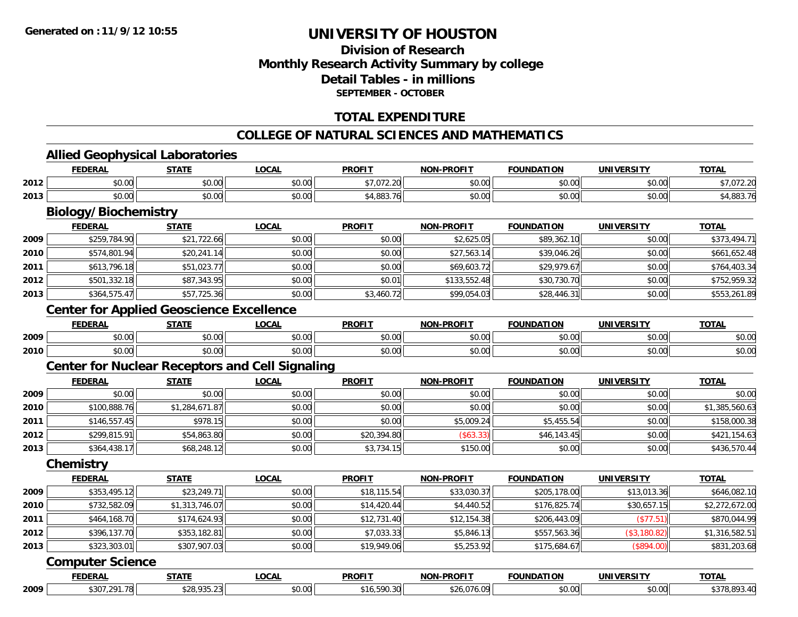### **Division of ResearchMonthly Research Activity Summary by college Detail Tables - in millions SEPTEMBER - OCTOBER**

### **TOTAL EXPENDITURE**

#### **COLLEGE OF NATURAL SCIENCES AND MATHEMATICS**

#### **Allied Geophysical Laboratories**

|      | <b>FEDERAL</b>                                         | <b>STATE</b>   | <b>LOCAL</b> | <b>PROFIT</b> | <b>NON-PROFIT</b> | <b>FOUNDATION</b> | <b>UNIVERSITY</b> | <b>TOTAL</b>   |
|------|--------------------------------------------------------|----------------|--------------|---------------|-------------------|-------------------|-------------------|----------------|
| 2012 | \$0.00                                                 | \$0.00         | \$0.00       | \$7,072.20    | \$0.00            | \$0.00            | \$0.00            | \$7,072.20     |
| 2013 | \$0.00                                                 | \$0.00         | \$0.00       | \$4,883.76    | \$0.00            | \$0.00            | \$0.00            | \$4,883.76     |
|      | <b>Biology/Biochemistry</b>                            |                |              |               |                   |                   |                   |                |
|      | <b>FEDERAL</b>                                         | <b>STATE</b>   | <b>LOCAL</b> | <b>PROFIT</b> | <b>NON-PROFIT</b> | <b>FOUNDATION</b> | <b>UNIVERSITY</b> | <b>TOTAL</b>   |
| 2009 | \$259,784.90                                           | \$21,722.66    | \$0.00       | \$0.00        | \$2,625.05        | \$89,362.10       | \$0.00            | \$373,494.71   |
| 2010 | \$574,801.94                                           | \$20,241.14    | \$0.00       | \$0.00        | \$27,563.14       | \$39,046.26       | \$0.00            | \$661,652.48   |
| 2011 | \$613,796.18                                           | \$51,023.77    | \$0.00       | \$0.00        | \$69,603.72       | \$29,979.67       | \$0.00            | \$764,403.34   |
| 2012 | \$501,332.18                                           | \$87,343.95    | \$0.00       | \$0.01        | \$133,552.48      | \$30,730.70       | \$0.00            | \$752,959.32   |
| 2013 | \$364,575.47                                           | \$57,725.36    | \$0.00       | \$3,460.72    | \$99,054.03       | \$28,446.31       | \$0.00            | \$553,261.89   |
|      | <b>Center for Applied Geoscience Excellence</b>        |                |              |               |                   |                   |                   |                |
|      | <b>FEDERAL</b>                                         | <b>STATE</b>   | <b>LOCAL</b> | <b>PROFIT</b> | <b>NON-PROFIT</b> | <b>FOUNDATION</b> | <b>UNIVERSITY</b> | <b>TOTAL</b>   |
| 2009 | \$0.00                                                 | \$0.00         | \$0.00       | \$0.00        | \$0.00            | \$0.00            | \$0.00            | \$0.00         |
| 2010 | \$0.00                                                 | \$0.00         | \$0.00       | \$0.00        | \$0.00            | \$0.00            | \$0.00            | \$0.00         |
|      | <b>Center for Nuclear Receptors and Cell Signaling</b> |                |              |               |                   |                   |                   |                |
|      | <b>FEDERAL</b>                                         | <b>STATE</b>   | <b>LOCAL</b> | <b>PROFIT</b> | <b>NON-PROFIT</b> | <b>FOUNDATION</b> | <b>UNIVERSITY</b> | <b>TOTAL</b>   |
| 2009 | \$0.00                                                 | \$0.00         | \$0.00       | \$0.00        | \$0.00            | \$0.00            | \$0.00            | \$0.00         |
| 2010 | \$100,888.76                                           | \$1,284,671.87 | \$0.00       | \$0.00        | \$0.00            | \$0.00            | \$0.00            | \$1,385,560.63 |
| 2011 | \$146,557.45                                           | \$978.15       | \$0.00       | \$0.00        | \$5,009.24        | \$5,455.54        | \$0.00            | \$158,000.38   |
| 2012 | \$299,815.91                                           | \$54,863.80    | \$0.00       | \$20,394.80   | (\$63.33)         | \$46,143.45       | \$0.00            | \$421,154.63   |
| 2013 | \$364,438.17                                           | \$68,248.12    | \$0.00       | \$3,734.15    | \$150.00          | \$0.00            | \$0.00            | \$436,570.44   |
|      | Chemistry                                              |                |              |               |                   |                   |                   |                |
|      | <b>FEDERAL</b>                                         | <b>STATE</b>   | <b>LOCAL</b> | <b>PROFII</b> | <b>NON-PROFIT</b> | <b>FOUNDATION</b> | <b>UNIVERSITY</b> | <b>TOTAL</b>   |
| 2009 | \$353,495.12                                           | \$23,249.71    | \$0.00       | \$18,115.54   | \$33,030.37       | \$205,178.00      | \$13,013.36       | \$646,082.10   |
| 2010 | \$732,582.09                                           | \$1,313,746.07 | \$0.00       | \$14,420.44   | \$4,440.52        | \$176,825.74      | \$30,657.15       | \$2,272,672.00 |
| 2011 | \$464,168.70                                           | \$174,624.93   | \$0.00       | \$12,731.40   | \$12,154.38       | \$206,443.09      | (\$77.51)         | \$870,044.99   |
| 2012 | \$396,137.70                                           | \$353,182.81   | \$0.00       | \$7,033.33    | \$5,846.13        | \$557,563.36      | (\$3,180.82)      | \$1,316,582.51 |
| 2013 | \$323,303.01                                           | \$307,907.03   | \$0.00       | \$19,949.06   | \$5,253.92        | \$175,684.67      | (\$894.00)        | \$831,203.68   |
|      | <b>Computer Science</b>                                |                |              |               |                   |                   |                   |                |
|      | <b>FEDERAL</b>                                         | <b>STATE</b>   | <b>LOCAL</b> | <b>PROFIT</b> | <b>NON-PROFIT</b> | <b>FOUNDATION</b> | <b>UNIVERSITY</b> | <b>TOTAL</b>   |
| 2009 | \$307,291.78                                           | \$28,935.23    | \$0.00       | \$16,590.30   | \$26,076.09       | \$0.00            | \$0.00            | \$378,893.40   |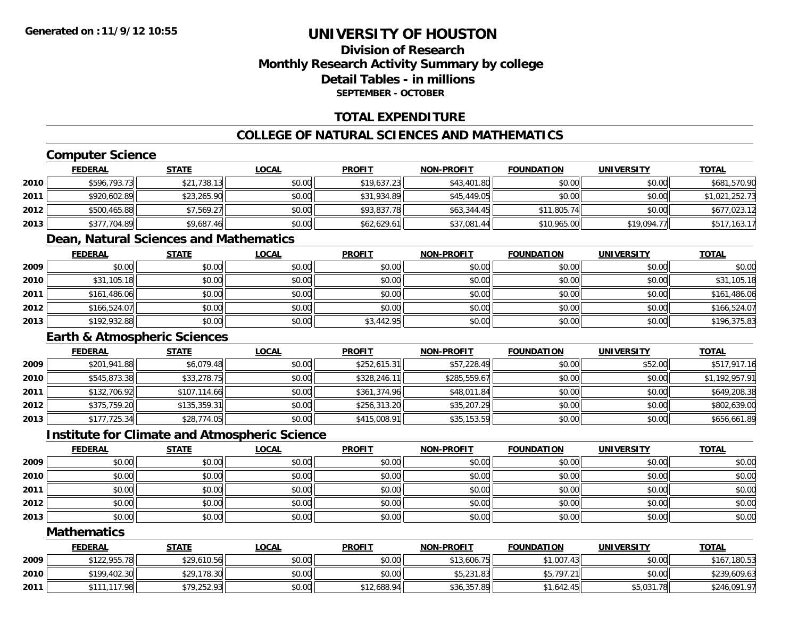### **Division of ResearchMonthly Research Activity Summary by college Detail Tables - in millionsSEPTEMBER - OCTOBER**

#### **TOTAL EXPENDITURE**

### **COLLEGE OF NATURAL SCIENCES AND MATHEMATICS**

### **Computer Science**

|      | <b>FEDERAL</b> | <u>STATE</u> | <b>LOCAL</b> | <b>PROFIT</b> | <b>NON-PROFIT</b> | <b>FOUNDATION</b> | UNIVERSITY  | <b>TOTAL</b>   |
|------|----------------|--------------|--------------|---------------|-------------------|-------------------|-------------|----------------|
| 2010 | \$596,793.73   | \$21,738.13  | \$0.00       | \$19,637.23   | \$43,401.80       | \$0.00            | \$0.00      | \$681,570.90   |
| 2011 | \$920,602.89   | \$23,265.90  | \$0.00       | \$31,934.89   | \$45,449.05       | \$0.00            | \$0.00      | \$1,021,252.73 |
| 2012 | \$500,465.88   | \$7,569.27   | \$0.00       | \$93,837.78   | \$63.344.45       | \$11,805.74       | \$0.00      | \$677,023.12   |
| 2013 | \$377,704.89   | \$9,687.46   | \$0.00       | \$62,629.61   | \$37,081.44       | \$10,965.00       | \$19,094.77 | \$517,163.17   |

#### **Dean, Natural Sciences and Mathematics**

|      | <u>FEDERAL</u> | <b>STATE</b> | <b>LOCAL</b> | <b>PROFIT</b> | NON-PROFIT | <b>FOUNDATION</b> | <b>UNIVERSITY</b> | <b>TOTAL</b> |
|------|----------------|--------------|--------------|---------------|------------|-------------------|-------------------|--------------|
| 2009 | \$0.00         | \$0.00       | \$0.00       | \$0.00        | \$0.00     | \$0.00            | \$0.00            | \$0.00       |
| 2010 | \$31,105.18    | \$0.00       | \$0.00       | \$0.00        | \$0.00     | \$0.00            | \$0.00            | \$31,105.18  |
| 2011 | \$161,486.06   | \$0.00       | \$0.00       | \$0.00        | \$0.00     | \$0.00            | \$0.00            | \$161,486.06 |
| 2012 | \$166,524.07   | \$0.00       | \$0.00       | \$0.00        | \$0.00     | \$0.00            | \$0.00            | \$166,524.07 |
| 2013 | \$192,932.88   | \$0.00       | \$0.00       | \$3,442.95    | \$0.00     | \$0.00            | \$0.00            | \$196,375.83 |

#### **Earth & Atmospheric Sciences**

|      | <b>FEDERAL</b> | <b>STATE</b> | <u>LOCAL</u> | <b>PROFIT</b> | <b>NON-PROFIT</b> | <b>FOUNDATION</b> | <b>UNIVERSITY</b> | <b>TOTAL</b>   |
|------|----------------|--------------|--------------|---------------|-------------------|-------------------|-------------------|----------------|
| 2009 | \$201,941.88   | \$6,079.48   | \$0.00       | \$252,615.31  | \$57,228.49       | \$0.00            | \$52.00           | \$517,917.16   |
| 2010 | \$545,873.38   | \$33,278.75  | \$0.00       | \$328,246.11  | \$285,559.67      | \$0.00            | \$0.00            | \$1,192,957.91 |
| 2011 | \$132,706.92   | \$107,114.66 | \$0.00       | \$361,374.96  | \$48,011.84       | \$0.00            | \$0.00            | \$649,208.38   |
| 2012 | \$375,759.20   | \$135,359.31 | \$0.00       | \$256,313.20  | \$35,207.29       | \$0.00            | \$0.00            | \$802,639.00   |
| 2013 | \$177,725.34   | \$28,774.05  | \$0.00       | \$415,008.91  | \$35,153.59       | \$0.00            | \$0.00            | \$656,661.89   |

#### **Institute for Climate and Atmospheric Science**

|      | <b>FEDERAL</b> | <b>STATE</b> | <b>LOCAL</b> | <b>PROFIT</b> | <b>NON-PROFIT</b> | <b>FOUNDATION</b> | <b>UNIVERSITY</b> | <b>TOTAL</b> |
|------|----------------|--------------|--------------|---------------|-------------------|-------------------|-------------------|--------------|
| 2009 | \$0.00         | \$0.00       | \$0.00       | \$0.00        | \$0.00            | \$0.00            | \$0.00            | \$0.00       |
| 2010 | \$0.00         | \$0.00       | \$0.00       | \$0.00        | \$0.00            | \$0.00            | \$0.00            | \$0.00       |
| 2011 | \$0.00         | \$0.00       | \$0.00       | \$0.00        | \$0.00            | \$0.00            | \$0.00            | \$0.00       |
| 2012 | \$0.00         | \$0.00       | \$0.00       | \$0.00        | \$0.00            | \$0.00            | \$0.00            | \$0.00       |
| 2013 | \$0.00         | \$0.00       | \$0.00       | \$0.00        | \$0.00            | \$0.00            | \$0.00            | \$0.00       |

#### **Mathematics**

|      | <u>FEDERAL</u> | <u>STATE</u> | <u>LOCAL</u> | <b>PROFIT</b> | <b>NON-PROFIT</b> | <b>FOUNDATION</b> | <b>UNIVERSITY</b> | <b>TOTAL</b> |
|------|----------------|--------------|--------------|---------------|-------------------|-------------------|-------------------|--------------|
| 2009 | \$122,955.78   | \$29,610.56  | \$0.00       | \$0.00        | \$13,606.75       | \$1,007.43        | \$0.00            | \$167,180.53 |
| 2010 | \$199,402.30   | \$29,178.30  | \$0.00       | \$0.00        | \$5,231.83        | \$5,797.21        | \$0.00            | \$239,609.63 |
| 2011 | \$111,117.98   | \$79,252.93  | \$0.00       | \$12,688.94   | \$36,357.89       | \$1,642.45        | \$5,031.78        | \$246,091.97 |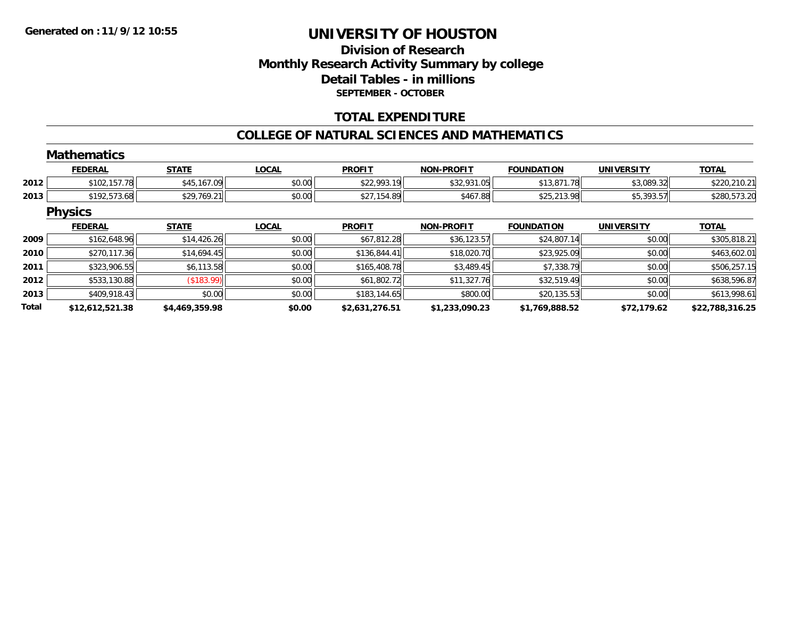### **Division of ResearchMonthly Research Activity Summary by college Detail Tables - in millions SEPTEMBER - OCTOBER**

#### **TOTAL EXPENDITURE**

#### **COLLEGE OF NATURAL SCIENCES AND MATHEMATICS**

|              | <b>Mathematics</b> |                   |              |                |                   |                   |                   |                 |
|--------------|--------------------|-------------------|--------------|----------------|-------------------|-------------------|-------------------|-----------------|
|              | <b>FEDERAL</b>     | <b>STATE</b>      | <b>LOCAL</b> | <b>PROFIT</b>  | <b>NON-PROFIT</b> | <b>FOUNDATION</b> | UNIVERSITY        | <b>TOTAL</b>    |
| 2012         | \$102,157.78       | \$45,167.09       | \$0.00       | \$22,993.19    | \$32,931.05       | \$13,871.78       | \$3,089.32        | \$220,210.21    |
| 2013         | \$192,573.68       | \$29,769.21       | \$0.00       | \$27,154.89    | \$467.88          | \$25,213.98       | \$5,393.57        | \$280,573.20    |
|              | <b>Physics</b>     |                   |              |                |                   |                   |                   |                 |
|              | <b>FEDERAL</b>     | <b>STATE</b>      | <b>LOCAL</b> | <b>PROFIT</b>  | <b>NON-PROFIT</b> | <b>FOUNDATION</b> | <b>UNIVERSITY</b> | <b>TOTAL</b>    |
| 2009         | \$162,648.96       | \$14,426.26       | \$0.00       | \$67,812.28    | \$36,123.57       | \$24,807.14       | \$0.00            | \$305,818.21    |
| 2010         | \$270,117.36       | \$14,694.45       | \$0.00       | \$136,844.41   | \$18,020.70       | \$23,925.09       | \$0.00            | \$463,602.01    |
| 2011         | \$323,906.55       | \$6,113.58        | \$0.00       | \$165,408.78   | \$3,489.45        | \$7,338.79        | \$0.00            | \$506,257.15    |
| 2012         | \$533,130.88       | $($ \$183.99) $ $ | \$0.00       | \$61,802.72    | \$11,327.76       | \$32,519.49       | \$0.00            | \$638,596.87    |
| 2013         | \$409,918.43       | \$0.00            | \$0.00       | \$183,144.65   | \$800.00          | \$20,135.53       | \$0.00            | \$613,998.61    |
| <b>Total</b> | \$12,612,521.38    | \$4,469,359.98    | \$0.00       | \$2,631,276.51 | \$1,233,090.23    | \$1,769,888.52    | \$72,179.62       | \$22,788,316.25 |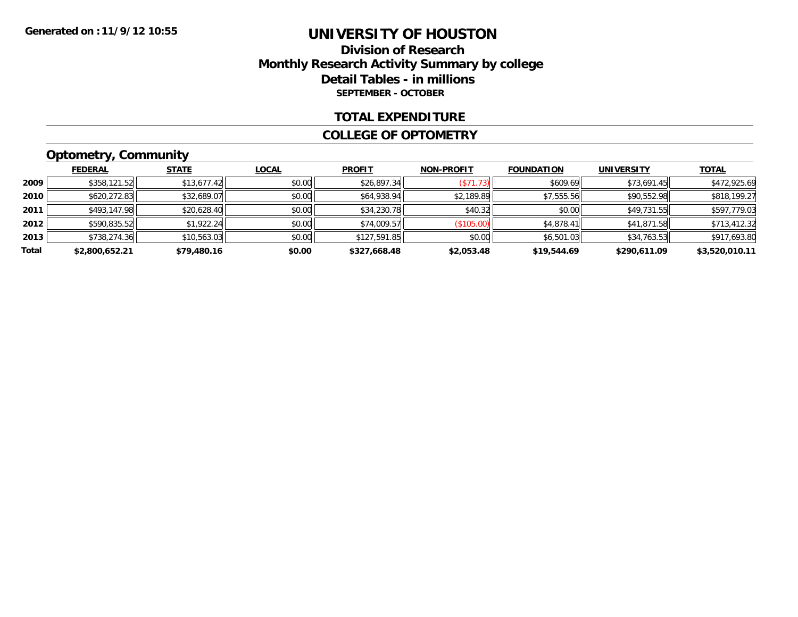### **Division of Research Monthly Research Activity Summary by college Detail Tables - in millions SEPTEMBER - OCTOBER**

#### **TOTAL EXPENDITURE**

#### **COLLEGE OF OPTOMETRY**

### **Optometry, Community**

|       | ___            |              |        |               |                   |                   |                   |                |
|-------|----------------|--------------|--------|---------------|-------------------|-------------------|-------------------|----------------|
|       | <b>FEDERAL</b> | <b>STATE</b> | LOCAL  | <b>PROFIT</b> | <b>NON-PROFIT</b> | <b>FOUNDATION</b> | <b>UNIVERSITY</b> | <b>TOTAL</b>   |
| 2009  | \$358,121.52   | \$13,677.42  | \$0.00 | \$26,897.34   | (S71.73)          | \$609.69          | \$73,691.45       | \$472,925.69   |
| 2010  | \$620,272.83   | \$32,689.07  | \$0.00 | \$64,938.94   | \$2,189.89        | \$7,555.56        | \$90,552.98       | \$818,199.27   |
| 2011  | \$493,147.98   | \$20,628.40  | \$0.00 | \$34,230.78   | \$40.32           | \$0.00            | \$49,731.55       | \$597,779.03   |
| 2012  | \$590,835.52   | \$1,922.24   | \$0.00 | \$74,009.57   | (\$105.00)        | \$4,878.41        | \$41,871.58       | \$713,412.32   |
| 2013  | \$738,274.36   | \$10,563.03  | \$0.00 | \$127,591.85  | \$0.00            | \$6,501.03        | \$34,763.53       | \$917,693.80   |
| Total | \$2,800,652.21 | \$79,480.16  | \$0.00 | \$327,668.48  | \$2,053.48        | \$19,544.69       | \$290.611.09      | \$3,520,010.11 |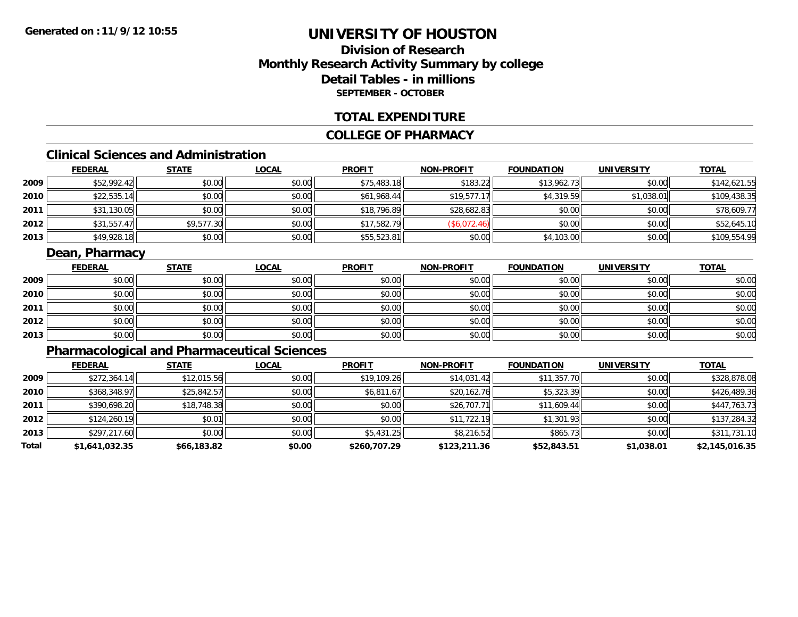### **Division of ResearchMonthly Research Activity Summary by college Detail Tables - in millions SEPTEMBER - OCTOBER**

#### **TOTAL EXPENDITURE**

#### **COLLEGE OF PHARMACY**

### **Clinical Sciences and Administration**

|      | <b>FEDERAL</b> | <b>STATE</b> | <u>LOCAL</u> | <b>PROFIT</b> | <b>NON-PROFIT</b> | <b>FOUNDATION</b> | <b>UNIVERSITY</b> | <u>TOTAL</u> |
|------|----------------|--------------|--------------|---------------|-------------------|-------------------|-------------------|--------------|
| 2009 | \$52,992.42    | \$0.00       | \$0.00       | \$75,483.18   | \$183.22          | \$13,962.73       | \$0.00            | \$142,621.55 |
| 2010 | \$22,535.14    | \$0.00       | \$0.00       | \$61,968.44   | \$19,577.17       | \$4,319.59        | \$1,038.01        | \$109,438.35 |
| 2011 | \$31,130.05    | \$0.00       | \$0.00       | \$18,796.89   | \$28,682.83       | \$0.00            | \$0.00            | \$78,609.77  |
| 2012 | \$31,557.47    | \$9,577.30   | \$0.00       | \$17,582.79   | (\$6,072.46)      | \$0.00            | \$0.00            | \$52,645.10  |
| 2013 | \$49,928.18    | \$0.00       | \$0.00       | \$55,523.81   | \$0.00            | \$4,103.00        | \$0.00            | \$109,554.99 |

### **Dean, Pharmacy**

|      | <b>FEDERAL</b> | <b>STATE</b> | <u>LOCAL</u> | <b>PROFIT</b> | <b>NON-PROFIT</b> | <b>FOUNDATION</b> | <b>UNIVERSITY</b> | <b>TOTAL</b> |
|------|----------------|--------------|--------------|---------------|-------------------|-------------------|-------------------|--------------|
| 2009 | \$0.00         | \$0.00       | \$0.00       | \$0.00        | \$0.00            | \$0.00            | \$0.00            | \$0.00       |
| 2010 | \$0.00         | \$0.00       | \$0.00       | \$0.00        | \$0.00            | \$0.00            | \$0.00            | \$0.00       |
| 2011 | \$0.00         | \$0.00       | \$0.00       | \$0.00        | \$0.00            | \$0.00            | \$0.00            | \$0.00       |
| 2012 | \$0.00         | \$0.00       | \$0.00       | \$0.00        | \$0.00            | \$0.00            | \$0.00            | \$0.00       |
| 2013 | \$0.00         | \$0.00       | \$0.00       | \$0.00        | \$0.00            | \$0.00            | \$0.00            | \$0.00       |

### **Pharmacological and Pharmaceutical Sciences**

|       | <b>FEDERAL</b> | <b>STATE</b> | <b>LOCAL</b> | <b>PROFIT</b> | <b>NON-PROFIT</b> | <b>FOUNDATION</b> | <b>UNIVERSITY</b> | <u>TOTAL</u>   |
|-------|----------------|--------------|--------------|---------------|-------------------|-------------------|-------------------|----------------|
| 2009  | \$272,364.14   | \$12,015.56  | \$0.00       | \$19,109.26   | \$14,031.42       | \$11,357.70       | \$0.00            | \$328,878.08   |
| 2010  | \$368,348.97   | \$25,842.57  | \$0.00       | \$6,811.67    | \$20,162.76       | \$5,323.39        | \$0.00            | \$426,489.36   |
| 2011  | \$390,698.20   | \$18,748.38  | \$0.00       | \$0.00        | \$26,707.71       | \$11,609.44       | \$0.00            | \$447,763.73   |
| 2012  | \$124,260.19   | \$0.01       | \$0.00       | \$0.00        | \$11,722.19       | \$1,301.93        | \$0.00            | \$137,284.32   |
| 2013  | \$297,217.60   | \$0.00       | \$0.00       | \$5,431.25    | \$8,216.52        | \$865.73          | \$0.00            | \$311,731.10   |
| Total | \$1,641,032.35 | \$66,183.82  | \$0.00       | \$260,707.29  | \$123,211.36      | \$52,843.51       | \$1,038.01        | \$2,145,016.35 |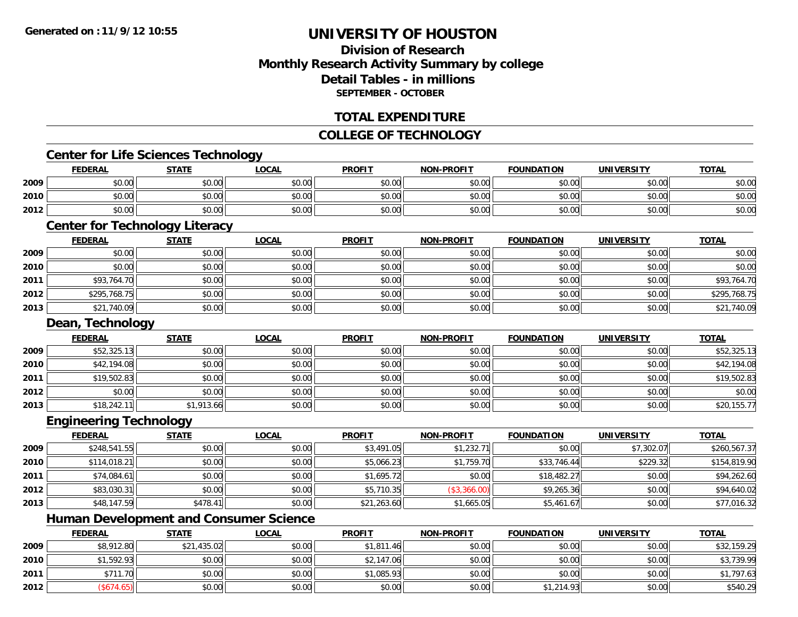### **Division of ResearchMonthly Research Activity Summary by college Detail Tables - in millionsSEPTEMBER - OCTOBER**

#### **TOTAL EXPENDITURE**

#### **COLLEGE OF TECHNOLOGY**

#### **Center for Life Sciences Technology**

|      | <b>FEDERAL</b> | <b>STATE</b> | <b>_OCAL</b> | <b>PROFIT</b> | <b>NON-PROFIT</b> | <b>FOUNDATION</b> | UNIVERSITY | <b>TOTAL</b> |
|------|----------------|--------------|--------------|---------------|-------------------|-------------------|------------|--------------|
| 2009 | \$0.00         | \$0.00       | \$0.00       | \$0.00        | \$0.00            | \$0.00            | \$0.00     | \$0.00       |
| 2010 | mn na<br>DU.UU | \$0.00       | \$0.00       | \$0.00        | \$0.00            | \$0.00            | \$0.00 l   | \$0.00       |
| 2012 | \$0.00         | \$0.00       | \$0.00       | \$0.00        | \$0.00            | \$0.00            | \$0.00     | \$0.00       |

### **Center for Technology Literacy**

|      | <b>FEDERAL</b> | <b>STATE</b> | <b>LOCAL</b> | <b>PROFIT</b> | NON-PROFIT | <b>FOUNDATION</b> | <b>UNIVERSITY</b> | <b>TOTAL</b> |
|------|----------------|--------------|--------------|---------------|------------|-------------------|-------------------|--------------|
| 2009 | \$0.00         | \$0.00       | \$0.00       | \$0.00        | \$0.00     | \$0.00            | \$0.00            | \$0.00       |
| 2010 | \$0.00         | \$0.00       | \$0.00       | \$0.00        | \$0.00     | \$0.00            | \$0.00            | \$0.00       |
| 2011 | \$93,764.70    | \$0.00       | \$0.00       | \$0.00        | \$0.00     | \$0.00            | \$0.00            | \$93,764.70  |
| 2012 | \$295,768.75   | \$0.00       | \$0.00       | \$0.00        | \$0.00     | \$0.00            | \$0.00            | \$295,768.75 |
| 2013 | \$21,740.09    | \$0.00       | \$0.00       | \$0.00        | \$0.00     | \$0.00            | \$0.00            | \$21,740.09  |

#### **Dean, Technology**

|      | <b>FEDERAL</b> | <b>STATE</b> | <u>LOCAL</u> | <b>PROFIT</b> | <b>NON-PROFIT</b> | <b>FOUNDATION</b> | <b>UNIVERSITY</b> | <b>TOTAL</b> |
|------|----------------|--------------|--------------|---------------|-------------------|-------------------|-------------------|--------------|
| 2009 | \$52,325.13    | \$0.00       | \$0.00       | \$0.00        | \$0.00            | \$0.00            | \$0.00            | \$52,325.13  |
| 2010 | \$42,194.08    | \$0.00       | \$0.00       | \$0.00        | \$0.00            | \$0.00            | \$0.00            | \$42,194.08  |
| 2011 | \$19,502.83    | \$0.00       | \$0.00       | \$0.00        | \$0.00            | \$0.00            | \$0.00            | \$19,502.83  |
| 2012 | \$0.00         | \$0.00       | \$0.00       | \$0.00        | \$0.00            | \$0.00            | \$0.00            | \$0.00       |
| 2013 | \$18,242.11    | \$1,913.66   | \$0.00       | \$0.00        | \$0.00            | \$0.00            | \$0.00            | \$20,155.77  |

#### **Engineering Technology**

|      | <b>FEDERAL</b> | <b>STATE</b> | <b>LOCAL</b> | <b>PROFIT</b> | <b>NON-PROFIT</b> | <b>FOUNDATION</b> | <b>UNIVERSITY</b> | <u>TOTAL</u> |
|------|----------------|--------------|--------------|---------------|-------------------|-------------------|-------------------|--------------|
| 2009 | \$248,541.55   | \$0.00       | \$0.00       | \$3,491.05    | \$1,232.71        | \$0.00            | \$7,302.07        | \$260,567.37 |
| 2010 | \$114,018.21   | \$0.00       | \$0.00       | \$5,066.23    | \$1,759.70        | \$33,746.44       | \$229.32          | \$154,819.90 |
| 2011 | \$74,084.61    | \$0.00       | \$0.00       | \$1,695.72    | \$0.00            | \$18,482.27       | \$0.00            | \$94,262.60  |
| 2012 | \$83,030.31    | \$0.00       | \$0.00       | \$5,710.35    | (\$3,366.00)      | \$9,265.36        | \$0.00            | \$94,640.02  |
| 2013 | \$48,147.59    | \$478.41     | \$0.00       | \$21,263.60   | \$1,665.05        | \$5,461.67        | \$0.00            | \$77,016.32  |

### **Human Development and Consumer Science**

|      | <b>FEDERAL</b> | <b>STATE</b> | <b>LOCAL</b> | <b>PROFIT</b> | <b>NON-PROFIT</b> | <b>FOUNDATION</b> | <b>UNIVERSITY</b> | <b>TOTAL</b> |
|------|----------------|--------------|--------------|---------------|-------------------|-------------------|-------------------|--------------|
| 2009 | \$8,912.80     | \$21,435.02  | \$0.00       | \$1,811.46    | \$0.00            | \$0.00            | \$0.00            | \$32,159.29  |
| 2010 | \$1,592.93     | \$0.00       | \$0.00       | \$2,147.06    | \$0.00            | \$0.00            | \$0.00            | \$3,739.99   |
| 2011 | \$711.70       | \$0.00       | \$0.00       | \$1,085.93    | \$0.00            | \$0.00            | \$0.00            | \$1,797.63   |
| 2012 | $($ \$674.65)  | \$0.00       | \$0.00       | \$0.00        | \$0.00            | \$1.214.93        | \$0.00            | \$540.29     |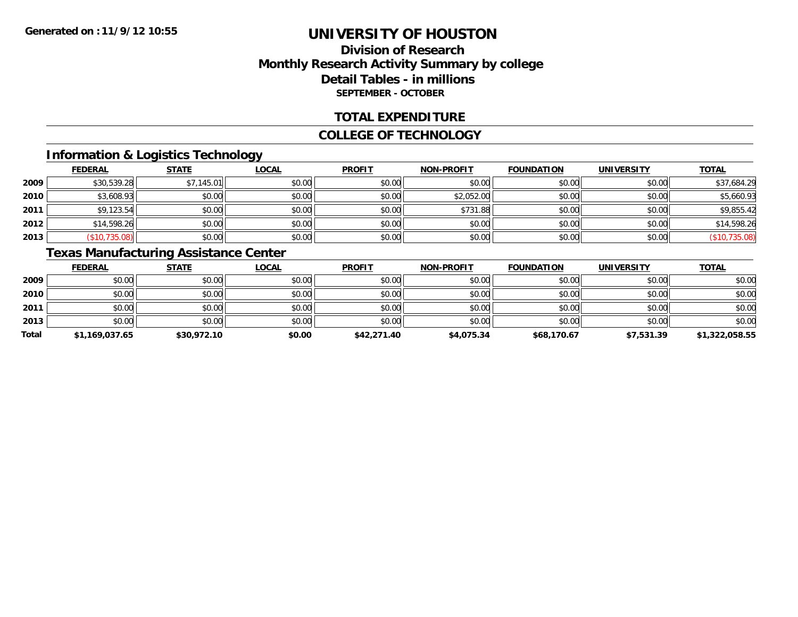### **Division of ResearchMonthly Research Activity Summary by college Detail Tables - in millions SEPTEMBER - OCTOBER**

#### **TOTAL EXPENDITURE**

#### **COLLEGE OF TECHNOLOGY**

### **Information & Logistics Technology**

|      | <b>FEDERAL</b> | <b>STATE</b> | <u>LOCAL</u> | <b>PROFIT</b> | <b>NON-PROFIT</b> | <b>FOUNDATION</b> | <b>UNIVERSITY</b> | <b>TOTAL</b>  |
|------|----------------|--------------|--------------|---------------|-------------------|-------------------|-------------------|---------------|
| 2009 | \$30,539.28    | \$7,145.01   | \$0.00       | \$0.00        | \$0.00            | \$0.00            | \$0.00            | \$37,684.29   |
| 2010 | \$3,608.93     | \$0.00       | \$0.00       | \$0.00        | \$2,052.00        | \$0.00            | \$0.00            | \$5,660.93    |
| 2011 | \$9,123.54     | \$0.00       | \$0.00       | \$0.00        | \$731.88          | \$0.00            | \$0.00            | \$9,855.42    |
| 2012 | \$14,598.26    | \$0.00       | \$0.00       | \$0.00        | \$0.00            | \$0.00            | \$0.00            | \$14,598.26   |
| 2013 | (\$10,735.08)  | \$0.00       | \$0.00       | \$0.00        | \$0.00            | \$0.00            | \$0.00            | (\$10,735.08) |

### **Texas Manufacturing Assistance Center**

|       | <b>FEDERAL</b> | <u>STATE</u> | <b>LOCAL</b> | <b>PROFIT</b> | <b>NON-PROFIT</b> | <b>FOUNDATION</b> | <b>UNIVERSITY</b> | <b>TOTAL</b>   |
|-------|----------------|--------------|--------------|---------------|-------------------|-------------------|-------------------|----------------|
| 2009  | \$0.00         | \$0.00       | \$0.00       | \$0.00        | \$0.00            | \$0.00            | \$0.00            | \$0.00         |
| 2010  | \$0.00         | \$0.00       | \$0.00       | \$0.00        | \$0.00            | \$0.00            | \$0.00            | \$0.00         |
| 2011  | \$0.00         | \$0.00       | \$0.00       | \$0.00        | \$0.00            | \$0.00            | \$0.00            | \$0.00         |
| 2013  | \$0.00         | \$0.00       | \$0.00       | \$0.00        | \$0.00            | \$0.00            | \$0.00            | \$0.00         |
| Total | \$1,169,037.65 | \$30,972.10  | \$0.00       | \$42,271.40   | \$4,075.34        | \$68,170.67       | \$7,531.39        | \$1,322,058.55 |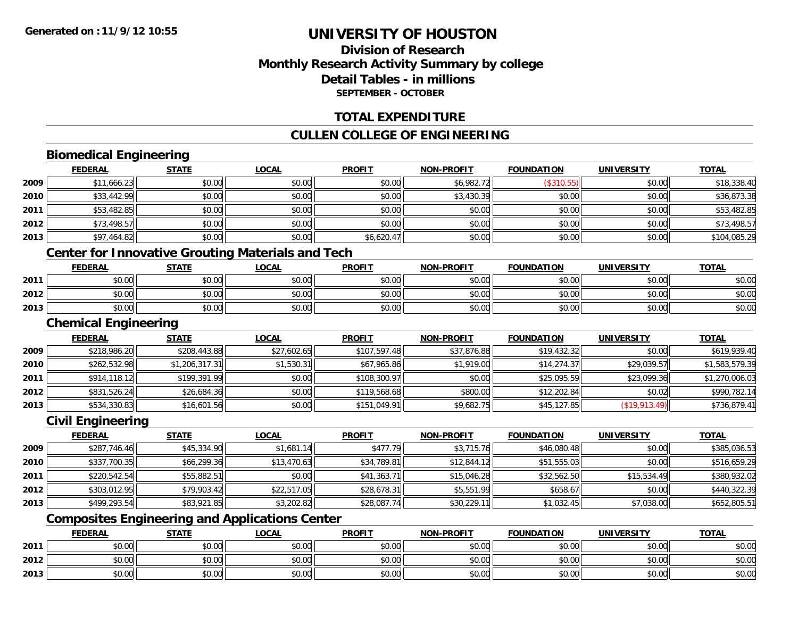### **Division of ResearchMonthly Research Activity Summary by college Detail Tables - in millionsSEPTEMBER - OCTOBER**

#### **TOTAL EXPENDITURE**

### **CULLEN COLLEGE OF ENGINEERING**

### **Biomedical Engineering**

|      | <b>FEDERAL</b> | <b>STATE</b> | <b>LOCAL</b>                                             | <b>PROFIT</b> | <b>NON-PROFIT</b> | <b>FOUNDATION</b> | <b>UNIVERSITY</b> | <b>TOTAL</b> |
|------|----------------|--------------|----------------------------------------------------------|---------------|-------------------|-------------------|-------------------|--------------|
| 2009 | \$11,666.23    | \$0.00       | \$0.00                                                   | \$0.00        | \$6,982.72        | (\$310.55)        | \$0.00            | \$18,338.40  |
| 2010 | \$33,442.99    | \$0.00       | \$0.00                                                   | \$0.00        | \$3,430.39        | \$0.00            | \$0.00            | \$36,873.38  |
| 2011 | \$53,482.85    | \$0.00       | \$0.00                                                   | \$0.00        | \$0.00            | \$0.00            | \$0.00            | \$53,482.85  |
| 2012 | \$73,498.57    | \$0.00       | \$0.00                                                   | \$0.00        | \$0.00            | \$0.00            | \$0.00            | \$73,498.57  |
| 2013 | \$97,464.82    | \$0.00       | \$0.00                                                   | \$6,620.47    | \$0.00            | \$0.00            | \$0.00            | \$104,085.29 |
|      |                |              | <b>Center for Innovative Grouting Materials and Tech</b> |               |                   |                   |                   |              |
|      | <b>FEDERAL</b> | <b>STATE</b> | <b>LOCAL</b>                                             | <b>PROFIT</b> | <b>NON-PROFIT</b> | <b>FOUNDATION</b> | <b>UNIVERSITY</b> | <b>TOTAL</b> |
| 2011 | \$0.00         | \$0.00       | \$0.00                                                   | \$0.00        | \$0.00            | \$0.00            | \$0.00            | \$0.00       |
| 2012 | \$0.00         | \$0.00       | \$0.00                                                   | \$0.00        | \$0.00            | \$0.00            | \$0.00            | \$0.00       |
| 2013 | \$0.00         | \$0.00       | \$0.00                                                   | \$0.00        | \$0.00            | \$0.00            | \$0.00            | \$0.00       |

#### **Chemical Engineering**

|      | <b>FEDERAL</b> | <u>STATE</u>   | <b>LOCAL</b> | <b>PROFIT</b> | <b>NON-PROFIT</b> | <b>FOUNDATION</b> | <b>UNIVERSITY</b> | <b>TOTAL</b>   |
|------|----------------|----------------|--------------|---------------|-------------------|-------------------|-------------------|----------------|
| 2009 | \$218,986.20   | \$208,443.88   | \$27,602.65  | \$107.597.48  | \$37,876.88       | \$19,432.32       | \$0.00            | \$619,939.40   |
| 2010 | \$262,532.98   | \$1,206,317.31 | \$1,530.31   | \$67,965.86   | \$1,919.00        | \$14,274.37       | \$29,039.57       | \$1,583,579.39 |
| 2011 | \$914,118.12   | \$199,391.99   | \$0.00       | \$108,300.97  | \$0.00            | \$25,095.59       | \$23,099.36       | \$1,270,006.03 |
| 2012 | \$831,526.24   | \$26,684.36    | \$0.00       | \$119,568.68  | \$800.00          | \$12,202.84       | \$0.02            | \$990,782.14   |
| 2013 | \$534,330.83   | \$16,601.56    | \$0.00       | \$151,049.91  | \$9,682.75        | \$45,127.85       | (S19, 913.49)     | \$736,879.41   |

### **Civil Engineering**

|      | <u>FEDERAL</u> | <b>STATE</b> | <b>LOCAL</b> | <b>PROFIT</b> | <b>NON-PROFIT</b> | <b>FOUNDATION</b> | <b>UNIVERSITY</b> | <b>TOTAL</b> |
|------|----------------|--------------|--------------|---------------|-------------------|-------------------|-------------------|--------------|
| 2009 | \$287,746.46   | \$45,334.90  | \$1,681.14   | \$477.79      | \$3,715.76        | \$46,080.48       | \$0.00            | \$385,036.53 |
| 2010 | \$337,700.35   | \$66,299.36  | \$13,470.63  | \$34,789.81   | \$12,844.12       | \$51,555.03       | \$0.00            | \$516,659.29 |
| 2011 | \$220,542.54   | \$55,882.51  | \$0.00       | \$41,363.71   | \$15,046.28       | \$32,562.50       | \$15,534.49       | \$380,932.02 |
| 2012 | \$303,012.95   | \$79,903.42  | \$22,517.05  | \$28,678.31   | \$5,551.99        | \$658.67          | \$0.00            | \$440,322.39 |
| 2013 | \$499,293.54   | \$83,921.85  | \$3,202.82   | \$28,087.74   | \$30,229.11       | \$1,032.45        | \$7,038.00        | \$652,805.51 |

### **Composites Engineering and Applications Center**

|      | <b>FEDERAL</b> | <b>STATE</b> | <u>LOCAL</u>           | <b>PROFIT</b> | <b>NON-PROFIT</b> | <b>FOUNDATION</b> | <b>UNIVERSITY</b> | <b>TOTAL</b> |
|------|----------------|--------------|------------------------|---------------|-------------------|-------------------|-------------------|--------------|
| 2011 | \$0.00         | \$0.00       | $n \cap \neg$<br>JU.UU | \$0.00        | \$0.00            | \$0.00            | \$0.00            | \$0.00       |
| 2012 | \$0.00         | \$0.00       | ልስ ለሰ<br>JU.UU         | \$0.00        | \$0.00            | \$0.00            | \$0.00            | \$0.00       |
| 2013 | \$0.00         | \$0.00       | \$0.00                 | \$0.00        | \$0.00            | \$0.00            | \$0.00            | \$0.00       |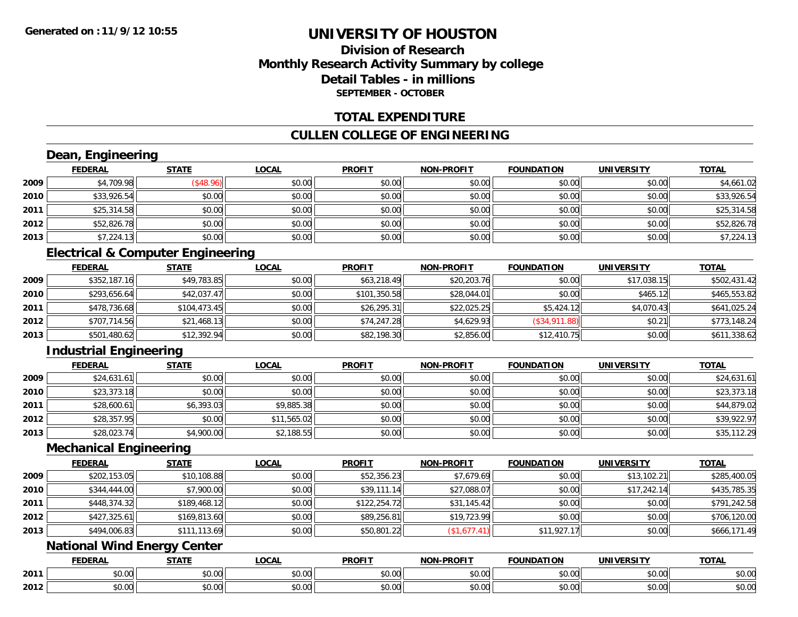### **Division of ResearchMonthly Research Activity Summary by college Detail Tables - in millionsSEPTEMBER - OCTOBER**

#### **TOTAL EXPENDITURE**

#### **CULLEN COLLEGE OF ENGINEERING**

## **Dean, Engineering**

|      | <b>FEDERAL</b> | <b>STATE</b>     | <b>LOCAL</b> | <b>PROFIT</b> | <b>NON-PROFIT</b> | <b>FOUNDATION</b> | <b>UNIVERSITY</b> | <b>TOTAL</b> |
|------|----------------|------------------|--------------|---------------|-------------------|-------------------|-------------------|--------------|
| 2009 | \$4,709.98     | $($ \$48.96) $ $ | \$0.00       | \$0.00        | \$0.00            | \$0.00            | \$0.00            | \$4,661.02   |
| 2010 | \$33,926.54    | \$0.00           | \$0.00       | \$0.00        | \$0.00            | \$0.00            | \$0.00            | \$33,926.54  |
| 2011 | \$25,314.58    | \$0.00           | \$0.00       | \$0.00        | \$0.00            | \$0.00            | \$0.00            | \$25,314.58  |
| 2012 | \$52,826.78    | \$0.00           | \$0.00       | \$0.00        | \$0.00            | \$0.00            | \$0.00            | \$52,826.78  |
| 2013 | \$7,224.13     | \$0.00           | \$0.00       | \$0.00        | \$0.00            | \$0.00            | \$0.00            | \$7,224.13   |

### **Electrical & Computer Engineering**

|      | <b>FEDERAL</b> | <u>STATE</u> | <b>LOCAL</b> | <b>PROFIT</b> | <b>NON-PROFIT</b> | <b>FOUNDATION</b> | <b>UNIVERSITY</b> | <b>TOTAL</b> |
|------|----------------|--------------|--------------|---------------|-------------------|-------------------|-------------------|--------------|
| 2009 | \$352,187.16   | \$49,783.85  | \$0.00       | \$63,218.49   | \$20,203.76       | \$0.00            | \$17,038.15       | \$502,431.42 |
| 2010 | \$293,656.64   | \$42,037.47  | \$0.00       | \$101,350.58  | \$28,044.01       | \$0.00            | \$465.12          | \$465,553.82 |
| 2011 | \$478,736.68   | \$104,473.45 | \$0.00       | \$26,295.31   | \$22,025.25       | \$5,424.12        | \$4,070.43        | \$641,025.24 |
| 2012 | \$707,714.56   | \$21,468.13  | \$0.00       | \$74,247.28   | \$4,629.93        | (\$34,911.88)     | \$0.21            | \$773,148.24 |
| 2013 | \$501,480.62   | \$12,392.94  | \$0.00       | \$82,198.30   | \$2,856.00        | \$12,410.75       | \$0.00            | \$611,338.62 |

### **Industrial Engineering**

|      | <u>FEDERAL</u> | <b>STATE</b> | <u>LOCAL</u> | <b>PROFIT</b> | <b>NON-PROFIT</b> | <b>FOUNDATION</b> | <b>UNIVERSITY</b> | <b>TOTAL</b> |
|------|----------------|--------------|--------------|---------------|-------------------|-------------------|-------------------|--------------|
| 2009 | \$24,631.61    | \$0.00       | \$0.00       | \$0.00        | \$0.00            | \$0.00            | \$0.00            | \$24,631.61  |
| 2010 | \$23,373.18    | \$0.00       | \$0.00       | \$0.00        | \$0.00            | \$0.00            | \$0.00            | \$23,373.18  |
| 2011 | \$28,600.61    | \$6,393.03   | \$9,885.38   | \$0.00        | \$0.00            | \$0.00            | \$0.00            | \$44,879.02  |
| 2012 | \$28,357.95    | \$0.00       | \$11,565.02  | \$0.00        | \$0.00            | \$0.00            | \$0.00            | \$39,922.97  |
| 2013 | \$28,023.74    | \$4,900.00   | \$2,188.55   | \$0.00        | \$0.00            | \$0.00            | \$0.00            | \$35,112.29  |

#### **Mechanical Engineering**

|      | <b>FEDERAL</b> | <b>STATE</b> | <u>LOCAL</u> | <b>PROFIT</b> | <b>NON-PROFIT</b> | <b>FOUNDATION</b> | <b>UNIVERSITY</b> | <b>TOTAL</b> |
|------|----------------|--------------|--------------|---------------|-------------------|-------------------|-------------------|--------------|
| 2009 | \$202,153.05   | \$10,108.88  | \$0.00       | \$52,356.23   | \$7,679.69        | \$0.00            | \$13,102.21       | \$285,400.05 |
| 2010 | \$344,444.00   | \$7,900.00   | \$0.00       | \$39,111.14   | \$27,088.07       | \$0.00            | \$17.242.14       | \$435,785.35 |
| 2011 | \$448,374.32   | \$189,468.12 | \$0.00       | \$122,254.72  | \$31,145.42       | \$0.00            | \$0.00            | \$791,242.58 |
| 2012 | \$427,325.61   | \$169,813.60 | \$0.00       | \$89,256.81   | \$19,723.99       | \$0.00            | \$0.00            | \$706,120.00 |
| 2013 | \$494,006.83   | \$111,113.69 | \$0.00       | \$50,801.22   | (\$1,677.41)      | \$11,927.17       | \$0.00            | \$666,171.49 |

### **National Wind Energy Center**

|      | <b>FEDERAL</b> | <b>CTATE</b>    | LOCAI              | <b>PROFIT</b> | <b>DDAELT</b><br><b>NIONI</b><br>ж. | <b>FOUNDATION</b> | UNIVERSITY           | <b>TOTAL</b>             |
|------|----------------|-----------------|--------------------|---------------|-------------------------------------|-------------------|----------------------|--------------------------|
| 2011 | ልስ ባህ<br>שט.טע | ሖጣ<br>JU.UU     | $\sim$ 00<br>DU.UU | 0000<br>JU.UU | $\sim$<br>$\sim$<br>PO.OO           | 0.00<br>JU.UU     | 0000<br><b>DU.UG</b> | $\sim$<br><b>JU.UU</b>   |
| 2012 | nn na<br>JU.UU | $\sim$<br>JU.UU | $\sim$ 00<br>PU.UU | 0.00<br>JU.UU | 0.00<br>vv.vv                       | 0.00<br>JU.UU     | 0000<br><b>DU.UG</b> | $\cdots$<br><b>JU.UU</b> |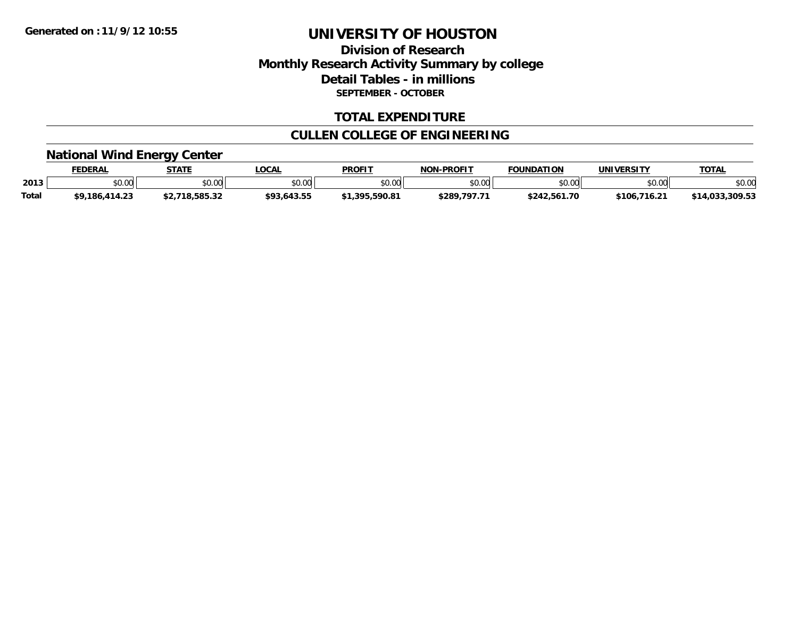### **Division of Research Monthly Research Activity Summary by college Detail Tables - in millions SEPTEMBER - OCTOBER**

#### **TOTAL EXPENDITURE**

### **CULLEN COLLEGE OF ENGINEERING**

# **National Wind Energy Center**

|              | <b>FEDERAL</b>                              | <b>STATE</b> | LOCAL       | <b>PROFIT</b> | <b>NON-PROFIT</b> | <b>FOUNDATION</b> | <b>UNIVERSITY</b> | <b>TOTAL</b> |
|--------------|---------------------------------------------|--------------|-------------|---------------|-------------------|-------------------|-------------------|--------------|
| 2013         | $\mathfrak{c}\cap\mathfrak{a}\cap$<br>DU.UU | \$0.00       | \$0.00      | \$0.00        | \$0.00            | mn n¢             | 0000<br>DU.UG     | \$0.00       |
| <b>Total</b> | \$9,186,414.23                              | /18.585.32   | \$93,643.55 | 1.395.590.81  | \$289,797.71      | \$242,561.70      | \$106,716.21      | 1.033.309.53 |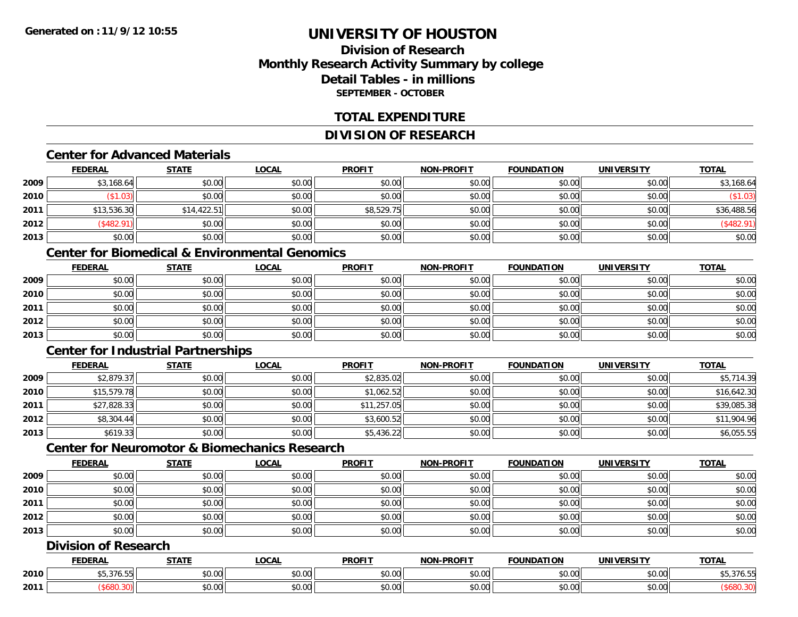### **Division of ResearchMonthly Research Activity Summary by college Detail Tables - in millionsSEPTEMBER - OCTOBER**

#### **TOTAL EXPENDITURE**

### **DIVISION OF RESEARCH**

#### **Center for Advanced Materials**

|      | <b>FEDERAL</b> | <b>STATE</b> | <b>LOCAL</b> | <b>PROFIT</b> | <b>NON-PROFIT</b> | <b>FOUNDATION</b> | <b>UNIVERSITY</b> | <b>TOTAL</b> |
|------|----------------|--------------|--------------|---------------|-------------------|-------------------|-------------------|--------------|
| 2009 | \$3,168.64     | \$0.00       | \$0.00       | \$0.00        | \$0.00            | \$0.00            | \$0.00            | \$3,168.64   |
| 2010 | \$1.03)        | \$0.00       | \$0.00       | \$0.00        | \$0.00            | \$0.00            | \$0.00            | $(\$1.03)$   |
| 2011 | \$13,536.30    | \$14,422.51  | \$0.00       | \$8,529.75    | \$0.00            | \$0.00            | \$0.00            | \$36,488.56  |
| 2012 | \$482.91       | \$0.00       | \$0.00       | \$0.00        | \$0.00            | \$0.00            | \$0.00            | \$482.91)    |
| 2013 | \$0.00         | \$0.00       | \$0.00       | \$0.00        | \$0.00            | \$0.00            | \$0.00            | \$0.00       |

#### **Center for Biomedical & Environmental Genomics**

|      | <u>FEDERAL</u> | <u>STATE</u> | <u>LOCAL</u> | <b>PROFIT</b> | <b>NON-PROFIT</b> | <b>FOUNDATION</b> | <b>UNIVERSITY</b> | <b>TOTAL</b> |
|------|----------------|--------------|--------------|---------------|-------------------|-------------------|-------------------|--------------|
| 2009 | \$0.00         | \$0.00       | \$0.00       | \$0.00        | \$0.00            | \$0.00            | \$0.00            | \$0.00       |
| 2010 | \$0.00         | \$0.00       | \$0.00       | \$0.00        | \$0.00            | \$0.00            | \$0.00            | \$0.00       |
| 2011 | \$0.00         | \$0.00       | \$0.00       | \$0.00        | \$0.00            | \$0.00            | \$0.00            | \$0.00       |
| 2012 | \$0.00         | \$0.00       | \$0.00       | \$0.00        | \$0.00            | \$0.00            | \$0.00            | \$0.00       |
| 2013 | \$0.00         | \$0.00       | \$0.00       | \$0.00        | \$0.00            | \$0.00            | \$0.00            | \$0.00       |

### **Center for Industrial Partnerships**

|      | <u>FEDERAL</u> | <b>STATE</b> | <b>LOCAL</b> | <b>PROFIT</b> | <b>NON-PROFIT</b> | <b>FOUNDATION</b> | <b>UNIVERSITY</b> | <b>TOTAL</b> |
|------|----------------|--------------|--------------|---------------|-------------------|-------------------|-------------------|--------------|
| 2009 | \$2,879.37     | \$0.00       | \$0.00       | \$2,835.02    | \$0.00            | \$0.00            | \$0.00            | \$5,714.39   |
| 2010 | \$15,579.78    | \$0.00       | \$0.00       | \$1,062.52    | \$0.00            | \$0.00            | \$0.00            | \$16,642.30  |
| 2011 | \$27,828.33    | \$0.00       | \$0.00       | \$11,257.05   | \$0.00            | \$0.00            | \$0.00            | \$39,085.38  |
| 2012 | \$8,304.44     | \$0.00       | \$0.00       | \$3,600.52    | \$0.00            | \$0.00            | \$0.00            | \$11,904.96  |
| 2013 | \$619.33       | \$0.00       | \$0.00       | \$5,436.22    | \$0.00            | \$0.00            | \$0.00            | \$6,055.55   |

### **Center for Neuromotor & Biomechanics Research**

|      | <b>FEDERAL</b> | <b>STATE</b> | <b>LOCAL</b> | <b>PROFIT</b> | <b>NON-PROFIT</b> | <b>FOUNDATION</b> | <b>UNIVERSITY</b> | <b>TOTAL</b> |
|------|----------------|--------------|--------------|---------------|-------------------|-------------------|-------------------|--------------|
| 2009 | \$0.00         | \$0.00       | \$0.00       | \$0.00        | \$0.00            | \$0.00            | \$0.00            | \$0.00       |
| 2010 | \$0.00         | \$0.00       | \$0.00       | \$0.00        | \$0.00            | \$0.00            | \$0.00            | \$0.00       |
| 2011 | \$0.00         | \$0.00       | \$0.00       | \$0.00        | \$0.00            | \$0.00            | \$0.00            | \$0.00       |
| 2012 | \$0.00         | \$0.00       | \$0.00       | \$0.00        | \$0.00            | \$0.00            | \$0.00            | \$0.00       |
| 2013 | \$0.00         | \$0.00       | \$0.00       | \$0.00        | \$0.00            | \$0.00            | \$0.00            | \$0.00       |

### **Division of Research**

|      | <b>FEDERAL</b>                                      | статі             | .OCAI              | <b>PROFIT</b> | <b>M-PROFIT</b><br><b>NON</b> | .<br><b>HNDAT.</b> | ,,,,,,<br>`INHV. | <b>TOTAL</b> |
|------|-----------------------------------------------------|-------------------|--------------------|---------------|-------------------------------|--------------------|------------------|--------------|
| 2010 | $\sim$ $\sim$ $\sim$ $\sim$ $\sim$<br>--<br>,,<br>. | $\sim$<br>JU.U    | $\sim$ 00<br>pu.uu | 0.00<br>DU.UU | 0.00<br><b>JU.UU</b>          | \$0.00             | \$0.00           | 70.5         |
| 2011 |                                                     | $\sim$ 00<br>JU.U | 0.00<br>PU.UU      | 0.00<br>DU.UU | 0.00<br><b>JU.UU</b>          | \$0.00             | \$0.00           |              |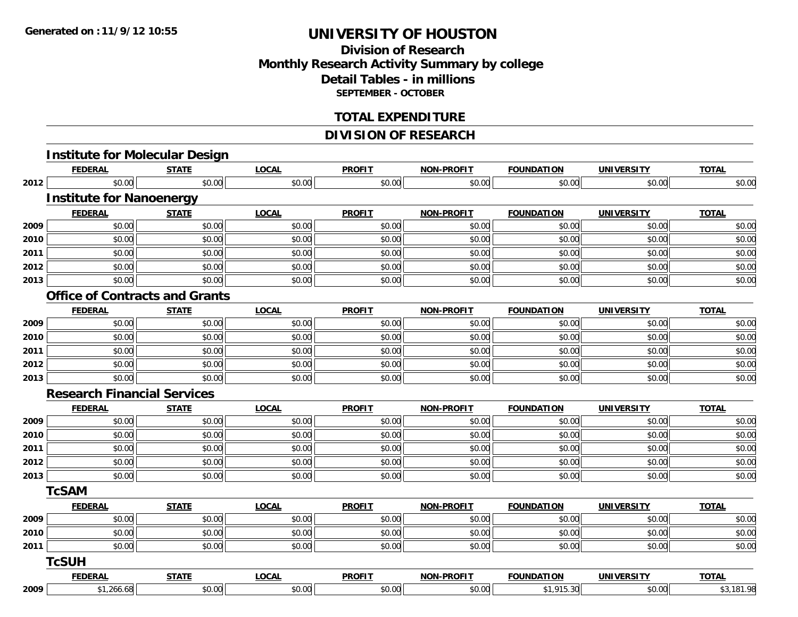### **Division of ResearchMonthly Research Activity Summary by college Detail Tables - in millions SEPTEMBER - OCTOBER**

#### **TOTAL EXPENDITURE**

### **DIVISION OF RESEARCH**

|      | <b>FEDERAL</b>                        | <b>STATE</b> | <b>LOCAL</b> | <b>PROFIT</b> | <b>NON-PROFIT</b> | <b>FOUNDATION</b> | <b>UNIVERSITY</b> | <b>TOTAL</b> |
|------|---------------------------------------|--------------|--------------|---------------|-------------------|-------------------|-------------------|--------------|
| 2012 | \$0.00                                | \$0.00       | \$0.00       | \$0.00        | \$0.00            | \$0.00            | \$0.00            | \$0.00       |
|      | <b>Institute for Nanoenergy</b>       |              |              |               |                   |                   |                   |              |
|      | <b>FEDERAL</b>                        | <b>STATE</b> | <b>LOCAL</b> | <b>PROFIT</b> | <b>NON-PROFIT</b> | <b>FOUNDATION</b> | <b>UNIVERSITY</b> | <b>TOTAL</b> |
| 2009 | \$0.00                                | \$0.00       | \$0.00       | \$0.00        | \$0.00            | \$0.00            | \$0.00            | \$0.00       |
| 2010 | \$0.00                                | \$0.00       | \$0.00       | \$0.00        | \$0.00            | \$0.00            | \$0.00            | \$0.00       |
| 2011 | \$0.00                                | \$0.00       | \$0.00       | \$0.00        | \$0.00            | \$0.00            | \$0.00            | \$0.00       |
| 2012 | \$0.00                                | \$0.00       | \$0.00       | \$0.00        | \$0.00            | \$0.00            | \$0.00            | \$0.00       |
| 2013 | \$0.00                                | \$0.00       | \$0.00       | \$0.00        | \$0.00            | \$0.00            | \$0.00            | \$0.00       |
|      | <b>Office of Contracts and Grants</b> |              |              |               |                   |                   |                   |              |
|      | <b>FEDERAL</b>                        | <b>STATE</b> | <b>LOCAL</b> | <b>PROFIT</b> | <b>NON-PROFIT</b> | <b>FOUNDATION</b> | <b>UNIVERSITY</b> | <b>TOTAL</b> |
| 2009 | \$0.00                                | \$0.00       | \$0.00       | \$0.00        | \$0.00            | \$0.00            | \$0.00            | \$0.00       |
| 2010 | \$0.00                                | \$0.00       | \$0.00       | \$0.00        | \$0.00            | \$0.00            | \$0.00            | \$0.00       |
| 2011 | \$0.00                                | \$0.00       | \$0.00       | \$0.00        | \$0.00            | \$0.00            | \$0.00            | \$0.00       |
| 2012 | \$0.00                                | \$0.00       | \$0.00       | \$0.00        | \$0.00            | \$0.00            | \$0.00            | \$0.00       |
| 2013 | \$0.00                                | \$0.00       | \$0.00       | \$0.00        | \$0.00            | \$0.00            | \$0.00            | \$0.00       |
|      | <b>Research Financial Services</b>    |              |              |               |                   |                   |                   |              |
|      | <b>FEDERAL</b>                        | <b>STATE</b> | <b>LOCAL</b> | <b>PROFIT</b> | <b>NON-PROFIT</b> | <b>FOUNDATION</b> | <b>UNIVERSITY</b> | <b>TOTAL</b> |
| 2009 | \$0.00                                | \$0.00       | \$0.00       | \$0.00        | \$0.00            | \$0.00            | \$0.00            | \$0.00       |
| 2010 | \$0.00                                | \$0.00       | \$0.00       | \$0.00        | \$0.00            | \$0.00            | \$0.00            | \$0.00       |
| 2011 | \$0.00                                | \$0.00       | \$0.00       | \$0.00        | \$0.00            | \$0.00            | \$0.00            | \$0.00       |
| 2012 | \$0.00                                | \$0.00       | \$0.00       | \$0.00        | \$0.00            | \$0.00            | \$0.00            | \$0.00       |
| 2013 | \$0.00                                | \$0.00       | \$0.00       | \$0.00        | \$0.00            | \$0.00            | \$0.00            | \$0.00       |
|      | <b>TcSAM</b>                          |              |              |               |                   |                   |                   |              |
|      | <b>FEDERAL</b>                        | <b>STATE</b> | <b>LOCAL</b> | <b>PROFIT</b> | <b>NON-PROFIT</b> | <b>FOUNDATION</b> | <b>UNIVERSITY</b> | <b>TOTAL</b> |
| 2009 | \$0.00                                | \$0.00       | \$0.00       | \$0.00        | \$0.00            | \$0.00            | \$0.00            | \$0.00       |
| 2010 | \$0.00                                | \$0.00       | \$0.00       | \$0.00        | \$0.00            | \$0.00            | \$0.00            | \$0.00       |
| 2011 | \$0.00                                | \$0.00       | \$0.00       | \$0.00        | \$0.00            | \$0.00            | \$0.00            | \$0.00       |
|      | <b>TcSUH</b>                          |              |              |               |                   |                   |                   |              |
|      | <b>FEDERAL</b>                        | <b>STATE</b> | <b>LOCAL</b> | <b>PROFIT</b> | <b>NON-PROFIT</b> | <b>FOUNDATION</b> | <b>UNIVERSITY</b> | <b>TOTAL</b> |
| 2009 | \$1,266.68                            | \$0.00       | \$0.00       | \$0.00        | \$0.00            | \$1,915.30        | \$0.00            | \$3,181.98   |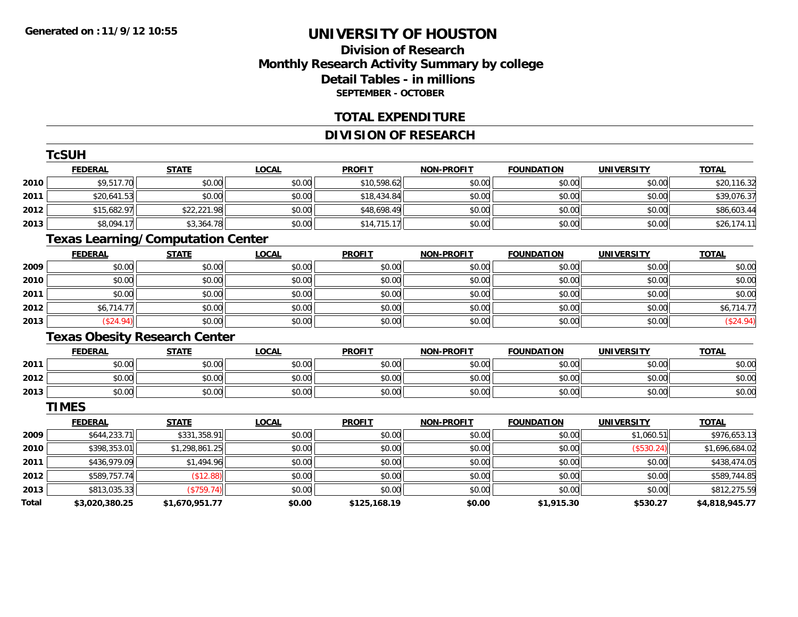### **Division of ResearchMonthly Research Activity Summary by college Detail Tables - in millions SEPTEMBER - OCTOBER**

#### **TOTAL EXPENDITURE**

### **DIVISION OF RESEARCH**

|              | <b>TcSUH</b>                             |                |              |               |                   |                   |                   |                |
|--------------|------------------------------------------|----------------|--------------|---------------|-------------------|-------------------|-------------------|----------------|
|              | <b>FEDERAL</b>                           | <b>STATE</b>   | <b>LOCAL</b> | <b>PROFIT</b> | <b>NON-PROFIT</b> | <b>FOUNDATION</b> | <b>UNIVERSITY</b> | <b>TOTAL</b>   |
| 2010         | \$9,517.70                               | \$0.00         | \$0.00       | \$10,598.62   | \$0.00            | \$0.00            | \$0.00            | \$20,116.32    |
| 2011         | \$20,641.53                              | \$0.00         | \$0.00       | \$18,434.84   | \$0.00            | \$0.00            | \$0.00            | \$39,076.37    |
| 2012         | \$15,682.97                              | \$22,221.98    | \$0.00       | \$48,698.49   | \$0.00            | \$0.00            | \$0.00            | \$86,603.44    |
| 2013         | \$8,094.17                               | \$3,364.78     | \$0.00       | \$14,715.17   | \$0.00            | \$0.00            | \$0.00            | \$26,174.11    |
|              | <b>Texas Learning/Computation Center</b> |                |              |               |                   |                   |                   |                |
|              | <b>FEDERAL</b>                           | <b>STATE</b>   | <b>LOCAL</b> | <b>PROFIT</b> | <b>NON-PROFIT</b> | <b>FOUNDATION</b> | <b>UNIVERSITY</b> | <b>TOTAL</b>   |
| 2009         | \$0.00                                   | \$0.00         | \$0.00       | \$0.00        | \$0.00            | \$0.00            | \$0.00            | \$0.00         |
| 2010         | \$0.00                                   | \$0.00         | \$0.00       | \$0.00        | \$0.00            | \$0.00            | \$0.00            | \$0.00         |
| 2011         | \$0.00                                   | \$0.00         | \$0.00       | \$0.00        | \$0.00            | \$0.00            | \$0.00            | \$0.00         |
| 2012         | \$6,714.77                               | \$0.00         | \$0.00       | \$0.00        | \$0.00            | \$0.00            | \$0.00            | \$6,714.77     |
| 2013         | (\$24.94)                                | \$0.00         | \$0.00       | \$0.00        | \$0.00            | \$0.00            | \$0.00            | (\$24.94)      |
|              | <b>Texas Obesity Research Center</b>     |                |              |               |                   |                   |                   |                |
|              | <b>FEDERAL</b>                           | <b>STATE</b>   | <b>LOCAL</b> | <b>PROFIT</b> | <b>NON-PROFIT</b> | <b>FOUNDATION</b> | <b>UNIVERSITY</b> | <b>TOTAL</b>   |
| 2011         | \$0.00                                   | \$0.00         | \$0.00       | \$0.00        | \$0.00            | \$0.00            | \$0.00            | \$0.00         |
| 2012         | \$0.00                                   | \$0.00         | \$0.00       | \$0.00        | \$0.00            | \$0.00            | \$0.00            | \$0.00         |
| 2013         | \$0.00                                   | \$0.00         | \$0.00       | \$0.00        | \$0.00            | \$0.00            | \$0.00            | \$0.00         |
|              | <b>TIMES</b>                             |                |              |               |                   |                   |                   |                |
|              | <b>FEDERAL</b>                           | <b>STATE</b>   | <b>LOCAL</b> | <b>PROFIT</b> | <b>NON-PROFIT</b> | <b>FOUNDATION</b> | <b>UNIVERSITY</b> | <b>TOTAL</b>   |
| 2009         | \$644,233.71                             | \$331,358.91   | \$0.00       | \$0.00        | \$0.00            | \$0.00            | \$1,060.51        | \$976,653.13   |
| 2010         | \$398,353.01                             | \$1,298,861.25 | \$0.00       | \$0.00        | \$0.00            | \$0.00            | (\$530.24)        | \$1,696,684.02 |
| 2011         | \$436,979.09                             | \$1,494.96     | \$0.00       | \$0.00        | \$0.00            | \$0.00            | \$0.00            | \$438,474.05   |
| 2012         | \$589,757.74                             | (\$12.88)      | \$0.00       | \$0.00        | \$0.00            | \$0.00            | \$0.00            | \$589,744.85   |
| 2013         | \$813,035.33                             | (\$759.74)     | \$0.00       | \$0.00        | \$0.00            | \$0.00            | \$0.00            | \$812,275.59   |
| <b>Total</b> | \$3,020,380.25                           | \$1,670,951.77 | \$0.00       | \$125,168.19  | \$0.00            | \$1,915.30        | \$530.27          | \$4,818,945.77 |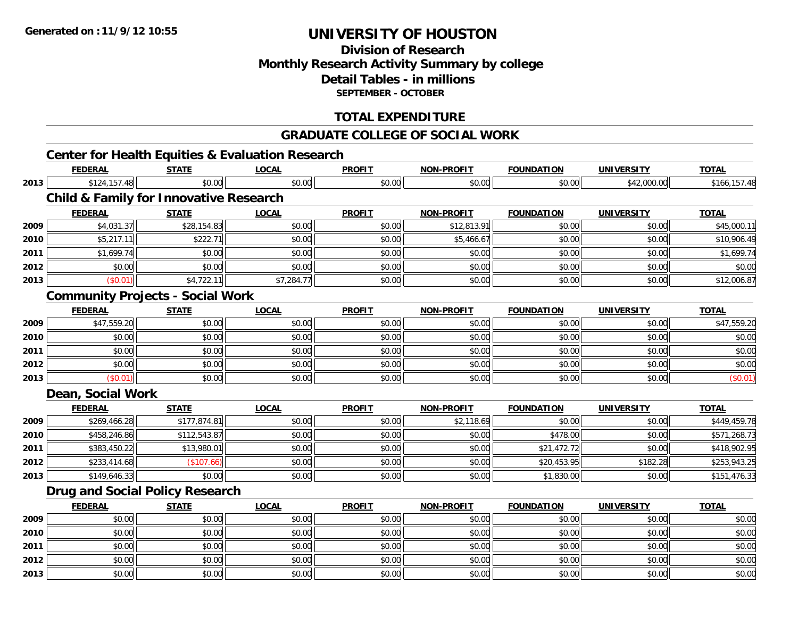### **Division of ResearchMonthly Research Activity Summary by college Detail Tables - in millions SEPTEMBER - OCTOBER**

### **TOTAL EXPENDITURE**

#### **GRADUATE COLLEGE OF SOCIAL WORK**

## **Center for Health Equities & Evaluation Research**

|      | <b>FEDERAL</b>    | <b>STATE</b>                                      | <b>LOCAL</b> | <b>PROFIT</b> | <b>NON-PROFIT</b> | <b>FOUNDATION</b> | <b>UNIVERSITY</b> | <b>TOTAL</b> |
|------|-------------------|---------------------------------------------------|--------------|---------------|-------------------|-------------------|-------------------|--------------|
| 2013 | \$124,157.48      | \$0.00                                            | \$0.00       | \$0.00        | \$0.00            | \$0.00            | \$42,000.00       | \$166,157.48 |
|      |                   | <b>Child &amp; Family for Innovative Research</b> |              |               |                   |                   |                   |              |
|      | <b>FEDERAL</b>    | <b>STATE</b>                                      | <b>LOCAL</b> | <b>PROFIT</b> | <b>NON-PROFIT</b> | <b>FOUNDATION</b> | <b>UNIVERSITY</b> | <b>TOTAL</b> |
| 2009 | \$4,031.37        | \$28,154.83                                       | \$0.00       | \$0.00        | \$12,813.91       | \$0.00            | \$0.00            | \$45,000.11  |
| 2010 | \$5,217.11        | \$222.71                                          | \$0.00       | \$0.00        | \$5,466.67        | \$0.00            | \$0.00            | \$10,906.49  |
| 2011 | \$1,699.74        | \$0.00                                            | \$0.00       | \$0.00        | \$0.00            | \$0.00            | \$0.00            | \$1,699.74   |
| 2012 | \$0.00            | \$0.00                                            | \$0.00       | \$0.00        | \$0.00            | \$0.00            | \$0.00            | \$0.00       |
| 2013 | (\$0.01)          | \$4,722.11                                        | \$7,284.77   | \$0.00        | \$0.00            | \$0.00            | \$0.00            | \$12,006.87  |
|      |                   | <b>Community Projects - Social Work</b>           |              |               |                   |                   |                   |              |
|      | <b>FEDERAL</b>    | <b>STATE</b>                                      | <b>LOCAL</b> | <b>PROFIT</b> | <b>NON-PROFIT</b> | <b>FOUNDATION</b> | <b>UNIVERSITY</b> | <b>TOTAL</b> |
| 2009 | \$47,559.20       | \$0.00                                            | \$0.00       | \$0.00        | \$0.00            | \$0.00            | \$0.00            | \$47,559.20  |
| 2010 | \$0.00            | \$0.00                                            | \$0.00       | \$0.00        | \$0.00            | \$0.00            | \$0.00            | \$0.00       |
| 2011 | \$0.00            | \$0.00                                            | \$0.00       | \$0.00        | \$0.00            | \$0.00            | \$0.00            | \$0.00       |
| 2012 | \$0.00            | \$0.00                                            | \$0.00       | \$0.00        | \$0.00            | \$0.00            | \$0.00            | \$0.00       |
| 2013 | (\$0.01)          | \$0.00                                            | \$0.00       | \$0.00        | \$0.00            | \$0.00            | \$0.00            | (\$0.01)     |
|      | Dean, Social Work |                                                   |              |               |                   |                   |                   |              |
|      | <b>FEDERAL</b>    | <b>STATE</b>                                      | <b>LOCAL</b> | <b>PROFIT</b> | <b>NON-PROFIT</b> | <b>FOUNDATION</b> | <b>UNIVERSITY</b> | <b>TOTAL</b> |
| 2009 | \$269,466.28      | \$177,874.81                                      | \$0.00       | \$0.00        | \$2,118.69        | \$0.00            | \$0.00            | \$449,459.78 |
| 2010 | \$458,246.86      | \$112,543.87                                      | \$0.00       | \$0.00        | \$0.00            | \$478.00          | \$0.00            | \$571,268.73 |
| 2011 | \$383,450.22      | \$13,980.01                                       | \$0.00       | \$0.00        | \$0.00            | \$21,472.72       | \$0.00            | \$418,902.95 |
| 2012 | \$233,414.68      | (\$107.66)                                        | \$0.00       | \$0.00        | \$0.00            | \$20,453.95       | \$182.28          | \$253,943.25 |
| 2013 | \$149,646.33      | \$0.00                                            | \$0.00       | \$0.00        | \$0.00            | \$1,830.00        | \$0.00            | \$151,476.33 |
|      |                   | <b>Drug and Social Policy Research</b>            |              |               |                   |                   |                   |              |
|      | <b>FEDERAL</b>    | <b>STATE</b>                                      | <b>LOCAL</b> | <b>PROFIT</b> | <b>NON-PROFIT</b> | <b>FOUNDATION</b> | <b>UNIVERSITY</b> | <b>TOTAL</b> |
| 2009 | \$0.00            | \$0.00                                            | \$0.00       | \$0.00        | \$0.00            | \$0.00            | \$0.00            | \$0.00       |
| 2010 | \$0.00            | \$0.00                                            | \$0.00       | \$0.00        | \$0.00            | \$0.00            | \$0.00            | \$0.00       |
| 2011 | \$0.00            | \$0.00                                            | \$0.00       | \$0.00        | \$0.00            | \$0.00            | \$0.00            | \$0.00       |
| 2012 | \$0.00            | \$0.00                                            | \$0.00       | \$0.00        | \$0.00            | \$0.00            | \$0.00            | \$0.00       |
| 2013 | \$0.00            | \$0.00                                            | \$0.00       | \$0.00        | \$0.00            | \$0.00            | \$0.00            | \$0.00       |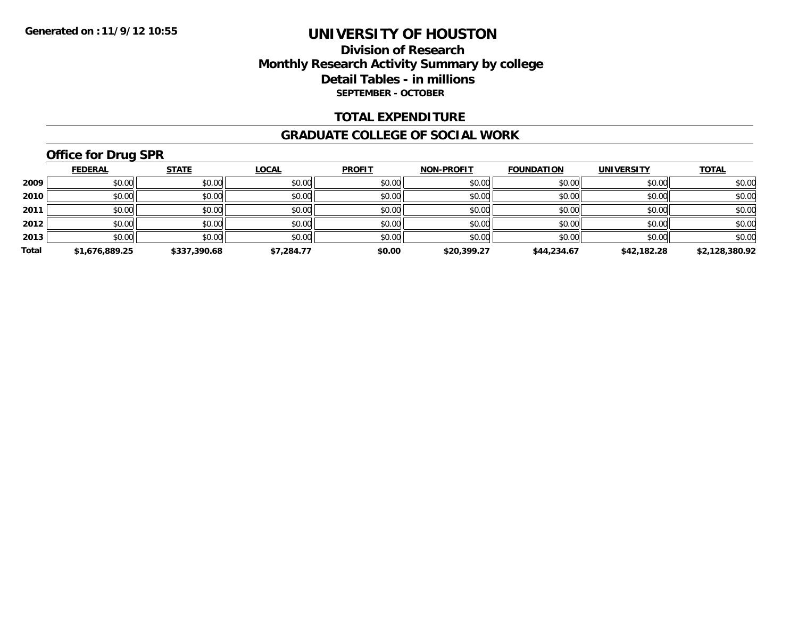#### **Division of Research Monthly Research Activity Summary by college Detail Tables - in millions SEPTEMBER - OCTOBER**

#### **TOTAL EXPENDITURE**

#### **GRADUATE COLLEGE OF SOCIAL WORK**

## **Office for Drug SPR**

|       | <b>FEDERAL</b> | <b>STATE</b> | <b>LOCAL</b> | <b>PROFIT</b> | <b>NON-PROFIT</b> | <b>FOUNDATION</b> | <b>UNIVERSITY</b> | <b>TOTAL</b>   |
|-------|----------------|--------------|--------------|---------------|-------------------|-------------------|-------------------|----------------|
| 2009  | \$0.00         | \$0.00       | \$0.00       | \$0.00        | \$0.00            | \$0.00            | \$0.00            | \$0.00         |
| 2010  | \$0.00         | \$0.00       | \$0.00       | \$0.00        | \$0.00            | \$0.00            | \$0.00            | \$0.00         |
| 2011  | \$0.00         | \$0.00       | \$0.00       | \$0.00        | \$0.00            | \$0.00            | \$0.00            | \$0.00         |
| 2012  | \$0.00         | \$0.00       | \$0.00       | \$0.00        | \$0.00            | \$0.00            | \$0.00            | \$0.00         |
| 2013  | \$0.00         | \$0.00       | \$0.00       | \$0.00        | \$0.00            | \$0.00            | \$0.00            | \$0.00         |
| Total | \$1,676,889.25 | \$337,390.68 | \$7,284.77   | \$0.00        | \$20,399.27       | \$44,234.67       | \$42,182.28       | \$2,128,380.92 |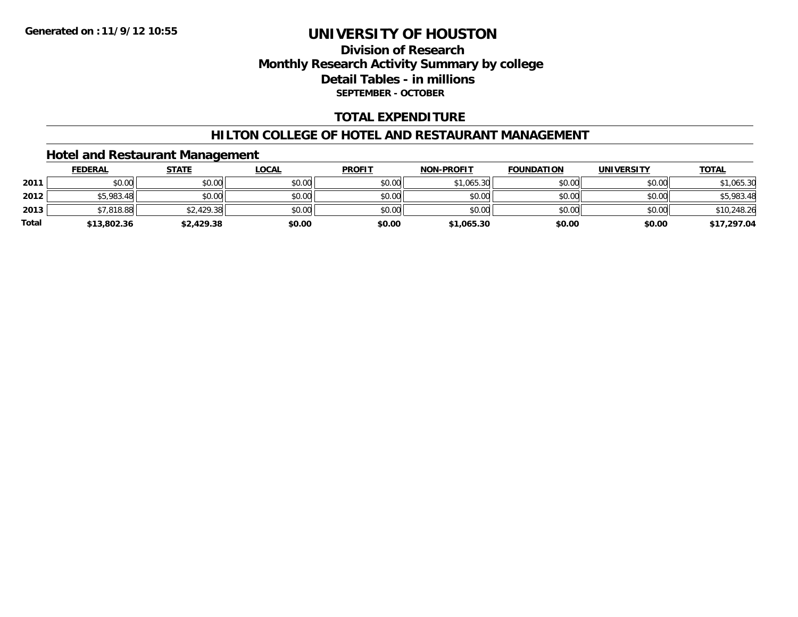## **Division of Research Monthly Research Activity Summary by college Detail Tables - in millions SEPTEMBER - OCTOBER**

### **TOTAL EXPENDITURE**

#### **HILTON COLLEGE OF HOTEL AND RESTAURANT MANAGEMENT**

### **Hotel and Restaurant Management**

|              | <b>FEDERAL</b> | <u>STATE</u> | <u>LOCAL</u> | <b>PROFIT</b> | <b>NON-PROFIT</b> | <b>FOUNDATION</b> | <b>UNIVERSITY</b> | <b>TOTAL</b> |
|--------------|----------------|--------------|--------------|---------------|-------------------|-------------------|-------------------|--------------|
| 2011         | \$0.00         | \$0.00       | \$0.00       | \$0.00        | \$1,065.30        | \$0.00            | \$0.00            | \$1,065.30   |
| 2012         | \$5,983.48     | \$0.00       | \$0.00       | \$0.00        | \$0.00            | \$0.00            | \$0.00            | \$5,983.48   |
| 2013         | \$7,818.88     | \$2,429.38   | \$0.00       | \$0.00        | \$0.00            | \$0.00            | \$0.00            | \$10,248.26  |
| <b>Total</b> | \$13,802.36    | \$2,429.38   | \$0.00       | \$0.00        | \$1,065.30        | \$0.00            | \$0.00            | \$17,297.04  |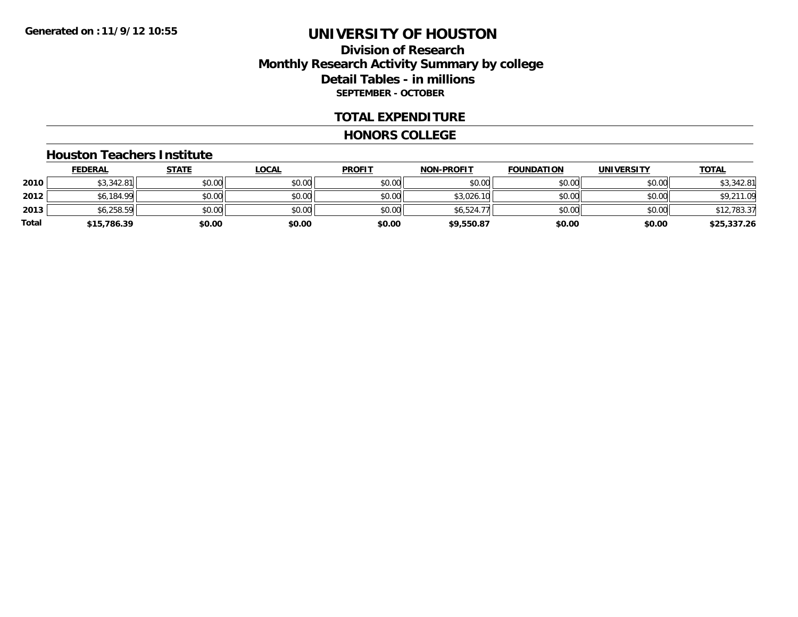## **Division of Research Monthly Research Activity Summary by college Detail Tables - in millions SEPTEMBER - OCTOBER**

#### **TOTAL EXPENDITURE**

#### **HONORS COLLEGE**

#### **Houston Teachers Institute**

|       | <b>FEDERAL</b> | <u>STATE</u> | <b>LOCAL</b> | <b>PROFIT</b> | <b>NON-PROFIT</b> | <b>FOUNDATION</b> | <b>UNIVERSITY</b> | <b>TOTAL</b> |
|-------|----------------|--------------|--------------|---------------|-------------------|-------------------|-------------------|--------------|
| 2010  | \$3,342.81     | \$0.00       | \$0.00       | \$0.00        | \$0.00            | \$0.00            | \$0.00            | \$3,342.81   |
| 2012  | \$6,184.99     | \$0.00       | \$0.00       | \$0.00        | \$3,026.10        | \$0.00            | \$0.00            | \$9,211.09   |
| 2013  | \$6,258.59     | \$0.00       | \$0.00       | \$0.00        | \$6,524.77        | \$0.00            | \$0.00            | \$12,783.37  |
| Total | \$15,786.39    | \$0.00       | \$0.00       | \$0.00        | \$9,550.87        | \$0.00            | \$0.00            | \$25,337.26  |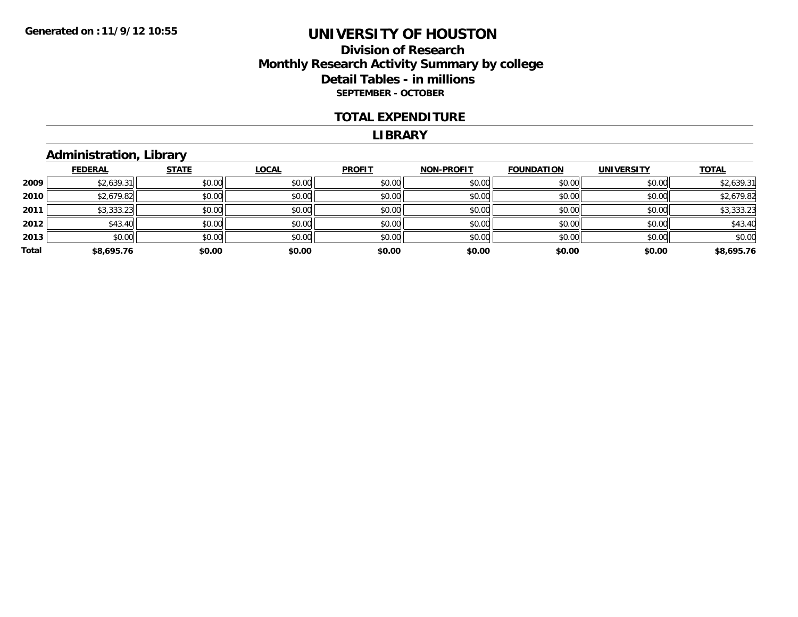## **Division of Research Monthly Research Activity Summary by college Detail Tables - in millions SEPTEMBER - OCTOBER**

#### **TOTAL EXPENDITURE**

#### **LIBRARY**

## **Administration, Library**

|       | <b>FEDERAL</b> | <b>STATE</b> | <b>LOCAL</b> | <b>PROFIT</b> | <b>NON-PROFIT</b> | <b>FOUNDATION</b> | <b>UNIVERSITY</b> | <b>TOTAL</b> |
|-------|----------------|--------------|--------------|---------------|-------------------|-------------------|-------------------|--------------|
| 2009  | \$2,639.31     | \$0.00       | \$0.00       | \$0.00        | \$0.00            | \$0.00            | \$0.00            | \$2,639.31   |
| 2010  | \$2,679.82     | \$0.00       | \$0.00       | \$0.00        | \$0.00            | \$0.00            | \$0.00            | \$2,679.82   |
| 2011  | \$3,333.23     | \$0.00       | \$0.00       | \$0.00        | \$0.00            | \$0.00            | \$0.00            | \$3,333.23   |
| 2012  | \$43.40        | \$0.00       | \$0.00       | \$0.00        | \$0.00            | \$0.00            | \$0.00            | \$43.40      |
| 2013  | \$0.00         | \$0.00       | \$0.00       | \$0.00        | \$0.00            | \$0.00            | \$0.00            | \$0.00       |
| Total | \$8,695.76     | \$0.00       | \$0.00       | \$0.00        | \$0.00            | \$0.00            | \$0.00            | \$8,695.76   |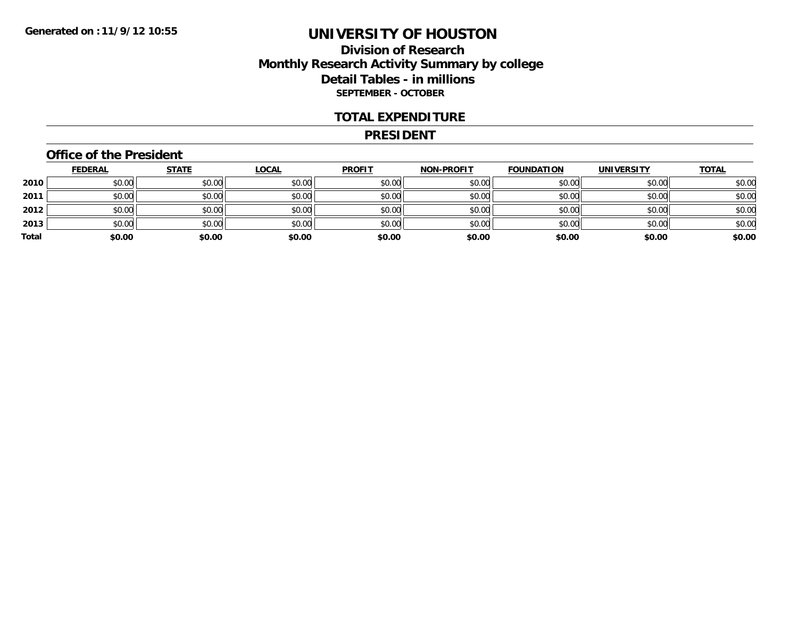## **Division of Research Monthly Research Activity Summary by college Detail Tables - in millions SEPTEMBER - OCTOBER**

#### **TOTAL EXPENDITURE**

#### **PRESIDENT**

### **Office of the President**

|       | <b>FEDERAL</b> | <b>STATE</b> | <b>LOCAL</b> | <b>PROFIT</b> | <b>NON-PROFIT</b> | <b>FOUNDATION</b> | <b>UNIVERSITY</b> | <b>TOTAL</b> |
|-------|----------------|--------------|--------------|---------------|-------------------|-------------------|-------------------|--------------|
| 2010  | \$0.00         | \$0.00       | \$0.00       | \$0.00        | \$0.00            | \$0.00            | \$0.00            | \$0.00       |
| 2011  | \$0.00         | \$0.00       | \$0.00       | \$0.00        | \$0.00            | \$0.00            | \$0.00            | \$0.00       |
| 2012  | \$0.00         | \$0.00       | \$0.00       | \$0.00        | \$0.00            | \$0.00            | \$0.00            | \$0.00       |
| 2013  | \$0.00         | \$0.00       | \$0.00       | \$0.00        | \$0.00            | \$0.00            | \$0.00            | \$0.00       |
| Total | \$0.00         | \$0.00       | \$0.00       | \$0.00        | \$0.00            | \$0.00            | \$0.00            | \$0.00       |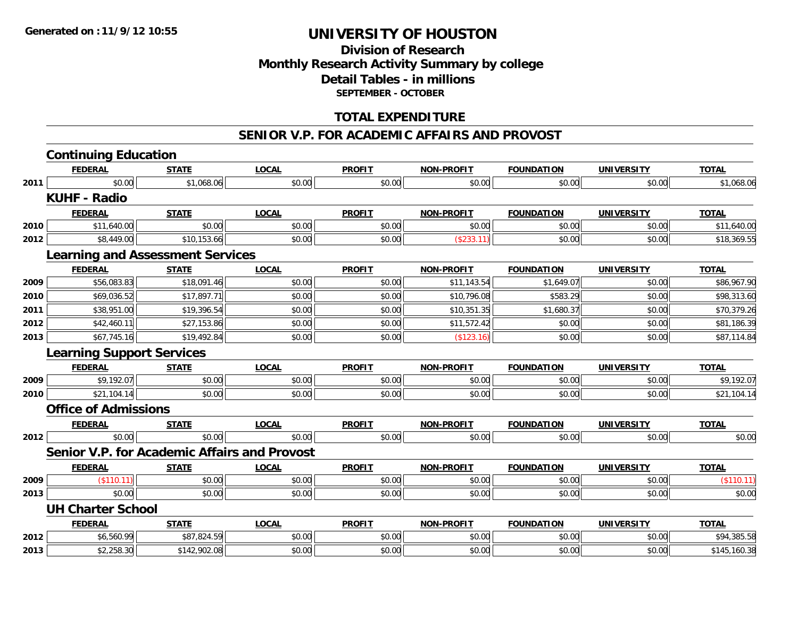## **Division of Research Monthly Research Activity Summary by college Detail Tables - in millions SEPTEMBER - OCTOBER**

## **TOTAL EXPENDITURE**

#### **SENIOR V.P. FOR ACADEMIC AFFAIRS AND PROVOST**

|      | <b>Continuing Education</b>                         |              |              |               |                   |                   |                   |              |
|------|-----------------------------------------------------|--------------|--------------|---------------|-------------------|-------------------|-------------------|--------------|
|      | <b>FEDERAL</b>                                      | <b>STATE</b> | <b>LOCAL</b> | <b>PROFIT</b> | <b>NON-PROFIT</b> | <b>FOUNDATION</b> | <b>UNIVERSITY</b> | <b>TOTAL</b> |
| 2011 | \$0.00                                              | \$1,068.06   | \$0.00       | \$0.00        | \$0.00            | \$0.00            | \$0.00            | \$1,068.06   |
|      | <b>KUHF - Radio</b>                                 |              |              |               |                   |                   |                   |              |
|      | <b>FEDERAL</b>                                      | <b>STATE</b> | <b>LOCAL</b> | <b>PROFIT</b> | <b>NON-PROFIT</b> | <b>FOUNDATION</b> | <b>UNIVERSITY</b> | <b>TOTAL</b> |
| 2010 | \$11,640.00                                         | \$0.00       | \$0.00       | \$0.00        | \$0.00            | \$0.00            | \$0.00            | \$11,640.00  |
| 2012 | \$8,449.00                                          | \$10,153.66  | \$0.00       | \$0.00        | (\$233.11)        | \$0.00            | \$0.00            | \$18,369.55  |
|      | <b>Learning and Assessment Services</b>             |              |              |               |                   |                   |                   |              |
|      | <b>FEDERAL</b>                                      | <b>STATE</b> | <b>LOCAL</b> | <b>PROFIT</b> | <b>NON-PROFIT</b> | <b>FOUNDATION</b> | <b>UNIVERSITY</b> | <b>TOTAL</b> |
| 2009 | \$56,083.83                                         | \$18,091.46  | \$0.00       | \$0.00        | \$11,143.54       | \$1,649.07        | \$0.00            | \$86,967.90  |
| 2010 | \$69,036.52                                         | \$17,897.71  | \$0.00       | \$0.00        | \$10,796.08       | \$583.29          | \$0.00            | \$98,313.60  |
| 2011 | \$38,951.00                                         | \$19,396.54  | \$0.00       | \$0.00        | \$10,351.35       | \$1,680.37        | \$0.00            | \$70,379.26  |
| 2012 | \$42,460.11                                         | \$27,153.86  | \$0.00       | \$0.00        | \$11,572.42       | \$0.00            | \$0.00            | \$81,186.39  |
| 2013 | \$67,745.16                                         | \$19,492.84  | \$0.00       | \$0.00        | (\$123.16)        | \$0.00            | \$0.00            | \$87,114.84  |
|      | <b>Learning Support Services</b>                    |              |              |               |                   |                   |                   |              |
|      | <b>FEDERAL</b>                                      | <b>STATE</b> | <b>LOCAL</b> | <b>PROFIT</b> | <b>NON-PROFIT</b> | <b>FOUNDATION</b> | <b>UNIVERSITY</b> | <b>TOTAL</b> |
| 2009 | \$9,192.07                                          | \$0.00       | \$0.00       | \$0.00        | \$0.00            | \$0.00            | \$0.00            | \$9,192.07   |
| 2010 | \$21,104.14                                         | \$0.00       | \$0.00       | \$0.00        | \$0.00            | \$0.00            | \$0.00            | \$21,104.14  |
|      | <b>Office of Admissions</b>                         |              |              |               |                   |                   |                   |              |
|      | <b>FEDERAL</b>                                      | <b>STATE</b> | <b>LOCAL</b> | <b>PROFIT</b> | <b>NON-PROFIT</b> | <b>FOUNDATION</b> | <b>UNIVERSITY</b> | <b>TOTAL</b> |
| 2012 | \$0.00                                              | \$0.00       | \$0.00       | \$0.00        | \$0.00            | \$0.00            | \$0.00            | \$0.00       |
|      | <b>Senior V.P. for Academic Affairs and Provost</b> |              |              |               |                   |                   |                   |              |
|      | <b>FEDERAL</b>                                      | <b>STATE</b> | <b>LOCAL</b> | <b>PROFIT</b> | NON-PROFIT        | <b>FOUNDATION</b> | <b>UNIVERSITY</b> | <b>TOTAL</b> |
| 2009 | $($ \$110.11) $ $                                   | \$0.00       | \$0.00       | \$0.00        | \$0.00            | \$0.00            | \$0.00            | (\$110.11)   |
| 2013 | \$0.00                                              | \$0.00       | \$0.00       | \$0.00        | \$0.00            | \$0.00            | \$0.00            | \$0.00       |
|      | <b>UH Charter School</b>                            |              |              |               |                   |                   |                   |              |
|      | <b>FEDERAL</b>                                      | <b>STATE</b> | <b>LOCAL</b> | <b>PROFIT</b> | <b>NON-PROFIT</b> | <b>FOUNDATION</b> | <b>UNIVERSITY</b> | <b>TOTAL</b> |
| 2012 | \$6,560.99                                          | \$87,824.59  | \$0.00       | \$0.00        | \$0.00            | \$0.00            | \$0.00            | \$94,385.58  |
| 2013 | \$2,258.30                                          | \$142,902.08 | \$0.00       | \$0.00        | \$0.00            | \$0.00            | \$0.00            | \$145,160.38 |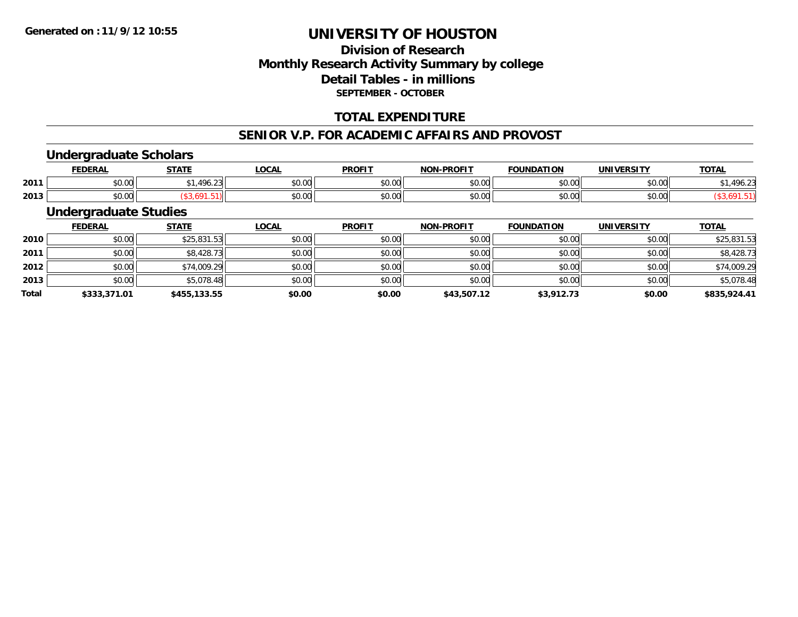## **Division of ResearchMonthly Research Activity Summary by college Detail Tables - in millions SEPTEMBER - OCTOBER**

## **TOTAL EXPENDITURE**

#### **SENIOR V.P. FOR ACADEMIC AFFAIRS AND PROVOST**

### **Undergraduate Scholars**

|      | <b>FEDERAL</b>     | <b>CTATE</b>                                          | <b>OCAL</b>   | <b>PROFIT</b>                | <b>NIONI</b><br><b>LPROFIT</b> | <b>FOUNDATION</b>  | <b>IINIVEDSITV</b> | <b>TAT</b><br>101n |
|------|--------------------|-------------------------------------------------------|---------------|------------------------------|--------------------------------|--------------------|--------------------|--------------------|
| 2011 | $\sim$ 00<br>vu.vu | AO<br>$\sim$<br>$\overline{\phantom{a}}$<br>$\cdot$ . | 0000<br>PO.OO | 0000<br>vu.vu                | \$0.00                         | 0000<br>JU.UU      | 0.00<br>vv.vv      | <sup>496.</sup>    |
| 2013 | $\sim$ 00<br>JU.UU |                                                       | \$0.00        | $*$ $\circ$ $\circ$<br>JU.UU | \$0.00                         | $\sim$ 00<br>JU.UU | $\sim$ 00<br>JU.UU |                    |

## **Undergraduate Studies**

|              | <b>FEDERAL</b> | <b>STATE</b> | <u>LOCAL</u> | <b>PROFIT</b> | <b>NON-PROFIT</b> | <b>FOUNDATION</b> | <b>UNIVERSITY</b> | <b>TOTAL</b> |
|--------------|----------------|--------------|--------------|---------------|-------------------|-------------------|-------------------|--------------|
| 2010         | \$0.00         | \$25,831.53  | \$0.00       | \$0.00        | \$0.00            | \$0.00            | \$0.00            | \$25,831.53  |
| 2011         | \$0.00         | \$8,428.73   | \$0.00       | \$0.00        | \$0.00            | \$0.00            | \$0.00            | \$8,428.73   |
| 2012         | \$0.00         | \$74,009.29  | \$0.00       | \$0.00        | \$0.00            | \$0.00            | \$0.00            | \$74,009.29  |
| 2013         | \$0.00         | \$5,078.48   | \$0.00       | \$0.00        | \$0.00            | \$0.00            | \$0.00            | \$5,078.48   |
| <b>Total</b> | \$333,371.01   | \$455,133.55 | \$0.00       | \$0.00        | \$43,507.12       | \$3,912.73        | \$0.00            | \$835,924.41 |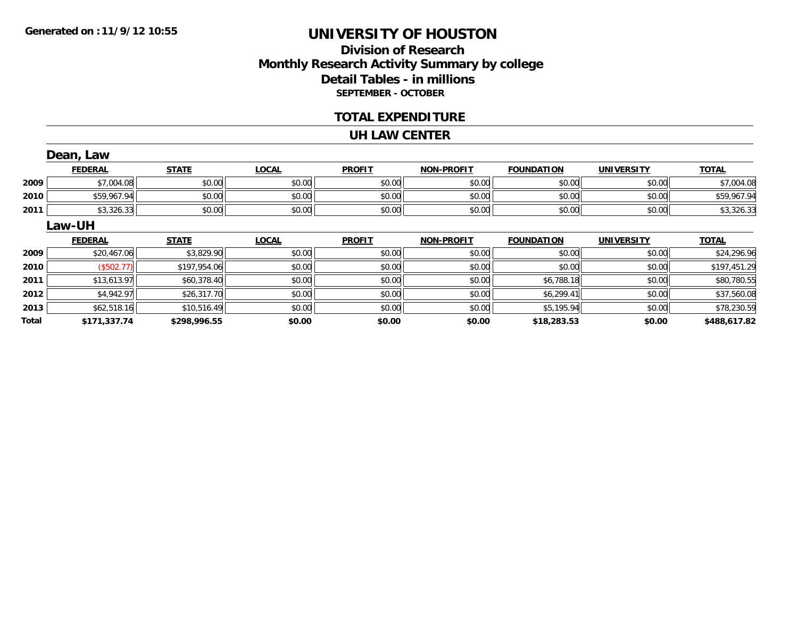## **Division of ResearchMonthly Research Activity Summary by college Detail Tables - in millions SEPTEMBER - OCTOBER**

#### **TOTAL EXPENDITURE**

#### **UH LAW CENTER**

|       | Dean, Law      |              |              |               |                   |                   |                   |              |
|-------|----------------|--------------|--------------|---------------|-------------------|-------------------|-------------------|--------------|
|       | <b>FEDERAL</b> | <b>STATE</b> | <b>LOCAL</b> | <b>PROFIT</b> | <b>NON-PROFIT</b> | <b>FOUNDATION</b> | <b>UNIVERSITY</b> | <b>TOTAL</b> |
| 2009  | \$7,004.08     | \$0.00       | \$0.00       | \$0.00        | \$0.00            | \$0.00            | \$0.00            | \$7,004.08   |
| 2010  | \$59,967.94    | \$0.00       | \$0.00       | \$0.00        | \$0.00            | \$0.00            | \$0.00            | \$59,967.94  |
| 2011  | \$3,326.33     | \$0.00       | \$0.00       | \$0.00        | \$0.00            | \$0.00            | \$0.00            | \$3,326.33   |
|       | Law-UH         |              |              |               |                   |                   |                   |              |
|       | <b>FEDERAL</b> | <b>STATE</b> | <b>LOCAL</b> | <b>PROFIT</b> | <b>NON-PROFIT</b> | <b>FOUNDATION</b> | <b>UNIVERSITY</b> | <b>TOTAL</b> |
| 2009  | \$20,467.06    | \$3,829.90   | \$0.00       | \$0.00        | \$0.00            | \$0.00            | \$0.00            | \$24,296.96  |
| 2010  | (\$502.77)     | \$197,954.06 | \$0.00       | \$0.00        | \$0.00            | \$0.00            | \$0.00            | \$197,451.29 |
| 2011  | \$13,613.97    | \$60,378.40  | \$0.00       | \$0.00        | \$0.00            | \$6,788.18        | \$0.00            | \$80,780.55  |
| 2012  | \$4,942.97     | \$26,317.70  | \$0.00       | \$0.00        | \$0.00            | \$6,299.41        | \$0.00            | \$37,560.08  |
| 2013  | \$62,518.16    | \$10,516.49  | \$0.00       | \$0.00        | \$0.00            | \$5,195.94        | \$0.00            | \$78,230.59  |
| Total | \$171,337.74   | \$298,996.55 | \$0.00       | \$0.00        | \$0.00            | \$18,283.53       | \$0.00            | \$488,617.82 |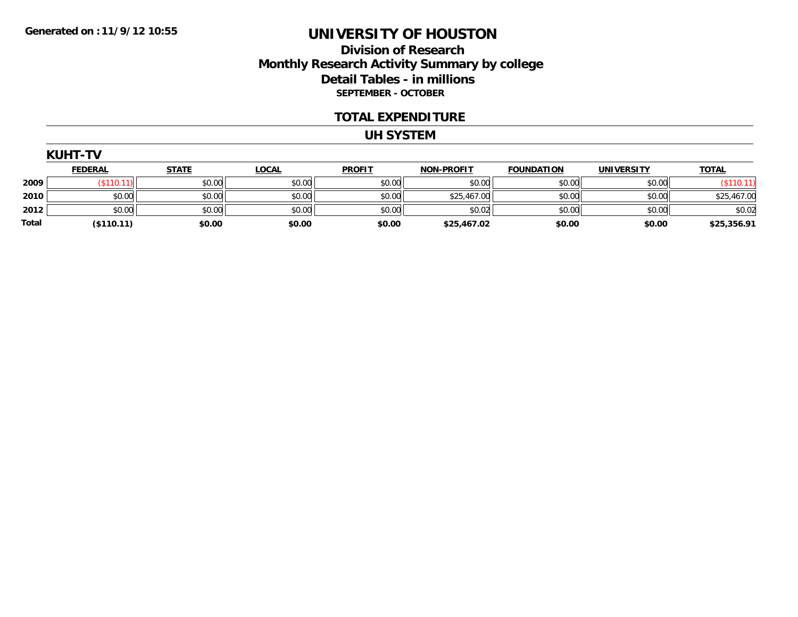## **Division of Research Monthly Research Activity Summary by college Detail Tables - in millions SEPTEMBER - OCTOBER**

#### **TOTAL EXPENDITURE**

#### **UH SYSTEM**

|  | <b>KUHT</b> |  |
|--|-------------|--|
|  |             |  |

|       | <b>FEDERAL</b> | <u>STATE</u> | <u>LOCAL</u> | <b>PROFIT</b> | <b>NON-PROFIT</b> | <b>FOUNDATION</b> | <b>UNIVERSITY</b> | <b>TOTAL</b> |
|-------|----------------|--------------|--------------|---------------|-------------------|-------------------|-------------------|--------------|
| 2009  | \$110.         | \$0.00       | \$0.00       | \$0.00        | \$0.00            | \$0.00            | \$0.00            | \$110.11     |
| 2010  | \$0.00         | \$0.00       | \$0.00       | \$0.00        | \$25,467.00       | \$0.00            | \$0.00            | \$25,467.00  |
| 2012  | \$0.00         | \$0.00       | \$0.00       | \$0.00        | \$0.02            | \$0.00            | \$0.00            | \$0.02       |
| Total | (\$110.11)     | \$0.00       | \$0.00       | \$0.00        | \$25,467.02       | \$0.00            | \$0.00            | \$25,356.91  |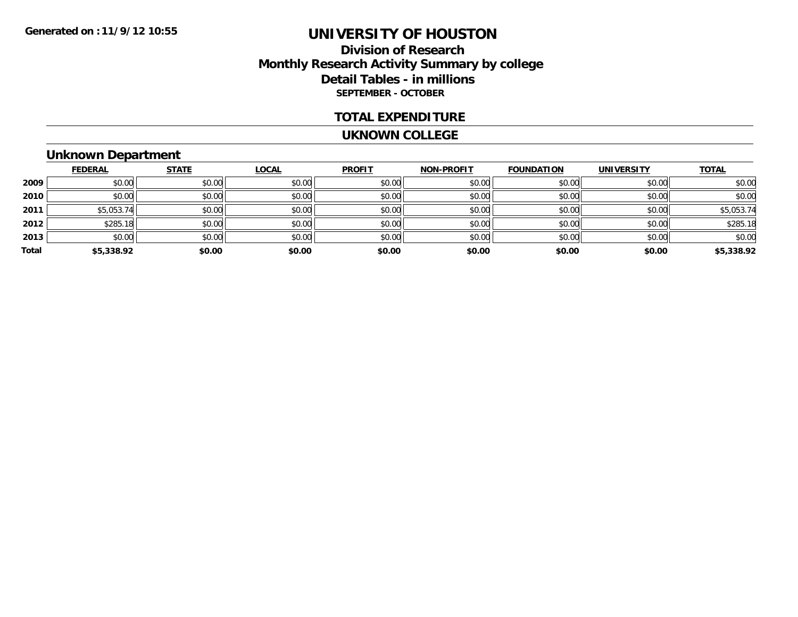## **Division of Research Monthly Research Activity Summary by college Detail Tables - in millions SEPTEMBER - OCTOBER**

#### **TOTAL EXPENDITURE**

#### **UKNOWN COLLEGE**

# **Unknown Department**

|       | <b>FEDERAL</b> | <b>STATE</b> | <b>LOCAL</b> | <b>PROFIT</b> | <b>NON-PROFIT</b> | <b>FOUNDATION</b> | <b>UNIVERSITY</b> | <b>TOTAL</b> |
|-------|----------------|--------------|--------------|---------------|-------------------|-------------------|-------------------|--------------|
| 2009  | \$0.00         | \$0.00       | \$0.00       | \$0.00        | \$0.00            | \$0.00            | \$0.00            | \$0.00       |
| 2010  | \$0.00         | \$0.00       | \$0.00       | \$0.00        | \$0.00            | \$0.00            | \$0.00            | \$0.00       |
| 2011  | \$5,053.74     | \$0.00       | \$0.00       | \$0.00        | \$0.00            | \$0.00            | \$0.00            | \$5,053.74   |
| 2012  | \$285.18       | \$0.00       | \$0.00       | \$0.00        | \$0.00            | \$0.00            | \$0.00            | \$285.18     |
| 2013  | \$0.00         | \$0.00       | \$0.00       | \$0.00        | \$0.00            | \$0.00            | \$0.00            | \$0.00       |
| Total | \$5,338.92     | \$0.00       | \$0.00       | \$0.00        | \$0.00            | \$0.00            | \$0.00            | \$5,338.92   |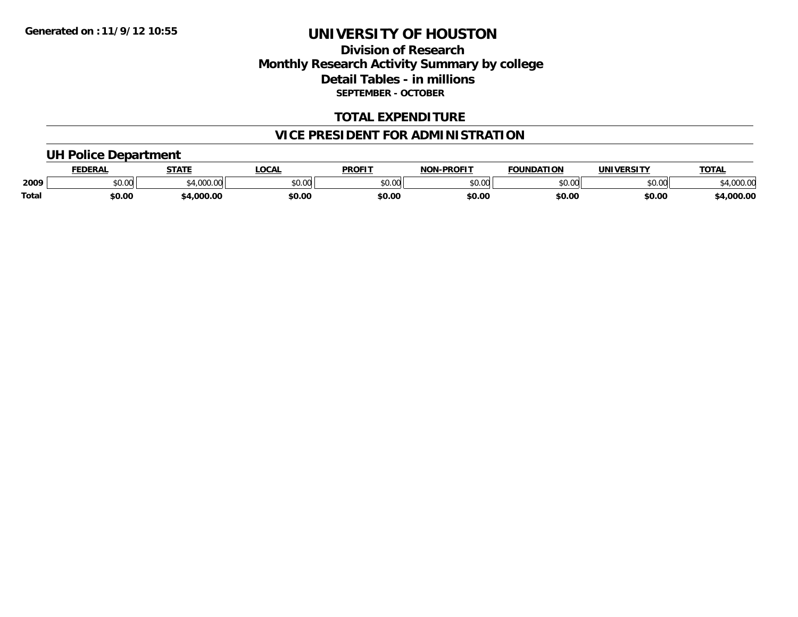## **Division of Research Monthly Research Activity Summary by college Detail Tables - in millions SEPTEMBER - OCTOBER**

### **TOTAL EXPENDITURE**

## **VICE PRESIDENT FOR ADMINISTRATION**

### **UH Police Department**

|              | <b>FEDERAL</b> | <b>STATE</b>                                                      | LOCAL  | <b>PROFIT</b>  | <b>NON-PROFIT</b> | <b>FOUNDATION</b> | <b>UNIVERSITY</b> | <b>TOTAL</b>        |
|--------------|----------------|-------------------------------------------------------------------|--------|----------------|-------------------|-------------------|-------------------|---------------------|
| 2009         | <b>JU.UU</b>   | $^{\circ}$ $^{\circ}$ $^{\circ}$ $^{\circ}$ $^{\circ}$ $^{\circ}$ | \$0.00 | ≮N UV<br>JU.UU | \$0.00            | \$0.00            | \$0.00            | 00000<br>\$4,000.00 |
| <b>Total</b> | \$0.00         | \$4,000.00                                                        | \$0.00 | \$0.00         | \$0.00            | \$0.00            | \$0.00            | \$4,000.00          |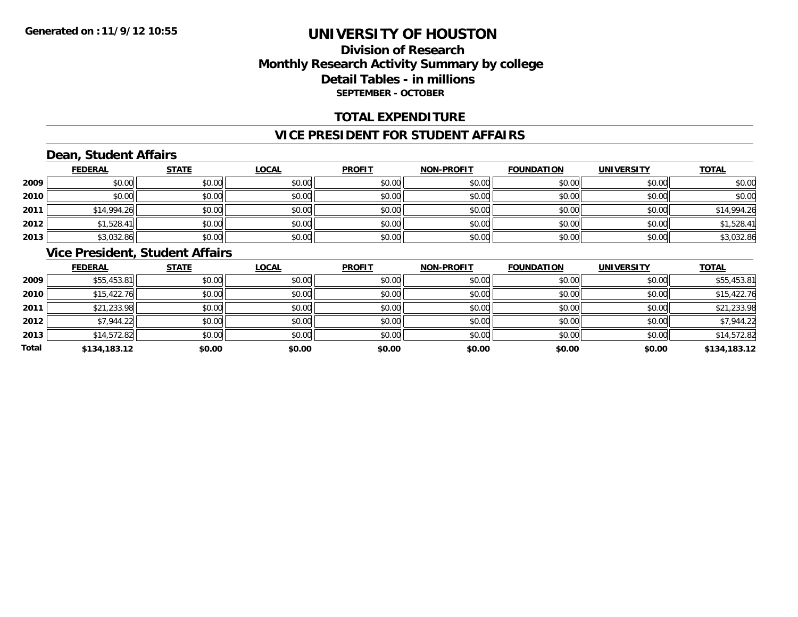## **Division of ResearchMonthly Research Activity Summary by college Detail Tables - in millions SEPTEMBER - OCTOBER**

### **TOTAL EXPENDITURE**

#### **VICE PRESIDENT FOR STUDENT AFFAIRS**

## **Dean, Student Affairs**

|      | <b>FEDERAL</b> | <b>STATE</b> | <b>LOCAL</b> | <b>PROFIT</b> | <b>NON-PROFIT</b> | <b>FOUNDATION</b> | <b>UNIVERSITY</b> | <b>TOTAL</b> |
|------|----------------|--------------|--------------|---------------|-------------------|-------------------|-------------------|--------------|
| 2009 | \$0.00         | \$0.00       | \$0.00       | \$0.00        | \$0.00            | \$0.00            | \$0.00            | \$0.00       |
| 2010 | \$0.00         | \$0.00       | \$0.00       | \$0.00        | \$0.00            | \$0.00            | \$0.00            | \$0.00       |
| 2011 | \$14,994.26    | \$0.00       | \$0.00       | \$0.00        | \$0.00            | \$0.00            | \$0.00            | \$14,994.26  |
| 2012 | \$1,528.41     | \$0.00       | \$0.00       | \$0.00        | \$0.00            | \$0.00            | \$0.00            | \$1,528.41   |
| 2013 | \$3,032.86     | \$0.00       | \$0.00       | \$0.00        | \$0.00            | \$0.00            | \$0.00            | \$3,032.86   |

## **Vice President, Student Affairs**

|       | <b>FEDERAL</b> | <b>STATE</b> | <b>LOCAL</b> | <b>PROFIT</b> | <b>NON-PROFIT</b> | <b>FOUNDATION</b> | <b>UNIVERSITY</b> | <b>TOTAL</b> |
|-------|----------------|--------------|--------------|---------------|-------------------|-------------------|-------------------|--------------|
| 2009  | \$55,453.81    | \$0.00       | \$0.00       | \$0.00        | \$0.00            | \$0.00            | \$0.00            | \$55,453.81  |
| 2010  | \$15,422.76    | \$0.00       | \$0.00       | \$0.00        | \$0.00            | \$0.00            | \$0.00            | \$15,422.76  |
| 2011  | \$21,233.98    | \$0.00       | \$0.00       | \$0.00        | \$0.00            | \$0.00            | \$0.00            | \$21,233.98  |
| 2012  | \$7,944.22     | \$0.00       | \$0.00       | \$0.00        | \$0.00            | \$0.00            | \$0.00            | \$7,944.22   |
| 2013  | \$14,572.82    | \$0.00       | \$0.00       | \$0.00        | \$0.00            | \$0.00            | \$0.00            | \$14,572.82  |
| Total | \$134,183.12   | \$0.00       | \$0.00       | \$0.00        | \$0.00            | \$0.00            | \$0.00            | \$134,183.12 |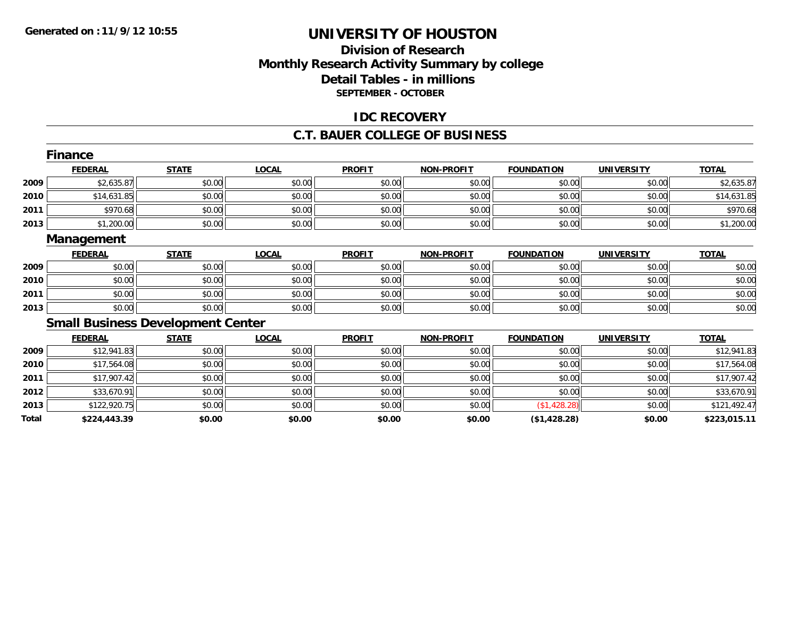## **Division of ResearchMonthly Research Activity Summary by college Detail Tables - in millions SEPTEMBER - OCTOBER**

### **IDC RECOVERY**

#### **C.T. BAUER COLLEGE OF BUSINESS**

|       | <b>Finance</b>                           |              |              |               |                   |                   |                   |              |
|-------|------------------------------------------|--------------|--------------|---------------|-------------------|-------------------|-------------------|--------------|
|       | <b>FEDERAL</b>                           | <b>STATE</b> | <b>LOCAL</b> | <b>PROFIT</b> | <b>NON-PROFIT</b> | <b>FOUNDATION</b> | <b>UNIVERSITY</b> | <b>TOTAL</b> |
| 2009  | \$2,635.87                               | \$0.00       | \$0.00       | \$0.00        | \$0.00            | \$0.00            | \$0.00            | \$2,635.87   |
| 2010  | \$14,631.85                              | \$0.00       | \$0.00       | \$0.00        | \$0.00            | \$0.00            | \$0.00            | \$14,631.85  |
| 2011  | \$970.68                                 | \$0.00       | \$0.00       | \$0.00        | \$0.00            | \$0.00            | \$0.00            | \$970.68     |
| 2013  | \$1,200.00                               | \$0.00       | \$0.00       | \$0.00        | \$0.00            | \$0.00            | \$0.00            | \$1,200.00   |
|       | Management                               |              |              |               |                   |                   |                   |              |
|       | <b>FEDERAL</b>                           | <b>STATE</b> | <b>LOCAL</b> | <b>PROFIT</b> | <b>NON-PROFIT</b> | <b>FOUNDATION</b> | <b>UNIVERSITY</b> | <b>TOTAL</b> |
| 2009  | \$0.00                                   | \$0.00       | \$0.00       | \$0.00        | \$0.00            | \$0.00            | \$0.00            | \$0.00       |
| 2010  | \$0.00                                   | \$0.00       | \$0.00       | \$0.00        | \$0.00            | \$0.00            | \$0.00            | \$0.00       |
| 2011  | \$0.00                                   | \$0.00       | \$0.00       | \$0.00        | \$0.00            | \$0.00            | \$0.00            | \$0.00       |
| 2013  | \$0.00                                   | \$0.00       | \$0.00       | \$0.00        | \$0.00            | \$0.00            | \$0.00            | \$0.00       |
|       | <b>Small Business Development Center</b> |              |              |               |                   |                   |                   |              |
|       | <b>FEDERAL</b>                           | <b>STATE</b> | <b>LOCAL</b> | <b>PROFIT</b> | <b>NON-PROFIT</b> | <b>FOUNDATION</b> | <b>UNIVERSITY</b> | <b>TOTAL</b> |
| 2009  | \$12,941.83                              | \$0.00       | \$0.00       | \$0.00        | \$0.00            | \$0.00            | \$0.00            | \$12,941.83  |
| 2010  | \$17,564.08                              | \$0.00       | \$0.00       | \$0.00        | \$0.00            | \$0.00            | \$0.00            | \$17,564.08  |
| 2011  | \$17,907.42                              | \$0.00       | \$0.00       | \$0.00        | \$0.00            | \$0.00            | \$0.00            | \$17,907.42  |
| 2012  | \$33,670.91                              | \$0.00       | \$0.00       | \$0.00        | \$0.00            | \$0.00            | \$0.00            | \$33,670.91  |
| 2013  | \$122,920.75                             | \$0.00       | \$0.00       | \$0.00        | \$0.00            | (\$1,428.28)      | \$0.00            | \$121,492.47 |
| Total | \$224,443.39                             | \$0.00       | \$0.00       | \$0.00        | \$0.00            | (\$1,428.28)      | \$0.00            | \$223,015.11 |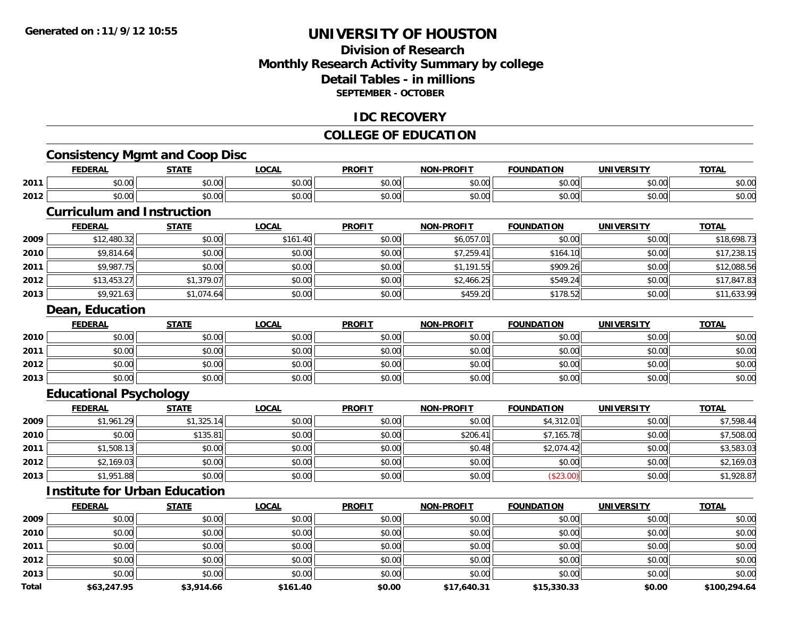## **Division of ResearchMonthly Research Activity Summary by college Detail Tables - in millionsSEPTEMBER - OCTOBER**

### **IDC RECOVERY**

## **COLLEGE OF EDUCATION**

## **Consistency Mgmt and Coop Disc**

|      | EENEDA<br>LIVA                 | <b>CTATE</b><br>,,,,   | _OCAL                         | <b>PROFIT</b> | <b>LPROFIT</b><br><b>ארות</b> | <b>FOUNDATION</b> | UNIVERSITY     | <b>TAT.</b> |
|------|--------------------------------|------------------------|-------------------------------|---------------|-------------------------------|-------------------|----------------|-------------|
| 2011 | ሶስ ስስ<br>טט.טע                 | $\sim$ $\sim$<br>JU.UU | 0.00<br>PO.OO                 | 0.00<br>JU.UU | 4000<br>→J.UUI                | \$0.00            | 60.00<br>PU.UU | \$0.00      |
| 2012 | $\uparrow$ $\uparrow$<br>vv.vv | 0.00<br>JU.UU.         | $\sim$ $\sim$<br><b>JU.UU</b> | 0.00<br>JU.UU | \$0.00                        | \$0.00            | 0.00<br>PO.OO  | \$0.00      |

## **Curriculum and Instruction**

|      | <b>FEDERAL</b> | <b>STATE</b> | <u>LOCAL</u> | <b>PROFIT</b> | <b>NON-PROFIT</b> | <b>FOUNDATION</b> | <b>UNIVERSITY</b> | <b>TOTAL</b> |
|------|----------------|--------------|--------------|---------------|-------------------|-------------------|-------------------|--------------|
| 2009 | \$12,480.32    | \$0.00       | \$161.40     | \$0.00        | \$6,057.01        | \$0.00            | \$0.00            | \$18,698.73  |
| 2010 | \$9,814.64     | \$0.00       | \$0.00       | \$0.00        | \$7.259.41        | \$164.10          | \$0.00            | \$17,238.15  |
| 2011 | \$9,987.75     | \$0.00       | \$0.00       | \$0.00        | \$1,191.55        | \$909.26          | \$0.00            | \$12,088.56  |
| 2012 | \$13,453.27    | \$1,379.07   | \$0.00       | \$0.00        | \$2,466.25        | \$549.24          | \$0.00            | \$17,847.83  |
| 2013 | \$9,921.63     | \$1,074.64   | \$0.00       | \$0.00        | \$459.20          | \$178.52          | \$0.00            | \$11,633.99  |

#### **Dean, Education**

|      | <b>FEDERAL</b> | <b>STATE</b> | <u>LOCAL</u> | <b>PROFIT</b> | <b>NON-PROFIT</b> | <b>FOUNDATION</b> | <b>UNIVERSITY</b> | <u>TOTAL</u> |
|------|----------------|--------------|--------------|---------------|-------------------|-------------------|-------------------|--------------|
| 2010 | \$0.00         | \$0.00       | \$0.00       | \$0.00        | \$0.00            | \$0.00            | \$0.00            | \$0.00       |
| 2011 | \$0.00         | \$0.00       | \$0.00       | \$0.00        | \$0.00            | \$0.00            | \$0.00            | \$0.00       |
| 2012 | \$0.00         | \$0.00       | \$0.00       | \$0.00        | \$0.00            | \$0.00            | \$0.00            | \$0.00       |
| 2013 | \$0.00         | \$0.00       | \$0.00       | \$0.00        | \$0.00            | \$0.00            | \$0.00            | \$0.00       |

## **Educational Psychology**

|      | <u>FEDERAL</u> | <u>STATE</u> | <u>LOCAL</u> | <b>PROFIT</b> | <b>NON-PROFIT</b> | <b>FOUNDATION</b> | <b>UNIVERSITY</b> | <b>TOTAL</b> |
|------|----------------|--------------|--------------|---------------|-------------------|-------------------|-------------------|--------------|
| 2009 | \$1,961.29     | \$1,325.14   | \$0.00       | \$0.00        | \$0.00            | \$4,312.01        | \$0.00            | \$7,598.44   |
| 2010 | \$0.00         | \$135.81     | \$0.00       | \$0.00        | \$206.41          | \$7,165.78        | \$0.00            | \$7,508.00   |
| 2011 | \$1,508.13     | \$0.00       | \$0.00       | \$0.00        | \$0.48            | \$2,074.42        | \$0.00            | \$3,583.03   |
| 2012 | \$2,169.03     | \$0.00       | \$0.00       | \$0.00        | \$0.00            | \$0.00            | \$0.00            | \$2,169.03   |
| 2013 | \$1,951.88     | \$0.00       | \$0.00       | \$0.00        | \$0.00            | (\$23.00)         | \$0.00            | \$1,928.87   |

## **Institute for Urban Education**

|              | <b>FEDERAL</b> | <b>STATE</b> | LOCAL    | <b>PROFIT</b> | <b>NON-PROFIT</b> | <b>FOUNDATION</b> | <b>UNIVERSITY</b> | <b>TOTAL</b> |
|--------------|----------------|--------------|----------|---------------|-------------------|-------------------|-------------------|--------------|
| 2009         | \$0.00         | \$0.00       | \$0.00   | \$0.00        | \$0.00            | \$0.00            | \$0.00            | \$0.00       |
| 2010         | \$0.00         | \$0.00       | \$0.00   | \$0.00        | \$0.00            | \$0.00            | \$0.00            | \$0.00       |
| 2011         | \$0.00         | \$0.00       | \$0.00   | \$0.00        | \$0.00            | \$0.00            | \$0.00            | \$0.00       |
| 2012         | \$0.00         | \$0.00       | \$0.00   | \$0.00        | \$0.00            | \$0.00            | \$0.00            | \$0.00       |
| 2013         | \$0.00         | \$0.00       | \$0.00   | \$0.00        | \$0.00            | \$0.00            | \$0.00            | \$0.00       |
| <b>Total</b> | \$63,247.95    | \$3,914.66   | \$161.40 | \$0.00        | \$17,640.31       | \$15,330.33       | \$0.00            | \$100,294.64 |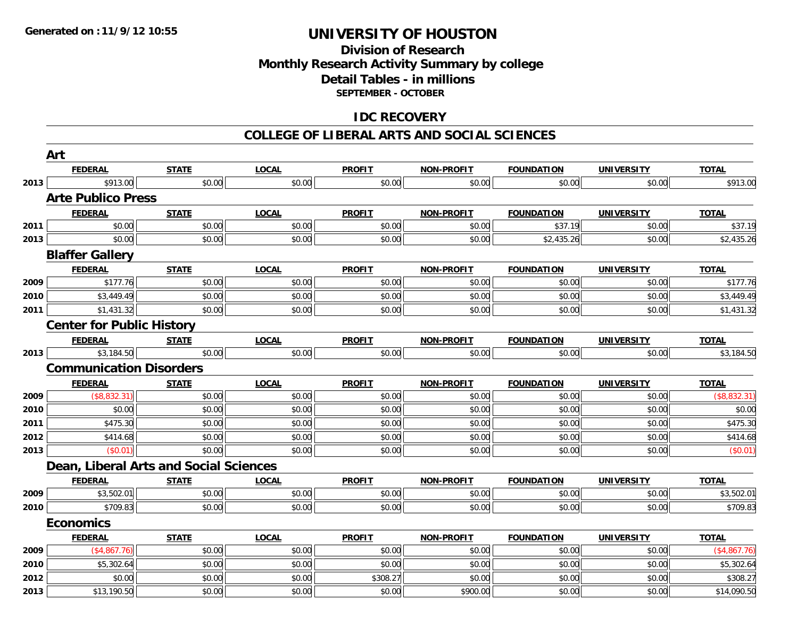## **Division of Research Monthly Research Activity Summary by college Detail Tables - in millions SEPTEMBER - OCTOBER**

## **IDC RECOVERY**

#### **COLLEGE OF LIBERAL ARTS AND SOCIAL SCIENCES**

|              | Art                                    |                  |              |                    |                    |                   |                   |                         |
|--------------|----------------------------------------|------------------|--------------|--------------------|--------------------|-------------------|-------------------|-------------------------|
|              | <b>FEDERAL</b>                         | <b>STATE</b>     | <b>LOCAL</b> | <b>PROFIT</b>      | <b>NON-PROFIT</b>  | <b>FOUNDATION</b> | <b>UNIVERSITY</b> | <b>TOTAL</b>            |
| 2013         | \$913.00                               | \$0.00           | \$0.00       | \$0.00             | \$0.00             | \$0.00            | \$0.00            | \$913.00                |
|              | <b>Arte Publico Press</b>              |                  |              |                    |                    |                   |                   |                         |
|              | <b>FEDERAL</b>                         | <b>STATE</b>     | <b>LOCAL</b> | <b>PROFIT</b>      | <b>NON-PROFIT</b>  | <b>FOUNDATION</b> | <b>UNIVERSITY</b> | <b>TOTAL</b>            |
| 2011         | \$0.00                                 | \$0.00           | \$0.00       | \$0.00             | \$0.00             | \$37.19           | \$0.00            | \$37.19                 |
| 2013         | \$0.00                                 | \$0.00           | \$0.00       | \$0.00             | \$0.00             | \$2,435.26        | \$0.00            | \$2,435.26              |
|              | <b>Blaffer Gallery</b>                 |                  |              |                    |                    |                   |                   |                         |
|              | <b>FEDERAL</b>                         | <b>STATE</b>     | <b>LOCAL</b> | <b>PROFIT</b>      | <b>NON-PROFIT</b>  | <b>FOUNDATION</b> | <b>UNIVERSITY</b> | <b>TOTAL</b>            |
| 2009         | \$177.76                               | \$0.00           | \$0.00       | \$0.00             | \$0.00             | \$0.00            | \$0.00            | \$177.76                |
| 2010         | \$3,449.49                             | \$0.00           | \$0.00       | \$0.00             | \$0.00             | \$0.00            | \$0.00            | \$3,449.49              |
| 2011         | \$1,431.32                             | \$0.00           | \$0.00       | \$0.00             | \$0.00             | \$0.00            | \$0.00            | \$1,431.32              |
|              | <b>Center for Public History</b>       |                  |              |                    |                    |                   |                   |                         |
|              | <b>FEDERAL</b>                         | <b>STATE</b>     | <b>LOCAL</b> | <b>PROFIT</b>      | <b>NON-PROFIT</b>  | <b>FOUNDATION</b> | <b>UNIVERSITY</b> | <b>TOTAL</b>            |
| 2013         | \$3,184.50                             | \$0.00           | \$0.00       | \$0.00             | \$0.00             | \$0.00            | \$0.00            | \$3,184.50              |
|              | <b>Communication Disorders</b>         |                  |              |                    |                    |                   |                   |                         |
|              |                                        |                  |              |                    |                    |                   |                   |                         |
|              | <b>FEDERAL</b>                         | <b>STATE</b>     | <b>LOCAL</b> | <b>PROFIT</b>      | <b>NON-PROFIT</b>  | <b>FOUNDATION</b> | <b>UNIVERSITY</b> | <b>TOTAL</b>            |
| 2009         | (\$8,832.31)                           | \$0.00           | \$0.00       | \$0.00             | \$0.00             | \$0.00            | \$0.00            | (\$8,832.31)            |
| 2010         | \$0.00                                 | \$0.00           | \$0.00       | \$0.00             | \$0.00             | \$0.00            | \$0.00            | \$0.00                  |
| 2011         | \$475.30                               | \$0.00           | \$0.00       | \$0.00             | \$0.00             | \$0.00            | \$0.00            | \$475.30                |
| 2012         | \$414.68                               | \$0.00           | \$0.00       | \$0.00             | \$0.00             | \$0.00            | \$0.00            | \$414.68                |
|              | (\$0.01)                               | \$0.00           | \$0.00       | \$0.00             | \$0.00             | \$0.00            | \$0.00            | (\$0.01)                |
| 2013         | Dean, Liberal Arts and Social Sciences |                  |              |                    |                    |                   |                   |                         |
|              | <b>FEDERAL</b>                         | <b>STATE</b>     | <b>LOCAL</b> | <b>PROFIT</b>      | <b>NON-PROFIT</b>  | <b>FOUNDATION</b> | <b>UNIVERSITY</b> | <b>TOTAL</b>            |
|              | \$3,502.01                             | \$0.00           | \$0.00       | \$0.00             | \$0.00             | \$0.00            | \$0.00            | \$3,502.01              |
| 2009<br>2010 | \$709.83                               | \$0.00           | \$0.00       | \$0.00             | \$0.00             | \$0.00            | \$0.00            | \$709.83                |
|              | <b>Economics</b>                       |                  |              |                    |                    |                   |                   |                         |
|              | <b>FEDERAL</b>                         | <b>STATE</b>     | <b>LOCAL</b> | <b>PROFIT</b>      | <b>NON-PROFIT</b>  | <b>FOUNDATION</b> | <b>UNIVERSITY</b> | <b>TOTAL</b>            |
|              | (\$4,867.76)                           | \$0.00           | \$0.00       | \$0.00             | \$0.00             | \$0.00            | \$0.00            | (\$4,867.76)            |
| 2009<br>2010 | \$5,302.64                             | \$0.00           | \$0.00       | \$0.00             | \$0.00             | \$0.00            | \$0.00            | \$5,302.64              |
| 2012         | \$0.00                                 | \$0.00<br>\$0.00 | \$0.00       | \$308.27<br>\$0.00 | \$0.00<br>\$900.00 | \$0.00<br>\$0.00  | \$0.00            | \$308.27<br>\$14,090.50 |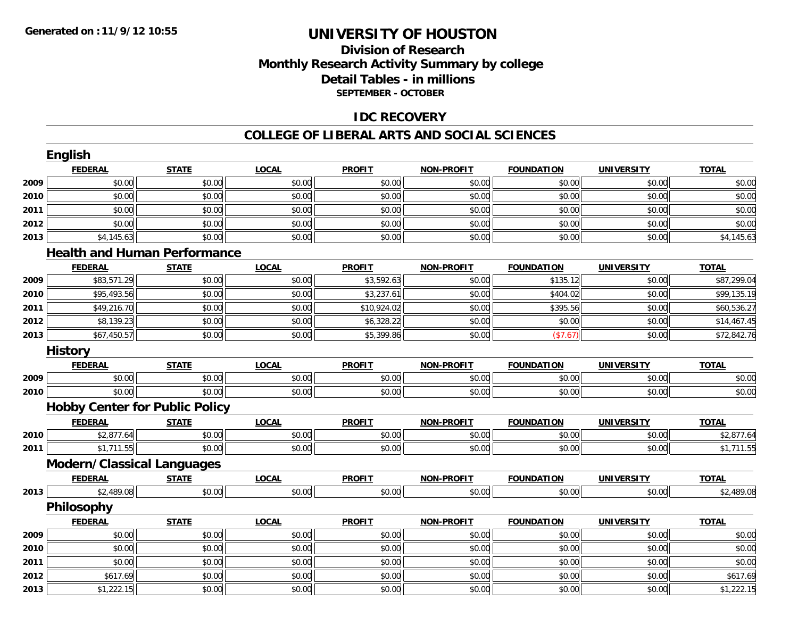## **Division of Research Monthly Research Activity Summary by college Detail Tables - in millions SEPTEMBER - OCTOBER**

## **IDC RECOVERY**

#### **COLLEGE OF LIBERAL ARTS AND SOCIAL SCIENCES**

|      | <b>FEDERAL</b>                        | <b>STATE</b> | <b>LOCAL</b> | <b>PROFIT</b> | <b>NON-PROFIT</b> | <b>FOUNDATION</b> | <b>UNIVERSITY</b> | <b>TOTAL</b> |
|------|---------------------------------------|--------------|--------------|---------------|-------------------|-------------------|-------------------|--------------|
| 2009 | \$0.00                                | \$0.00       | \$0.00       | \$0.00        | \$0.00            | \$0.00            | \$0.00            | \$0.00       |
| 2010 | \$0.00                                | \$0.00       | \$0.00       | \$0.00        | \$0.00            | \$0.00            | \$0.00            | \$0.00       |
| 2011 | \$0.00                                | \$0.00       | \$0.00       | \$0.00        | \$0.00            | \$0.00            | \$0.00            | \$0.00       |
| 2012 | \$0.00                                | \$0.00       | \$0.00       | \$0.00        | \$0.00            | \$0.00            | \$0.00            | \$0.00       |
| 2013 | \$4,145.63                            | \$0.00       | \$0.00       | \$0.00        | \$0.00            | \$0.00            | \$0.00            | \$4,145.63   |
|      | <b>Health and Human Performance</b>   |              |              |               |                   |                   |                   |              |
|      | <b>FEDERAL</b>                        | <b>STATE</b> | <b>LOCAL</b> | <b>PROFIT</b> | <b>NON-PROFIT</b> | <b>FOUNDATION</b> | <b>UNIVERSITY</b> | <b>TOTAL</b> |
| 2009 | \$83,571.29                           | \$0.00       | \$0.00       | \$3,592.63    | \$0.00            | \$135.12          | \$0.00            | \$87,299.04  |
| 2010 | \$95,493.56                           | \$0.00       | \$0.00       | \$3,237.61    | \$0.00            | \$404.02          | \$0.00            | \$99,135.19  |
| 2011 | \$49,216.70                           | \$0.00       | \$0.00       | \$10,924.02   | \$0.00            | \$395.56          | \$0.00            | \$60,536.27  |
| 2012 | \$8,139.23                            | \$0.00       | \$0.00       | \$6,328.22    | \$0.00            | \$0.00            | \$0.00            | \$14,467.45  |
| 2013 | \$67,450.57                           | \$0.00       | \$0.00       | \$5,399.86    | \$0.00            | (\$7.67)          | \$0.00            | \$72,842.76  |
|      | <b>History</b>                        |              |              |               |                   |                   |                   |              |
|      | <b>FEDERAL</b>                        | <b>STATE</b> | <b>LOCAL</b> | <b>PROFIT</b> | <b>NON-PROFIT</b> | <b>FOUNDATION</b> | <b>UNIVERSITY</b> | <b>TOTAL</b> |
| 2009 | \$0.00                                | \$0.00       | \$0.00       | \$0.00        | \$0.00            | \$0.00            | \$0.00            | \$0.00       |
| 2010 | \$0.00                                | \$0.00       | \$0.00       | \$0.00        | \$0.00            | \$0.00            | \$0.00            | \$0.00       |
|      | <b>Hobby Center for Public Policy</b> |              |              |               |                   |                   |                   |              |
|      | <b>FEDERAL</b>                        | <b>STATE</b> | <b>LOCAL</b> | <b>PROFIT</b> | <b>NON-PROFIT</b> | <b>FOUNDATION</b> | <b>UNIVERSITY</b> | <b>TOTAL</b> |
| 2010 | \$2,877.64                            | \$0.00       | \$0.00       | \$0.00        | \$0.00            | \$0.00            | \$0.00            | \$2,877.64   |
| 2011 | \$1,711.55                            | \$0.00       | \$0.00       | \$0.00        | \$0.00            | \$0.00            | \$0.00            | \$1,711.55   |
|      | <b>Modern/Classical Languages</b>     |              |              |               |                   |                   |                   |              |
|      | <b>FEDERAL</b>                        | <b>STATE</b> | <b>LOCAL</b> | <b>PROFIT</b> | <b>NON-PROFIT</b> | <b>FOUNDATION</b> | <b>UNIVERSITY</b> | <b>TOTAL</b> |
| 2013 | \$2,489.08                            | \$0.00       | \$0.00       | \$0.00        | \$0.00            | \$0.00            | \$0.00            | \$2,489.08   |
|      | Philosophy                            |              |              |               |                   |                   |                   |              |
|      | <b>FEDERAL</b>                        | <b>STATE</b> | <b>LOCAL</b> | <b>PROFIT</b> | <b>NON-PROFIT</b> | <b>FOUNDATION</b> | <b>UNIVERSITY</b> | <b>TOTAL</b> |
| 2009 | \$0.00                                | \$0.00       | \$0.00       | \$0.00        | \$0.00            | \$0.00            | \$0.00            | \$0.00       |
| 2010 | \$0.00                                | \$0.00       | \$0.00       | \$0.00        | \$0.00            | \$0.00            | \$0.00            | \$0.00       |
| 2011 | \$0.00                                | \$0.00       | \$0.00       | \$0.00        | \$0.00            | \$0.00            | \$0.00            | \$0.00       |
| 2012 | \$617.69                              | \$0.00       | \$0.00       | \$0.00        | \$0.00            | \$0.00            | \$0.00            | \$617.69     |
| 2013 | \$1,222.15                            | \$0.00       | \$0.00       | \$0.00        | \$0.00            | \$0.00            | \$0.00            | \$1,222.15   |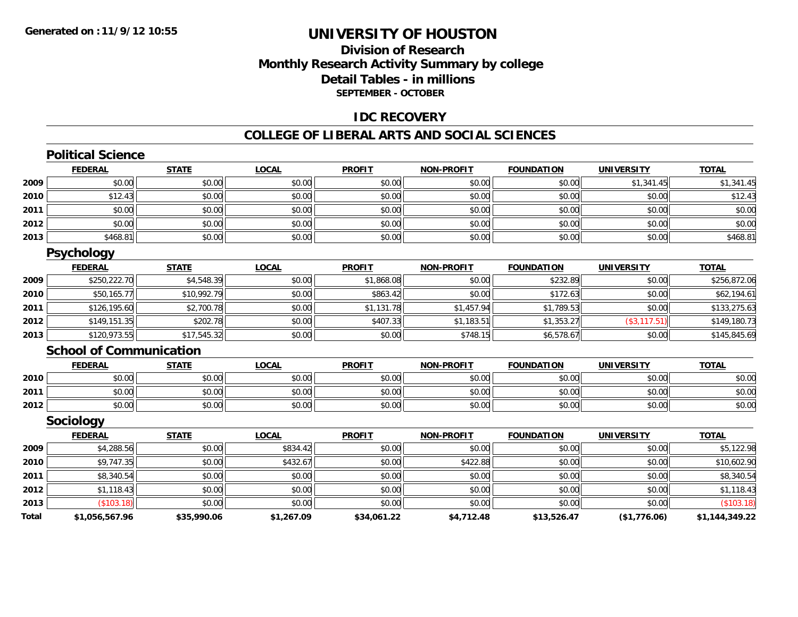## **Division of ResearchMonthly Research Activity Summary by college Detail Tables - in millions SEPTEMBER - OCTOBER**

### **IDC RECOVERY**

#### **COLLEGE OF LIBERAL ARTS AND SOCIAL SCIENCES**

|       | <b>Political Science</b>       |              |              |               |                   |                   |                   |                |
|-------|--------------------------------|--------------|--------------|---------------|-------------------|-------------------|-------------------|----------------|
|       | <b>FEDERAL</b>                 | <b>STATE</b> | <b>LOCAL</b> | <b>PROFIT</b> | <b>NON-PROFIT</b> | <b>FOUNDATION</b> | <b>UNIVERSITY</b> | <b>TOTAL</b>   |
| 2009  | \$0.00                         | \$0.00       | \$0.00       | \$0.00        | \$0.00            | \$0.00            | \$1,341.45        | \$1,341.45     |
| 2010  | \$12.43                        | \$0.00       | \$0.00       | \$0.00        | \$0.00            | \$0.00            | \$0.00            | \$12.43        |
| 2011  | \$0.00                         | \$0.00       | \$0.00       | \$0.00        | \$0.00            | \$0.00            | \$0.00            | \$0.00         |
| 2012  | \$0.00                         | \$0.00       | \$0.00       | \$0.00        | \$0.00            | \$0.00            | \$0.00            | \$0.00         |
| 2013  | \$468.81                       | \$0.00       | \$0.00       | \$0.00        | \$0.00            | \$0.00            | \$0.00            | \$468.81       |
|       | <b>Psychology</b>              |              |              |               |                   |                   |                   |                |
|       | <b>FEDERAL</b>                 | <b>STATE</b> | <b>LOCAL</b> | <b>PROFIT</b> | <b>NON-PROFIT</b> | <b>FOUNDATION</b> | <b>UNIVERSITY</b> | <b>TOTAL</b>   |
| 2009  | \$250,222.70                   | \$4,548.39   | \$0.00       | \$1,868.08    | \$0.00            | \$232.89          | \$0.00            | \$256,872.06   |
| 2010  | \$50,165.77                    | \$10,992.79  | \$0.00       | \$863.42      | \$0.00            | \$172.63          | \$0.00            | \$62,194.61    |
| 2011  | \$126,195.60                   | \$2,700.78   | \$0.00       | \$1,131.78    | \$1,457.94        | \$1,789.53        | \$0.00            | \$133,275.63   |
| 2012  | \$149,151.35                   | \$202.78     | \$0.00       | \$407.33      | \$1,183.51        | \$1,353.27        | (\$3,117.51)      | \$149,180.73   |
| 2013  | \$120,973.55                   | \$17,545.32  | \$0.00       | \$0.00        | \$748.15          | \$6,578.67        | \$0.00            | \$145,845.69   |
|       | <b>School of Communication</b> |              |              |               |                   |                   |                   |                |
|       | <b>FEDERAL</b>                 | <b>STATE</b> | <b>LOCAL</b> | <b>PROFIT</b> | <b>NON-PROFIT</b> | <b>FOUNDATION</b> | <b>UNIVERSITY</b> | <b>TOTAL</b>   |
| 2010  | \$0.00                         | \$0.00       | \$0.00       | \$0.00        | \$0.00            | \$0.00            | \$0.00            | \$0.00         |
| 2011  | \$0.00                         | \$0.00       | \$0.00       | \$0.00        | \$0.00            | \$0.00            | \$0.00            | \$0.00         |
| 2012  | \$0.00                         | \$0.00       | \$0.00       | \$0.00        | \$0.00            | \$0.00            | \$0.00            | \$0.00         |
|       | Sociology                      |              |              |               |                   |                   |                   |                |
|       | <b>FEDERAL</b>                 | <b>STATE</b> | <b>LOCAL</b> | <b>PROFIT</b> | <b>NON-PROFIT</b> | <b>FOUNDATION</b> | <b>UNIVERSITY</b> | <b>TOTAL</b>   |
| 2009  | \$4,288.56                     | \$0.00       | \$834.42     | \$0.00        | \$0.00            | \$0.00            | \$0.00            | \$5,122.98     |
| 2010  | \$9,747.35                     | \$0.00       | \$432.67     | \$0.00        | \$422.88          | \$0.00            | \$0.00            | \$10,602.90    |
| 2011  | \$8,340.54                     | \$0.00       | \$0.00       | \$0.00        | \$0.00            | \$0.00            | \$0.00            | \$8,340.54     |
| 2012  | \$1,118.43                     | \$0.00       | \$0.00       | \$0.00        | \$0.00            | \$0.00            | \$0.00            | \$1,118.43     |
| 2013  | (\$103.18)                     | \$0.00       | \$0.00       | \$0.00        | \$0.00            | \$0.00            | \$0.00            | (\$103.18)     |
| Total | \$1,056,567.96                 | \$35,990.06  | \$1,267.09   | \$34,061.22   | \$4,712.48        | \$13,526.47       | (\$1,776.06)      | \$1,144,349.22 |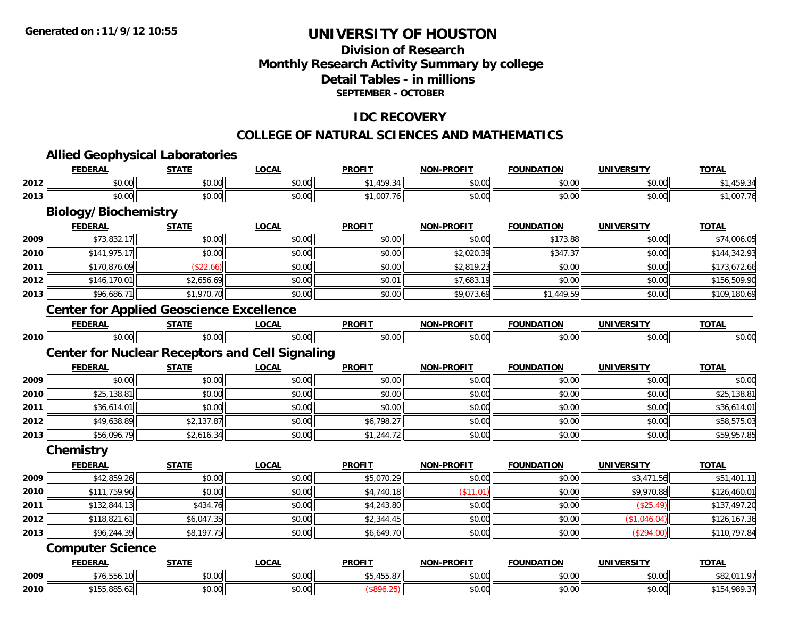## **Division of ResearchMonthly Research Activity Summary by college Detail Tables - in millionsSEPTEMBER - OCTOBER**

## **IDC RECOVERY**

## **COLLEGE OF NATURAL SCIENCES AND MATHEMATICS**

**TOTAL** 

#### **Allied Geophysical Laboratories FEDERAL STATE LOCAL PROFIT NON-PROFIT FOUNDATION UNIVERSITY TOTAL2012** \$0.00 \$0.00 \$0.00 \$1,459.34 \$0.00 \$0.00 \$0.00 \$1,459.34 **2013**3 | \$0.00 \$0.00 \$0.00 \$0.00 \$0.00 \$0.00 \$0.00 \$1,007.76 \$1,007.76 \$0.00 \$0.00 \$0.00 \$0.00 \$1,007.76 **Biology/Biochemistry**

|      | <b>FEDERAL</b> | <b>STATE</b> | <b>LOCAL</b> | <b>PROFIT</b> | <b>NON-PROFIT</b> | <b>FOUNDATION</b> | <b>UNIVERSITY</b> | <b>TOTAL</b> |
|------|----------------|--------------|--------------|---------------|-------------------|-------------------|-------------------|--------------|
| 2009 | \$73,832.17    | \$0.00       | \$0.00       | \$0.00        | \$0.00            | \$173.88          | \$0.00            | \$74,006.05  |
| 2010 | \$141,975.17   | \$0.00       | \$0.00       | \$0.00        | \$2,020.39        | \$347.37          | \$0.00            | \$144,342.93 |
| 2011 | \$170,876.09   | \$22.66      | \$0.00       | \$0.00        | \$2,819.23        | \$0.00            | \$0.00            | \$173,672.66 |
| 2012 | \$146,170.01   | \$2,656.69   | \$0.00       | \$0.01        | \$7,683.19        | \$0.00            | \$0.00            | \$156,509.90 |
| 2013 | \$96,686.71    | \$1,970.70   | \$0.00       | \$0.00        | \$9,073.69        | \$1,449.59        | \$0.00            | \$109,180.69 |

## **Center for Applied Geoscience Excellence**

|      | -------       | <b>CTAT</b>                  | $\sim$            | <b>PROFIT</b> | <b>DDOFIT</b><br>ימוח<br>. | חסד | ININE | $-2$           |
|------|---------------|------------------------------|-------------------|---------------|----------------------------|-----|-------|----------------|
| 2010 | $\sim$ $\sim$ | $\sim$ $\sim$<br>$\sim$<br>. | $\sim$ 00<br>.v.v |               | $\sim$ 00 $\sim$           |     |       | $\sim$<br>ט.טע |

## **Center for Nuclear Receptors and Cell Signaling**

|      | <b>FEDERAL</b> | <b>STATE</b> | <u>LOCAL</u> | <b>PROFIT</b> | <b>NON-PROFIT</b> | <b>FOUNDATION</b> | <b>UNIVERSITY</b> | <b>TOTAL</b> |
|------|----------------|--------------|--------------|---------------|-------------------|-------------------|-------------------|--------------|
| 2009 | \$0.00         | \$0.00       | \$0.00       | \$0.00        | \$0.00            | \$0.00            | \$0.00            | \$0.00       |
| 2010 | \$25,138.81    | \$0.00       | \$0.00       | \$0.00        | \$0.00            | \$0.00            | \$0.00            | \$25,138.81  |
| 2011 | \$36,614.01    | \$0.00       | \$0.00       | \$0.00        | \$0.00            | \$0.00            | \$0.00            | \$36,614.01  |
| 2012 | \$49,638.89    | \$2,137.87   | \$0.00       | \$6,798.27    | \$0.00            | \$0.00            | \$0.00            | \$58,575.03  |
| 2013 | \$56,096.79    | \$2,616.34   | \$0.00       | \$1,244.72    | \$0.00            | \$0.00            | \$0.00            | \$59,957.85  |

#### **Chemistry**

|      | <b>FEDERAL</b> | <b>STATE</b> | <u>LOCAL</u> | <b>PROFIT</b> | <b>NON-PROFIT</b> | <b>FOUNDATION</b> | <b>UNIVERSITY</b> | <b>TOTAL</b> |
|------|----------------|--------------|--------------|---------------|-------------------|-------------------|-------------------|--------------|
| 2009 | \$42,859.26    | \$0.00       | \$0.00       | \$5,070.29    | \$0.00            | \$0.00            | \$3,471.56        | \$51,401.11  |
| 2010 | \$111,759.96   | \$0.00       | \$0.00       | \$4,740.18    | \$11.01           | \$0.00            | \$9,970.88        | \$126,460.01 |
| 2011 | \$132,844.13   | \$434.76     | \$0.00       | \$4,243.80    | \$0.00            | \$0.00            | (\$25.49)         | \$137,497.20 |
| 2012 | \$118,821.61   | \$6,047.35   | \$0.00       | \$2,344.45    | \$0.00            | \$0.00            | (\$1,046.04)      | \$126,167.36 |
| 2013 | \$96,244.39    | \$8,197.75   | \$0.00       | \$6,649.70    | \$0.00            | \$0.00            | (\$294.00)        | \$110,797.84 |

#### **Computer Science**

|      | <b>FEDERAL</b>                                           | <b>STATE</b>  | LOCAI  | <b>PROFIT</b>                            | <b>NON-PROFIT</b>  | <b>FOUNDATION</b>      | UNIVERSITY                    | <b>TOTAL</b>                    |
|------|----------------------------------------------------------|---------------|--------|------------------------------------------|--------------------|------------------------|-------------------------------|---------------------------------|
| 2009 | \$76,556.10                                              | 0000<br>pv.uu | \$0.00 | $\cdot$ $ \cdot$<br>$\sim$ $-$<br>10.CC+ | $\sim$ 00<br>PU.UU | $\sim$ $\sim$<br>DU.UU | 0.00<br><b>JU.UU</b>          | <b>011 07</b><br>$\cdots$<br>ັ⊽ |
| 2010 | $\mathbf{a} \mathbf{b} \mathbf{c}$<br>ぐっこに<br>133.003.02 | 0000<br>JU.UU | \$0.00 |                                          | 0000<br>JU.UU      | 0000<br>JU.UU          | $n \cap \neg$<br><b>JU.UU</b> | ־י ממנ<br>,707.31<br>- ۵۳ پ     |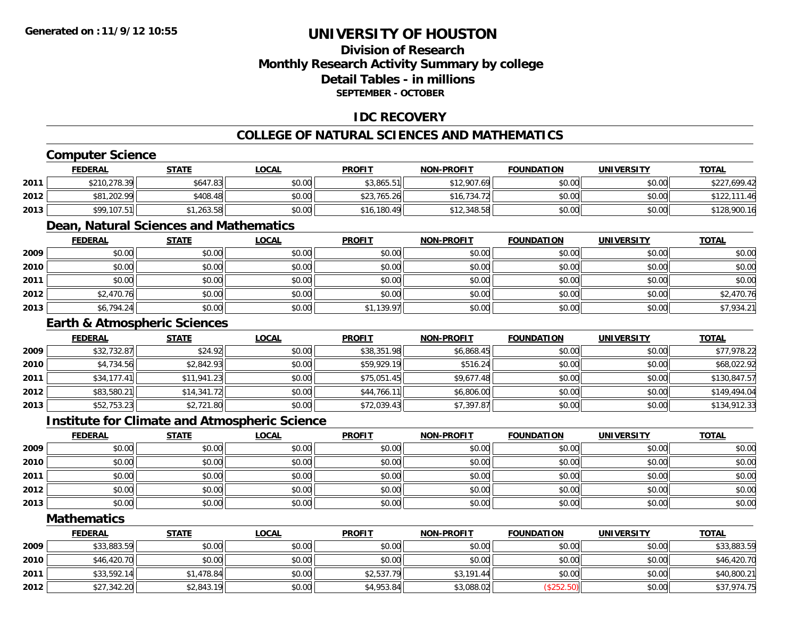## **Division of ResearchMonthly Research Activity Summary by college Detail Tables - in millionsSEPTEMBER - OCTOBER**

## **IDC RECOVERY**

## **COLLEGE OF NATURAL SCIENCES AND MATHEMATICS**

## **Computer Science**

|      | <b>FEDERAL</b> | <u>STATE</u> | <u>LOCAL</u> | <b>PROFIT</b> | <b>NON-PROFIT</b> | <b>FOUNDATION</b> | <b>UNIVERSITY</b> | <b>TOTAL</b> |
|------|----------------|--------------|--------------|---------------|-------------------|-------------------|-------------------|--------------|
| 2011 | \$210,278.39   | \$647.83     | \$0.00       | \$3,865.51    | \$12,907.69       | \$0.00            | \$0.00            | \$227,699.42 |
| 2012 | \$81,202.99    | \$408.48     | \$0.00       | \$23,765.26   | \$16,734.72       | \$0.00            | \$0.00            | \$122,111.46 |
| 2013 | \$99,107.51    | \$1,263.58   | \$0.00       | \$16,180.49   | \$12,348.58       | \$0.00            | \$0.00            | \$128,900.16 |

## **Dean, Natural Sciences and Mathematics**

|      | <b>FEDERAL</b> | <b>STATE</b> | <b>LOCAL</b> | <b>PROFIT</b> | <b>NON-PROFIT</b> | <b>FOUNDATION</b> | <b>UNIVERSITY</b> | <b>TOTAL</b> |
|------|----------------|--------------|--------------|---------------|-------------------|-------------------|-------------------|--------------|
| 2009 | \$0.00         | \$0.00       | \$0.00       | \$0.00        | \$0.00            | \$0.00            | \$0.00            | \$0.00       |
| 2010 | \$0.00         | \$0.00       | \$0.00       | \$0.00        | \$0.00            | \$0.00            | \$0.00            | \$0.00       |
| 2011 | \$0.00         | \$0.00       | \$0.00       | \$0.00        | \$0.00            | \$0.00            | \$0.00            | \$0.00       |
| 2012 | \$2,470.76     | \$0.00       | \$0.00       | \$0.00        | \$0.00            | \$0.00            | \$0.00            | \$2,470.76   |
| 2013 | \$6,794.24     | \$0.00       | \$0.00       | \$1,139.97    | \$0.00            | \$0.00            | \$0.00            | \$7,934.21   |

### **Earth & Atmospheric Sciences**

|      | <b>FEDERAL</b> | <u>STATE</u> | <u>LOCAL</u> | <b>PROFIT</b> | <b>NON-PROFIT</b> | <b>FOUNDATION</b> | <b>UNIVERSITY</b> | <b>TOTAL</b> |
|------|----------------|--------------|--------------|---------------|-------------------|-------------------|-------------------|--------------|
| 2009 | \$32,732.87    | \$24.92      | \$0.00       | \$38,351.98   | \$6,868.45        | \$0.00            | \$0.00            | \$77,978.22  |
| 2010 | \$4,734.56     | \$2,842.93   | \$0.00       | \$59,929.19   | \$516.24          | \$0.00            | \$0.00            | \$68,022.92  |
| 2011 | \$34,177.41    | \$11,941.23  | \$0.00       | \$75,051.45   | \$9,677.48        | \$0.00            | \$0.00            | \$130,847.57 |
| 2012 | \$83,580.21    | \$14,341.72  | \$0.00       | \$44,766.11   | \$6,806.00        | \$0.00            | \$0.00            | \$149,494.04 |
| 2013 | \$52,753.23    | \$2,721.80   | \$0.00       | \$72,039.43   | \$7,397.87        | \$0.00            | \$0.00            | \$134,912.33 |

#### **Institute for Climate and Atmospheric Science**

|      | <u>FEDERAL</u> | <b>STATE</b> | <b>LOCAL</b> | <b>PROFIT</b> | <b>NON-PROFIT</b> | <b>FOUNDATION</b> | <b>UNIVERSITY</b> | <b>TOTAL</b> |
|------|----------------|--------------|--------------|---------------|-------------------|-------------------|-------------------|--------------|
| 2009 | \$0.00         | \$0.00       | \$0.00       | \$0.00        | \$0.00            | \$0.00            | \$0.00            | \$0.00       |
| 2010 | \$0.00         | \$0.00       | \$0.00       | \$0.00        | \$0.00            | \$0.00            | \$0.00            | \$0.00       |
| 2011 | \$0.00         | \$0.00       | \$0.00       | \$0.00        | \$0.00            | \$0.00            | \$0.00            | \$0.00       |
| 2012 | \$0.00         | \$0.00       | \$0.00       | \$0.00        | \$0.00            | \$0.00            | \$0.00            | \$0.00       |
| 2013 | \$0.00         | \$0.00       | \$0.00       | \$0.00        | \$0.00            | \$0.00            | \$0.00            | \$0.00       |

#### **Mathematics**

|      | <b>FEDERAL</b> | <b>STATE</b> | <b>LOCAL</b> | <b>PROFIT</b> | <b>NON-PROFIT</b> | <b>FOUNDATION</b> | <b>UNIVERSITY</b> | <b>TOTAL</b> |
|------|----------------|--------------|--------------|---------------|-------------------|-------------------|-------------------|--------------|
| 2009 | \$33,883.59    | \$0.00       | \$0.00       | \$0.00        | \$0.00            | \$0.00            | \$0.00            | \$33,883.59  |
| 2010 | \$46,420.70    | \$0.00       | \$0.00       | \$0.00        | \$0.00            | \$0.00            | \$0.00            | \$46,420.70  |
| 2011 | \$33,592.14    | \$1,478.84   | \$0.00       | \$2,537.79    | \$3,191.44        | \$0.00            | \$0.00            | \$40,800.21  |
| 2012 | \$27,342.20    | \$2,843.19   | \$0.00       | \$4,953.84    | \$3,088.02        | (\$252.50)        | \$0.00            | \$37,974.75  |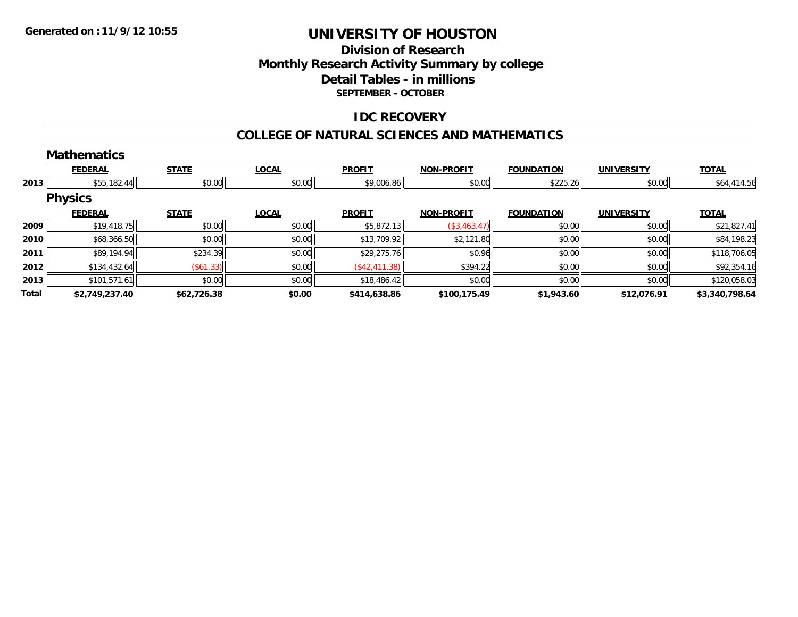## **Division of Research Monthly Research Activity Summary by college Detail Tables - in millions SEPTEMBER - OCTOBER**

### **IDC RECOVERY**

#### **COLLEGE OF NATURAL SCIENCES AND MATHEMATICS**

|       | <b>Mathematics</b> |              |              |               |                   |                   |                   |                |
|-------|--------------------|--------------|--------------|---------------|-------------------|-------------------|-------------------|----------------|
|       | <b>FEDERAL</b>     | <b>STATE</b> | <b>LOCAL</b> | <b>PROFIT</b> | <b>NON-PROFIT</b> | <b>FOUNDATION</b> | <b>UNIVERSITY</b> | <b>TOTAL</b>   |
| 2013  | \$55,182.44        | \$0.00       | \$0.00       | \$9,006.86    | \$0.00            | \$225.26          | \$0.00            | \$64,414.56    |
|       | <b>Physics</b>     |              |              |               |                   |                   |                   |                |
|       | <b>FEDERAL</b>     | <b>STATE</b> | <b>LOCAL</b> | <b>PROFIT</b> | <b>NON-PROFIT</b> | <b>FOUNDATION</b> | <b>UNIVERSITY</b> | <b>TOTAL</b>   |
| 2009  | \$19,418.75        | \$0.00       | \$0.00       | \$5,872.13    | (\$3,463.47)      | \$0.00            | \$0.00            | \$21,827.41    |
| 2010  | \$68,366.50        | \$0.00       | \$0.00       | \$13,709.92   | \$2,121.80        | \$0.00            | \$0.00            | \$84,198.23    |
| 2011  | \$89,194.94        | \$234.39     | \$0.00       | \$29,275.76   | \$0.96            | \$0.00            | \$0.00            | \$118,706.05   |
| 2012  | \$134,432.64       | (\$61.33)    | \$0.00       | (\$42,411.38) | \$394.22          | \$0.00            | \$0.00            | \$92,354.16    |
| 2013  | \$101,571.61       | \$0.00       | \$0.00       | \$18,486.42   | \$0.00            | \$0.00            | \$0.00            | \$120,058.03   |
| Total | \$2,749,237.40     | \$62,726.38  | \$0.00       | \$414,638.86  | \$100,175.49      | \$1,943.60        | \$12,076.91       | \$3,340,798.64 |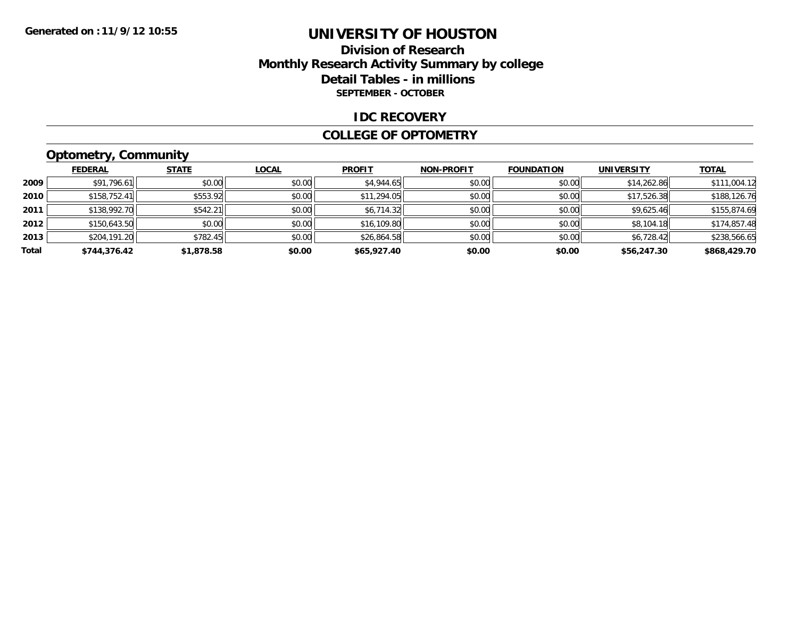## **Division of Research Monthly Research Activity Summary by college Detail Tables - in millions SEPTEMBER - OCTOBER**

#### **IDC RECOVERY**

#### **COLLEGE OF OPTOMETRY**

## **Optometry, Community**

|       | ___            |              |              |               |                   |                   |                   |              |  |
|-------|----------------|--------------|--------------|---------------|-------------------|-------------------|-------------------|--------------|--|
|       | <b>FEDERAL</b> | <b>STATE</b> | <u>LOCAL</u> | <b>PROFIT</b> | <b>NON-PROFIT</b> | <b>FOUNDATION</b> | <b>UNIVERSITY</b> | <b>TOTAL</b> |  |
| 2009  | \$91,796.61    | \$0.00       | \$0.00       | \$4,944.65    | \$0.00            | \$0.00            | \$14,262.86       | \$111,004.12 |  |
| 2010  | \$158,752.41   | \$553.92     | \$0.00       | \$11,294.05   | \$0.00            | \$0.00            | \$17,526.38       | \$188,126.76 |  |
| 2011  | \$138,992.70   | \$542.21     | \$0.00       | \$6,714.32    | \$0.00            | \$0.00            | \$9,625.46        | \$155,874.69 |  |
| 2012  | \$150,643.50   | \$0.00       | \$0.00       | \$16,109.80   | \$0.00            | \$0.00            | \$8,104.18        | \$174,857.48 |  |
| 2013  | \$204,191.20   | \$782.45     | \$0.00       | \$26,864.58   | \$0.00            | \$0.00            | \$6,728.42        | \$238,566.65 |  |
| Total | \$744,376.42   | \$1,878.58   | \$0.00       | \$65,927.40   | \$0.00            | \$0.00            | \$56,247.30       | \$868,429.70 |  |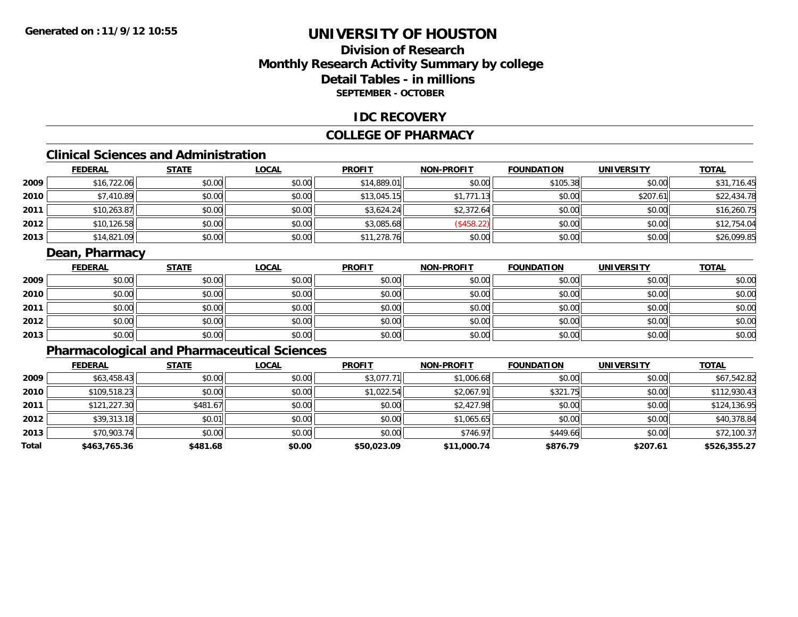## **Division of ResearchMonthly Research Activity Summary by college Detail Tables - in millions SEPTEMBER - OCTOBER**

### **IDC RECOVERY**

### **COLLEGE OF PHARMACY**

## **Clinical Sciences and Administration**

|      | <b>FEDERAL</b> | <b>STATE</b> | <b>LOCAL</b> | <b>PROFIT</b> | <b>NON-PROFIT</b> | <b>FOUNDATION</b> | <b>UNIVERSITY</b> | <b>TOTAL</b> |
|------|----------------|--------------|--------------|---------------|-------------------|-------------------|-------------------|--------------|
| 2009 | \$16,722.06    | \$0.00       | \$0.00       | \$14,889.01   | \$0.00            | \$105.38          | \$0.00            | \$31,716.45  |
| 2010 | \$7,410.89     | \$0.00       | \$0.00       | \$13,045.15   | \$1,771.13        | \$0.00            | \$207.61          | \$22,434.78  |
| 2011 | \$10,263.87    | \$0.00       | \$0.00       | \$3,624.24    | \$2,372.64        | \$0.00            | \$0.00            | \$16,260.75  |
| 2012 | \$10,126.58    | \$0.00       | \$0.00       | \$3,085.68    | (\$458.22)        | \$0.00            | \$0.00            | \$12,754.04  |
| 2013 | \$14,821.09    | \$0.00       | \$0.00       | \$11,278.76   | \$0.00            | \$0.00            | \$0.00            | \$26,099.85  |

## **Dean, Pharmacy**

|      | <b>FEDERAL</b> | <b>STATE</b> | <b>LOCAL</b> | <b>PROFIT</b> | <b>NON-PROFIT</b> | <b>FOUNDATION</b> | <b>UNIVERSITY</b> | <b>TOTAL</b> |
|------|----------------|--------------|--------------|---------------|-------------------|-------------------|-------------------|--------------|
| 2009 | \$0.00         | \$0.00       | \$0.00       | \$0.00        | \$0.00            | \$0.00            | \$0.00            | \$0.00       |
| 2010 | \$0.00         | \$0.00       | \$0.00       | \$0.00        | \$0.00            | \$0.00            | \$0.00            | \$0.00       |
| 2011 | \$0.00         | \$0.00       | \$0.00       | \$0.00        | \$0.00            | \$0.00            | \$0.00            | \$0.00       |
| 2012 | \$0.00         | \$0.00       | \$0.00       | \$0.00        | \$0.00            | \$0.00            | \$0.00            | \$0.00       |
| 2013 | \$0.00         | \$0.00       | \$0.00       | \$0.00        | \$0.00            | \$0.00            | \$0.00            | \$0.00       |

## **Pharmacological and Pharmaceutical Sciences**

|       | <b>FEDERAL</b> | <b>STATE</b> | <b>LOCAL</b> | <b>PROFIT</b> | <b>NON-PROFIT</b> | <b>FOUNDATION</b> | <b>UNIVERSITY</b> | <b>TOTAL</b> |
|-------|----------------|--------------|--------------|---------------|-------------------|-------------------|-------------------|--------------|
| 2009  | \$63,458.43    | \$0.00       | \$0.00       | \$3,077.71    | \$1,006.68        | \$0.00            | \$0.00            | \$67,542.82  |
| 2010  | \$109,518.23   | \$0.00       | \$0.00       | \$1,022.54    | \$2,067.91        | \$321.75          | \$0.00            | \$112,930.43 |
| 2011  | \$121,227.30   | \$481.67     | \$0.00       | \$0.00        | \$2,427.98        | \$0.00            | \$0.00            | \$124,136.95 |
| 2012  | \$39,313.18    | \$0.01       | \$0.00       | \$0.00        | \$1,065.65        | \$0.00            | \$0.00            | \$40,378.84  |
| 2013  | \$70,903.74    | \$0.00       | \$0.00       | \$0.00        | \$746.97          | \$449.66          | \$0.00            | \$72,100.37  |
| Total | \$463,765.36   | \$481.68     | \$0.00       | \$50,023.09   | \$11,000.74       | \$876.79          | \$207.61          | \$526,355.27 |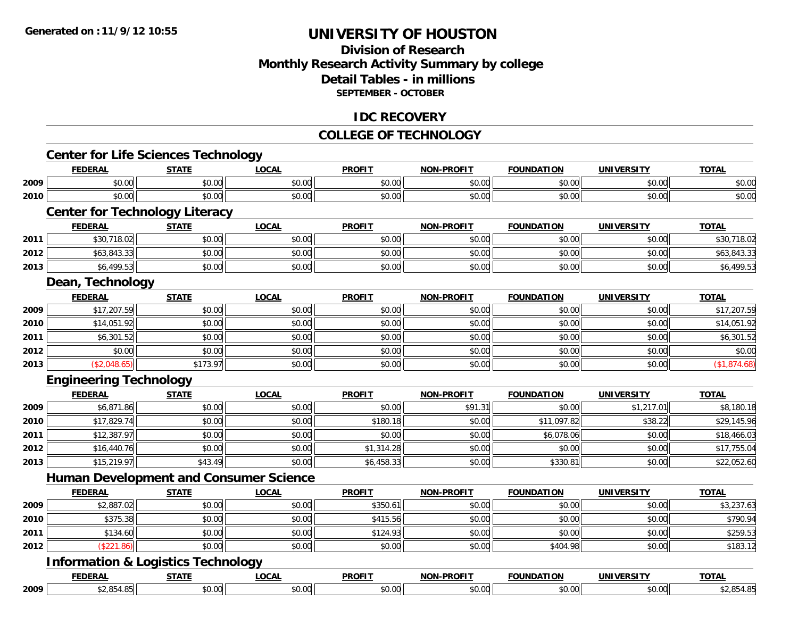## **Division of ResearchMonthly Research Activity Summary by college Detail Tables - in millions SEPTEMBER - OCTOBER**

### **IDC RECOVERY**

## **COLLEGE OF TECHNOLOGY**

|      | <b>Center for Life Sciences Technology</b>    |              |              |               |                   |                   |                   |              |
|------|-----------------------------------------------|--------------|--------------|---------------|-------------------|-------------------|-------------------|--------------|
|      | <b>FEDERAL</b>                                | <b>STATE</b> | <b>LOCAL</b> | <b>PROFIT</b> | <b>NON-PROFIT</b> | <b>FOUNDATION</b> | <b>UNIVERSITY</b> | <b>TOTAL</b> |
| 2009 | \$0.00                                        | \$0.00       | \$0.00       | \$0.00        | \$0.00            | \$0.00            | \$0.00            | \$0.00       |
| 2010 | \$0.00                                        | \$0.00       | \$0.00       | \$0.00        | \$0.00            | \$0.00            | \$0.00            | \$0.00       |
|      | <b>Center for Technology Literacy</b>         |              |              |               |                   |                   |                   |              |
|      | <b>FEDERAL</b>                                | <b>STATE</b> | <b>LOCAL</b> | <b>PROFIT</b> | <b>NON-PROFIT</b> | <b>FOUNDATION</b> | <b>UNIVERSITY</b> | <b>TOTAL</b> |
| 2011 | \$30,718.02                                   | \$0.00       | \$0.00       | \$0.00        | \$0.00            | \$0.00            | \$0.00            | \$30,718.02  |
| 2012 | \$63,843.33                                   | \$0.00       | \$0.00       | \$0.00        | \$0.00            | \$0.00            | \$0.00            | \$63,843.33  |
| 2013 | \$6,499.53                                    | \$0.00       | \$0.00       | \$0.00        | \$0.00            | \$0.00            | \$0.00            | \$6,499.53   |
|      | Dean, Technology                              |              |              |               |                   |                   |                   |              |
|      | <b>FEDERAL</b>                                | <b>STATE</b> | <b>LOCAL</b> | <b>PROFIT</b> | <b>NON-PROFIT</b> | <b>FOUNDATION</b> | <b>UNIVERSITY</b> | <b>TOTAL</b> |
| 2009 | \$17,207.59                                   | \$0.00       | \$0.00       | \$0.00        | \$0.00            | \$0.00            | \$0.00            | \$17,207.59  |
| 2010 | \$14,051.92                                   | \$0.00       | \$0.00       | \$0.00        | \$0.00            | \$0.00            | \$0.00            | \$14,051.92  |
| 2011 | \$6,301.52                                    | \$0.00       | \$0.00       | \$0.00        | \$0.00            | \$0.00            | \$0.00            | \$6,301.52   |
| 2012 | \$0.00                                        | \$0.00       | \$0.00       | \$0.00        | \$0.00            | \$0.00            | \$0.00            | \$0.00       |
| 2013 | (\$2,048.65)                                  | \$173.97     | \$0.00       | \$0.00        | \$0.00            | \$0.00            | \$0.00            | (\$1,874.68) |
|      | <b>Engineering Technology</b>                 |              |              |               |                   |                   |                   |              |
|      | <b>FEDERAL</b>                                | <b>STATE</b> | <b>LOCAL</b> | <b>PROFIT</b> | <b>NON-PROFIT</b> | <b>FOUNDATION</b> | <b>UNIVERSITY</b> | <b>TOTAL</b> |
| 2009 | \$6,871.86                                    | \$0.00       | \$0.00       | \$0.00        | \$91.31           | \$0.00            | \$1,217.01        | \$8,180.18   |
| 2010 | \$17,829.74                                   | \$0.00       | \$0.00       | \$180.18      | \$0.00            | \$11,097.82       | \$38.22           | \$29,145.96  |
| 2011 | \$12,387.97                                   | \$0.00       | \$0.00       | \$0.00        | \$0.00            | \$6,078.06        | \$0.00            | \$18,466.03  |
| 2012 | \$16,440.76                                   | \$0.00       | \$0.00       | \$1,314.28    | \$0.00            | \$0.00            | \$0.00            | \$17,755.04  |
| 2013 | \$15,219.97                                   | \$43.49      | \$0.00       | \$6,458.33    | \$0.00            | \$330.81          | \$0.00            | \$22,052.60  |
|      | <b>Human Development and Consumer Science</b> |              |              |               |                   |                   |                   |              |
|      | <b>FEDERAL</b>                                | <b>STATE</b> | <b>LOCAL</b> | <b>PROFIT</b> | <b>NON-PROFIT</b> | <b>FOUNDATION</b> | <b>UNIVERSITY</b> | <b>TOTAL</b> |
| 2009 | \$2,887.02                                    | \$0.00       | \$0.00       | \$350.61      | \$0.00            | \$0.00            | \$0.00            | \$3,237.63   |
| 2010 | \$375.38                                      | \$0.00       | \$0.00       | \$415.56      | \$0.00            | \$0.00            | \$0.00            | \$790.94     |
| 2011 | \$134.60                                      | \$0.00       | \$0.00       | \$124.93      | \$0.00            | \$0.00            | \$0.00            | \$259.53     |
| 2012 | (\$221.86)                                    | \$0.00       | \$0.00       | \$0.00        | \$0.00            | \$404.98          | \$0.00            | \$183.12     |
|      | <b>Information &amp; Logistics Technology</b> |              |              |               |                   |                   |                   |              |
|      | <b>FEDERAL</b>                                | <b>STATE</b> | <b>LOCAL</b> | <b>PROFIT</b> | <b>NON-PROFIT</b> | <b>FOUNDATION</b> | <b>UNIVERSITY</b> | <b>TOTAL</b> |
| 2009 | \$2,854.85                                    | \$0.00       | \$0.00       | \$0.00        | \$0.00            | \$0.00            | \$0.00            | \$2,854.85   |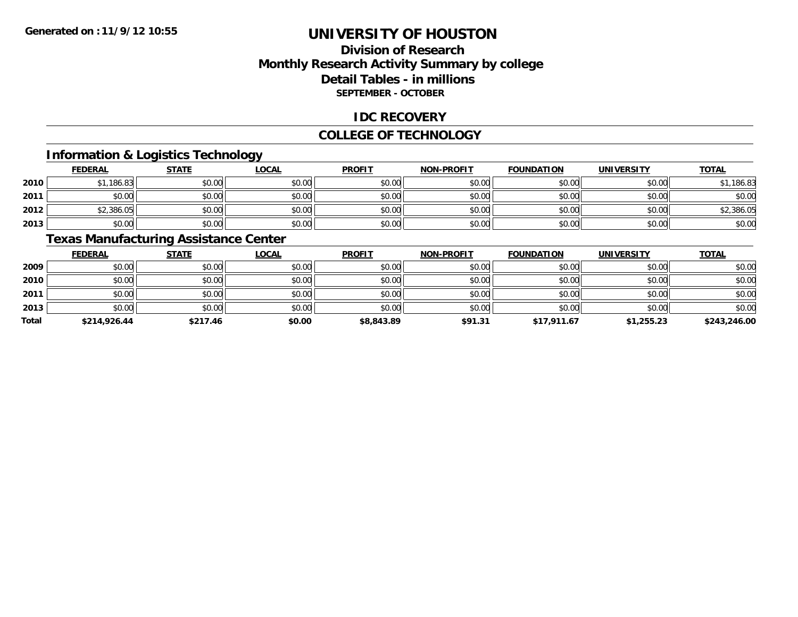## **Division of ResearchMonthly Research Activity Summary by college Detail Tables - in millions SEPTEMBER - OCTOBER**

### **IDC RECOVERY**

#### **COLLEGE OF TECHNOLOGY**

## **Information & Logistics Technology**

|      | <b>FEDERAL</b> | <b>STATE</b> | <u>LOCAL</u> | <b>PROFIT</b> | <b>NON-PROFIT</b> | <b>FOUNDATION</b> | <b>UNIVERSITY</b> | <b>TOTAL</b> |
|------|----------------|--------------|--------------|---------------|-------------------|-------------------|-------------------|--------------|
| 2010 | \$1,186.83     | \$0.00       | \$0.00       | \$0.00        | \$0.00            | \$0.00            | \$0.00            | 186.83       |
| 2011 | \$0.00         | \$0.00       | \$0.00       | \$0.00        | \$0.00            | \$0.00            | \$0.00            | \$0.00       |
| 2012 | \$2,386.05     | \$0.00       | \$0.00       | \$0.00        | \$0.00            | \$0.00            | \$0.00            | \$2,386.05   |
| 2013 | \$0.00         | \$0.00       | \$0.00       | \$0.00        | \$0.00            | \$0.00            | \$0.00            | \$0.00       |

### **Texas Manufacturing Assistance Center**

|              | <b>FEDERAL</b> | <b>STATE</b> | <u>LOCAL</u> | <b>PROFIT</b> | <b>NON-PROFIT</b> | <b>FOUNDATION</b> | <b>UNIVERSITY</b> | <b>TOTAL</b> |
|--------------|----------------|--------------|--------------|---------------|-------------------|-------------------|-------------------|--------------|
| 2009         | \$0.00         | \$0.00       | \$0.00       | \$0.00        | \$0.00            | \$0.00            | \$0.00            | \$0.00       |
| 2010         | \$0.00         | \$0.00       | \$0.00       | \$0.00        | \$0.00            | \$0.00            | \$0.00            | \$0.00       |
| 2011         | \$0.00         | \$0.00       | \$0.00       | \$0.00        | \$0.00            | \$0.00            | \$0.00            | \$0.00       |
| 2013         | \$0.00         | \$0.00       | \$0.00       | \$0.00        | \$0.00            | \$0.00            | \$0.00            | \$0.00       |
| <b>Total</b> | \$214,926.44   | \$217.46     | \$0.00       | \$8,843.89    | \$91.31           | \$17,911.67       | \$1,255.23        | \$243,246.00 |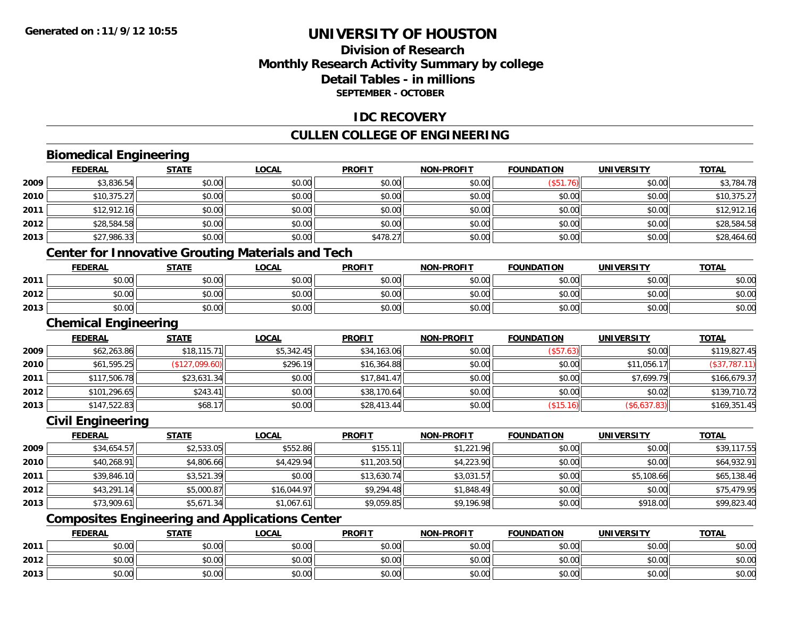## **Division of ResearchMonthly Research Activity Summary by college Detail Tables - in millions SEPTEMBER - OCTOBER**

## **IDC RECOVERY**

## **CULLEN COLLEGE OF ENGINEERING**

## **Biomedical Engineering**

|      | <b>FEDERAL</b>              | <b>STATE</b>   | <b>LOCAL</b>                                             | <b>PROFIT</b> | <b>NON-PROFIT</b> | <b>FOUNDATION</b> | <b>UNIVERSITY</b> | <b>TOTAL</b>  |
|------|-----------------------------|----------------|----------------------------------------------------------|---------------|-------------------|-------------------|-------------------|---------------|
| 2009 | \$3,836.54                  | \$0.00         | \$0.00                                                   | \$0.00        | \$0.00            | (\$51.76)         | \$0.00            | \$3,784.78    |
| 2010 | \$10,375.27                 | \$0.00         | \$0.00                                                   | \$0.00        | \$0.00            | \$0.00            | \$0.00            | \$10,375.27   |
| 2011 | \$12,912.16                 | \$0.00         | \$0.00                                                   | \$0.00        | \$0.00            | \$0.00            | \$0.00            | \$12,912.16   |
| 2012 | \$28,584.58                 | \$0.00         | \$0.00                                                   | \$0.00        | \$0.00            | \$0.00            | \$0.00            | \$28,584.58   |
| 2013 | \$27,986.33                 | \$0.00         | \$0.00                                                   | \$478.27      | \$0.00            | \$0.00            | \$0.00            | \$28,464.60   |
|      |                             |                | <b>Center for Innovative Grouting Materials and Tech</b> |               |                   |                   |                   |               |
|      | <b>FEDERAL</b>              | <b>STATE</b>   | <b>LOCAL</b>                                             | <b>PROFIT</b> | <b>NON-PROFIT</b> | <b>FOUNDATION</b> | <b>UNIVERSITY</b> | <b>TOTAL</b>  |
| 2011 | \$0.00                      | \$0.00         | \$0.00                                                   | \$0.00        | \$0.00            | \$0.00            | \$0.00            | \$0.00        |
| 2012 | \$0.00                      | \$0.00         | \$0.00                                                   | \$0.00        | \$0.00            | \$0.00            | \$0.00            | \$0.00        |
| 2013 | \$0.00                      | \$0.00         | \$0.00                                                   | \$0.00        | \$0.00            | \$0.00            | \$0.00            | \$0.00        |
|      | <b>Chemical Engineering</b> |                |                                                          |               |                   |                   |                   |               |
|      | <b>FEDERAL</b>              | <b>STATE</b>   | <b>LOCAL</b>                                             | <b>PROFIT</b> | <b>NON-PROFIT</b> | <b>FOUNDATION</b> | <b>UNIVERSITY</b> | <b>TOTAL</b>  |
| 2009 | \$62,263.86                 | \$18,115.71    | \$5,342.45                                               | \$34,163.06   | \$0.00            | (\$57.63)         | \$0.00            | \$119,827.45  |
| 2010 | \$61,595.25                 | (\$127,099.60) | \$296.19                                                 | \$16,364.88   | \$0.00            | \$0.00            | \$11,056.17       | (\$37,787.11) |
| 2011 | \$117,506.78                | \$23,631.34    | \$0.00                                                   | \$17,841.47   | \$0.00            | \$0.00            | \$7,699.79        | \$166,679.37  |
| 2012 | \$101,296.65                | \$243.41       | \$0.00                                                   | \$38,170.64   | \$0.00            | \$0.00            | \$0.02            | \$139,710.72  |
| 2013 | \$147,522.83                | \$68.17        | \$0.00                                                   | \$28,413.44   | \$0.00            | (\$15.16)         | (\$6,637.83)      | \$169,351.45  |
|      | <b>Civil Engineering</b>    |                |                                                          |               |                   |                   |                   |               |
|      | <b>FEDERAL</b>              | <b>STATE</b>   | <b>LOCAL</b>                                             | <b>PROFIT</b> | <b>NON-PROFIT</b> | <b>FOUNDATION</b> | <b>UNIVERSITY</b> | <b>TOTAL</b>  |
| 2009 | \$34,654.57                 | \$2,533.05     | \$552.86                                                 | \$155.11      | \$1,221.96        | \$0.00            | \$0.00            | \$39,117.55   |

| 2009 | \$34,654.57 | \$2,533.05 | \$552.86    | \$155.11    | \$1,221.96 | \$0.00 | \$0.00     | \$39,117.55 |
|------|-------------|------------|-------------|-------------|------------|--------|------------|-------------|
| 2010 | \$40,268.91 | \$4,806.66 | \$4,429.94  | \$11,203.50 | \$4,223.90 | \$0.00 | \$0.00     | \$64,932.91 |
| 2011 | \$39,846.10 | \$3,521.39 | \$0.00      | \$13,630.74 | \$3,031.57 | \$0.00 | \$5,108.66 | \$65,138.46 |
| 2012 | \$43,291.14 | \$5,000.87 | \$16,044.97 | \$9,294.48  | \$1,848.49 | \$0.00 | \$0.00     | \$75,479.95 |
| 2013 | \$73,909.61 | \$5,671.34 | \$1.067.61  | \$9,059.85  | \$9,196.98 | \$0.00 | \$918.00   | \$99,823.40 |
|      |             |            | ___<br>$ -$ |             |            |        |            |             |

#### **Composites Engineering and Applications Center**

|      | <b>FEDERAL</b>                 | <b>STATE</b>   | <b>_OCAL</b>    | <b>PROFIT</b> | <b>NON-PROFIT</b> | <b>FOUNDATION</b> | UNIVERSITY | <b>TOTAL</b> |
|------|--------------------------------|----------------|-----------------|---------------|-------------------|-------------------|------------|--------------|
| 2011 | $\uparrow$ $\uparrow$<br>vu.uu | ልስ ሰሰ<br>JU.UU | 0000<br>JU.UU   | \$0.00        | \$0.00            | \$0.00            | \$0.00     | \$0.00       |
| 2012 | <b>00</b><br>$\sim$<br>vu.uu   | \$0.00         | ስስ ስስ<br>PU.UU. | \$0.00        | \$0.00            | \$0.00            | \$0.00     | \$0.00       |
| 2013 | JU.UU                          | \$0.00         | \$0.00          | \$0.00        | \$0.00            | \$0.00            | \$0.00     | \$0.00       |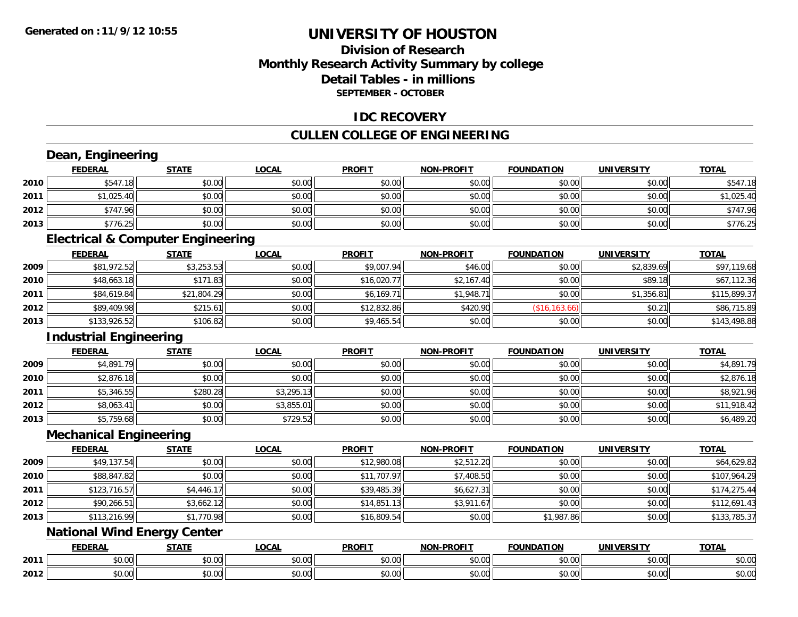## **Division of ResearchMonthly Research Activity Summary by college Detail Tables - in millions SEPTEMBER - OCTOBER**

### **IDC RECOVERY**

## **CULLEN COLLEGE OF ENGINEERING**

|      | Dean, Engineering                            |              |              |               |                   |                   |                   |              |
|------|----------------------------------------------|--------------|--------------|---------------|-------------------|-------------------|-------------------|--------------|
|      | <b>FEDERAL</b>                               | <b>STATE</b> | <b>LOCAL</b> | <b>PROFIT</b> | <b>NON-PROFIT</b> | <b>FOUNDATION</b> | <b>UNIVERSITY</b> | <b>TOTAL</b> |
| 2010 | \$547.18                                     | \$0.00       | \$0.00       | \$0.00        | \$0.00            | \$0.00            | \$0.00            | \$547.18     |
| 2011 | \$1,025.40                                   | \$0.00       | \$0.00       | \$0.00        | \$0.00            | \$0.00            | \$0.00            | \$1,025.40   |
| 2012 | \$747.96                                     | \$0.00       | \$0.00       | \$0.00        | \$0.00            | \$0.00            | \$0.00            | \$747.96     |
| 2013 | \$776.25                                     | \$0.00       | \$0.00       | \$0.00        | \$0.00            | \$0.00            | \$0.00            | \$776.25     |
|      | <b>Electrical &amp; Computer Engineering</b> |              |              |               |                   |                   |                   |              |
|      | <b>FEDERAL</b>                               | <b>STATE</b> | <b>LOCAL</b> | <b>PROFIT</b> | <b>NON-PROFIT</b> | <b>FOUNDATION</b> | <b>UNIVERSITY</b> | <b>TOTAL</b> |
| 2009 | \$81,972.52                                  | \$3,253.53   | \$0.00       | \$9,007.94    | \$46.00           | \$0.00            | \$2,839.69        | \$97,119.68  |
| 2010 | \$48,663.18                                  | \$171.83     | \$0.00       | \$16,020.77   | \$2,167.40        | \$0.00            | \$89.18           | \$67,112.36  |
| 2011 | \$84,619.84                                  | \$21,804.29  | \$0.00       | \$6,169.71    | \$1,948.71        | \$0.00            | \$1,356.81        | \$115,899.37 |
| 2012 | \$89,409.98                                  | \$215.61     | \$0.00       | \$12,832.86   | \$420.90          | (\$16, 163.66)    | \$0.21            | \$86,715.89  |
| 2013 | \$133,926.52                                 | \$106.82     | \$0.00       | \$9,465.54    | \$0.00            | \$0.00            | \$0.00            | \$143,498.88 |
|      | <b>Industrial Engineering</b>                |              |              |               |                   |                   |                   |              |
|      | <b>FEDERAL</b>                               | <b>STATE</b> | <b>LOCAL</b> | <b>PROFIT</b> | <b>NON-PROFIT</b> | <b>FOUNDATION</b> | <b>UNIVERSITY</b> | <b>TOTAL</b> |
| 2009 | \$4,891.79                                   | \$0.00       | \$0.00       | \$0.00        | \$0.00            | \$0.00            | \$0.00            | \$4,891.79   |
| 2010 | \$2,876.18                                   | \$0.00       | \$0.00       | \$0.00        | \$0.00            | \$0.00            | \$0.00            | \$2,876.18   |
| 2011 | \$5,346.55                                   | \$280.28     | \$3,295.13   | \$0.00        | \$0.00            | \$0.00            | \$0.00            | \$8,921.96   |
| 2012 | \$8,063.41                                   | \$0.00       | \$3,855.01   | \$0.00        | \$0.00            | \$0.00            | \$0.00            | \$11,918.42  |
| 2013 | \$5,759.68                                   | \$0.00       | \$729.52     | \$0.00        | \$0.00            | \$0.00            | \$0.00            | \$6,489.20   |
|      | <b>Mechanical Engineering</b>                |              |              |               |                   |                   |                   |              |
|      | <b>FEDERAL</b>                               | <b>STATE</b> | <b>LOCAL</b> | <b>PROFIT</b> | <b>NON-PROFIT</b> | <b>FOUNDATION</b> | <b>UNIVERSITY</b> | <b>TOTAL</b> |
| 2009 | \$49,137.54                                  | \$0.00       | \$0.00       | \$12,980.08   | \$2,512.20        | \$0.00            | \$0.00            | \$64,629.82  |
| 2010 | \$88,847.82                                  | \$0.00       | \$0.00       | \$11,707.97   | \$7,408.50        | \$0.00            | \$0.00            | \$107,964.29 |
| 2011 | \$123,716.57                                 | \$4,446.17   | \$0.00       | \$39,485.39   | \$6,627.31        | \$0.00            | \$0.00            | \$174,275.44 |
| 2012 | \$90,266.51                                  | \$3,662.12   | \$0.00       | \$14,851.13   | \$3,911.67        | \$0.00            | \$0.00            | \$112,691.43 |
| 2013 | \$113,216.99                                 | \$1,770.98   | \$0.00       | \$16,809.54   | \$0.00            | \$1,987.86        | \$0.00            | \$133,785.37 |
|      | <b>National Wind Energy Center</b>           |              |              |               |                   |                   |                   |              |
|      | <b>FEDERAL</b>                               | <b>STATE</b> | <b>LOCAL</b> | <b>PROFIT</b> | <b>NON-PROFIT</b> | <b>FOUNDATION</b> | <b>UNIVERSITY</b> | <b>TOTAL</b> |
| 2011 | \$0.00                                       | \$0.00       | \$0.00       | \$0.00        | \$0.00            | \$0.00            | \$0.00            | \$0.00       |
| 2012 | \$0.00                                       | \$0.00       | \$0.00       | \$0.00        | \$0.00            | \$0.00            | \$0.00            | \$0.00       |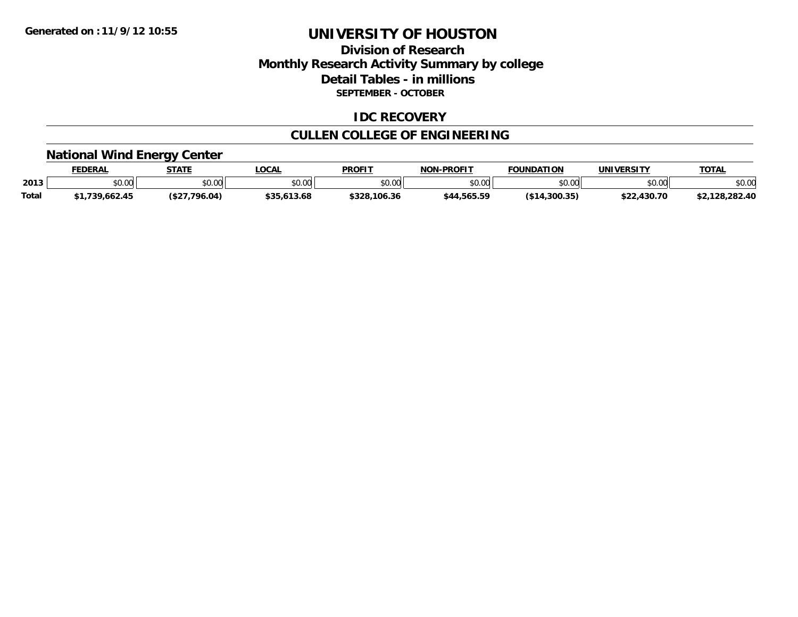## **Division of Research Monthly Research Activity Summary by college Detail Tables - in millions SEPTEMBER - OCTOBER**

### **IDC RECOVERY**

## **CULLEN COLLEGE OF ENGINEERING**

# **National Wind Energy Center**

|              | <b>FEDERAL</b> | <b>STATE</b> | LOCAL          | PROFIT       | <b>NON-PROFIT</b> | <b>FOUNDATION</b> | <b>UNIVERSITY</b> | <b>TOTAL</b>   |
|--------------|----------------|--------------|----------------|--------------|-------------------|-------------------|-------------------|----------------|
| 2013         | \$0.00         | \$0.00       | 0000<br>\$U.UU | \$0.00       | \$0.00            | mn na<br>DU.UU    | 0000<br>DU.UG     | \$0.00         |
| <b>Total</b> | 1,739,662.45   | 7.796.04)    | \$35,613.68    | \$328,106.36 | \$44,565.59       | $($ \$14,300.35)  | \$22,430.70       | \$2,128,282.40 |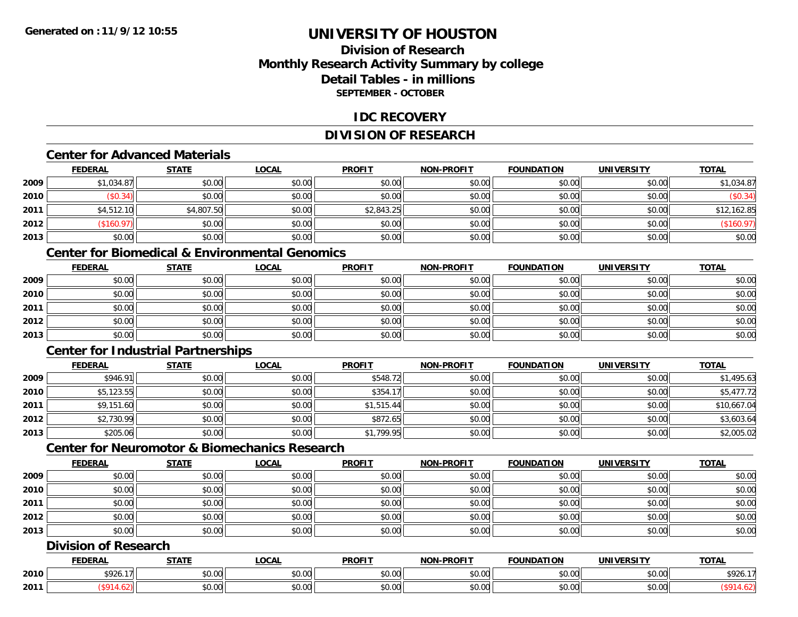## **Division of ResearchMonthly Research Activity Summary by college Detail Tables - in millionsSEPTEMBER - OCTOBER**

### **IDC RECOVERY**

## **DIVISION OF RESEARCH**

#### **Center for Advanced Materials**

|      | <b>FEDERAL</b> | <b>STATE</b> | <u>LOCAL</u> | <b>PROFIT</b> | <b>NON-PROFIT</b> | <b>FOUNDATION</b> | UNIVERSITY | <b>TOTAL</b> |
|------|----------------|--------------|--------------|---------------|-------------------|-------------------|------------|--------------|
| 2009 | \$1,034.87     | \$0.00       | \$0.00       | \$0.00        | \$0.00            | \$0.00            | \$0.00     | \$1,034.87   |
| 2010 | \$0.34)        | \$0.00       | \$0.00       | \$0.00        | \$0.00            | \$0.00            | \$0.00     | (\$0.34)     |
| 2011 | \$4,512.10     | \$4,807.50   | \$0.00       | \$2,843.25    | \$0.00            | \$0.00            | \$0.00     | \$12,162.85  |
| 2012 | \$160.97       | \$0.00       | \$0.00       | \$0.00        | \$0.00            | \$0.00            | \$0.00     | \$160.97)    |
| 2013 | \$0.00         | \$0.00       | \$0.00       | \$0.00        | \$0.00            | \$0.00            | \$0.00     | \$0.00       |

## **Center for Biomedical & Environmental Genomics**

|      | <u>FEDERAL</u> | <b>STATE</b> | <u>LOCAL</u> | <b>PROFIT</b> | <b>NON-PROFIT</b> | <b>FOUNDATION</b> | <b>UNIVERSITY</b> | <b>TOTAL</b> |
|------|----------------|--------------|--------------|---------------|-------------------|-------------------|-------------------|--------------|
| 2009 | \$0.00         | \$0.00       | \$0.00       | \$0.00        | \$0.00            | \$0.00            | \$0.00            | \$0.00       |
| 2010 | \$0.00         | \$0.00       | \$0.00       | \$0.00        | \$0.00            | \$0.00            | \$0.00            | \$0.00       |
| 2011 | \$0.00         | \$0.00       | \$0.00       | \$0.00        | \$0.00            | \$0.00            | \$0.00            | \$0.00       |
| 2012 | \$0.00         | \$0.00       | \$0.00       | \$0.00        | \$0.00            | \$0.00            | \$0.00            | \$0.00       |
| 2013 | \$0.00         | \$0.00       | \$0.00       | \$0.00        | \$0.00            | \$0.00            | \$0.00            | \$0.00       |

## **Center for Industrial Partnerships**

|      | <b>FEDERAL</b> | <b>STATE</b> | <b>LOCAL</b> | <b>PROFIT</b> | <b>NON-PROFIT</b> | <b>FOUNDATION</b> | <b>UNIVERSITY</b> | <b>TOTAL</b> |
|------|----------------|--------------|--------------|---------------|-------------------|-------------------|-------------------|--------------|
| 2009 | \$946.91       | \$0.00       | \$0.00       | \$548.72      | \$0.00            | \$0.00            | \$0.00            | \$1,495.63   |
| 2010 | \$5,123.55     | \$0.00       | \$0.00       | \$354.17      | \$0.00            | \$0.00            | \$0.00            | \$5,477.72   |
| 2011 | \$9,151.60     | \$0.00       | \$0.00       | \$1,515.44    | \$0.00            | \$0.00            | \$0.00            | \$10,667.04  |
| 2012 | \$2,730.99     | \$0.00       | \$0.00       | \$872.65      | \$0.00            | \$0.00            | \$0.00            | \$3,603.64   |
| 2013 | \$205.06       | \$0.00       | \$0.00       | \$1,799.95    | \$0.00            | \$0.00            | \$0.00            | \$2,005.02   |

## **Center for Neuromotor & Biomechanics Research**

|      | <b>FEDERAL</b> | <b>STATE</b> | <u>LOCAL</u> | <b>PROFIT</b> | <b>NON-PROFIT</b> | <b>FOUNDATION</b> | <b>UNIVERSITY</b> | <b>TOTAL</b> |
|------|----------------|--------------|--------------|---------------|-------------------|-------------------|-------------------|--------------|
| 2009 | \$0.00         | \$0.00       | \$0.00       | \$0.00        | \$0.00            | \$0.00            | \$0.00            | \$0.00       |
| 2010 | \$0.00         | \$0.00       | \$0.00       | \$0.00        | \$0.00            | \$0.00            | \$0.00            | \$0.00       |
| 2011 | \$0.00         | \$0.00       | \$0.00       | \$0.00        | \$0.00            | \$0.00            | \$0.00            | \$0.00       |
| 2012 | \$0.00         | \$0.00       | \$0.00       | \$0.00        | \$0.00            | \$0.00            | \$0.00            | \$0.00       |
| 2013 | \$0.00         | \$0.00       | \$0.00       | \$0.00        | \$0.00            | \$0.00            | \$0.00            | \$0.00       |

## **Division of Research**

|      | <b>FEDERAL</b>       | <b>CTATI</b>      | .OCAI                                      | <b>PROFIT</b>        | $P$ DDAF: $=$<br>.     | <b>FOUNDATION</b> | JNIV                 | <b>TOTAL</b> |
|------|----------------------|-------------------|--------------------------------------------|----------------------|------------------------|-------------------|----------------------|--------------|
| 2010 | <b>4026</b><br>- 120 | $\sim$<br>₽∪.∪∪   | $\mathsf{A} \cap \mathsf{A} \cap$<br>PU.UU | 0.00<br><b>DU.UU</b> | $\sim$ $\sim$<br>vo.oo | \$0.00            | 0000<br>PU.UU        | 501<br>5926. |
| 2011 |                      | $\sim$ 00<br>vv.u | ሶስ ሰሰ<br>PO.OO                             | 0.00<br><b>DU.UU</b> | vu.vu                  | \$0.00            | 0000<br><b>JU.UU</b> |              |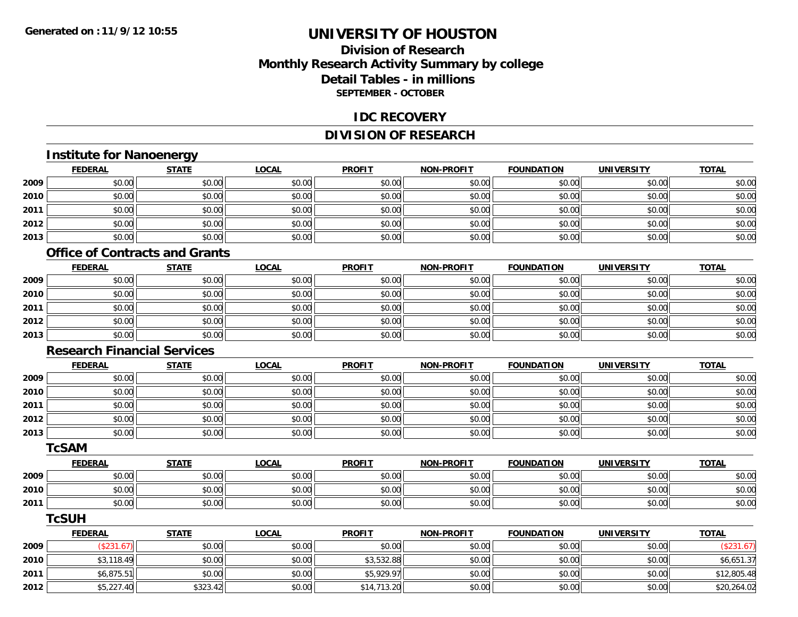## **Division of ResearchMonthly Research Activity Summary by college Detail Tables - in millionsSEPTEMBER - OCTOBER**

#### **IDC RECOVERY**

## **DIVISION OF RESEARCH**

## **Institute for Nanoenergy**

|      | <b>FEDERAL</b> | <b>STATE</b> | <u>LOCAL</u> | <b>PROFIT</b> | <b>NON-PROFIT</b> | <b>FOUNDATION</b> | <b>UNIVERSITY</b> | <b>TOTAL</b> |
|------|----------------|--------------|--------------|---------------|-------------------|-------------------|-------------------|--------------|
| 2009 | \$0.00         | \$0.00       | \$0.00       | \$0.00        | \$0.00            | \$0.00            | \$0.00            | \$0.00       |
| 2010 | \$0.00         | \$0.00       | \$0.00       | \$0.00        | \$0.00            | \$0.00            | \$0.00            | \$0.00       |
| 2011 | \$0.00         | \$0.00       | \$0.00       | \$0.00        | \$0.00            | \$0.00            | \$0.00            | \$0.00       |
| 2012 | \$0.00         | \$0.00       | \$0.00       | \$0.00        | \$0.00            | \$0.00            | \$0.00            | \$0.00       |
| 2013 | \$0.00         | \$0.00       | \$0.00       | \$0.00        | \$0.00            | \$0.00            | \$0.00            | \$0.00       |

#### **Office of Contracts and Grants**

|      | <b>FEDERAL</b> | <b>STATE</b> | <b>LOCAL</b> | <b>PROFIT</b> | <b>NON-PROFIT</b> | <b>FOUNDATION</b> | <b>UNIVERSITY</b> | <b>TOTAL</b> |
|------|----------------|--------------|--------------|---------------|-------------------|-------------------|-------------------|--------------|
| 2009 | \$0.00         | \$0.00       | \$0.00       | \$0.00        | \$0.00            | \$0.00            | \$0.00            | \$0.00       |
| 2010 | \$0.00         | \$0.00       | \$0.00       | \$0.00        | \$0.00            | \$0.00            | \$0.00            | \$0.00       |
| 2011 | \$0.00         | \$0.00       | \$0.00       | \$0.00        | \$0.00            | \$0.00            | \$0.00            | \$0.00       |
| 2012 | \$0.00         | \$0.00       | \$0.00       | \$0.00        | \$0.00            | \$0.00            | \$0.00            | \$0.00       |
| 2013 | \$0.00         | \$0.00       | \$0.00       | \$0.00        | \$0.00            | \$0.00            | \$0.00            | \$0.00       |

#### **Research Financial Services**

|      | <b>FEDERAL</b> | <b>STATE</b> | <b>LOCAL</b> | <b>PROFIT</b> | <b>NON-PROFIT</b> | <b>FOUNDATION</b> | <b>UNIVERSITY</b> | <b>TOTAL</b> |
|------|----------------|--------------|--------------|---------------|-------------------|-------------------|-------------------|--------------|
| 2009 | \$0.00         | \$0.00       | \$0.00       | \$0.00        | \$0.00            | \$0.00            | \$0.00            | \$0.00       |
| 2010 | \$0.00         | \$0.00       | \$0.00       | \$0.00        | \$0.00            | \$0.00            | \$0.00            | \$0.00       |
| 2011 | \$0.00         | \$0.00       | \$0.00       | \$0.00        | \$0.00            | \$0.00            | \$0.00            | \$0.00       |
| 2012 | \$0.00         | \$0.00       | \$0.00       | \$0.00        | \$0.00            | \$0.00            | \$0.00            | \$0.00       |
| 2013 | \$0.00         | \$0.00       | \$0.00       | \$0.00        | \$0.00            | \$0.00            | \$0.00            | \$0.00       |

#### **TcSAM**

|      | <b>FEDERAL</b>  | <b>STATE</b> | <b>LOCAL</b>               | <b>PROFIT</b> | <b>NON-PROFIT</b> | <b>FOUNDATION</b> | <b>'JNIVERSITY</b> | <b>TOTAL</b> |
|------|-----------------|--------------|----------------------------|---------------|-------------------|-------------------|--------------------|--------------|
| 2009 | \$0.00          | \$0.00       | vu.vu                      | \$0.00        | \$0.00            | \$0.00            | \$0.00             | \$0.00       |
| 2010 | to ool<br>DU.UU | \$0.00       | $\sim$ 0.0 $\sim$<br>JU.UU | \$0.00        | \$0.00            | \$0.00            | \$0.00             | \$0.00       |
| 2011 | \$0.00          | \$0.00       | $\sim$ $\sim$<br>JU.UU     | \$0.00        | \$0.00            | \$0.00            | \$0.00             | \$0.00       |

### **TcSUH**

|      | <u>FEDERAL</u> | <u>STATE</u> | <u>LOCAL</u> | <b>PROFIT</b> | <b>NON-PROFIT</b> | FOUNDATION | <b>UNIVERSITY</b> | <b>TOTAL</b> |
|------|----------------|--------------|--------------|---------------|-------------------|------------|-------------------|--------------|
| 2009 | \$231.6'       | \$0.00       | \$0.00       | \$0.00        | \$0.00            | \$0.00     | \$0.00            |              |
| 2010 | \$3,118.49     | \$0.00       | \$0.00       | \$3,532.88    | \$0.00            | \$0.00     | \$0.00            | \$6,651.37   |
| 2011 | \$6,875.51     | \$0.00       | \$0.00       | \$5,929.97    | \$0.00            | \$0.00     | \$0.00            | \$12,805.48  |
| 2012 | \$5,227.40     | \$323.42     | \$0.00       | \$14,713.20   | \$0.00            | \$0.00     | \$0.00            | \$20,264.02  |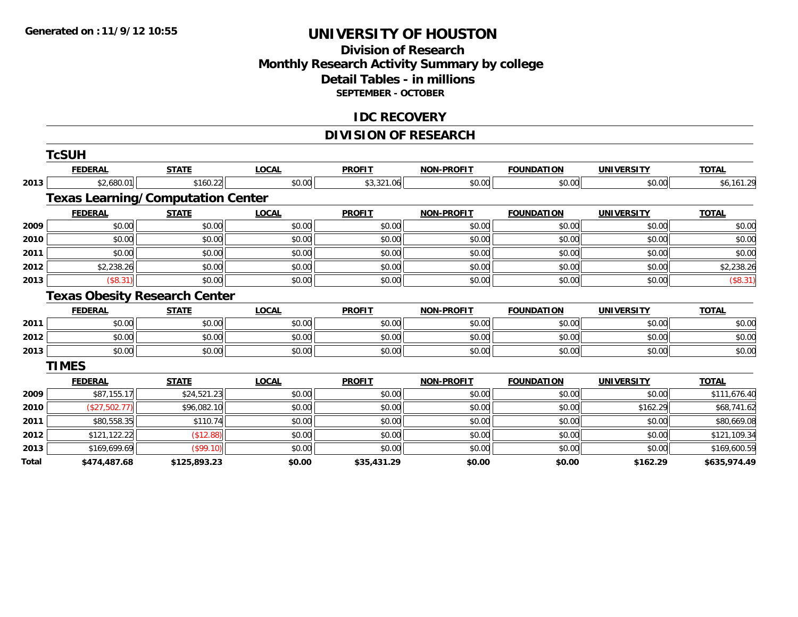## **Division of Research Monthly Research Activity Summary by college Detail Tables - in millions SEPTEMBER - OCTOBER**

### **IDC RECOVERY**

## **DIVISION OF RESEARCH**

|       | <b>TcSUH</b>   |                                          |              |               |                   |                   |                   |              |
|-------|----------------|------------------------------------------|--------------|---------------|-------------------|-------------------|-------------------|--------------|
|       | <b>FEDERAL</b> | <b>STATE</b>                             | <b>LOCAL</b> | <b>PROFIT</b> | <b>NON-PROFIT</b> | <b>FOUNDATION</b> | <b>UNIVERSITY</b> | <b>TOTAL</b> |
| 2013  | \$2,680.01     | \$160.22                                 | \$0.00       | \$3,321.06    | \$0.00            | \$0.00            | \$0.00            | \$6,161.29   |
|       |                | <b>Texas Learning/Computation Center</b> |              |               |                   |                   |                   |              |
|       | <b>FEDERAL</b> | <b>STATE</b>                             | <b>LOCAL</b> | <b>PROFIT</b> | <b>NON-PROFIT</b> | <b>FOUNDATION</b> | <b>UNIVERSITY</b> | <b>TOTAL</b> |
| 2009  | \$0.00         | \$0.00                                   | \$0.00       | \$0.00        | \$0.00            | \$0.00            | \$0.00            | \$0.00       |
| 2010  | \$0.00         | \$0.00                                   | \$0.00       | \$0.00        | \$0.00            | \$0.00            | \$0.00            | \$0.00       |
| 2011  | \$0.00         | \$0.00                                   | \$0.00       | \$0.00        | \$0.00            | \$0.00            | \$0.00            | \$0.00       |
| 2012  | \$2,238.26     | \$0.00                                   | \$0.00       | \$0.00        | \$0.00            | \$0.00            | \$0.00            | \$2,238.26   |
| 2013  | (\$8.31)       | \$0.00                                   | \$0.00       | \$0.00        | \$0.00            | \$0.00            | \$0.00            | (\$8.31)     |
|       |                | <b>Texas Obesity Research Center</b>     |              |               |                   |                   |                   |              |
|       | <b>FEDERAL</b> | <b>STATE</b>                             | <b>LOCAL</b> | <b>PROFIT</b> | <b>NON-PROFIT</b> | <b>FOUNDATION</b> | <b>UNIVERSITY</b> | <b>TOTAL</b> |
| 2011  | \$0.00         | \$0.00                                   | \$0.00       | \$0.00        | \$0.00            | \$0.00            | \$0.00            | \$0.00       |
| 2012  | \$0.00         | \$0.00                                   | \$0.00       | \$0.00        | \$0.00            | \$0.00            | \$0.00            | \$0.00       |
| 2013  | \$0.00         | \$0.00                                   | \$0.00       | \$0.00        | \$0.00            | \$0.00            | \$0.00            | \$0.00       |
|       | <b>TIMES</b>   |                                          |              |               |                   |                   |                   |              |
|       | <b>FEDERAL</b> | <b>STATE</b>                             | <b>LOCAL</b> | <b>PROFIT</b> | <b>NON-PROFIT</b> | <b>FOUNDATION</b> | <b>UNIVERSITY</b> | <b>TOTAL</b> |
| 2009  | \$87,155.17    | \$24,521.23                              | \$0.00       | \$0.00        | \$0.00            | \$0.00            | \$0.00            | \$111,676.40 |
| 2010  | (\$27,502.77)  | \$96,082.10                              | \$0.00       | \$0.00        | \$0.00            | \$0.00            | \$162.29          | \$68,741.62  |
| 2011  | \$80,558.35    | \$110.74                                 | \$0.00       | \$0.00        | \$0.00            | \$0.00            | \$0.00            | \$80,669.08  |
| 2012  | \$121,122.22   | (\$12.88)                                | \$0.00       | \$0.00        | \$0.00            | \$0.00            | \$0.00            | \$121,109.34 |
| 2013  | \$169,699.69   | (\$99.10)                                | \$0.00       | \$0.00        | \$0.00            | \$0.00            | \$0.00            | \$169,600.59 |
| Total | \$474,487.68   | \$125,893.23                             | \$0.00       | \$35,431.29   | \$0.00            | \$0.00            | \$162.29          | \$635,974.49 |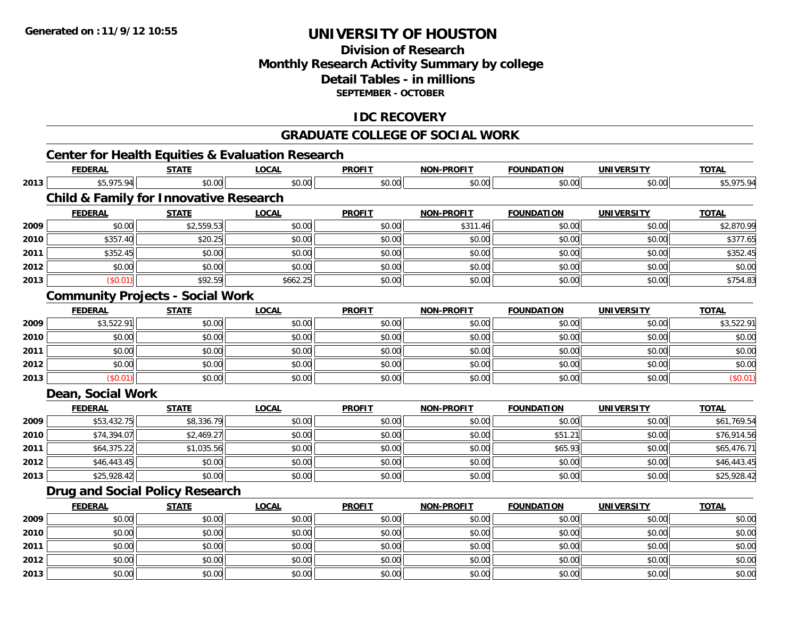**2013**

## **UNIVERSITY OF HOUSTON**

## **Division of ResearchMonthly Research Activity Summary by college Detail Tables - in millionsSEPTEMBER - OCTOBER**

## **IDC RECOVERY**

#### **GRADUATE COLLEGE OF SOCIAL WORK**

#### **Center for Health Equities & Evaluation Research FEDERAL STATE LOCAL PROFIT NON-PROFIT FOUNDATION UNIVERSITY TOTALTOTAL 2013** \$5,975.94 \$0.00 \$0.00 \$0.00 \$0.00 \$0.00 \$0.00 \$5,975.94 **Child & Family for Innovative Research FEDERAL STATE LOCAL PROFIT NON-PROFIT FOUNDATION UNIVERSITY TOTAL2009** \$0.00 \$2,559.53 \$0.00 \$0.00 \$311.46 \$0.00 \$0.00 \$2,870.99 **2010** $\textsf{[0]} \quad \textsf{[0]} \quad \textsf{[0]} \quad \textsf{[0]} \quad \textsf{[0]} \quad \textsf{[0]} \quad \textsf{[0]} \quad \textsf{[0]} \quad \textsf{[0]} \quad \textsf{[0]} \quad \textsf{[0]} \quad \textsf{[0]} \quad \textsf{[0]} \quad \textsf{[0]} \quad \textsf{[0]} \quad \textsf{[0]} \quad \textsf{[0]} \quad \textsf{[0]} \quad \textsf{[0]} \quad \textsf{[0]} \quad \textsf{[0]} \quad \textsf{[0]} \quad \textsf{[0]} \quad \textsf{[0]} \quad \textsf{$ **2011** \$352.45 \$0.00 \$0.00 \$0.00 \$0.00 \$0.00 \$0.00 \$352.45 **2012**2 | \$0.00 \$0.00 \$0.00 \$0.00 \$0.00 \$0.00 \$0.00 \$0.00 \$0.00 \$0.00 \$0.00 \$0.00 \$0.00 \$0.00 \$0.00 \$0.00 \$0.00 \$0.0 **2013** $\textbf{3} \hspace{14mm} |\hspace{14mm}|\hspace{14mm}|\hspace{14mm}|\hspace{14mm}|\hspace{14mm}| \hspace{14mm}|\hspace{14mm}|\hspace{14mm}|\hspace{14mm}|\hspace{14mm}|\hspace{14mm}|\hspace{14mm}|\hspace{14mm}|\hspace{14mm}|\hspace{14mm}|\hspace{14mm}|\hspace{14mm}|\hspace{14mm}|\hspace{14mm}|\hspace{14mm}|\hspace{14mm}|\hspace{14mm}|\hspace{14mm}|\hspace{14mm}|\hspace{14mm}|\hspace{14$ **Community Projects - Social Work FEDERAL STATE LOCAL PROFIT NON-PROFIT FOUNDATION UNIVERSITY TOTAL2009** \$3,522.91 \$0.00 \$0.00 \$0.00 \$0.00 \$0.00 \$0.00 \$3,522.91 **2010**0 \$0.00 \$0.00 \$0.00 \$0.00 \$0.00 \$0.00 \$0.00 \$0.00 \$0.00 \$0.00 \$0.00 \$0.00 \$0.00 \$0.00 \$0.00 \$0.00 \$0.00 **2011** \$0.00 \$0.00 \$0.00 \$0.00 \$0.00 \$0.00 \$0.00 \$0.00 **2012**2 | \$0.00 \$0.00 \$0.00 \$0.00 \$0.00 \$0.00 \$0.00 \$0.00 \$0.00 \$0.00 \$0.00 \$0.00 \$0.00 \$0.00 \$0.00 \$0.00 \$0.00 \$0.00 **2013** $\textbf{3} \hspace{14mm} |\hspace{14mm} \text{ $60.01]} \hspace{14mm} |\hspace{14mm} \text{ $60.00]} \hspace{14mm} |\hspace{14mm} \text{ $60.01]} \hspace{14mm}$ **Dean, Social Work FEDERAL STATE LOCAL PROFIT NON-PROFIT FOUNDATION UNIVERSITY TOTALTOTAL 2009** \$53,432.75 \$8,336.79 \$0.00 \$0.00 \$0.00 \$0.00 \$0.00 \$61,769.54 **2010** \$74,394.07 \$2,469.27 \$0.00 \$0.00 \$0.00 \$51.21 \$0.00 \$76,914.56 **2011** \$64,375.22 \$1,035.56 \$0.00 \$0.00 \$0.00 \$65.93 \$0.00 \$65,476.71 **2012**2 \$46,443.45 \$1,000 \$0.00 \$0.00 \$0.00 \$0.00 \$0.00 \$0.00 \$0.00 \$0.00 \$0.00 \$0.00 \$0.00 \$1,443.45 \$1, **2013** $\textbf{3} \hspace{14mm} \text{$3$} \hspace{14mm} \text{$3$} \hspace{14mm} \text{$3$} \hspace{14mm} \text{$0.00]} \hspace{14mm} \text{$40.00]} \hspace{14mm} \text{$50.00]} \hspace{14mm} \text{$30.00]} \hspace{14mm} \text{$10.00]} \hspace{14mm} \text{$10.00]} \hspace{14mm} \text{$10.00]} \hspace{14mm} \text{$10.00]} \hspace{14mm} \text{$10.00]} \hspace{14mm}$ **Drug and Social Policy Research FEDERAL STATE LOCAL PROFIT NON-PROFIT FOUNDATION UNIVERSITY TOTALTOTAL 2009** \$0.00 \$0.00 \$0.00 \$0.00 \$0.00 \$0.00 \$0.00 \$0.00 **2010** $\, \mathsf{0} \, \vert \qquad \qquad \mathsf{0.00} \vert \qquad \qquad \mathsf{0.00} \vert \qquad \qquad \mathsf{0.00} \vert \qquad \qquad \mathsf{0.00} \vert \qquad \qquad \mathsf{0.00} \vert \qquad \qquad \mathsf{0.00} \vert \qquad \qquad \mathsf{0.00} \vert \qquad \qquad \mathsf{0.00} \vert \qquad \qquad \mathsf{0.00} \vert \qquad \qquad \mathsf{0.00} \vert \qquad \qquad \mathsf{0.01} \vert \qquad \qquad \mathsf{0.01} \vert \qquad \$ **2011** \$0.00 \$0.00 \$0.00 \$0.00 \$0.00 \$0.00 \$0.00 \$0.00 **2012**2 | \$0.00 \$0.00 \$0.00 \$0.00 \$0.00 \$0.00 \$0.00 \$0.00 \$0.00 \$0.00 \$0.00 \$0.00 \$0.00 \$0.00 \$0.00 \$0.00 \$0.00 \$0.0

3 \$0.00 | \$0.00 | \$0.00 | \$0.00 | \$0.00 | \$0.00 | \$0.00 | \$0.00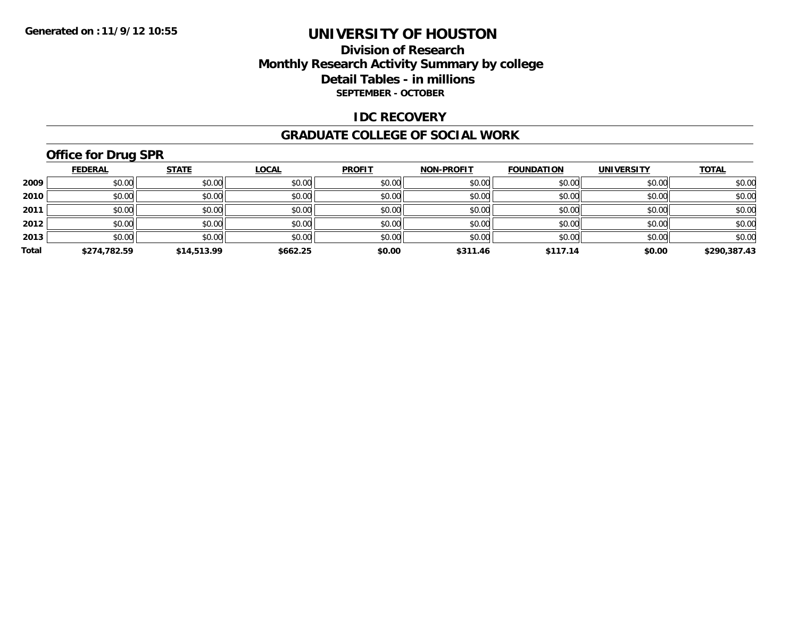## **Division of Research Monthly Research Activity Summary by college Detail Tables - in millions SEPTEMBER - OCTOBER**

### **IDC RECOVERY**

#### **GRADUATE COLLEGE OF SOCIAL WORK**

## **Office for Drug SPR**

|       | <b>FEDERAL</b> | <b>STATE</b> | <b>LOCAL</b> | <b>PROFIT</b> | <b>NON-PROFIT</b> | <b>FOUNDATION</b> | <b>UNIVERSITY</b> | <b>TOTAL</b> |
|-------|----------------|--------------|--------------|---------------|-------------------|-------------------|-------------------|--------------|
| 2009  | \$0.00         | \$0.00       | \$0.00       | \$0.00        | \$0.00            | \$0.00            | \$0.00            | \$0.00       |
| 2010  | \$0.00         | \$0.00       | \$0.00       | \$0.00        | \$0.00            | \$0.00            | \$0.00            | \$0.00       |
| 2011  | \$0.00         | \$0.00       | \$0.00       | \$0.00        | \$0.00            | \$0.00            | \$0.00            | \$0.00       |
| 2012  | \$0.00         | \$0.00       | \$0.00       | \$0.00        | \$0.00            | \$0.00            | \$0.00            | \$0.00       |
| 2013  | \$0.00         | \$0.00       | \$0.00       | \$0.00        | \$0.00            | \$0.00            | \$0.00            | \$0.00       |
| Total | \$274,782.59   | \$14,513.99  | \$662.25     | \$0.00        | \$311.46          | \$117.14          | \$0.00            | \$290,387.43 |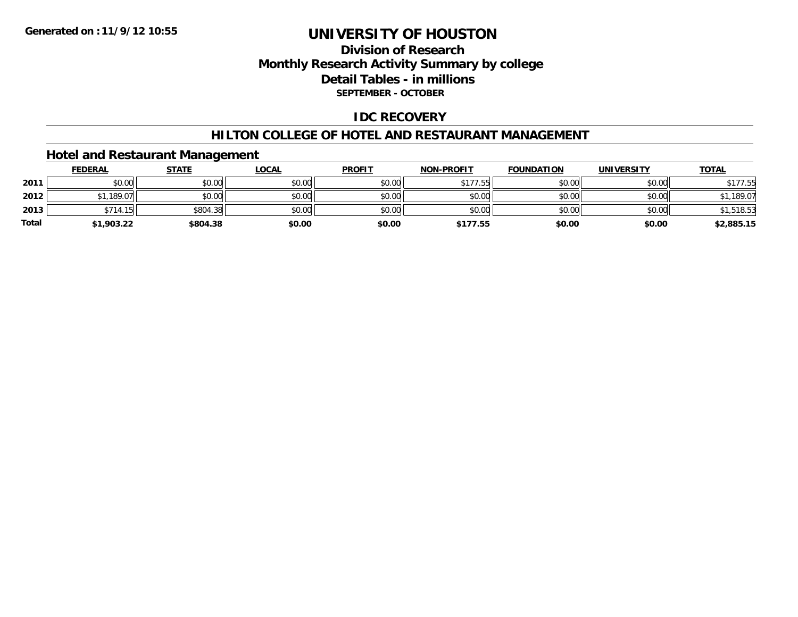## **Division of Research Monthly Research Activity Summary by college Detail Tables - in millions SEPTEMBER - OCTOBER**

### **IDC RECOVERY**

#### **HILTON COLLEGE OF HOTEL AND RESTAURANT MANAGEMENT**

### **Hotel and Restaurant Management**

|              | <b>FEDERAL</b> | <b>STATE</b> | <u>LOCAL</u> | <b>PROFIT</b> | <b>NON-PROFIT</b> | <b>FOUNDATION</b> | <b>UNIVERSITY</b> | <b>TOTAL</b> |
|--------------|----------------|--------------|--------------|---------------|-------------------|-------------------|-------------------|--------------|
| 2011         | \$0.00         | \$0.00       | \$0.00       | \$0.00        | \$177.55          | \$0.00            | \$0.00            | \$177.55     |
| 2012         | 1.189.07       | \$0.00       | \$0.00       | \$0.00        | \$0.00            | \$0.00            | \$0.00            | 1.189.07     |
| 2013         | \$714.15       | \$804.38     | \$0.00       | \$0.00        | \$0.00            | \$0.00            | \$0.00            | \$1,518.53   |
| <b>Total</b> | \$1,903.22     | \$804.38     | \$0.00       | \$0.00        | \$177.55          | \$0.00            | \$0.00            | \$2,885.15   |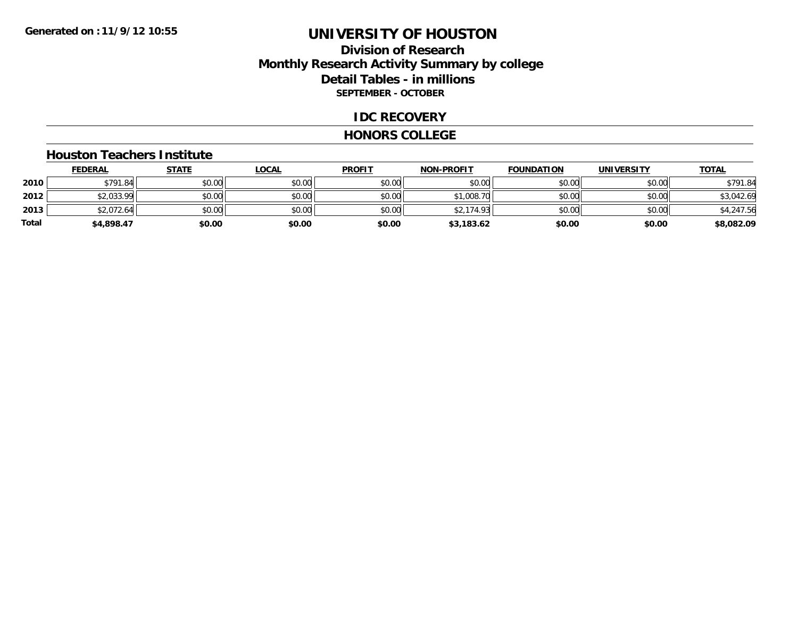## **Division of Research Monthly Research Activity Summary by college Detail Tables - in millions SEPTEMBER - OCTOBER**

#### **IDC RECOVERY**

#### **HONORS COLLEGE**

#### **Houston Teachers Institute**

|       | <b>FEDERAL</b> | <u>STATE</u> | <b>LOCAL</b> | <b>PROFIT</b> | <b>NON-PROFIT</b> | <b>FOUNDATION</b> | <b>UNIVERSITY</b> | <b>TOTAL</b> |
|-------|----------------|--------------|--------------|---------------|-------------------|-------------------|-------------------|--------------|
| 2010  | \$791.84       | \$0.00       | \$0.00       | \$0.00        | \$0.00            | \$0.00            | \$0.00            | \$791.84     |
| 2012  | \$2,033.99     | \$0.00       | \$0.00       | \$0.00        | \$1,008.70        | \$0.00            | \$0.00            | \$3,042.69   |
| 2013  | \$2,072.64     | \$0.00       | \$0.00       | \$0.00        | \$2,174.93        | \$0.00            | \$0.00            | \$4,247.56   |
| Total | \$4,898.47     | \$0.00       | \$0.00       | \$0.00        | \$3,183.62        | \$0.00            | \$0.00            | \$8,082.09   |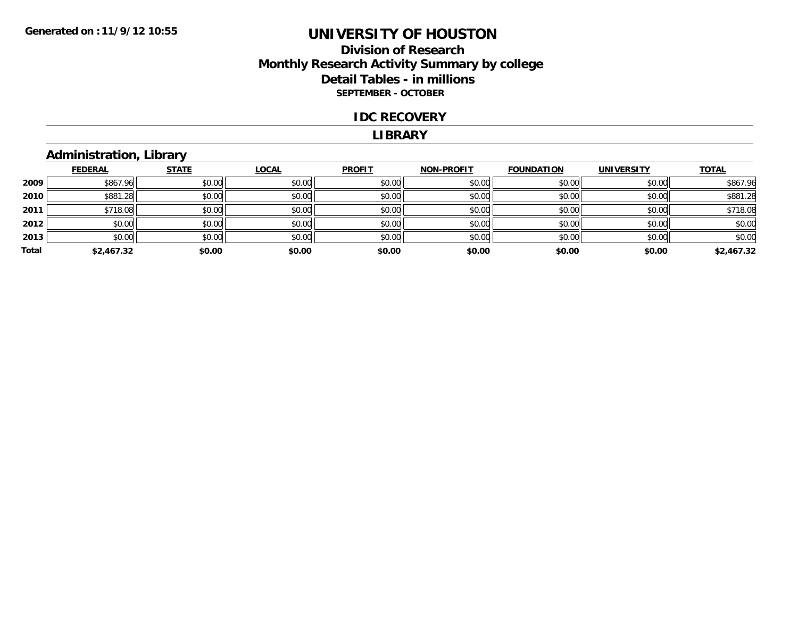## **Division of Research Monthly Research Activity Summary by college Detail Tables - in millions SEPTEMBER - OCTOBER**

#### **IDC RECOVERY**

#### **LIBRARY**

## **Administration, Library**

|       | <b>FEDERAL</b> | <b>STATE</b> | <b>LOCAL</b> | <b>PROFIT</b> | <b>NON-PROFIT</b> | <b>FOUNDATION</b> | <b>UNIVERSITY</b> | <b>TOTAL</b> |
|-------|----------------|--------------|--------------|---------------|-------------------|-------------------|-------------------|--------------|
| 2009  | \$867.96       | \$0.00       | \$0.00       | \$0.00        | \$0.00            | \$0.00            | \$0.00            | \$867.96     |
| 2010  | \$881.28       | \$0.00       | \$0.00       | \$0.00        | \$0.00            | \$0.00            | \$0.00            | \$881.28     |
| 2011  | \$718.08       | \$0.00       | \$0.00       | \$0.00        | \$0.00            | \$0.00            | \$0.00            | \$718.08     |
| 2012  | \$0.00         | \$0.00       | \$0.00       | \$0.00        | \$0.00            | \$0.00            | \$0.00            | \$0.00       |
| 2013  | \$0.00         | \$0.00       | \$0.00       | \$0.00        | \$0.00            | \$0.00            | \$0.00            | \$0.00       |
| Total | \$2,467.32     | \$0.00       | \$0.00       | \$0.00        | \$0.00            | \$0.00            | \$0.00            | \$2,467.32   |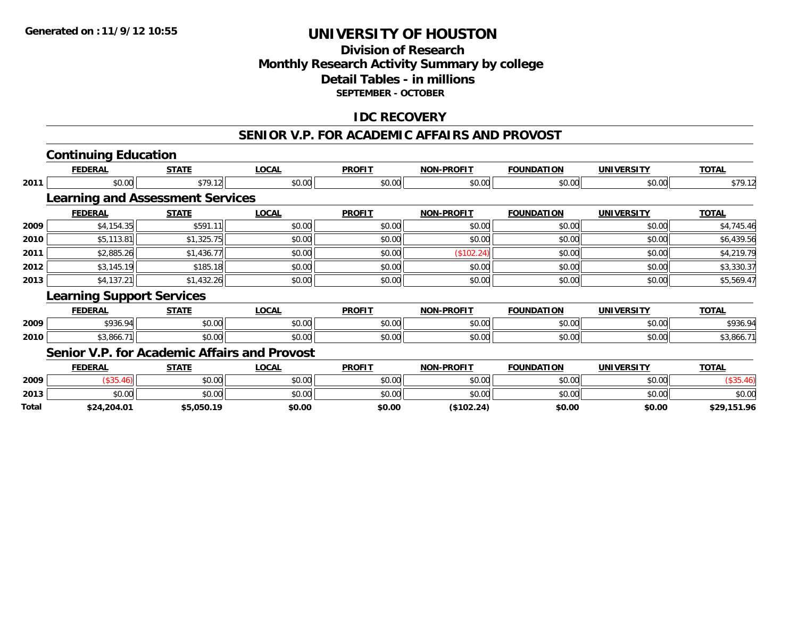## **Division of ResearchMonthly Research Activity Summary by college Detail Tables - in millions SEPTEMBER - OCTOBER**

### **IDC RECOVERY**

#### **SENIOR V.P. FOR ACADEMIC AFFAIRS AND PROVOST**

|       | <b>Continuing Education</b>                  |              |              |               |                   |                   |                   |              |
|-------|----------------------------------------------|--------------|--------------|---------------|-------------------|-------------------|-------------------|--------------|
|       | <b>FEDERAL</b>                               | <b>STATE</b> | <b>LOCAL</b> | <b>PROFIT</b> | <b>NON-PROFIT</b> | <b>FOUNDATION</b> | <b>UNIVERSITY</b> | <b>TOTAL</b> |
| 2011  | \$0.00                                       | \$79.12      | \$0.00       | \$0.00        | \$0.00            | \$0.00            | \$0.00            | \$79.12      |
|       | <b>Learning and Assessment Services</b>      |              |              |               |                   |                   |                   |              |
|       | <b>FEDERAL</b>                               | <b>STATE</b> | <b>LOCAL</b> | <b>PROFIT</b> | <b>NON-PROFIT</b> | <b>FOUNDATION</b> | <b>UNIVERSITY</b> | <b>TOTAL</b> |
| 2009  | \$4,154.35                                   | \$591.11     | \$0.00       | \$0.00        | \$0.00            | \$0.00            | \$0.00            | \$4,745.46   |
| 2010  | \$5,113.81                                   | \$1,325.75   | \$0.00       | \$0.00        | \$0.00            | \$0.00            | \$0.00            | \$6,439.56   |
| 2011  | \$2,885.26                                   | \$1,436.77   | \$0.00       | \$0.00        | (\$102.24)        | \$0.00            | \$0.00            | \$4,219.79   |
| 2012  | \$3,145.19                                   | \$185.18     | \$0.00       | \$0.00        | \$0.00            | \$0.00            | \$0.00            | \$3,330.37   |
| 2013  | \$4,137.21                                   | \$1,432.26   | \$0.00       | \$0.00        | \$0.00            | \$0.00            | \$0.00            | \$5,569.47   |
|       | <b>Learning Support Services</b>             |              |              |               |                   |                   |                   |              |
|       | <b>FEDERAL</b>                               | <b>STATE</b> | <b>LOCAL</b> | <b>PROFIT</b> | <b>NON-PROFIT</b> | <b>FOUNDATION</b> | <b>UNIVERSITY</b> | <b>TOTAL</b> |
| 2009  | \$936.94                                     | \$0.00       | \$0.00       | \$0.00        | \$0.00            | \$0.00            | \$0.00            | \$936.94     |
| 2010  | \$3,866.71                                   | \$0.00       | \$0.00       | \$0.00        | \$0.00            | \$0.00            | \$0.00            | \$3,866.71   |
|       | Senior V.P. for Academic Affairs and Provost |              |              |               |                   |                   |                   |              |
|       | <b>FEDERAL</b>                               | <b>STATE</b> | <b>LOCAL</b> | <b>PROFIT</b> | <b>NON-PROFIT</b> | <b>FOUNDATION</b> | <b>UNIVERSITY</b> | <b>TOTAL</b> |
| 2009  | (\$35.46)                                    | \$0.00       | \$0.00       | \$0.00        | \$0.00            | \$0.00            | \$0.00            | (\$35.46)    |
| 2013  | \$0.00                                       | \$0.00       | \$0.00       | \$0.00        | \$0.00            | \$0.00            | \$0.00            | \$0.00       |
| Total | \$24,204.01                                  | \$5.050.19   | \$0.00       | \$0.00        | (S102.24)         | \$0.00            | \$0.00            | \$29.151.96  |

**\$24,204.01 \$5,050.19 \$0.00 \$0.00 (\$102.24) \$0.00 \$0.00 \$29,151.96**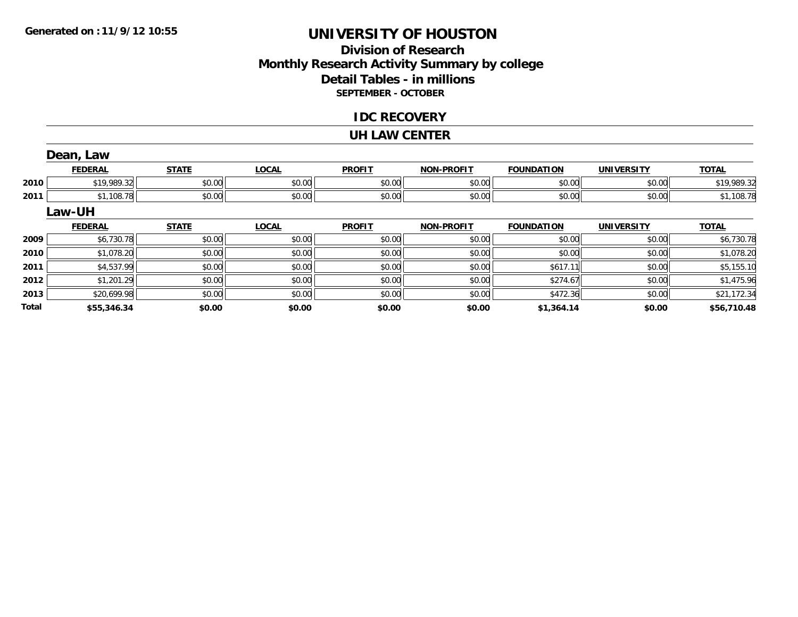**Total**

## **UNIVERSITY OF HOUSTON**

## **Division of ResearchMonthly Research Activity Summary by college Detail Tables - in millions SEPTEMBER - OCTOBER**

### **IDC RECOVERY**

#### **UH LAW CENTER**

|      | Dean, Law      |              |              |               |                   |                   |                   |              |
|------|----------------|--------------|--------------|---------------|-------------------|-------------------|-------------------|--------------|
|      | <b>FEDERAL</b> | <b>STATE</b> | <b>LOCAL</b> | <b>PROFIT</b> | <b>NON-PROFIT</b> | <b>FOUNDATION</b> | <b>UNIVERSITY</b> | <b>TOTAL</b> |
| 2010 | \$19,989.32    | \$0.00       | \$0.00       | \$0.00        | \$0.00            | \$0.00            | \$0.00            | \$19,989.32  |
| 2011 | \$1,108.78     | \$0.00       | \$0.00       | \$0.00        | \$0.00            | \$0.00            | \$0.00            | \$1,108.78   |
|      | <b>Law-UH</b>  |              |              |               |                   |                   |                   |              |
|      | <b>FEDERAL</b> | <b>STATE</b> | <b>LOCAL</b> | <b>PROFIT</b> | <b>NON-PROFIT</b> | <b>FOUNDATION</b> | <b>UNIVERSITY</b> | <b>TOTAL</b> |
| 2009 | \$6,730.78     | \$0.00       | \$0.00       | \$0.00        | \$0.00            | \$0.00            | \$0.00            | \$6,730.78   |
| 2010 | \$1,078.20     | \$0.00       | \$0.00       | \$0.00        | \$0.00            | \$0.00            | \$0.00            | \$1,078.20   |
| 2011 | \$4,537.99     | \$0.00       | \$0.00       | \$0.00        | \$0.00            | \$617.11          | \$0.00            | \$5,155.10   |
| 2012 | \$1,201.29     | \$0.00       | \$0.00       | \$0.00        | \$0.00            | \$274.67          | \$0.00            | \$1,475.96   |
| 2013 | \$20,699.98    | \$0.00       | \$0.00       | \$0.00        | \$0.00            | \$472.36          | \$0.00            | \$21,172.34  |

**\$55,346.34 \$0.00 \$0.00 \$0.00 \$0.00 \$1,364.14 \$0.00 \$56,710.48**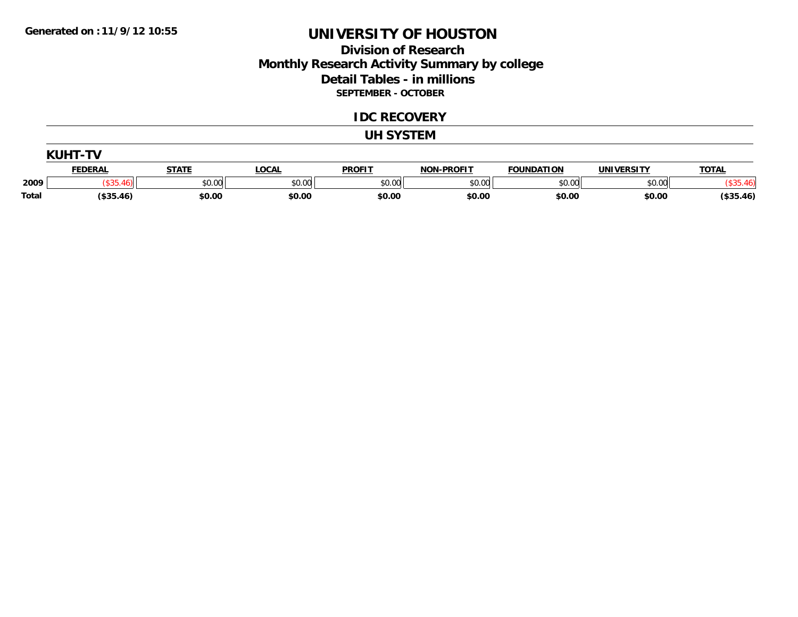# **UNIVERSITY OF HOUSTON**

## **Division of Research Monthly Research Activity Summary by college Detail Tables - in millions SEPTEMBER - OCTOBER**

#### **IDC RECOVERY**

#### **UH SYSTEM**

|              | <b>FEDERAL</b> | STATE  | <b>LOCAL</b> | <b>PROFIT</b> | <b>NON-PROFIT</b> | <b>FOUNDATION</b> | UNIVERSITY | <b>TOTAL</b> |
|--------------|----------------|--------|--------------|---------------|-------------------|-------------------|------------|--------------|
| 2009         |                | \$0.00 | \$0.00       | \$0.00        | \$0.00            | \$0.00            | \$0.00     |              |
| <b>Total</b> | (\$35.46)      | \$0.00 | \$0.00       | \$0.00        | \$0.00            | \$0.00            | \$0.00     | \$35.46      |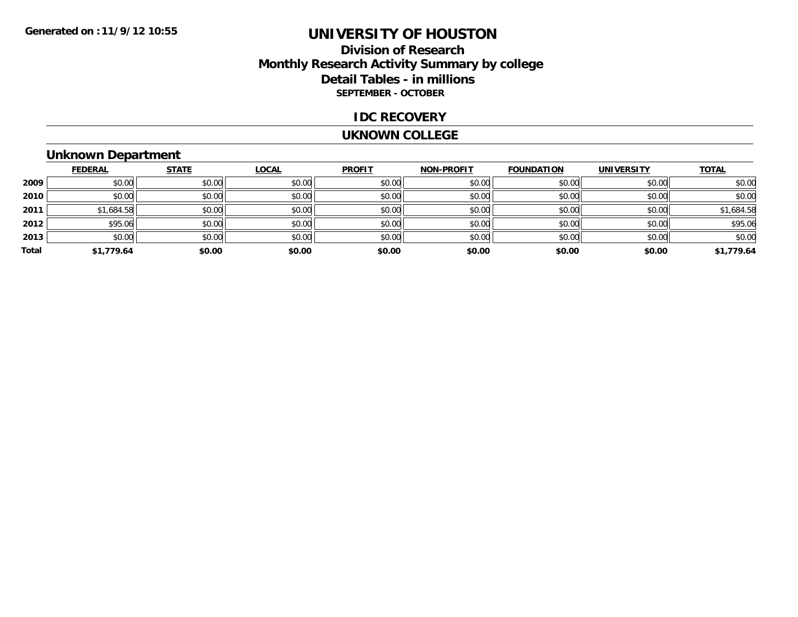# **UNIVERSITY OF HOUSTON**

## **Division of Research Monthly Research Activity Summary by college Detail Tables - in millions SEPTEMBER - OCTOBER**

### **IDC RECOVERY**

#### **UKNOWN COLLEGE**

## **Unknown Department**

|       | <b>FEDERAL</b> | <b>STATE</b> | <b>LOCAL</b> | <b>PROFIT</b> | NON-PROFIT | <b>FOUNDATION</b> | <b>UNIVERSITY</b> | <b>TOTAL</b> |
|-------|----------------|--------------|--------------|---------------|------------|-------------------|-------------------|--------------|
| 2009  | \$0.00         | \$0.00       | \$0.00       | \$0.00        | \$0.00     | \$0.00            | \$0.00            | \$0.00       |
| 2010  | \$0.00         | \$0.00       | \$0.00       | \$0.00        | \$0.00     | \$0.00            | \$0.00            | \$0.00       |
| 2011  | \$1,684.58     | \$0.00       | \$0.00       | \$0.00        | \$0.00     | \$0.00            | \$0.00            | \$1,684.58   |
| 2012  | \$95.06        | \$0.00       | \$0.00       | \$0.00        | \$0.00     | \$0.00            | \$0.00            | \$95.06      |
| 2013  | \$0.00         | \$0.00       | \$0.00       | \$0.00        | \$0.00     | \$0.00            | \$0.00            | \$0.00       |
| Total | \$1,779.64     | \$0.00       | \$0.00       | \$0.00        | \$0.00     | \$0.00            | \$0.00            | \$1,779.64   |